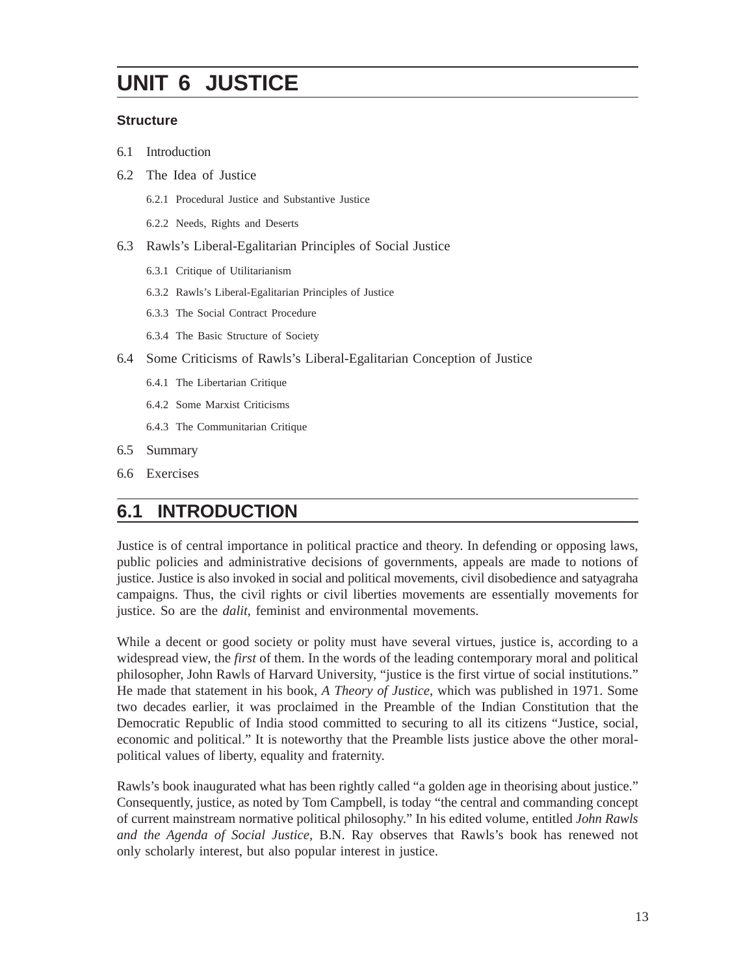# **UNIT 6 JUSTICE**

#### **Structure**

- 6.1 Introduction
- 6.2 The Idea of Justice
	- 6.2.1 Procedural Justice and Substantive Justice
	- 6.2.2 Needs, Rights and Deserts
- 6.3 Rawls's Liberal-Egalitarian Principles of Social Justice
	- 6.3.1 Critique of Utilitarianism
	- 6.3.2 Rawls's Liberal-Egalitarian Principles of Justice
	- 6.3.3 The Social Contract Procedure
	- 6.3.4 The Basic Structure of Society
- 6.4 Some Criticisms of Rawls's Liberal-Egalitarian Conception of Justice
	- 6.4.1 The Libertarian Critique
	- 6.4.2 Some Marxist Criticisms
	- 6.4.3 The Communitarian Critique
- 6.5 Summary
- 6.6 Exercises

## **6.1 INTRODUCTION**

Justice is of central importance in political practice and theory. In defending or opposing laws, public policies and administrative decisions of governments, appeals are made to notions of justice. Justice is also invoked in social and political movements, civil disobedience and satyagraha campaigns. Thus, the civil rights or civil liberties movements are essentially movements for justice. So are the *dalit*, feminist and environmental movements.

While a decent or good society or polity must have several virtues, justice is, according to a widespread view, the *first* of them. In the words of the leading contemporary moral and political philosopher, John Rawls of Harvard University, "justice is the first virtue of social institutions." He made that statement in his book, *A Theory of Justice*, which was published in 1971. Some two decades earlier, it was proclaimed in the Preamble of the Indian Constitution that the Democratic Republic of India stood committed to securing to all its citizens "Justice, social, economic and political." It is noteworthy that the Preamble lists justice above the other moralpolitical values of liberty, equality and fraternity.

Rawls's book inaugurated what has been rightly called "a golden age in theorising about justice." Consequently, justice, as noted by Tom Campbell, is today "the central and commanding concept of current mainstream normative political philosophy." In his edited volume, entitled *John Rawls and the Agenda of Social Justice,* B.N. Ray observes that Rawls's book has renewed not only scholarly interest, but also popular interest in justice.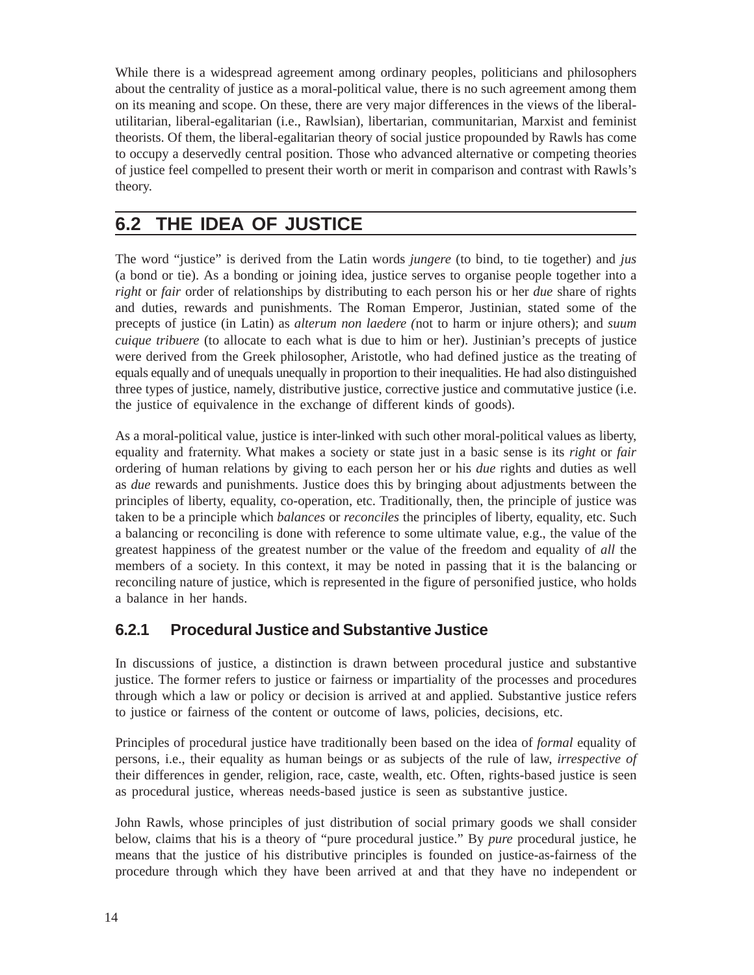While there is a widespread agreement among ordinary peoples, politicians and philosophers about the centrality of justice as a moral-political value, there is no such agreement among them on its meaning and scope. On these, there are very major differences in the views of the liberalutilitarian, liberal-egalitarian (i.e., Rawlsian), libertarian, communitarian, Marxist and feminist theorists. Of them, the liberal-egalitarian theory of social justice propounded by Rawls has come to occupy a deservedly central position. Those who advanced alternative or competing theories of justice feel compelled to present their worth or merit in comparison and contrast with Rawls's theory.

## **6.2 THE IDEA OF JUSTICE**

The word "justice" is derived from the Latin words *jungere* (to bind, to tie together) and *jus* (a bond or tie). As a bonding or joining idea, justice serves to organise people together into a *right* or *fair* order of relationships by distributing to each person his or her *due* share of rights and duties, rewards and punishments. The Roman Emperor, Justinian, stated some of the precepts of justice (in Latin) as *alterum non laedere (*not to harm or injure others); and *suum cuique tribuere* (to allocate to each what is due to him or her). Justinian's precepts of justice were derived from the Greek philosopher, Aristotle, who had defined justice as the treating of equals equally and of unequals unequally in proportion to their inequalities. He had also distinguished three types of justice, namely, distributive justice, corrective justice and commutative justice (i.e. the justice of equivalence in the exchange of different kinds of goods).

As a moral-political value, justice is inter-linked with such other moral-political values as liberty, equality and fraternity. What makes a society or state just in a basic sense is its *right* or *fair* ordering of human relations by giving to each person her or his *due* rights and duties as well as *due* rewards and punishments. Justice does this by bringing about adjustments between the principles of liberty, equality, co-operation, etc. Traditionally, then, the principle of justice was taken to be a principle which *balances* or *reconciles* the principles of liberty, equality, etc. Such a balancing or reconciling is done with reference to some ultimate value, e.g., the value of the greatest happiness of the greatest number or the value of the freedom and equality of *all* the members of a society. In this context, it may be noted in passing that it is the balancing or reconciling nature of justice, which is represented in the figure of personified justice, who holds a balance in her hands.

#### **6.2.1 Procedural Justice and Substantive Justice**

In discussions of justice, a distinction is drawn between procedural justice and substantive justice. The former refers to justice or fairness or impartiality of the processes and procedures through which a law or policy or decision is arrived at and applied. Substantive justice refers to justice or fairness of the content or outcome of laws, policies, decisions, etc.

Principles of procedural justice have traditionally been based on the idea of *formal* equality of persons, i.e., their equality as human beings or as subjects of the rule of law, *irrespective of* their differences in gender, religion, race, caste, wealth, etc. Often, rights-based justice is seen as procedural justice, whereas needs-based justice is seen as substantive justice.

John Rawls, whose principles of just distribution of social primary goods we shall consider below, claims that his is a theory of "pure procedural justice." By *pure* procedural justice, he means that the justice of his distributive principles is founded on justice-as-fairness of the procedure through which they have been arrived at and that they have no independent or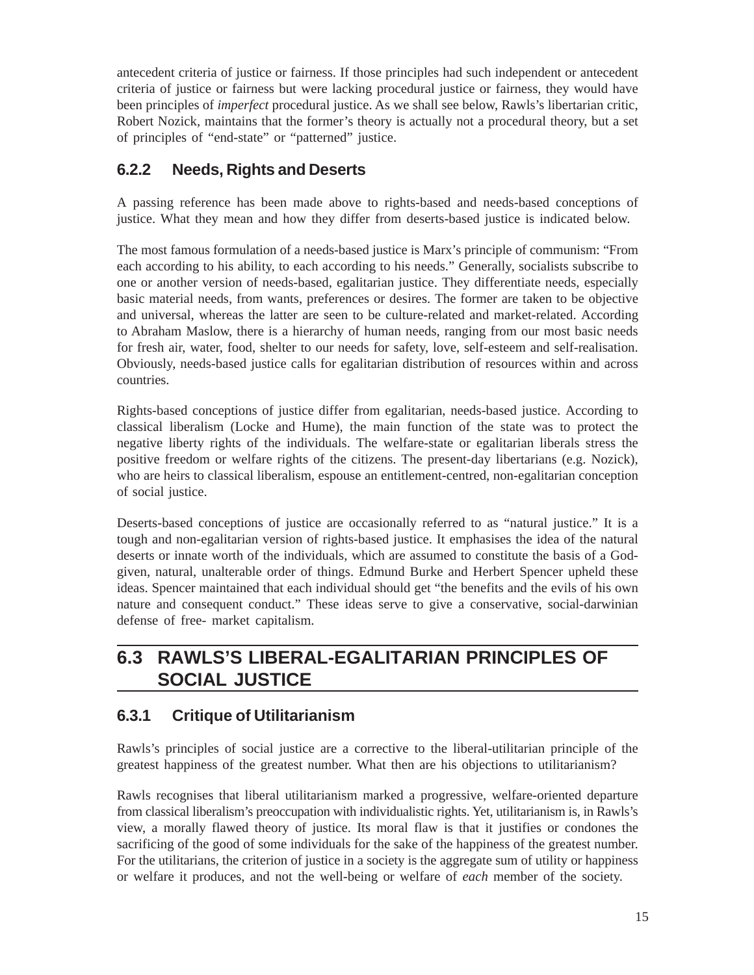antecedent criteria of justice or fairness. If those principles had such independent or antecedent criteria of justice or fairness but were lacking procedural justice or fairness, they would have been principles of *imperfect* procedural justice. As we shall see below, Rawls's libertarian critic, Robert Nozick, maintains that the former's theory is actually not a procedural theory, but a set of principles of "end-state" or "patterned" justice.

#### **6.2.2 Needs, Rights and Deserts**

A passing reference has been made above to rights-based and needs-based conceptions of justice. What they mean and how they differ from deserts-based justice is indicated below.

The most famous formulation of a needs-based justice is Marx's principle of communism: "From each according to his ability, to each according to his needs." Generally, socialists subscribe to one or another version of needs-based, egalitarian justice. They differentiate needs, especially basic material needs, from wants, preferences or desires. The former are taken to be objective and universal, whereas the latter are seen to be culture-related and market-related. According to Abraham Maslow, there is a hierarchy of human needs, ranging from our most basic needs for fresh air, water, food, shelter to our needs for safety, love, self-esteem and self-realisation. Obviously, needs-based justice calls for egalitarian distribution of resources within and across countries.

Rights-based conceptions of justice differ from egalitarian, needs-based justice. According to classical liberalism (Locke and Hume), the main function of the state was to protect the negative liberty rights of the individuals. The welfare-state or egalitarian liberals stress the positive freedom or welfare rights of the citizens. The present-day libertarians (e.g. Nozick), who are heirs to classical liberalism, espouse an entitlement-centred, non-egalitarian conception of social justice.

Deserts-based conceptions of justice are occasionally referred to as "natural justice." It is a tough and non-egalitarian version of rights-based justice. It emphasises the idea of the natural deserts or innate worth of the individuals, which are assumed to constitute the basis of a Godgiven, natural, unalterable order of things. Edmund Burke and Herbert Spencer upheld these ideas. Spencer maintained that each individual should get "the benefits and the evils of his own nature and consequent conduct." These ideas serve to give a conservative, social-darwinian defense of free- market capitalism.

# **6.3 RAWLS'S LIBERAL-EGALITARIAN PRINCIPLES OF SOCIAL JUSTICE**

## **6.3.1 Critique of Utilitarianism**

Rawls's principles of social justice are a corrective to the liberal-utilitarian principle of the greatest happiness of the greatest number. What then are his objections to utilitarianism?

Rawls recognises that liberal utilitarianism marked a progressive, welfare-oriented departure from classical liberalism's preoccupation with individualistic rights. Yet, utilitarianism is, in Rawls's view, a morally flawed theory of justice. Its moral flaw is that it justifies or condones the sacrificing of the good of some individuals for the sake of the happiness of the greatest number. For the utilitarians, the criterion of justice in a society is the aggregate sum of utility or happiness or welfare it produces, and not the well-being or welfare of *each* member of the society.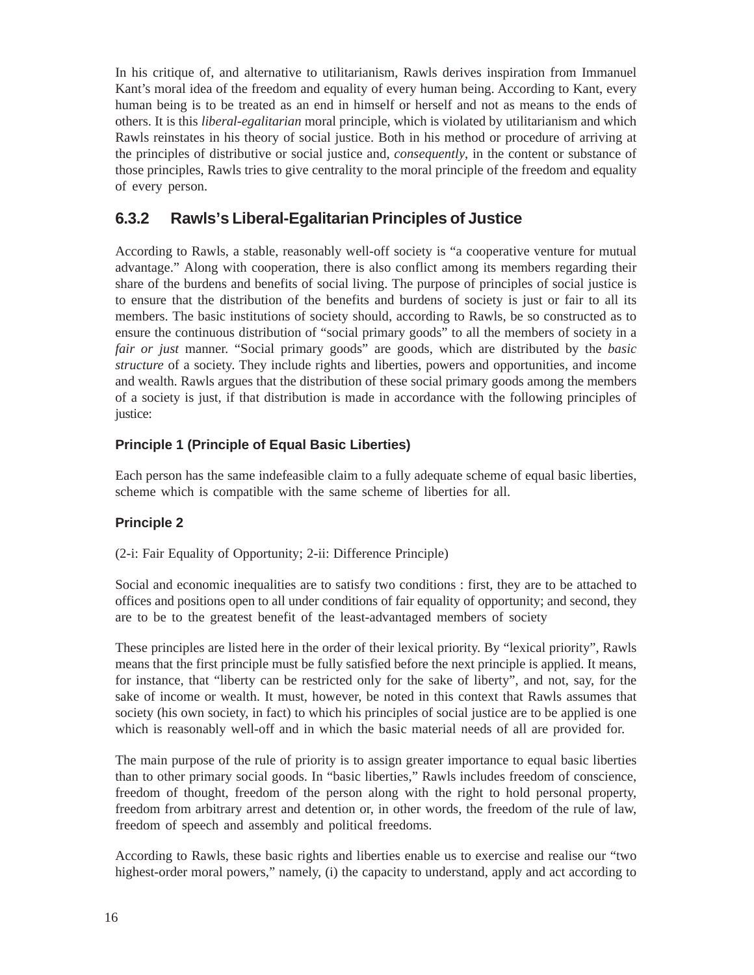In his critique of, and alternative to utilitarianism, Rawls derives inspiration from Immanuel Kant's moral idea of the freedom and equality of every human being. According to Kant, every human being is to be treated as an end in himself or herself and not as means to the ends of others. It is this *liberal-egalitarian* moral principle, which is violated by utilitarianism and which Rawls reinstates in his theory of social justice. Both in his method or procedure of arriving at the principles of distributive or social justice and, *consequently*, in the content or substance of those principles, Rawls tries to give centrality to the moral principle of the freedom and equality of every person.

#### **6.3.2 Rawls's Liberal-Egalitarian Principles of Justice**

According to Rawls, a stable, reasonably well-off society is "a cooperative venture for mutual advantage." Along with cooperation, there is also conflict among its members regarding their share of the burdens and benefits of social living. The purpose of principles of social justice is to ensure that the distribution of the benefits and burdens of society is just or fair to all its members. The basic institutions of society should, according to Rawls, be so constructed as to ensure the continuous distribution of "social primary goods" to all the members of society in a *fair or just* manner. "Social primary goods" are goods, which are distributed by the *basic structure* of a society. They include rights and liberties, powers and opportunities, and income and wealth. Rawls argues that the distribution of these social primary goods among the members of a society is just, if that distribution is made in accordance with the following principles of justice:

#### **Principle 1 (Principle of Equal Basic Liberties)**

Each person has the same indefeasible claim to a fully adequate scheme of equal basic liberties, scheme which is compatible with the same scheme of liberties for all.

#### **Principle 2**

(2-i: Fair Equality of Opportunity; 2-ii: Difference Principle)

Social and economic inequalities are to satisfy two conditions : first, they are to be attached to offices and positions open to all under conditions of fair equality of opportunity; and second, they are to be to the greatest benefit of the least-advantaged members of society

These principles are listed here in the order of their lexical priority. By "lexical priority", Rawls means that the first principle must be fully satisfied before the next principle is applied. It means, for instance, that "liberty can be restricted only for the sake of liberty", and not, say, for the sake of income or wealth. It must, however, be noted in this context that Rawls assumes that society (his own society, in fact) to which his principles of social justice are to be applied is one which is reasonably well-off and in which the basic material needs of all are provided for.

The main purpose of the rule of priority is to assign greater importance to equal basic liberties than to other primary social goods. In "basic liberties," Rawls includes freedom of conscience, freedom of thought, freedom of the person along with the right to hold personal property, freedom from arbitrary arrest and detention or, in other words, the freedom of the rule of law, freedom of speech and assembly and political freedoms.

According to Rawls, these basic rights and liberties enable us to exercise and realise our "two highest-order moral powers," namely, (i) the capacity to understand, apply and act according to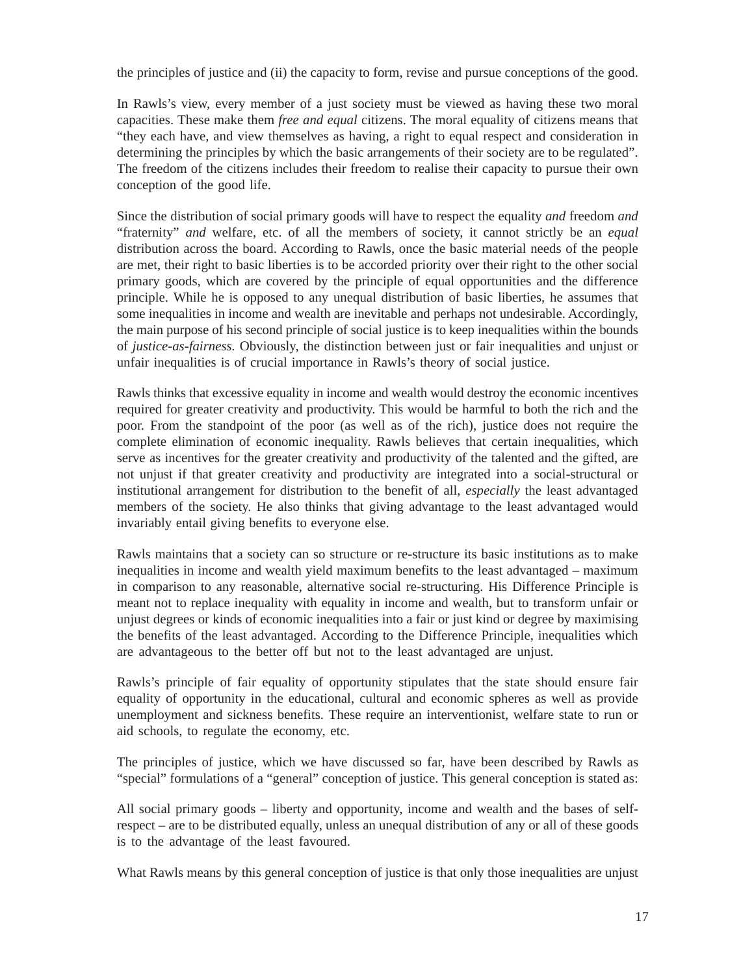the principles of justice and (ii) the capacity to form, revise and pursue conceptions of the good.

In Rawls's view, every member of a just society must be viewed as having these two moral capacities. These make them *free and equal* citizens. The moral equality of citizens means that "they each have, and view themselves as having, a right to equal respect and consideration in determining the principles by which the basic arrangements of their society are to be regulated". The freedom of the citizens includes their freedom to realise their capacity to pursue their own conception of the good life.

Since the distribution of social primary goods will have to respect the equality *and* freedom *and* "fraternity" *and* welfare, etc. of all the members of society, it cannot strictly be an *equal* distribution across the board. According to Rawls, once the basic material needs of the people are met, their right to basic liberties is to be accorded priority over their right to the other social primary goods, which are covered by the principle of equal opportunities and the difference principle. While he is opposed to any unequal distribution of basic liberties, he assumes that some inequalities in income and wealth are inevitable and perhaps not undesirable. Accordingly, the main purpose of his second principle of social justice is to keep inequalities within the bounds of *justice-as-fairness.* Obviously, the distinction between just or fair inequalities and unjust or unfair inequalities is of crucial importance in Rawls's theory of social justice.

Rawls thinks that excessive equality in income and wealth would destroy the economic incentives required for greater creativity and productivity. This would be harmful to both the rich and the poor. From the standpoint of the poor (as well as of the rich), justice does not require the complete elimination of economic inequality. Rawls believes that certain inequalities, which serve as incentives for the greater creativity and productivity of the talented and the gifted, are not unjust if that greater creativity and productivity are integrated into a social-structural or institutional arrangement for distribution to the benefit of all, *especially* the least advantaged members of the society. He also thinks that giving advantage to the least advantaged would invariably entail giving benefits to everyone else.

Rawls maintains that a society can so structure or re-structure its basic institutions as to make inequalities in income and wealth yield maximum benefits to the least advantaged – maximum in comparison to any reasonable, alternative social re-structuring. His Difference Principle is meant not to replace inequality with equality in income and wealth, but to transform unfair or unjust degrees or kinds of economic inequalities into a fair or just kind or degree by maximising the benefits of the least advantaged. According to the Difference Principle, inequalities which are advantageous to the better off but not to the least advantaged are unjust.

Rawls's principle of fair equality of opportunity stipulates that the state should ensure fair equality of opportunity in the educational, cultural and economic spheres as well as provide unemployment and sickness benefits. These require an interventionist, welfare state to run or aid schools, to regulate the economy, etc.

The principles of justice, which we have discussed so far, have been described by Rawls as "special" formulations of a "general" conception of justice. This general conception is stated as:

All social primary goods – liberty and opportunity, income and wealth and the bases of selfrespect – are to be distributed equally, unless an unequal distribution of any or all of these goods is to the advantage of the least favoured.

What Rawls means by this general conception of justice is that only those inequalities are unjust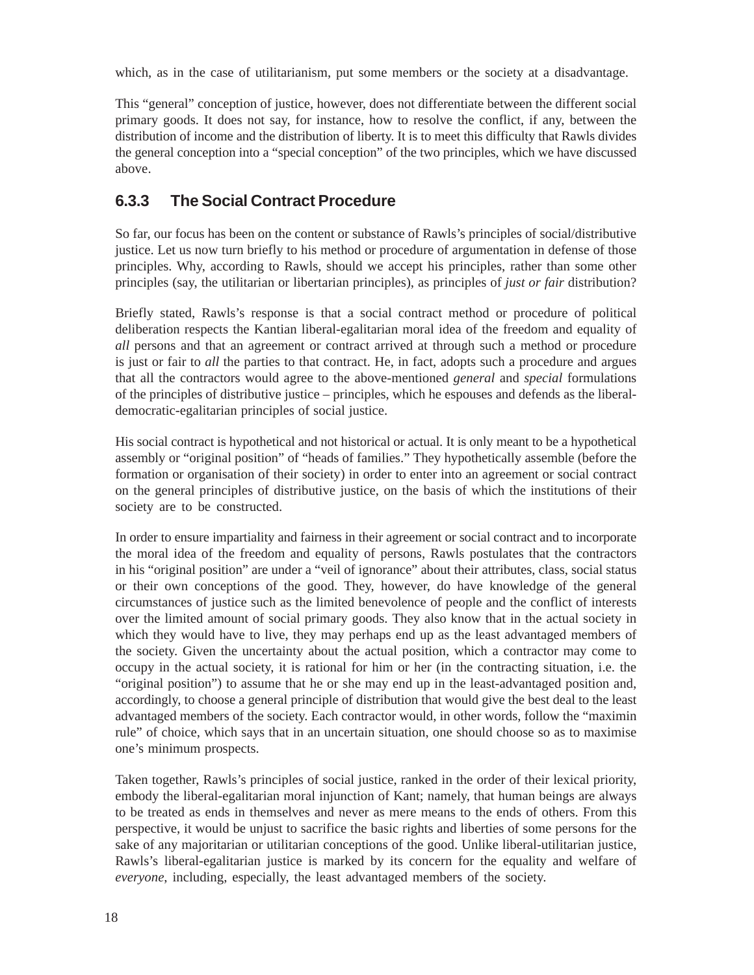which, as in the case of utilitarianism, put some members or the society at a disadvantage.

This "general" conception of justice, however, does not differentiate between the different social primary goods. It does not say, for instance, how to resolve the conflict, if any, between the distribution of income and the distribution of liberty. It is to meet this difficulty that Rawls divides the general conception into a "special conception" of the two principles, which we have discussed above.

#### **6.3.3 The Social Contract Procedure**

So far, our focus has been on the content or substance of Rawls's principles of social/distributive justice. Let us now turn briefly to his method or procedure of argumentation in defense of those principles. Why, according to Rawls, should we accept his principles, rather than some other principles (say, the utilitarian or libertarian principles), as principles of *just or fair* distribution?

Briefly stated, Rawls's response is that a social contract method or procedure of political deliberation respects the Kantian liberal-egalitarian moral idea of the freedom and equality of *all* persons and that an agreement or contract arrived at through such a method or procedure is just or fair to *all* the parties to that contract. He, in fact, adopts such a procedure and argues that all the contractors would agree to the above-mentioned *general* and *special* formulations of the principles of distributive justice – principles, which he espouses and defends as the liberaldemocratic-egalitarian principles of social justice.

His social contract is hypothetical and not historical or actual. It is only meant to be a hypothetical assembly or "original position" of "heads of families." They hypothetically assemble (before the formation or organisation of their society) in order to enter into an agreement or social contract on the general principles of distributive justice, on the basis of which the institutions of their society are to be constructed.

In order to ensure impartiality and fairness in their agreement or social contract and to incorporate the moral idea of the freedom and equality of persons, Rawls postulates that the contractors in his "original position" are under a "veil of ignorance" about their attributes, class, social status or their own conceptions of the good. They, however, do have knowledge of the general circumstances of justice such as the limited benevolence of people and the conflict of interests over the limited amount of social primary goods. They also know that in the actual society in which they would have to live, they may perhaps end up as the least advantaged members of the society. Given the uncertainty about the actual position, which a contractor may come to occupy in the actual society, it is rational for him or her (in the contracting situation, i.e. the "original position") to assume that he or she may end up in the least-advantaged position and, accordingly, to choose a general principle of distribution that would give the best deal to the least advantaged members of the society. Each contractor would, in other words, follow the "maximin rule" of choice, which says that in an uncertain situation, one should choose so as to maximise one's minimum prospects.

Taken together, Rawls's principles of social justice, ranked in the order of their lexical priority, embody the liberal-egalitarian moral injunction of Kant; namely, that human beings are always to be treated as ends in themselves and never as mere means to the ends of others. From this perspective, it would be unjust to sacrifice the basic rights and liberties of some persons for the sake of any majoritarian or utilitarian conceptions of the good. Unlike liberal-utilitarian justice, Rawls's liberal-egalitarian justice is marked by its concern for the equality and welfare of *everyone*, including, especially, the least advantaged members of the society.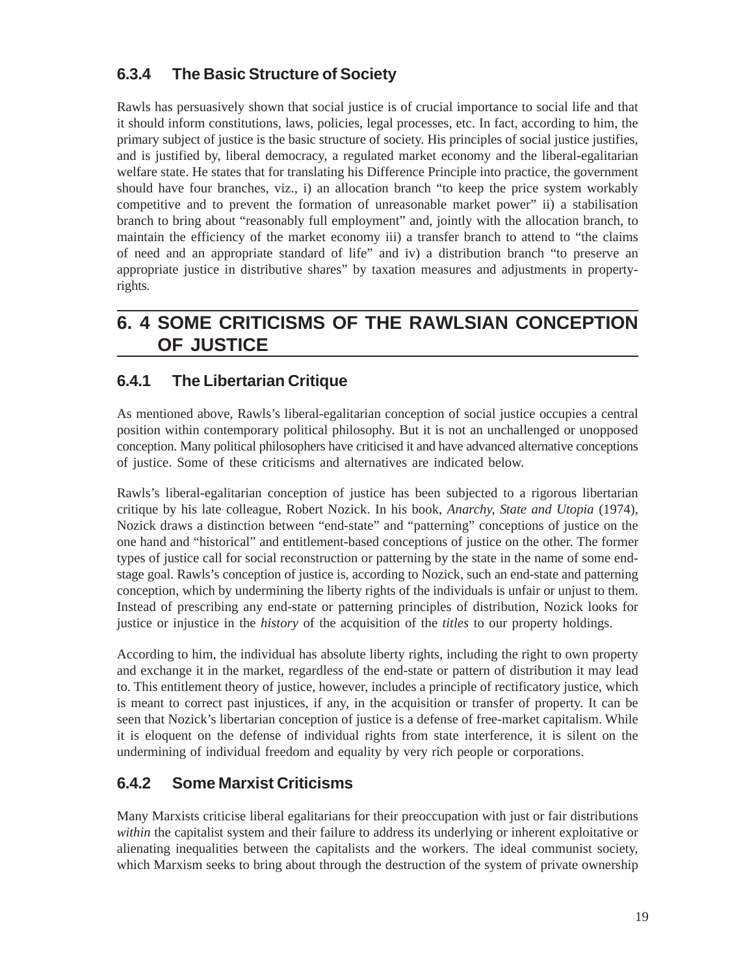## **6.3.4 The Basic Structure of Society**

Rawls has persuasively shown that social justice is of crucial importance to social life and that it should inform constitutions, laws, policies, legal processes, etc. In fact, according to him, the primary subject of justice is the basic structure of society. His principles of social justice justifies, and is justified by, liberal democracy, a regulated market economy and the liberal-egalitarian welfare state. He states that for translating his Difference Principle into practice, the government should have four branches, viz., i) an allocation branch "to keep the price system workably competitive and to prevent the formation of unreasonable market power" ii) a stabilisation branch to bring about "reasonably full employment" and, jointly with the allocation branch, to maintain the efficiency of the market economy iii) a transfer branch to attend to "the claims of need and an appropriate standard of life" and iv) a distribution branch "to preserve an appropriate justice in distributive shares" by taxation measures and adjustments in propertyrights.

# **6. 4 SOME CRITICISMS OF THE RAWLSIAN CONCEPTION OF JUSTICE**

## **6.4.1 The Libertarian Critique**

As mentioned above, Rawls's liberal-egalitarian conception of social justice occupies a central position within contemporary political philosophy. But it is not an unchallenged or unopposed conception. Many political philosophers have criticised it and have advanced alternative conceptions of justice. Some of these criticisms and alternatives are indicated below.

Rawls's liberal-egalitarian conception of justice has been subjected to a rigorous libertarian critique by his late colleague, Robert Nozick. In his book, *Anarchy, State and Utopia* (1974), Nozick draws a distinction between "end-state" and "patterning" conceptions of justice on the one hand and "historical" and entitlement-based conceptions of justice on the other. The former types of justice call for social reconstruction or patterning by the state in the name of some endstage goal. Rawls's conception of justice is, according to Nozick, such an end-state and patterning conception, which by undermining the liberty rights of the individuals is unfair or unjust to them. Instead of prescribing any end-state or patterning principles of distribution, Nozick looks for justice or injustice in the *history* of the acquisition of the *titles* to our property holdings.

According to him, the individual has absolute liberty rights, including the right to own property and exchange it in the market, regardless of the end-state or pattern of distribution it may lead to. This entitlement theory of justice, however, includes a principle of rectificatory justice, which is meant to correct past injustices, if any, in the acquisition or transfer of property. It can be seen that Nozick's libertarian conception of justice is a defense of free-market capitalism. While it is eloquent on the defense of individual rights from state interference, it is silent on the undermining of individual freedom and equality by very rich people or corporations.

## **6.4.2 Some Marxist Criticisms**

Many Marxists criticise liberal egalitarians for their preoccupation with just or fair distributions *within* the capitalist system and their failure to address its underlying or inherent exploitative or alienating inequalities between the capitalists and the workers. The ideal communist society, which Marxism seeks to bring about through the destruction of the system of private ownership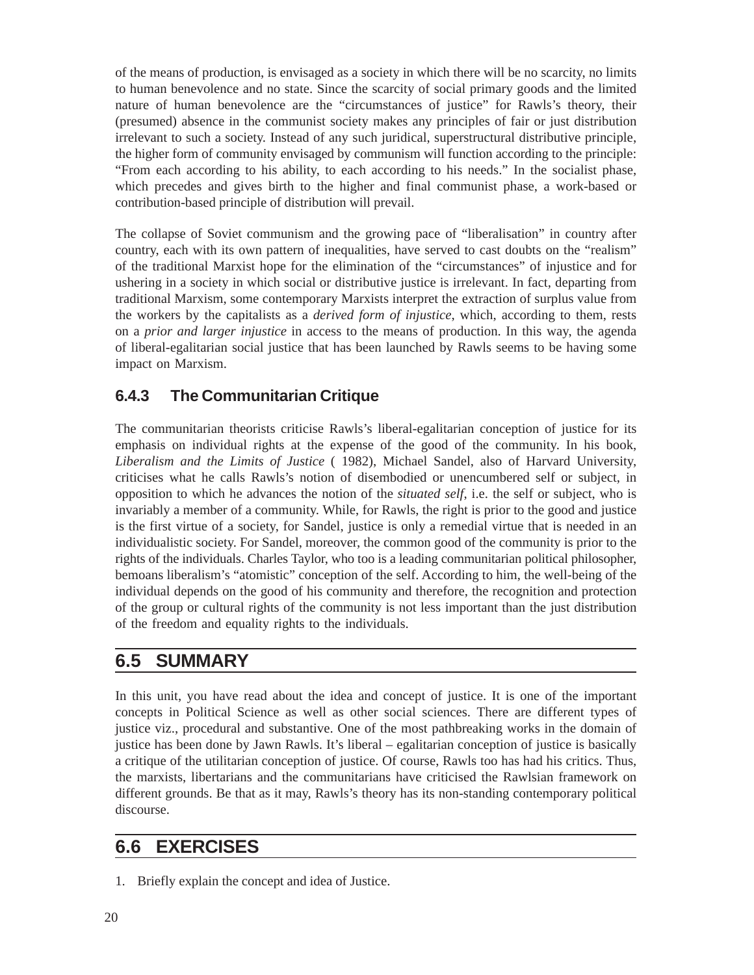of the means of production, is envisaged as a society in which there will be no scarcity, no limits to human benevolence and no state. Since the scarcity of social primary goods and the limited nature of human benevolence are the "circumstances of justice" for Rawls's theory, their (presumed) absence in the communist society makes any principles of fair or just distribution irrelevant to such a society. Instead of any such juridical, superstructural distributive principle, the higher form of community envisaged by communism will function according to the principle: "From each according to his ability, to each according to his needs." In the socialist phase, which precedes and gives birth to the higher and final communist phase, a work-based or contribution-based principle of distribution will prevail.

The collapse of Soviet communism and the growing pace of "liberalisation" in country after country, each with its own pattern of inequalities, have served to cast doubts on the "realism" of the traditional Marxist hope for the elimination of the "circumstances" of injustice and for ushering in a society in which social or distributive justice is irrelevant. In fact, departing from traditional Marxism, some contemporary Marxists interpret the extraction of surplus value from the workers by the capitalists as a *derived form of injustice*, which, according to them, rests on a *prior and larger injustice* in access to the means of production. In this way, the agenda of liberal-egalitarian social justice that has been launched by Rawls seems to be having some impact on Marxism.

### **6.4.3 The Communitarian Critique**

The communitarian theorists criticise Rawls's liberal-egalitarian conception of justice for its emphasis on individual rights at the expense of the good of the community. In his book, *Liberalism and the Limits of Justice* ( 1982), Michael Sandel, also of Harvard University, criticises what he calls Rawls's notion of disembodied or unencumbered self or subject, in opposition to which he advances the notion of the *situated self*, i.e. the self or subject, who is invariably a member of a community. While, for Rawls, the right is prior to the good and justice is the first virtue of a society, for Sandel, justice is only a remedial virtue that is needed in an individualistic society. For Sandel, moreover, the common good of the community is prior to the rights of the individuals. Charles Taylor, who too is a leading communitarian political philosopher, bemoans liberalism's "atomistic" conception of the self. According to him, the well-being of the individual depends on the good of his community and therefore, the recognition and protection of the group or cultural rights of the community is not less important than the just distribution of the freedom and equality rights to the individuals.

## **6.5 SUMMARY**

In this unit, you have read about the idea and concept of justice. It is one of the important concepts in Political Science as well as other social sciences. There are different types of justice viz., procedural and substantive. One of the most pathbreaking works in the domain of justice has been done by Jawn Rawls. It's liberal – egalitarian conception of justice is basically a critique of the utilitarian conception of justice. Of course, Rawls too has had his critics. Thus, the marxists, libertarians and the communitarians have criticised the Rawlsian framework on different grounds. Be that as it may, Rawls's theory has its non-standing contemporary political discourse.

## **6.6 EXERCISES**

1. Briefly explain the concept and idea of Justice.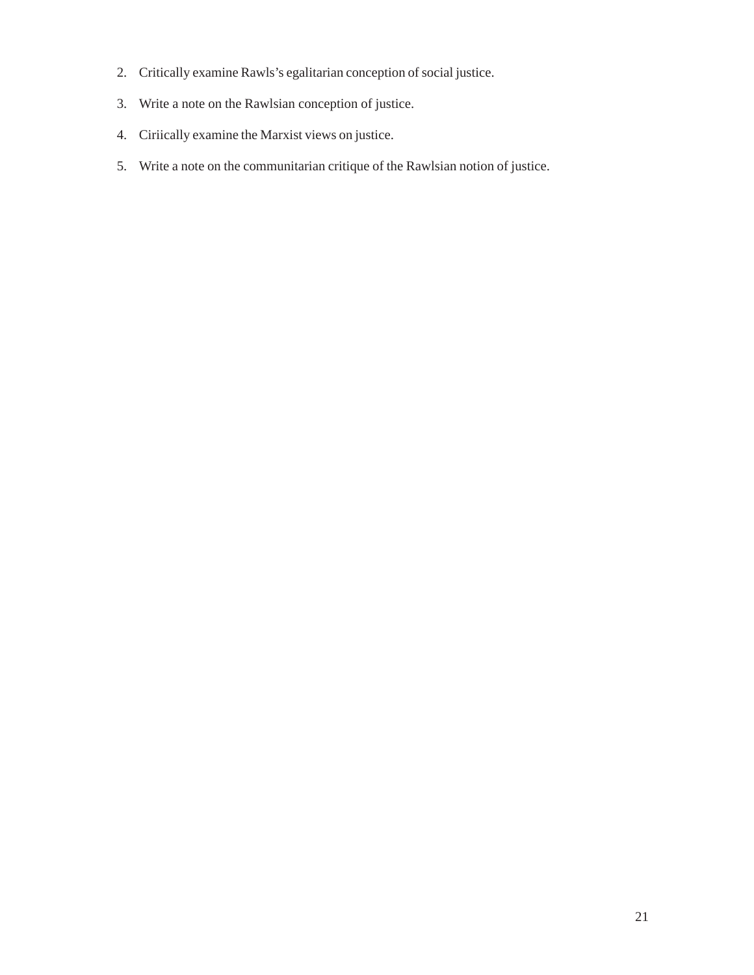- 2. Critically examine Rawls's egalitarian conception of social justice.
- 3. Write a note on the Rawlsian conception of justice.
- 4. Ciriically examine the Marxist views on justice.
- 5. Write a note on the communitarian critique of the Rawlsian notion of justice.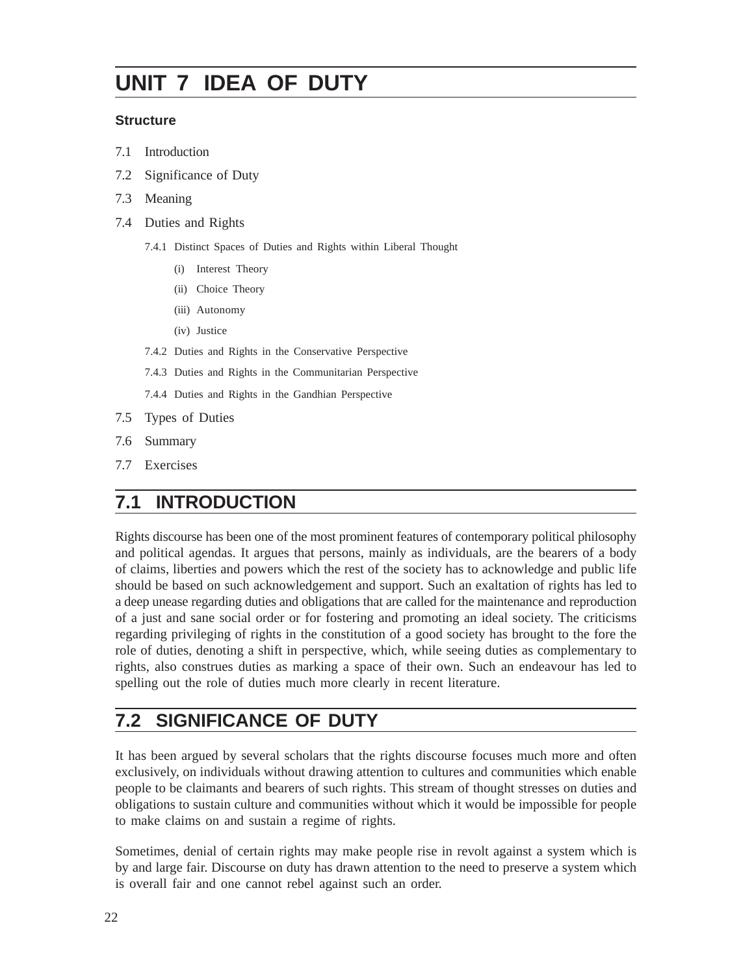# **UNIT 7 IDEA OF DUTY**

#### **Structure**

- 7.1 Introduction
- 7.2 Significance of Duty
- 7.3 Meaning
- 7.4 Duties and Rights
	- 7.4.1 Distinct Spaces of Duties and Rights within Liberal Thought
		- (i) Interest Theory
		- (ii) Choice Theory
		- (iii) Autonomy
		- (iv) Justice
	- 7.4.2 Duties and Rights in the Conservative Perspective
	- 7.4.3 Duties and Rights in the Communitarian Perspective
	- 7.4.4 Duties and Rights in the Gandhian Perspective
- 7.5 Types of Duties
- 7.6 Summary
- 7.7 Exercises

## **7.1 INTRODUCTION**

Rights discourse has been one of the most prominent features of contemporary political philosophy and political agendas. It argues that persons, mainly as individuals, are the bearers of a body of claims, liberties and powers which the rest of the society has to acknowledge and public life should be based on such acknowledgement and support. Such an exaltation of rights has led to a deep unease regarding duties and obligations that are called for the maintenance and reproduction of a just and sane social order or for fostering and promoting an ideal society. The criticisms regarding privileging of rights in the constitution of a good society has brought to the fore the role of duties, denoting a shift in perspective, which, while seeing duties as complementary to rights, also construes duties as marking a space of their own. Such an endeavour has led to spelling out the role of duties much more clearly in recent literature.

# **7.2 SIGNIFICANCE OF DUTY**

It has been argued by several scholars that the rights discourse focuses much more and often exclusively, on individuals without drawing attention to cultures and communities which enable people to be claimants and bearers of such rights. This stream of thought stresses on duties and obligations to sustain culture and communities without which it would be impossible for people to make claims on and sustain a regime of rights.

Sometimes, denial of certain rights may make people rise in revolt against a system which is by and large fair. Discourse on duty has drawn attention to the need to preserve a system which is overall fair and one cannot rebel against such an order.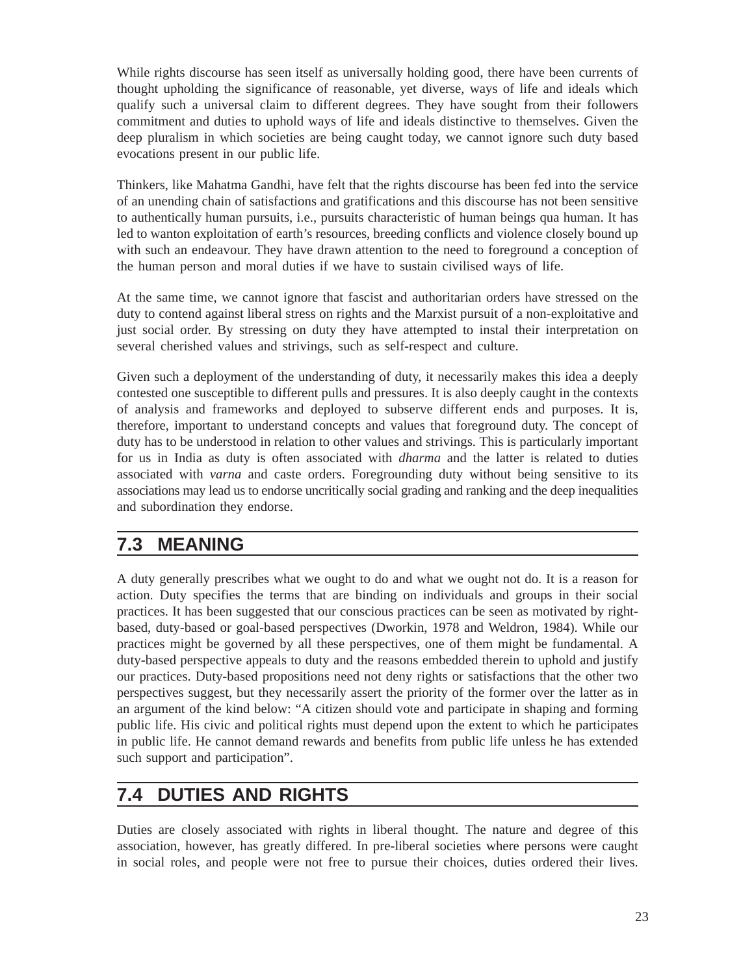While rights discourse has seen itself as universally holding good, there have been currents of thought upholding the significance of reasonable, yet diverse, ways of life and ideals which qualify such a universal claim to different degrees. They have sought from their followers commitment and duties to uphold ways of life and ideals distinctive to themselves. Given the deep pluralism in which societies are being caught today, we cannot ignore such duty based evocations present in our public life.

Thinkers, like Mahatma Gandhi, have felt that the rights discourse has been fed into the service of an unending chain of satisfactions and gratifications and this discourse has not been sensitive to authentically human pursuits, i.e., pursuits characteristic of human beings qua human. It has led to wanton exploitation of earth's resources, breeding conflicts and violence closely bound up with such an endeavour. They have drawn attention to the need to foreground a conception of the human person and moral duties if we have to sustain civilised ways of life.

At the same time, we cannot ignore that fascist and authoritarian orders have stressed on the duty to contend against liberal stress on rights and the Marxist pursuit of a non-exploitative and just social order. By stressing on duty they have attempted to instal their interpretation on several cherished values and strivings, such as self-respect and culture.

Given such a deployment of the understanding of duty, it necessarily makes this idea a deeply contested one susceptible to different pulls and pressures. It is also deeply caught in the contexts of analysis and frameworks and deployed to subserve different ends and purposes. It is, therefore, important to understand concepts and values that foreground duty. The concept of duty has to be understood in relation to other values and strivings. This is particularly important for us in India as duty is often associated with *dharma* and the latter is related to duties associated with *varna* and caste orders. Foregrounding duty without being sensitive to its associations may lead us to endorse uncritically social grading and ranking and the deep inequalities and subordination they endorse.

## **7.3 MEANING**

A duty generally prescribes what we ought to do and what we ought not do. It is a reason for action. Duty specifies the terms that are binding on individuals and groups in their social practices. It has been suggested that our conscious practices can be seen as motivated by rightbased, duty-based or goal-based perspectives (Dworkin, 1978 and Weldron, 1984). While our practices might be governed by all these perspectives, one of them might be fundamental. A duty-based perspective appeals to duty and the reasons embedded therein to uphold and justify our practices. Duty-based propositions need not deny rights or satisfactions that the other two perspectives suggest, but they necessarily assert the priority of the former over the latter as in an argument of the kind below: "A citizen should vote and participate in shaping and forming public life. His civic and political rights must depend upon the extent to which he participates in public life. He cannot demand rewards and benefits from public life unless he has extended such support and participation".

# **7.4 DUTIES AND RIGHTS**

Duties are closely associated with rights in liberal thought. The nature and degree of this association, however, has greatly differed. In pre-liberal societies where persons were caught in social roles, and people were not free to pursue their choices, duties ordered their lives.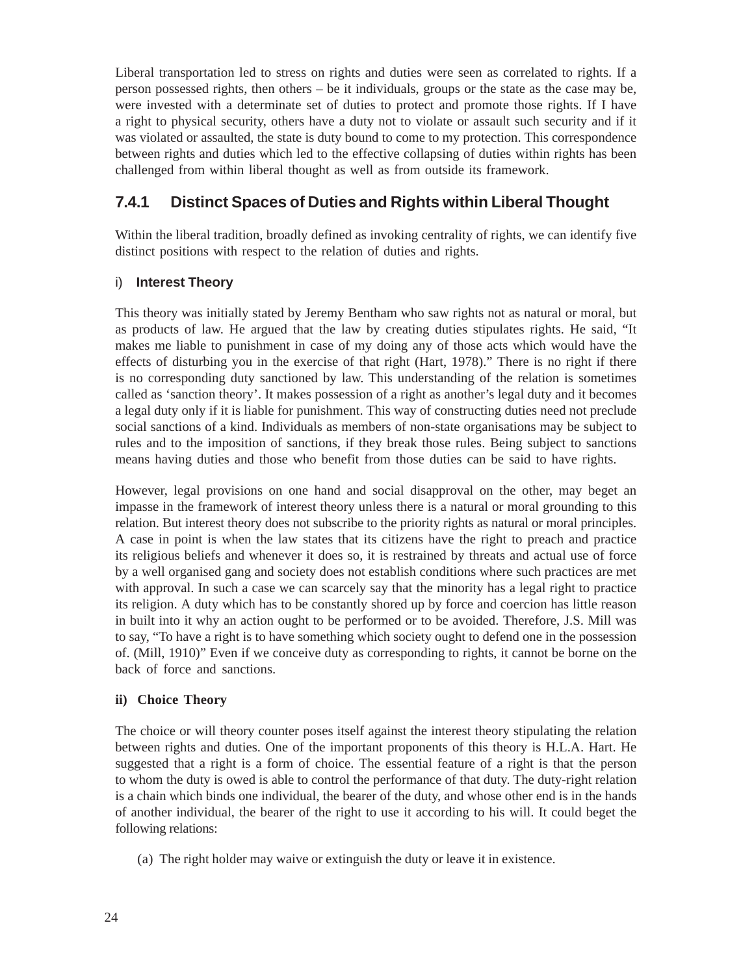Liberal transportation led to stress on rights and duties were seen as correlated to rights. If a person possessed rights, then others – be it individuals, groups or the state as the case may be, were invested with a determinate set of duties to protect and promote those rights. If I have a right to physical security, others have a duty not to violate or assault such security and if it was violated or assaulted, the state is duty bound to come to my protection. This correspondence between rights and duties which led to the effective collapsing of duties within rights has been challenged from within liberal thought as well as from outside its framework.

#### **7.4.1 Distinct Spaces of Duties and Rights within Liberal Thought**

Within the liberal tradition, broadly defined as invoking centrality of rights, we can identify five distinct positions with respect to the relation of duties and rights.

#### i) **Interest Theory**

This theory was initially stated by Jeremy Bentham who saw rights not as natural or moral, but as products of law. He argued that the law by creating duties stipulates rights. He said, "It makes me liable to punishment in case of my doing any of those acts which would have the effects of disturbing you in the exercise of that right (Hart, 1978)." There is no right if there is no corresponding duty sanctioned by law. This understanding of the relation is sometimes called as 'sanction theory'. It makes possession of a right as another's legal duty and it becomes a legal duty only if it is liable for punishment. This way of constructing duties need not preclude social sanctions of a kind. Individuals as members of non-state organisations may be subject to rules and to the imposition of sanctions, if they break those rules. Being subject to sanctions means having duties and those who benefit from those duties can be said to have rights.

However, legal provisions on one hand and social disapproval on the other, may beget an impasse in the framework of interest theory unless there is a natural or moral grounding to this relation. But interest theory does not subscribe to the priority rights as natural or moral principles. A case in point is when the law states that its citizens have the right to preach and practice its religious beliefs and whenever it does so, it is restrained by threats and actual use of force by a well organised gang and society does not establish conditions where such practices are met with approval. In such a case we can scarcely say that the minority has a legal right to practice its religion. A duty which has to be constantly shored up by force and coercion has little reason in built into it why an action ought to be performed or to be avoided. Therefore, J.S. Mill was to say, "To have a right is to have something which society ought to defend one in the possession of. (Mill, 1910)" Even if we conceive duty as corresponding to rights, it cannot be borne on the back of force and sanctions.

#### **ii) Choice Theory**

The choice or will theory counter poses itself against the interest theory stipulating the relation between rights and duties. One of the important proponents of this theory is H.L.A. Hart. He suggested that a right is a form of choice. The essential feature of a right is that the person to whom the duty is owed is able to control the performance of that duty. The duty-right relation is a chain which binds one individual, the bearer of the duty, and whose other end is in the hands of another individual, the bearer of the right to use it according to his will. It could beget the following relations:

(a) The right holder may waive or extinguish the duty or leave it in existence.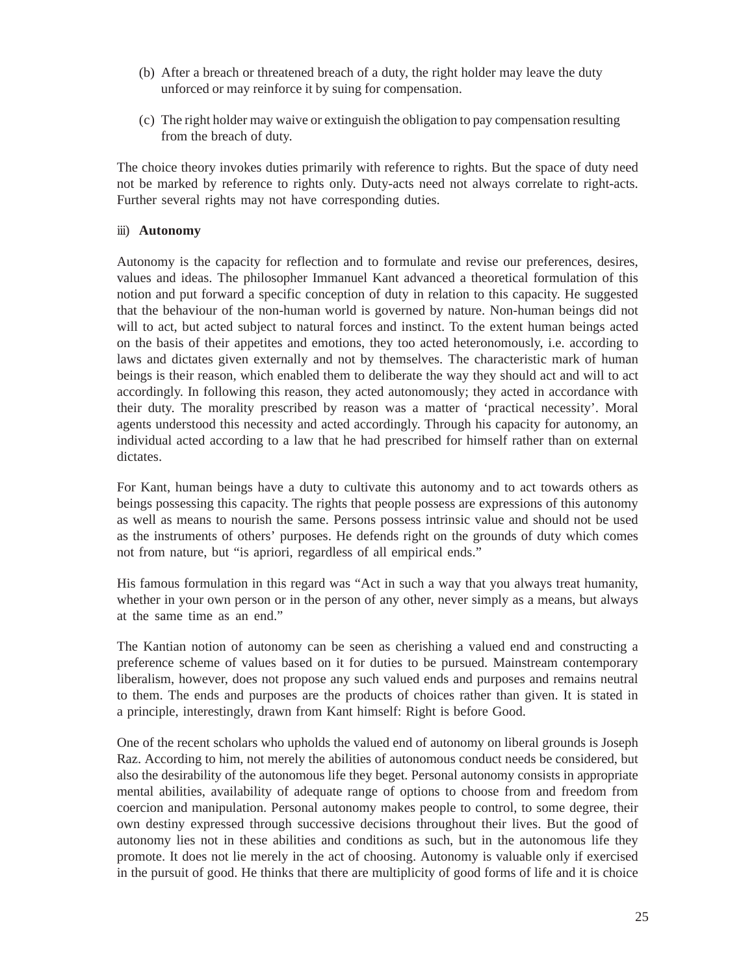- (b) After a breach or threatened breach of a duty, the right holder may leave the duty unforced or may reinforce it by suing for compensation.
- (c) The right holder may waive or extinguish the obligation to pay compensation resulting from the breach of duty.

The choice theory invokes duties primarily with reference to rights. But the space of duty need not be marked by reference to rights only. Duty-acts need not always correlate to right-acts. Further several rights may not have corresponding duties.

#### iii) **Autonomy**

Autonomy is the capacity for reflection and to formulate and revise our preferences, desires, values and ideas. The philosopher Immanuel Kant advanced a theoretical formulation of this notion and put forward a specific conception of duty in relation to this capacity. He suggested that the behaviour of the non-human world is governed by nature. Non-human beings did not will to act, but acted subject to natural forces and instinct. To the extent human beings acted on the basis of their appetites and emotions, they too acted heteronomously, i.e. according to laws and dictates given externally and not by themselves. The characteristic mark of human beings is their reason, which enabled them to deliberate the way they should act and will to act accordingly. In following this reason, they acted autonomously; they acted in accordance with their duty. The morality prescribed by reason was a matter of 'practical necessity'. Moral agents understood this necessity and acted accordingly. Through his capacity for autonomy, an individual acted according to a law that he had prescribed for himself rather than on external dictates.

For Kant, human beings have a duty to cultivate this autonomy and to act towards others as beings possessing this capacity. The rights that people possess are expressions of this autonomy as well as means to nourish the same. Persons possess intrinsic value and should not be used as the instruments of others' purposes. He defends right on the grounds of duty which comes not from nature, but "is apriori, regardless of all empirical ends."

His famous formulation in this regard was "Act in such a way that you always treat humanity, whether in your own person or in the person of any other, never simply as a means, but always at the same time as an end."

The Kantian notion of autonomy can be seen as cherishing a valued end and constructing a preference scheme of values based on it for duties to be pursued. Mainstream contemporary liberalism, however, does not propose any such valued ends and purposes and remains neutral to them. The ends and purposes are the products of choices rather than given. It is stated in a principle, interestingly, drawn from Kant himself: Right is before Good.

One of the recent scholars who upholds the valued end of autonomy on liberal grounds is Joseph Raz. According to him, not merely the abilities of autonomous conduct needs be considered, but also the desirability of the autonomous life they beget. Personal autonomy consists in appropriate mental abilities, availability of adequate range of options to choose from and freedom from coercion and manipulation. Personal autonomy makes people to control, to some degree, their own destiny expressed through successive decisions throughout their lives. But the good of autonomy lies not in these abilities and conditions as such, but in the autonomous life they promote. It does not lie merely in the act of choosing. Autonomy is valuable only if exercised in the pursuit of good. He thinks that there are multiplicity of good forms of life and it is choice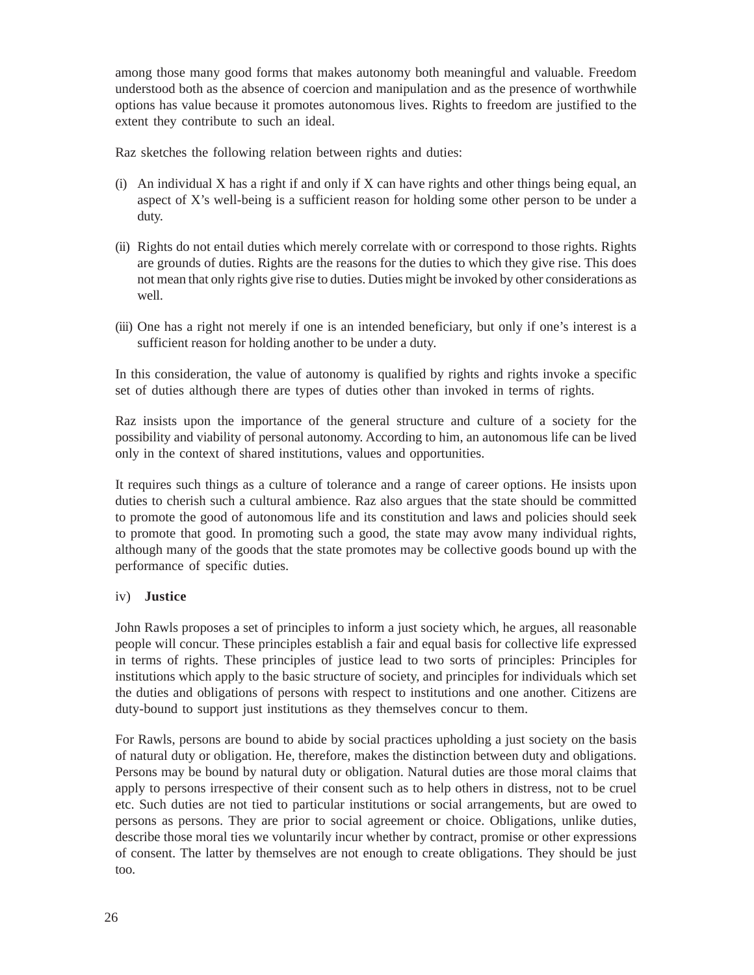among those many good forms that makes autonomy both meaningful and valuable. Freedom understood both as the absence of coercion and manipulation and as the presence of worthwhile options has value because it promotes autonomous lives. Rights to freedom are justified to the extent they contribute to such an ideal.

Raz sketches the following relation between rights and duties:

- (i) An individual X has a right if and only if X can have rights and other things being equal, an aspect of X's well-being is a sufficient reason for holding some other person to be under a duty.
- (ii) Rights do not entail duties which merely correlate with or correspond to those rights. Rights are grounds of duties. Rights are the reasons for the duties to which they give rise. This does not mean that only rights give rise to duties. Duties might be invoked by other considerations as well.
- (iii) One has a right not merely if one is an intended beneficiary, but only if one's interest is a sufficient reason for holding another to be under a duty.

In this consideration, the value of autonomy is qualified by rights and rights invoke a specific set of duties although there are types of duties other than invoked in terms of rights.

Raz insists upon the importance of the general structure and culture of a society for the possibility and viability of personal autonomy. According to him, an autonomous life can be lived only in the context of shared institutions, values and opportunities.

It requires such things as a culture of tolerance and a range of career options. He insists upon duties to cherish such a cultural ambience. Raz also argues that the state should be committed to promote the good of autonomous life and its constitution and laws and policies should seek to promote that good. In promoting such a good, the state may avow many individual rights, although many of the goods that the state promotes may be collective goods bound up with the performance of specific duties.

#### iv) **Justice**

John Rawls proposes a set of principles to inform a just society which, he argues, all reasonable people will concur. These principles establish a fair and equal basis for collective life expressed in terms of rights. These principles of justice lead to two sorts of principles: Principles for institutions which apply to the basic structure of society, and principles for individuals which set the duties and obligations of persons with respect to institutions and one another. Citizens are duty-bound to support just institutions as they themselves concur to them.

For Rawls, persons are bound to abide by social practices upholding a just society on the basis of natural duty or obligation. He, therefore, makes the distinction between duty and obligations. Persons may be bound by natural duty or obligation. Natural duties are those moral claims that apply to persons irrespective of their consent such as to help others in distress, not to be cruel etc. Such duties are not tied to particular institutions or social arrangements, but are owed to persons as persons. They are prior to social agreement or choice. Obligations, unlike duties, describe those moral ties we voluntarily incur whether by contract, promise or other expressions of consent. The latter by themselves are not enough to create obligations. They should be just too.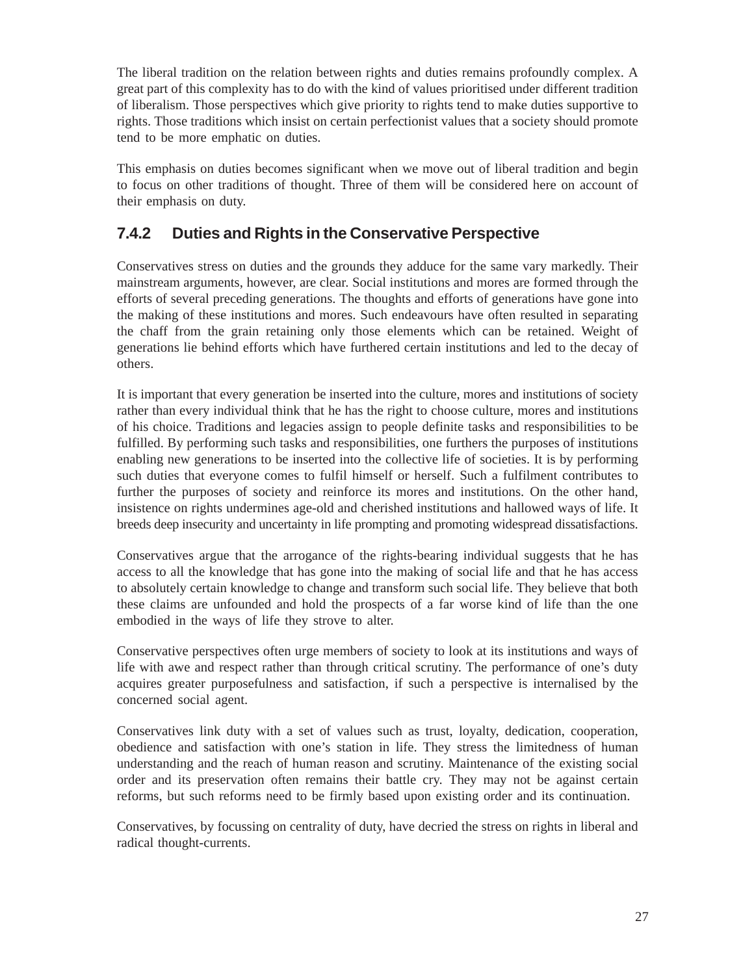The liberal tradition on the relation between rights and duties remains profoundly complex. A great part of this complexity has to do with the kind of values prioritised under different tradition of liberalism. Those perspectives which give priority to rights tend to make duties supportive to rights. Those traditions which insist on certain perfectionist values that a society should promote tend to be more emphatic on duties.

This emphasis on duties becomes significant when we move out of liberal tradition and begin to focus on other traditions of thought. Three of them will be considered here on account of their emphasis on duty.

#### **7.4.2 Duties and Rights in the Conservative Perspective**

Conservatives stress on duties and the grounds they adduce for the same vary markedly. Their mainstream arguments, however, are clear. Social institutions and mores are formed through the efforts of several preceding generations. The thoughts and efforts of generations have gone into the making of these institutions and mores. Such endeavours have often resulted in separating the chaff from the grain retaining only those elements which can be retained. Weight of generations lie behind efforts which have furthered certain institutions and led to the decay of others.

It is important that every generation be inserted into the culture, mores and institutions of society rather than every individual think that he has the right to choose culture, mores and institutions of his choice. Traditions and legacies assign to people definite tasks and responsibilities to be fulfilled. By performing such tasks and responsibilities, one furthers the purposes of institutions enabling new generations to be inserted into the collective life of societies. It is by performing such duties that everyone comes to fulfil himself or herself. Such a fulfilment contributes to further the purposes of society and reinforce its mores and institutions. On the other hand, insistence on rights undermines age-old and cherished institutions and hallowed ways of life. It breeds deep insecurity and uncertainty in life prompting and promoting widespread dissatisfactions.

Conservatives argue that the arrogance of the rights-bearing individual suggests that he has access to all the knowledge that has gone into the making of social life and that he has access to absolutely certain knowledge to change and transform such social life. They believe that both these claims are unfounded and hold the prospects of a far worse kind of life than the one embodied in the ways of life they strove to alter.

Conservative perspectives often urge members of society to look at its institutions and ways of life with awe and respect rather than through critical scrutiny. The performance of one's duty acquires greater purposefulness and satisfaction, if such a perspective is internalised by the concerned social agent.

Conservatives link duty with a set of values such as trust, loyalty, dedication, cooperation, obedience and satisfaction with one's station in life. They stress the limitedness of human understanding and the reach of human reason and scrutiny. Maintenance of the existing social order and its preservation often remains their battle cry. They may not be against certain reforms, but such reforms need to be firmly based upon existing order and its continuation.

Conservatives, by focussing on centrality of duty, have decried the stress on rights in liberal and radical thought-currents.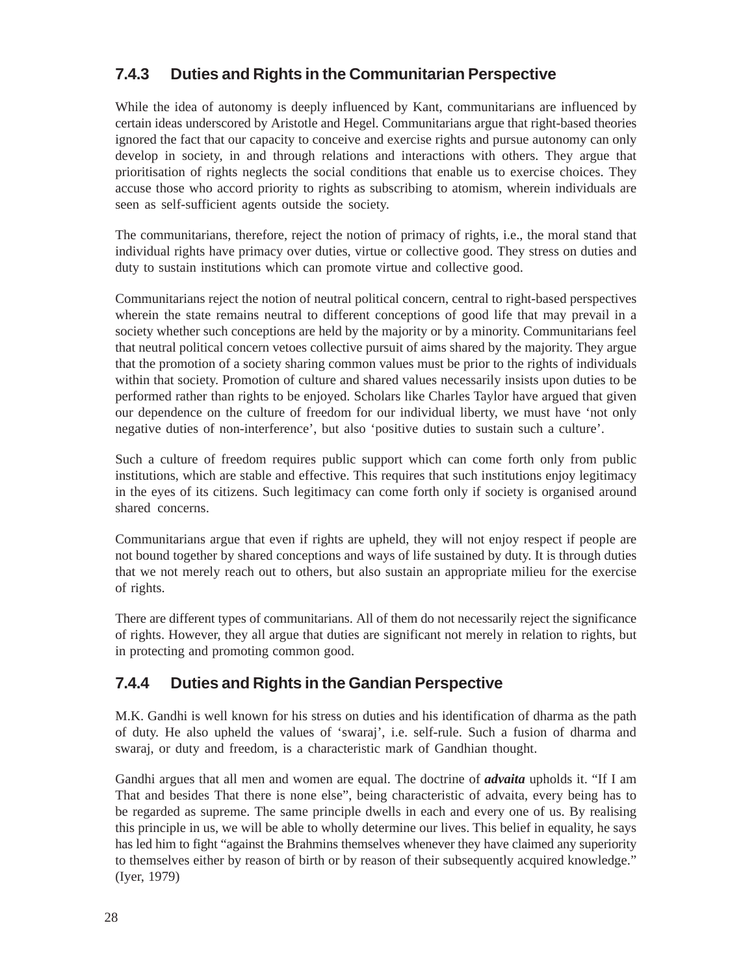### **7.4.3 Duties and Rights in the Communitarian Perspective**

While the idea of autonomy is deeply influenced by Kant, communitarians are influenced by certain ideas underscored by Aristotle and Hegel. Communitarians argue that right-based theories ignored the fact that our capacity to conceive and exercise rights and pursue autonomy can only develop in society, in and through relations and interactions with others. They argue that prioritisation of rights neglects the social conditions that enable us to exercise choices. They accuse those who accord priority to rights as subscribing to atomism, wherein individuals are seen as self-sufficient agents outside the society.

The communitarians, therefore, reject the notion of primacy of rights, i.e., the moral stand that individual rights have primacy over duties, virtue or collective good. They stress on duties and duty to sustain institutions which can promote virtue and collective good.

Communitarians reject the notion of neutral political concern, central to right-based perspectives wherein the state remains neutral to different conceptions of good life that may prevail in a society whether such conceptions are held by the majority or by a minority. Communitarians feel that neutral political concern vetoes collective pursuit of aims shared by the majority. They argue that the promotion of a society sharing common values must be prior to the rights of individuals within that society. Promotion of culture and shared values necessarily insists upon duties to be performed rather than rights to be enjoyed. Scholars like Charles Taylor have argued that given our dependence on the culture of freedom for our individual liberty, we must have 'not only negative duties of non-interference', but also 'positive duties to sustain such a culture'.

Such a culture of freedom requires public support which can come forth only from public institutions, which are stable and effective. This requires that such institutions enjoy legitimacy in the eyes of its citizens. Such legitimacy can come forth only if society is organised around shared concerns.

Communitarians argue that even if rights are upheld, they will not enjoy respect if people are not bound together by shared conceptions and ways of life sustained by duty. It is through duties that we not merely reach out to others, but also sustain an appropriate milieu for the exercise of rights.

There are different types of communitarians. All of them do not necessarily reject the significance of rights. However, they all argue that duties are significant not merely in relation to rights, but in protecting and promoting common good.

#### **7.4.4 Duties and Rights in the Gandian Perspective**

M.K. Gandhi is well known for his stress on duties and his identification of dharma as the path of duty. He also upheld the values of 'swaraj', i.e. self-rule. Such a fusion of dharma and swaraj, or duty and freedom, is a characteristic mark of Gandhian thought.

Gandhi argues that all men and women are equal. The doctrine of *advaita* upholds it. "If I am That and besides That there is none else", being characteristic of advaita, every being has to be regarded as supreme. The same principle dwells in each and every one of us. By realising this principle in us, we will be able to wholly determine our lives. This belief in equality, he says has led him to fight "against the Brahmins themselves whenever they have claimed any superiority to themselves either by reason of birth or by reason of their subsequently acquired knowledge." (Iyer, 1979)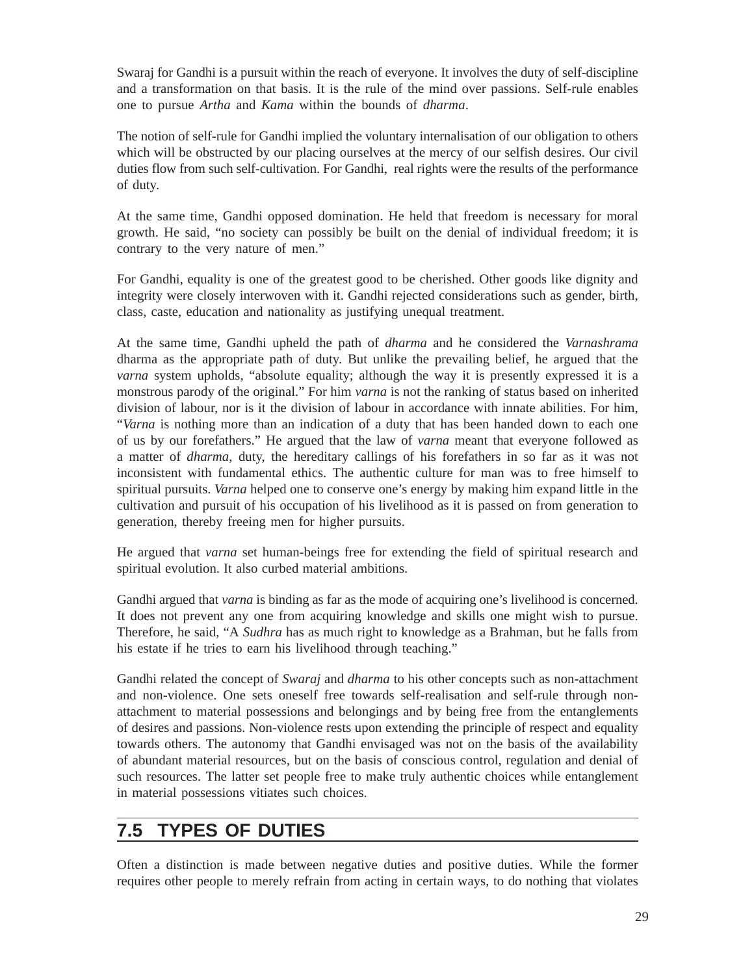Swaraj for Gandhi is a pursuit within the reach of everyone. It involves the duty of self-discipline and a transformation on that basis. It is the rule of the mind over passions. Self-rule enables one to pursue *Artha* and *Kama* within the bounds of *dharma*.

The notion of self-rule for Gandhi implied the voluntary internalisation of our obligation to others which will be obstructed by our placing ourselves at the mercy of our selfish desires. Our civil duties flow from such self-cultivation. For Gandhi, real rights were the results of the performance of duty.

At the same time, Gandhi opposed domination. He held that freedom is necessary for moral growth. He said, "no society can possibly be built on the denial of individual freedom; it is contrary to the very nature of men."

For Gandhi, equality is one of the greatest good to be cherished. Other goods like dignity and integrity were closely interwoven with it. Gandhi rejected considerations such as gender, birth, class, caste, education and nationality as justifying unequal treatment.

At the same time, Gandhi upheld the path of *dharma* and he considered the *Varnashrama* dharma as the appropriate path of duty. But unlike the prevailing belief, he argued that the *varna* system upholds, "absolute equality; although the way it is presently expressed it is a monstrous parody of the original." For him *varna* is not the ranking of status based on inherited division of labour, nor is it the division of labour in accordance with innate abilities. For him, "*Varna* is nothing more than an indication of a duty that has been handed down to each one of us by our forefathers." He argued that the law of *varna* meant that everyone followed as a matter of *dharma*, duty, the hereditary callings of his forefathers in so far as it was not inconsistent with fundamental ethics. The authentic culture for man was to free himself to spiritual pursuits. *Varna* helped one to conserve one's energy by making him expand little in the cultivation and pursuit of his occupation of his livelihood as it is passed on from generation to generation, thereby freeing men for higher pursuits.

He argued that *varna* set human-beings free for extending the field of spiritual research and spiritual evolution. It also curbed material ambitions.

Gandhi argued that *varna* is binding as far as the mode of acquiring one's livelihood is concerned. It does not prevent any one from acquiring knowledge and skills one might wish to pursue. Therefore, he said, "A *Sudhra* has as much right to knowledge as a Brahman, but he falls from his estate if he tries to earn his livelihood through teaching."

Gandhi related the concept of *Swaraj* and *dharma* to his other concepts such as non-attachment and non-violence. One sets oneself free towards self-realisation and self-rule through nonattachment to material possessions and belongings and by being free from the entanglements of desires and passions. Non-violence rests upon extending the principle of respect and equality towards others. The autonomy that Gandhi envisaged was not on the basis of the availability of abundant material resources, but on the basis of conscious control, regulation and denial of such resources. The latter set people free to make truly authentic choices while entanglement in material possessions vitiates such choices.

## **7.5 TYPES OF DUTIES**

Often a distinction is made between negative duties and positive duties. While the former requires other people to merely refrain from acting in certain ways, to do nothing that violates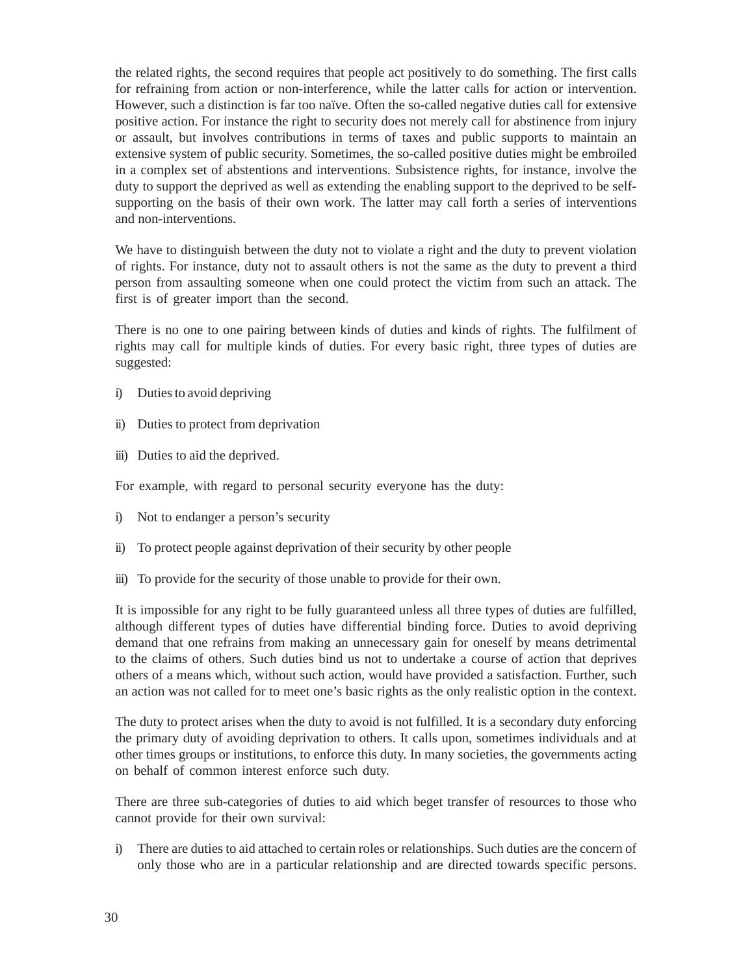the related rights, the second requires that people act positively to do something. The first calls for refraining from action or non-interference, while the latter calls for action or intervention. However, such a distinction is far too naïve. Often the so-called negative duties call for extensive positive action. For instance the right to security does not merely call for abstinence from injury or assault, but involves contributions in terms of taxes and public supports to maintain an extensive system of public security. Sometimes, the so-called positive duties might be embroiled in a complex set of abstentions and interventions. Subsistence rights, for instance, involve the duty to support the deprived as well as extending the enabling support to the deprived to be selfsupporting on the basis of their own work. The latter may call forth a series of interventions and non-interventions.

We have to distinguish between the duty not to violate a right and the duty to prevent violation of rights. For instance, duty not to assault others is not the same as the duty to prevent a third person from assaulting someone when one could protect the victim from such an attack. The first is of greater import than the second.

There is no one to one pairing between kinds of duties and kinds of rights. The fulfilment of rights may call for multiple kinds of duties. For every basic right, three types of duties are suggested:

- i) Duties to avoid depriving
- ii) Duties to protect from deprivation
- iii) Duties to aid the deprived.

For example, with regard to personal security everyone has the duty:

- i) Not to endanger a person's security
- ii) To protect people against deprivation of their security by other people
- iii) To provide for the security of those unable to provide for their own.

It is impossible for any right to be fully guaranteed unless all three types of duties are fulfilled, although different types of duties have differential binding force. Duties to avoid depriving demand that one refrains from making an unnecessary gain for oneself by means detrimental to the claims of others. Such duties bind us not to undertake a course of action that deprives others of a means which, without such action, would have provided a satisfaction. Further, such an action was not called for to meet one's basic rights as the only realistic option in the context.

The duty to protect arises when the duty to avoid is not fulfilled. It is a secondary duty enforcing the primary duty of avoiding deprivation to others. It calls upon, sometimes individuals and at other times groups or institutions, to enforce this duty. In many societies, the governments acting on behalf of common interest enforce such duty.

There are three sub-categories of duties to aid which beget transfer of resources to those who cannot provide for their own survival:

i) There are duties to aid attached to certain roles or relationships. Such duties are the concern of only those who are in a particular relationship and are directed towards specific persons.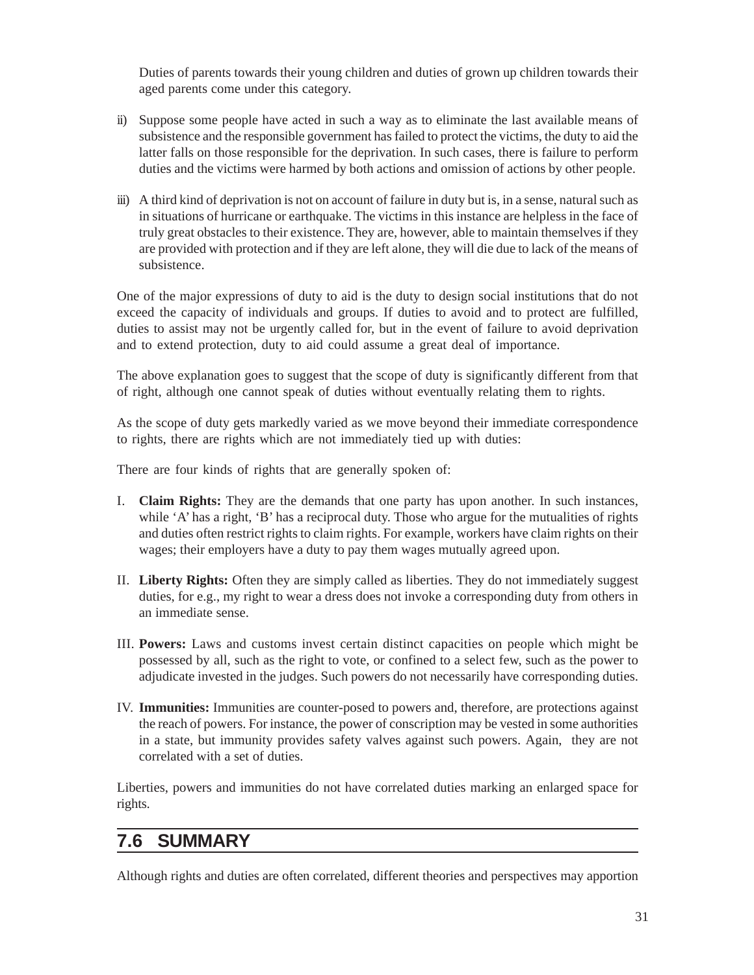Duties of parents towards their young children and duties of grown up children towards their aged parents come under this category.

- ii) Suppose some people have acted in such a way as to eliminate the last available means of subsistence and the responsible government has failed to protect the victims, the duty to aid the latter falls on those responsible for the deprivation. In such cases, there is failure to perform duties and the victims were harmed by both actions and omission of actions by other people.
- iii) A third kind of deprivation is not on account of failure in duty but is, in a sense, natural such as in situations of hurricane or earthquake. The victims in this instance are helpless in the face of truly great obstacles to their existence. They are, however, able to maintain themselves if they are provided with protection and if they are left alone, they will die due to lack of the means of subsistence.

One of the major expressions of duty to aid is the duty to design social institutions that do not exceed the capacity of individuals and groups. If duties to avoid and to protect are fulfilled, duties to assist may not be urgently called for, but in the event of failure to avoid deprivation and to extend protection, duty to aid could assume a great deal of importance.

The above explanation goes to suggest that the scope of duty is significantly different from that of right, although one cannot speak of duties without eventually relating them to rights.

As the scope of duty gets markedly varied as we move beyond their immediate correspondence to rights, there are rights which are not immediately tied up with duties:

There are four kinds of rights that are generally spoken of:

- I. **Claim Rights:** They are the demands that one party has upon another. In such instances, while 'A' has a right, 'B' has a reciprocal duty. Those who argue for the mutualities of rights and duties often restrict rights to claim rights. For example, workers have claim rights on their wages; their employers have a duty to pay them wages mutually agreed upon.
- II. **Liberty Rights:** Often they are simply called as liberties. They do not immediately suggest duties, for e.g., my right to wear a dress does not invoke a corresponding duty from others in an immediate sense.
- III. **Powers:** Laws and customs invest certain distinct capacities on people which might be possessed by all, such as the right to vote, or confined to a select few, such as the power to adjudicate invested in the judges. Such powers do not necessarily have corresponding duties.
- IV. **Immunities:** Immunities are counter-posed to powers and, therefore, are protections against the reach of powers. For instance, the power of conscription may be vested in some authorities in a state, but immunity provides safety valves against such powers. Again, they are not correlated with a set of duties.

Liberties, powers and immunities do not have correlated duties marking an enlarged space for rights.

## **7.6 SUMMARY**

Although rights and duties are often correlated, different theories and perspectives may apportion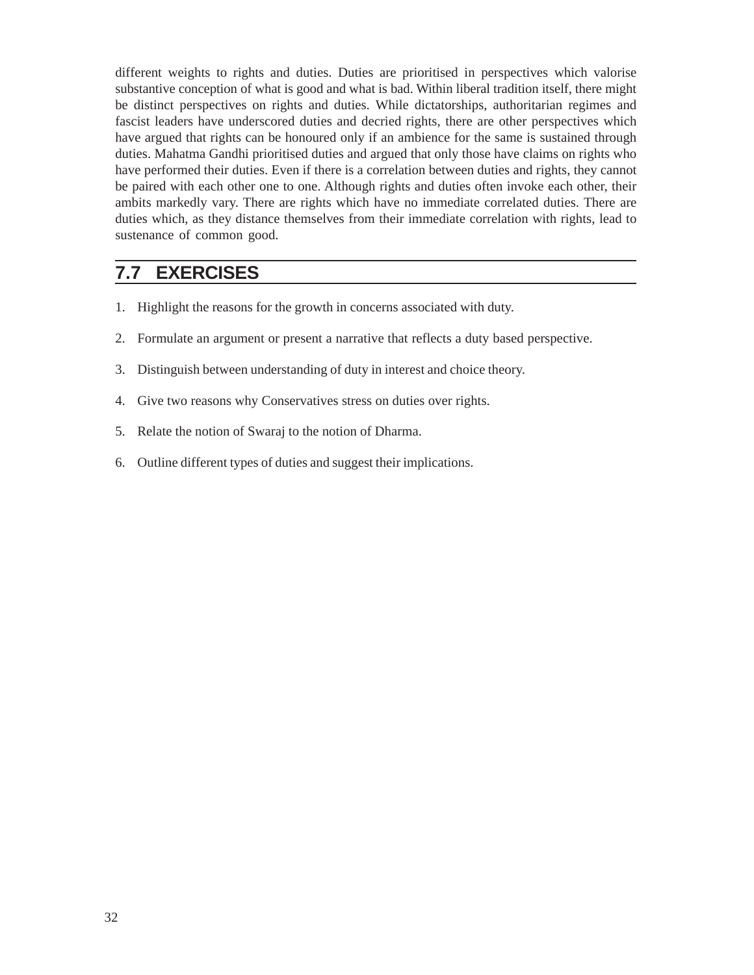different weights to rights and duties. Duties are prioritised in perspectives which valorise substantive conception of what is good and what is bad. Within liberal tradition itself, there might be distinct perspectives on rights and duties. While dictatorships, authoritarian regimes and fascist leaders have underscored duties and decried rights, there are other perspectives which have argued that rights can be honoured only if an ambience for the same is sustained through duties. Mahatma Gandhi prioritised duties and argued that only those have claims on rights who have performed their duties. Even if there is a correlation between duties and rights, they cannot be paired with each other one to one. Although rights and duties often invoke each other, their ambits markedly vary. There are rights which have no immediate correlated duties. There are duties which, as they distance themselves from their immediate correlation with rights, lead to sustenance of common good.

## **7.7 EXERCISES**

- 1. Highlight the reasons for the growth in concerns associated with duty.
- 2. Formulate an argument or present a narrative that reflects a duty based perspective.
- 3. Distinguish between understanding of duty in interest and choice theory.
- 4. Give two reasons why Conservatives stress on duties over rights.
- 5. Relate the notion of Swaraj to the notion of Dharma.
- 6. Outline different types of duties and suggest their implications.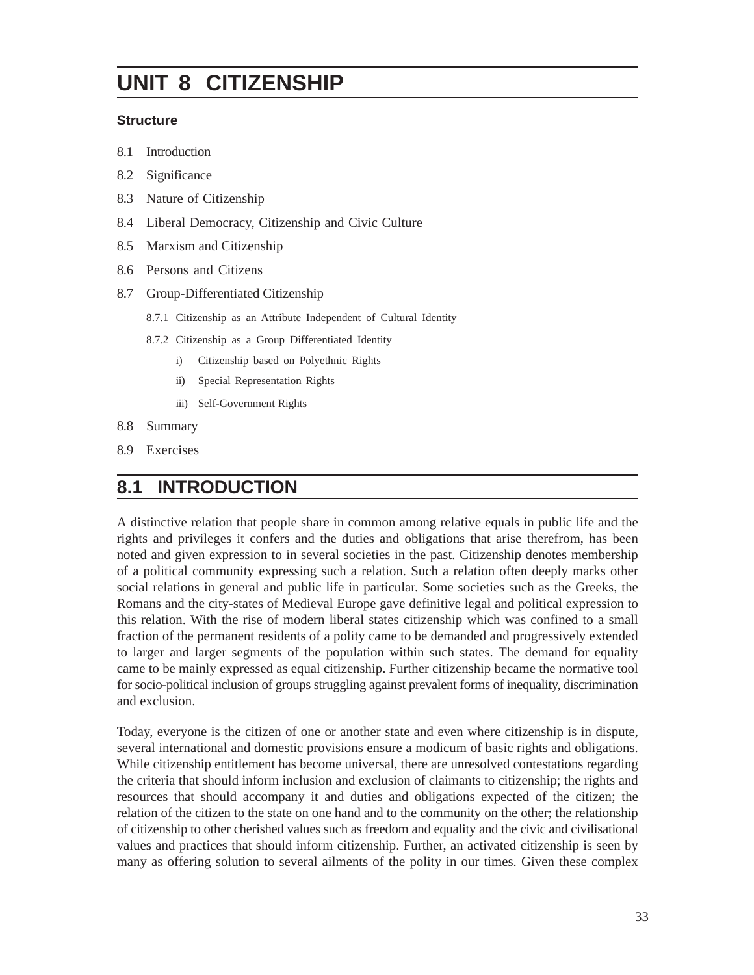# **UNIT 8 CITIZENSHIP**

#### **Structure**

- 8.1 Introduction
- 8.2 Significance
- 8.3 Nature of Citizenship
- 8.4 Liberal Democracy, Citizenship and Civic Culture
- 8.5 Marxism and Citizenship
- 8.6 Persons and Citizens
- 8.7 Group-Differentiated Citizenship
	- 8.7.1 Citizenship as an Attribute Independent of Cultural Identity
	- 8.7.2 Citizenship as a Group Differentiated Identity
		- i) Citizenship based on Polyethnic Rights
		- ii) Special Representation Rights
		- iii) Self-Government Rights
- 8.8 Summary
- 8.9 Exercises

## **8.1 INTRODUCTION**

A distinctive relation that people share in common among relative equals in public life and the rights and privileges it confers and the duties and obligations that arise therefrom, has been noted and given expression to in several societies in the past. Citizenship denotes membership of a political community expressing such a relation. Such a relation often deeply marks other social relations in general and public life in particular. Some societies such as the Greeks, the Romans and the city-states of Medieval Europe gave definitive legal and political expression to this relation. With the rise of modern liberal states citizenship which was confined to a small fraction of the permanent residents of a polity came to be demanded and progressively extended to larger and larger segments of the population within such states. The demand for equality came to be mainly expressed as equal citizenship. Further citizenship became the normative tool for socio-political inclusion of groups struggling against prevalent forms of inequality, discrimination and exclusion.

Today, everyone is the citizen of one or another state and even where citizenship is in dispute, several international and domestic provisions ensure a modicum of basic rights and obligations. While citizenship entitlement has become universal, there are unresolved contestations regarding the criteria that should inform inclusion and exclusion of claimants to citizenship; the rights and resources that should accompany it and duties and obligations expected of the citizen; the relation of the citizen to the state on one hand and to the community on the other; the relationship of citizenship to other cherished values such as freedom and equality and the civic and civilisational values and practices that should inform citizenship. Further, an activated citizenship is seen by many as offering solution to several ailments of the polity in our times. Given these complex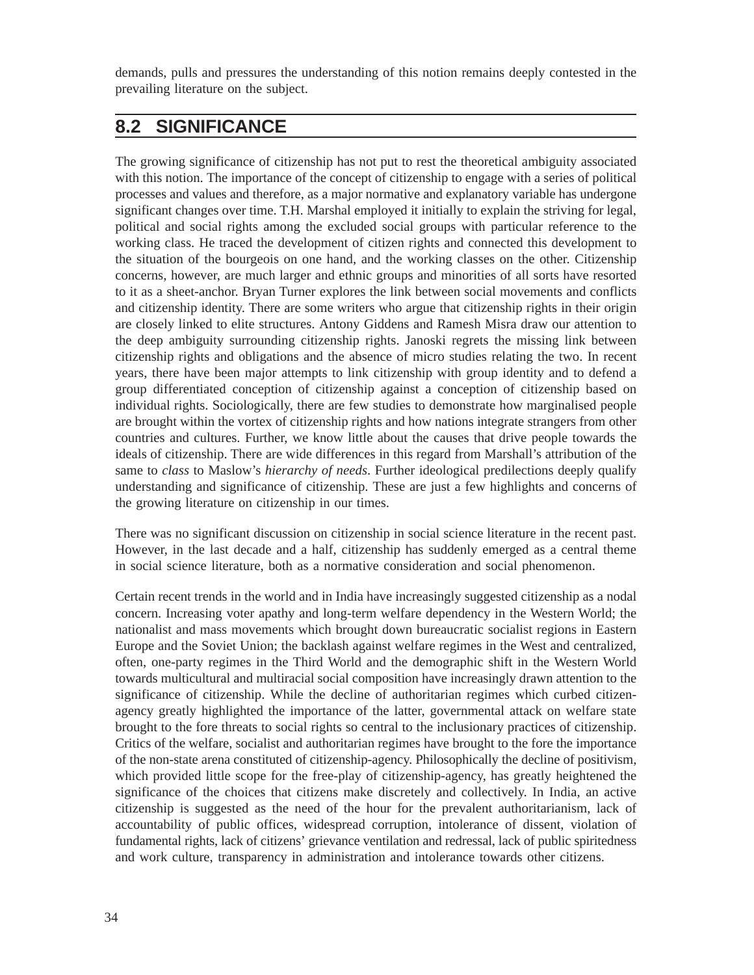demands, pulls and pressures the understanding of this notion remains deeply contested in the prevailing literature on the subject.

## **8.2 SIGNIFICANCE**

The growing significance of citizenship has not put to rest the theoretical ambiguity associated with this notion. The importance of the concept of citizenship to engage with a series of political processes and values and therefore, as a major normative and explanatory variable has undergone significant changes over time. T.H. Marshal employed it initially to explain the striving for legal, political and social rights among the excluded social groups with particular reference to the working class. He traced the development of citizen rights and connected this development to the situation of the bourgeois on one hand, and the working classes on the other. Citizenship concerns, however, are much larger and ethnic groups and minorities of all sorts have resorted to it as a sheet-anchor. Bryan Turner explores the link between social movements and conflicts and citizenship identity. There are some writers who argue that citizenship rights in their origin are closely linked to elite structures. Antony Giddens and Ramesh Misra draw our attention to the deep ambiguity surrounding citizenship rights. Janoski regrets the missing link between citizenship rights and obligations and the absence of micro studies relating the two. In recent years, there have been major attempts to link citizenship with group identity and to defend a group differentiated conception of citizenship against a conception of citizenship based on individual rights. Sociologically, there are few studies to demonstrate how marginalised people are brought within the vortex of citizenship rights and how nations integrate strangers from other countries and cultures. Further, we know little about the causes that drive people towards the ideals of citizenship. There are wide differences in this regard from Marshall's attribution of the same to *class* to Maslow's *hierarchy of needs*. Further ideological predilections deeply qualify understanding and significance of citizenship. These are just a few highlights and concerns of the growing literature on citizenship in our times.

There was no significant discussion on citizenship in social science literature in the recent past. However, in the last decade and a half, citizenship has suddenly emerged as a central theme in social science literature, both as a normative consideration and social phenomenon.

Certain recent trends in the world and in India have increasingly suggested citizenship as a nodal concern. Increasing voter apathy and long-term welfare dependency in the Western World; the nationalist and mass movements which brought down bureaucratic socialist regions in Eastern Europe and the Soviet Union; the backlash against welfare regimes in the West and centralized, often, one-party regimes in the Third World and the demographic shift in the Western World towards multicultural and multiracial social composition have increasingly drawn attention to the significance of citizenship. While the decline of authoritarian regimes which curbed citizenagency greatly highlighted the importance of the latter, governmental attack on welfare state brought to the fore threats to social rights so central to the inclusionary practices of citizenship. Critics of the welfare, socialist and authoritarian regimes have brought to the fore the importance of the non-state arena constituted of citizenship-agency. Philosophically the decline of positivism, which provided little scope for the free-play of citizenship-agency, has greatly heightened the significance of the choices that citizens make discretely and collectively. In India, an active citizenship is suggested as the need of the hour for the prevalent authoritarianism, lack of accountability of public offices, widespread corruption, intolerance of dissent, violation of fundamental rights, lack of citizens' grievance ventilation and redressal, lack of public spiritedness and work culture, transparency in administration and intolerance towards other citizens.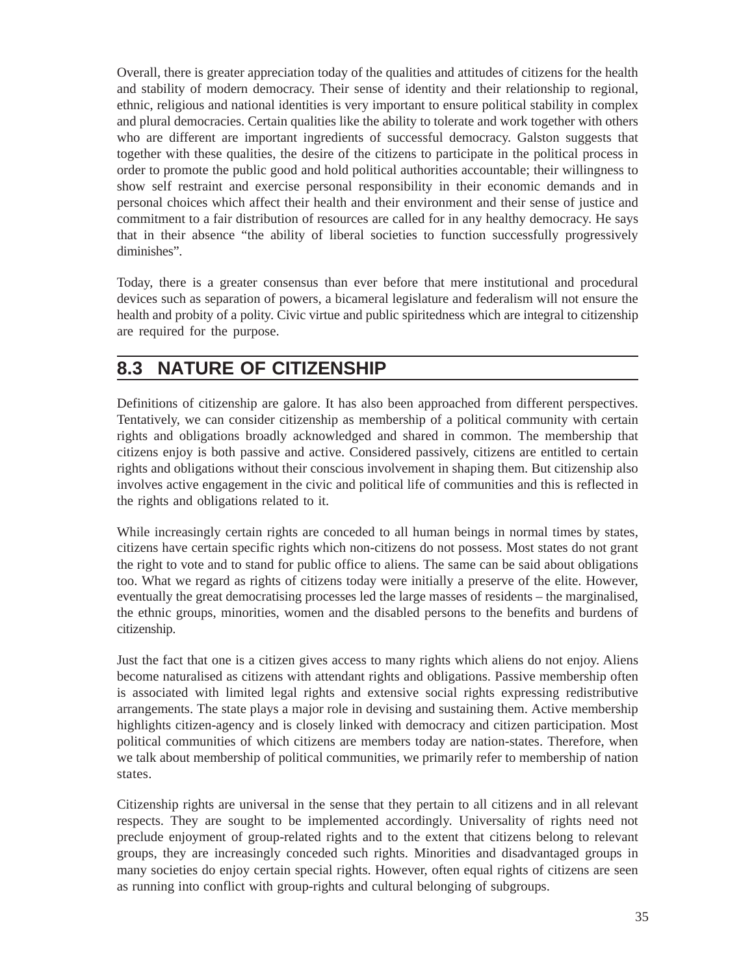Overall, there is greater appreciation today of the qualities and attitudes of citizens for the health and stability of modern democracy. Their sense of identity and their relationship to regional, ethnic, religious and national identities is very important to ensure political stability in complex and plural democracies. Certain qualities like the ability to tolerate and work together with others who are different are important ingredients of successful democracy. Galston suggests that together with these qualities, the desire of the citizens to participate in the political process in order to promote the public good and hold political authorities accountable; their willingness to show self restraint and exercise personal responsibility in their economic demands and in personal choices which affect their health and their environment and their sense of justice and commitment to a fair distribution of resources are called for in any healthy democracy. He says that in their absence "the ability of liberal societies to function successfully progressively diminishes".

Today, there is a greater consensus than ever before that mere institutional and procedural devices such as separation of powers, a bicameral legislature and federalism will not ensure the health and probity of a polity. Civic virtue and public spiritedness which are integral to citizenship are required for the purpose.

## **8.3 NATURE OF CITIZENSHIP**

Definitions of citizenship are galore. It has also been approached from different perspectives. Tentatively, we can consider citizenship as membership of a political community with certain rights and obligations broadly acknowledged and shared in common. The membership that citizens enjoy is both passive and active. Considered passively, citizens are entitled to certain rights and obligations without their conscious involvement in shaping them. But citizenship also involves active engagement in the civic and political life of communities and this is reflected in the rights and obligations related to it.

While increasingly certain rights are conceded to all human beings in normal times by states, citizens have certain specific rights which non-citizens do not possess. Most states do not grant the right to vote and to stand for public office to aliens. The same can be said about obligations too. What we regard as rights of citizens today were initially a preserve of the elite. However, eventually the great democratising processes led the large masses of residents – the marginalised, the ethnic groups, minorities, women and the disabled persons to the benefits and burdens of citizenship.

Just the fact that one is a citizen gives access to many rights which aliens do not enjoy. Aliens become naturalised as citizens with attendant rights and obligations. Passive membership often is associated with limited legal rights and extensive social rights expressing redistributive arrangements. The state plays a major role in devising and sustaining them. Active membership highlights citizen-agency and is closely linked with democracy and citizen participation. Most political communities of which citizens are members today are nation-states. Therefore, when we talk about membership of political communities, we primarily refer to membership of nation states.

Citizenship rights are universal in the sense that they pertain to all citizens and in all relevant respects. They are sought to be implemented accordingly. Universality of rights need not preclude enjoyment of group-related rights and to the extent that citizens belong to relevant groups, they are increasingly conceded such rights. Minorities and disadvantaged groups in many societies do enjoy certain special rights. However, often equal rights of citizens are seen as running into conflict with group-rights and cultural belonging of subgroups.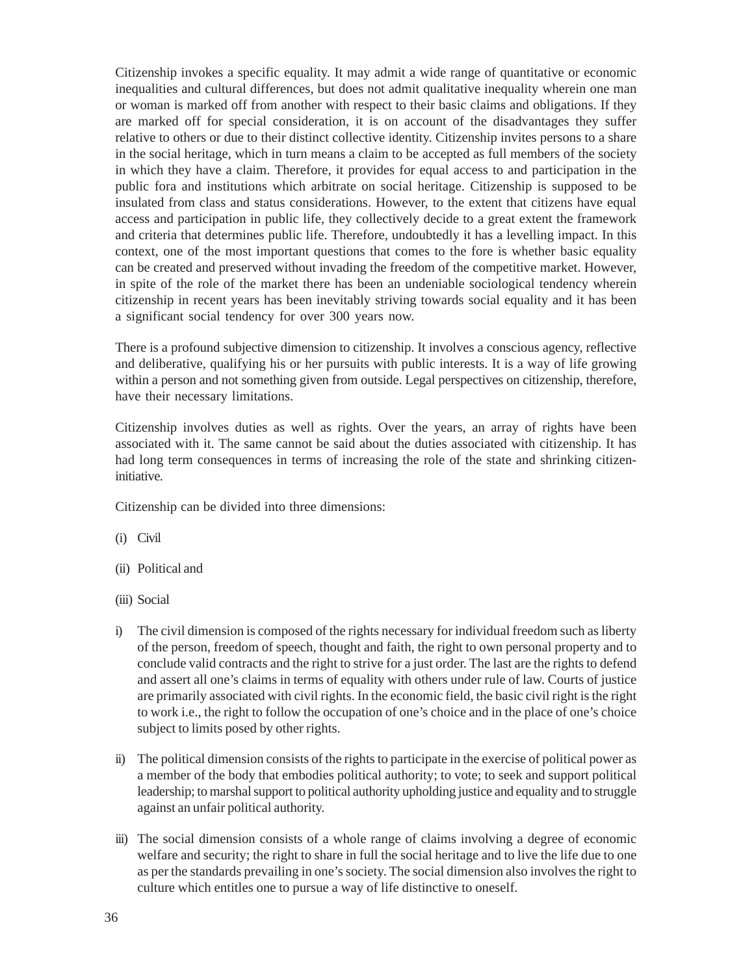Citizenship invokes a specific equality. It may admit a wide range of quantitative or economic inequalities and cultural differences, but does not admit qualitative inequality wherein one man or woman is marked off from another with respect to their basic claims and obligations. If they are marked off for special consideration, it is on account of the disadvantages they suffer relative to others or due to their distinct collective identity. Citizenship invites persons to a share in the social heritage, which in turn means a claim to be accepted as full members of the society in which they have a claim. Therefore, it provides for equal access to and participation in the public fora and institutions which arbitrate on social heritage. Citizenship is supposed to be insulated from class and status considerations. However, to the extent that citizens have equal access and participation in public life, they collectively decide to a great extent the framework and criteria that determines public life. Therefore, undoubtedly it has a levelling impact. In this context, one of the most important questions that comes to the fore is whether basic equality can be created and preserved without invading the freedom of the competitive market. However, in spite of the role of the market there has been an undeniable sociological tendency wherein citizenship in recent years has been inevitably striving towards social equality and it has been a significant social tendency for over 300 years now.

There is a profound subjective dimension to citizenship. It involves a conscious agency, reflective and deliberative, qualifying his or her pursuits with public interests. It is a way of life growing within a person and not something given from outside. Legal perspectives on citizenship, therefore, have their necessary limitations.

Citizenship involves duties as well as rights. Over the years, an array of rights have been associated with it. The same cannot be said about the duties associated with citizenship. It has had long term consequences in terms of increasing the role of the state and shrinking citizeninitiative.

Citizenship can be divided into three dimensions:

- (i) Civil
- (ii) Political and
- (iii) Social
- i) The civil dimension is composed of the rights necessary for individual freedom such as liberty of the person, freedom of speech, thought and faith, the right to own personal property and to conclude valid contracts and the right to strive for a just order. The last are the rights to defend and assert all one's claims in terms of equality with others under rule of law. Courts of justice are primarily associated with civil rights. In the economic field, the basic civil right is the right to work i.e., the right to follow the occupation of one's choice and in the place of one's choice subject to limits posed by other rights.
- ii) The political dimension consists of the rights to participate in the exercise of political power as a member of the body that embodies political authority; to vote; to seek and support political leadership; to marshal support to political authority upholding justice and equality and to struggle against an unfair political authority.
- iii) The social dimension consists of a whole range of claims involving a degree of economic welfare and security; the right to share in full the social heritage and to live the life due to one as per the standards prevailing in one's society. The social dimension also involves the right to culture which entitles one to pursue a way of life distinctive to oneself.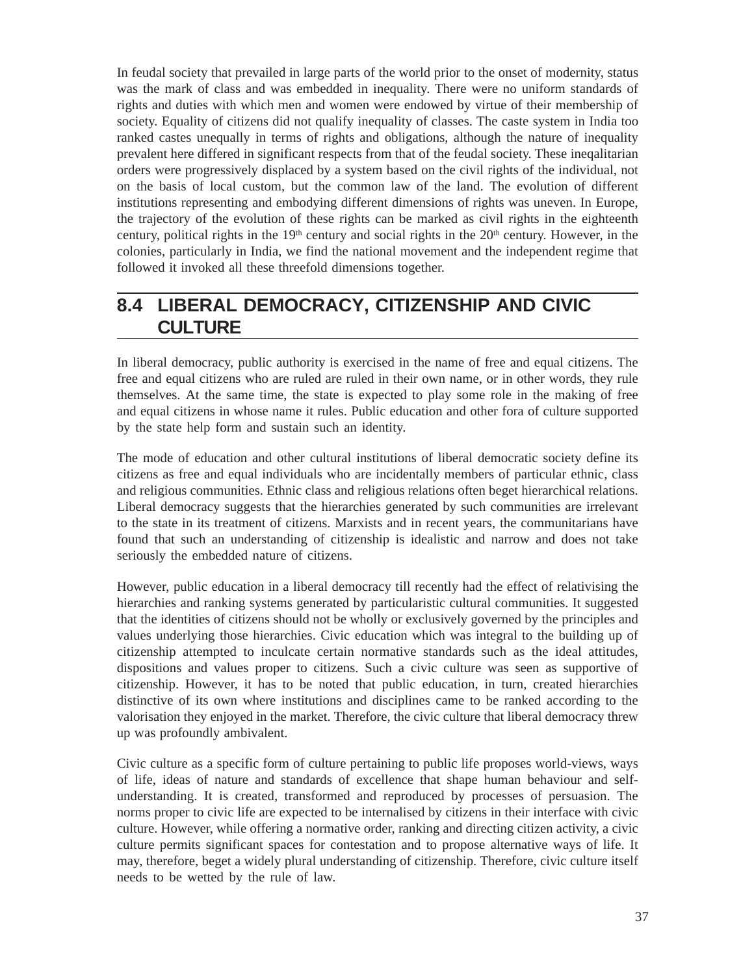In feudal society that prevailed in large parts of the world prior to the onset of modernity, status was the mark of class and was embedded in inequality. There were no uniform standards of rights and duties with which men and women were endowed by virtue of their membership of society. Equality of citizens did not qualify inequality of classes. The caste system in India too ranked castes unequally in terms of rights and obligations, although the nature of inequality prevalent here differed in significant respects from that of the feudal society. These ineqalitarian orders were progressively displaced by a system based on the civil rights of the individual, not on the basis of local custom, but the common law of the land. The evolution of different institutions representing and embodying different dimensions of rights was uneven. In Europe, the trajectory of the evolution of these rights can be marked as civil rights in the eighteenth century, political rights in the  $19<sup>th</sup>$  century and social rights in the  $20<sup>th</sup>$  century. However, in the colonies, particularly in India, we find the national movement and the independent regime that followed it invoked all these threefold dimensions together.

# **8.4 LIBERAL DEMOCRACY, CITIZENSHIP AND CIVIC CULTURE**

In liberal democracy, public authority is exercised in the name of free and equal citizens. The free and equal citizens who are ruled are ruled in their own name, or in other words, they rule themselves. At the same time, the state is expected to play some role in the making of free and equal citizens in whose name it rules. Public education and other fora of culture supported by the state help form and sustain such an identity.

The mode of education and other cultural institutions of liberal democratic society define its citizens as free and equal individuals who are incidentally members of particular ethnic, class and religious communities. Ethnic class and religious relations often beget hierarchical relations. Liberal democracy suggests that the hierarchies generated by such communities are irrelevant to the state in its treatment of citizens. Marxists and in recent years, the communitarians have found that such an understanding of citizenship is idealistic and narrow and does not take seriously the embedded nature of citizens.

However, public education in a liberal democracy till recently had the effect of relativising the hierarchies and ranking systems generated by particularistic cultural communities. It suggested that the identities of citizens should not be wholly or exclusively governed by the principles and values underlying those hierarchies. Civic education which was integral to the building up of citizenship attempted to inculcate certain normative standards such as the ideal attitudes, dispositions and values proper to citizens. Such a civic culture was seen as supportive of citizenship. However, it has to be noted that public education, in turn, created hierarchies distinctive of its own where institutions and disciplines came to be ranked according to the valorisation they enjoyed in the market. Therefore, the civic culture that liberal democracy threw up was profoundly ambivalent.

Civic culture as a specific form of culture pertaining to public life proposes world-views, ways of life, ideas of nature and standards of excellence that shape human behaviour and selfunderstanding. It is created, transformed and reproduced by processes of persuasion. The norms proper to civic life are expected to be internalised by citizens in their interface with civic culture. However, while offering a normative order, ranking and directing citizen activity, a civic culture permits significant spaces for contestation and to propose alternative ways of life. It may, therefore, beget a widely plural understanding of citizenship. Therefore, civic culture itself needs to be wetted by the rule of law.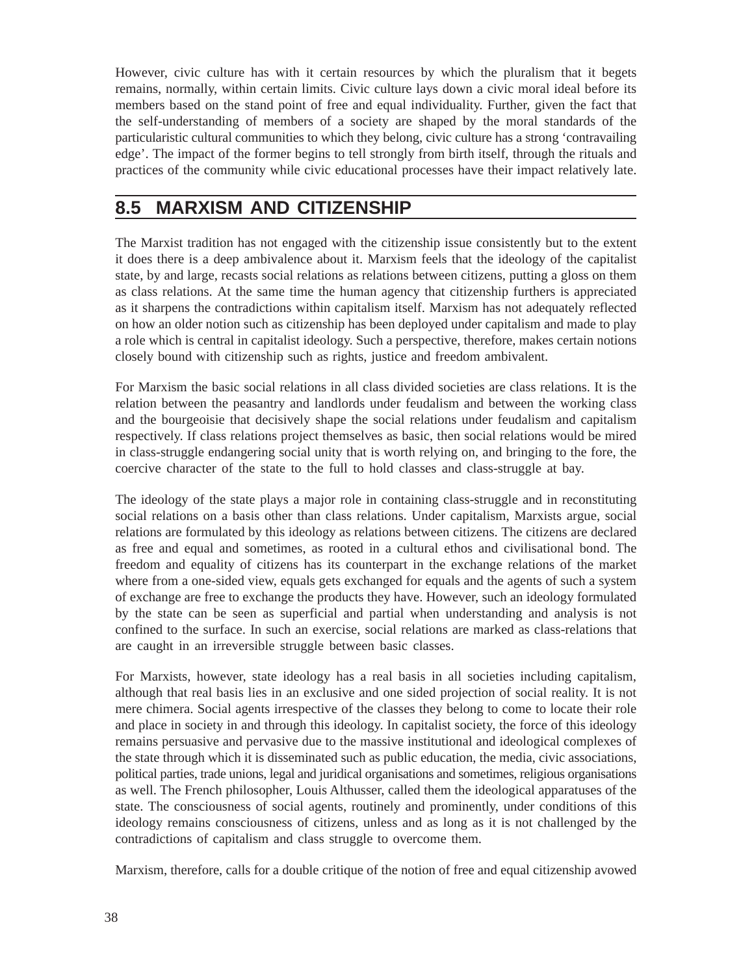However, civic culture has with it certain resources by which the pluralism that it begets remains, normally, within certain limits. Civic culture lays down a civic moral ideal before its members based on the stand point of free and equal individuality. Further, given the fact that the self-understanding of members of a society are shaped by the moral standards of the particularistic cultural communities to which they belong, civic culture has a strong 'contravailing edge'. The impact of the former begins to tell strongly from birth itself, through the rituals and practices of the community while civic educational processes have their impact relatively late.

## **8.5 MARXISM AND CITIZENSHIP**

The Marxist tradition has not engaged with the citizenship issue consistently but to the extent it does there is a deep ambivalence about it. Marxism feels that the ideology of the capitalist state, by and large, recasts social relations as relations between citizens, putting a gloss on them as class relations. At the same time the human agency that citizenship furthers is appreciated as it sharpens the contradictions within capitalism itself. Marxism has not adequately reflected on how an older notion such as citizenship has been deployed under capitalism and made to play a role which is central in capitalist ideology. Such a perspective, therefore, makes certain notions closely bound with citizenship such as rights, justice and freedom ambivalent.

For Marxism the basic social relations in all class divided societies are class relations. It is the relation between the peasantry and landlords under feudalism and between the working class and the bourgeoisie that decisively shape the social relations under feudalism and capitalism respectively. If class relations project themselves as basic, then social relations would be mired in class-struggle endangering social unity that is worth relying on, and bringing to the fore, the coercive character of the state to the full to hold classes and class-struggle at bay.

The ideology of the state plays a major role in containing class-struggle and in reconstituting social relations on a basis other than class relations. Under capitalism, Marxists argue, social relations are formulated by this ideology as relations between citizens. The citizens are declared as free and equal and sometimes, as rooted in a cultural ethos and civilisational bond. The freedom and equality of citizens has its counterpart in the exchange relations of the market where from a one-sided view, equals gets exchanged for equals and the agents of such a system of exchange are free to exchange the products they have. However, such an ideology formulated by the state can be seen as superficial and partial when understanding and analysis is not confined to the surface. In such an exercise, social relations are marked as class-relations that are caught in an irreversible struggle between basic classes.

For Marxists, however, state ideology has a real basis in all societies including capitalism, although that real basis lies in an exclusive and one sided projection of social reality. It is not mere chimera. Social agents irrespective of the classes they belong to come to locate their role and place in society in and through this ideology. In capitalist society, the force of this ideology remains persuasive and pervasive due to the massive institutional and ideological complexes of the state through which it is disseminated such as public education, the media, civic associations, political parties, trade unions, legal and juridical organisations and sometimes, religious organisations as well. The French philosopher, Louis Althusser, called them the ideological apparatuses of the state. The consciousness of social agents, routinely and prominently, under conditions of this ideology remains consciousness of citizens, unless and as long as it is not challenged by the contradictions of capitalism and class struggle to overcome them.

Marxism, therefore, calls for a double critique of the notion of free and equal citizenship avowed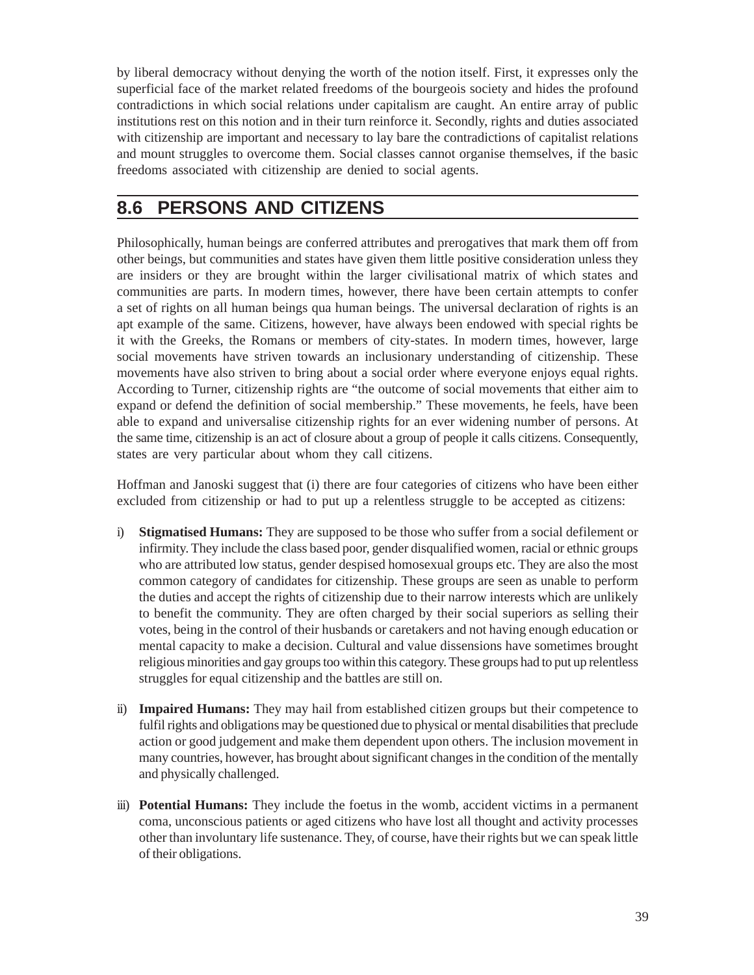by liberal democracy without denying the worth of the notion itself. First, it expresses only the superficial face of the market related freedoms of the bourgeois society and hides the profound contradictions in which social relations under capitalism are caught. An entire array of public institutions rest on this notion and in their turn reinforce it. Secondly, rights and duties associated with citizenship are important and necessary to lay bare the contradictions of capitalist relations and mount struggles to overcome them. Social classes cannot organise themselves, if the basic freedoms associated with citizenship are denied to social agents.

# **8.6 PERSONS AND CITIZENS**

Philosophically, human beings are conferred attributes and prerogatives that mark them off from other beings, but communities and states have given them little positive consideration unless they are insiders or they are brought within the larger civilisational matrix of which states and communities are parts. In modern times, however, there have been certain attempts to confer a set of rights on all human beings qua human beings. The universal declaration of rights is an apt example of the same. Citizens, however, have always been endowed with special rights be it with the Greeks, the Romans or members of city-states. In modern times, however, large social movements have striven towards an inclusionary understanding of citizenship. These movements have also striven to bring about a social order where everyone enjoys equal rights. According to Turner, citizenship rights are "the outcome of social movements that either aim to expand or defend the definition of social membership." These movements, he feels, have been able to expand and universalise citizenship rights for an ever widening number of persons. At the same time, citizenship is an act of closure about a group of people it calls citizens. Consequently, states are very particular about whom they call citizens.

Hoffman and Janoski suggest that (i) there are four categories of citizens who have been either excluded from citizenship or had to put up a relentless struggle to be accepted as citizens:

- i) **Stigmatised Humans:** They are supposed to be those who suffer from a social defilement or infirmity. They include the class based poor, gender disqualified women, racial or ethnic groups who are attributed low status, gender despised homosexual groups etc. They are also the most common category of candidates for citizenship. These groups are seen as unable to perform the duties and accept the rights of citizenship due to their narrow interests which are unlikely to benefit the community. They are often charged by their social superiors as selling their votes, being in the control of their husbands or caretakers and not having enough education or mental capacity to make a decision. Cultural and value dissensions have sometimes brought religious minorities and gay groups too within this category. These groups had to put up relentless struggles for equal citizenship and the battles are still on.
- ii) **Impaired Humans:** They may hail from established citizen groups but their competence to fulfil rights and obligations may be questioned due to physical or mental disabilities that preclude action or good judgement and make them dependent upon others. The inclusion movement in many countries, however, has brought about significant changes in the condition of the mentally and physically challenged.
- iii) **Potential Humans:** They include the foetus in the womb, accident victims in a permanent coma, unconscious patients or aged citizens who have lost all thought and activity processes other than involuntary life sustenance. They, of course, have their rights but we can speak little of their obligations.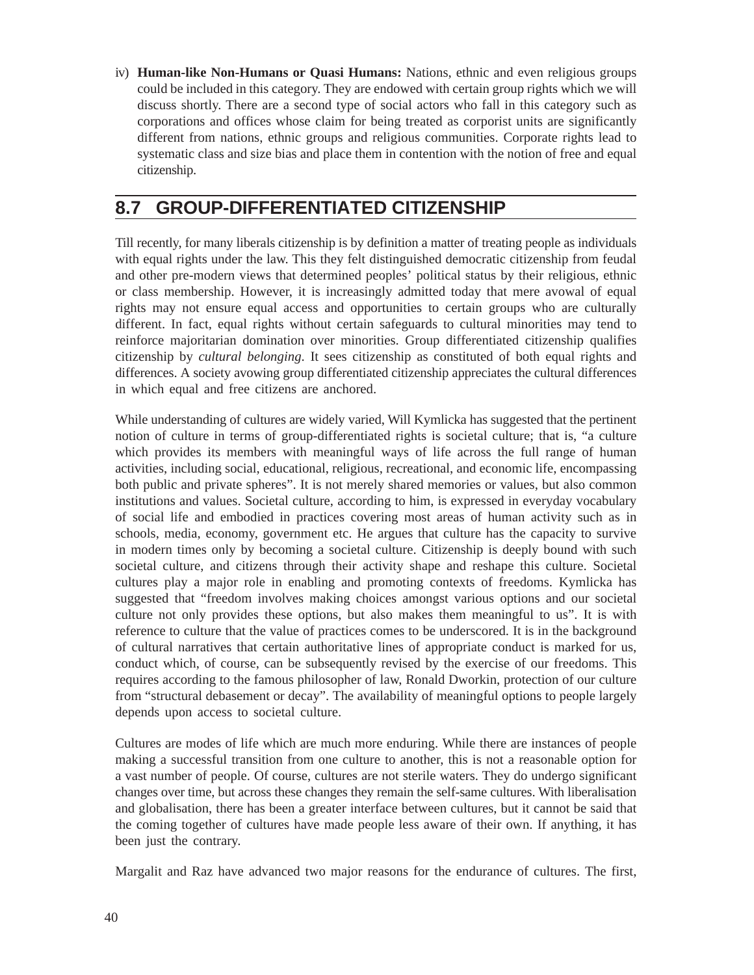iv) **Human-like Non-Humans or Quasi Humans:** Nations, ethnic and even religious groups could be included in this category. They are endowed with certain group rights which we will discuss shortly. There are a second type of social actors who fall in this category such as corporations and offices whose claim for being treated as corporist units are significantly different from nations, ethnic groups and religious communities. Corporate rights lead to systematic class and size bias and place them in contention with the notion of free and equal citizenship.

## **8.7 GROUP-DIFFERENTIATED CITIZENSHIP**

Till recently, for many liberals citizenship is by definition a matter of treating people as individuals with equal rights under the law. This they felt distinguished democratic citizenship from feudal and other pre-modern views that determined peoples' political status by their religious, ethnic or class membership. However, it is increasingly admitted today that mere avowal of equal rights may not ensure equal access and opportunities to certain groups who are culturally different. In fact, equal rights without certain safeguards to cultural minorities may tend to reinforce majoritarian domination over minorities. Group differentiated citizenship qualifies citizenship by *cultural belonging*. It sees citizenship as constituted of both equal rights and differences. A society avowing group differentiated citizenship appreciates the cultural differences in which equal and free citizens are anchored.

While understanding of cultures are widely varied, Will Kymlicka has suggested that the pertinent notion of culture in terms of group-differentiated rights is societal culture; that is, "a culture which provides its members with meaningful ways of life across the full range of human activities, including social, educational, religious, recreational, and economic life, encompassing both public and private spheres". It is not merely shared memories or values, but also common institutions and values. Societal culture, according to him, is expressed in everyday vocabulary of social life and embodied in practices covering most areas of human activity such as in schools, media, economy, government etc. He argues that culture has the capacity to survive in modern times only by becoming a societal culture. Citizenship is deeply bound with such societal culture, and citizens through their activity shape and reshape this culture. Societal cultures play a major role in enabling and promoting contexts of freedoms. Kymlicka has suggested that "freedom involves making choices amongst various options and our societal culture not only provides these options, but also makes them meaningful to us". It is with reference to culture that the value of practices comes to be underscored. It is in the background of cultural narratives that certain authoritative lines of appropriate conduct is marked for us, conduct which, of course, can be subsequently revised by the exercise of our freedoms. This requires according to the famous philosopher of law, Ronald Dworkin, protection of our culture from "structural debasement or decay". The availability of meaningful options to people largely depends upon access to societal culture.

Cultures are modes of life which are much more enduring. While there are instances of people making a successful transition from one culture to another, this is not a reasonable option for a vast number of people. Of course, cultures are not sterile waters. They do undergo significant changes over time, but across these changes they remain the self-same cultures. With liberalisation and globalisation, there has been a greater interface between cultures, but it cannot be said that the coming together of cultures have made people less aware of their own. If anything, it has been just the contrary.

Margalit and Raz have advanced two major reasons for the endurance of cultures. The first,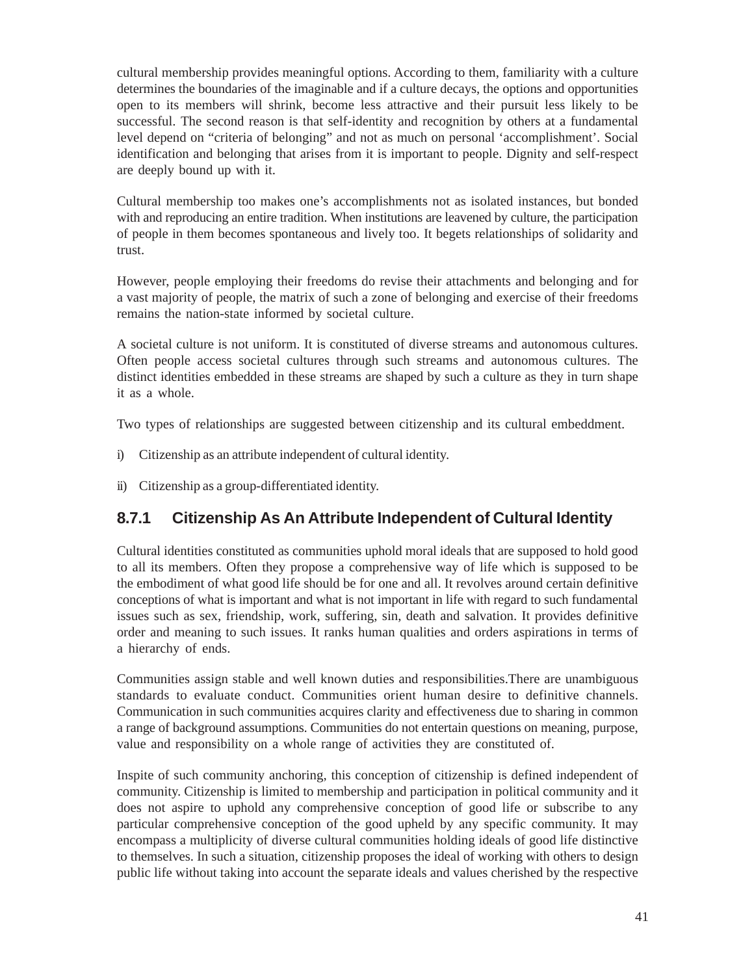cultural membership provides meaningful options. According to them, familiarity with a culture determines the boundaries of the imaginable and if a culture decays, the options and opportunities open to its members will shrink, become less attractive and their pursuit less likely to be successful. The second reason is that self-identity and recognition by others at a fundamental level depend on "criteria of belonging" and not as much on personal 'accomplishment'. Social identification and belonging that arises from it is important to people. Dignity and self-respect are deeply bound up with it.

Cultural membership too makes one's accomplishments not as isolated instances, but bonded with and reproducing an entire tradition. When institutions are leavened by culture, the participation of people in them becomes spontaneous and lively too. It begets relationships of solidarity and trust.

However, people employing their freedoms do revise their attachments and belonging and for a vast majority of people, the matrix of such a zone of belonging and exercise of their freedoms remains the nation-state informed by societal culture.

A societal culture is not uniform. It is constituted of diverse streams and autonomous cultures. Often people access societal cultures through such streams and autonomous cultures. The distinct identities embedded in these streams are shaped by such a culture as they in turn shape it as a whole.

Two types of relationships are suggested between citizenship and its cultural embeddment.

- i) Citizenship as an attribute independent of cultural identity.
- ii) Citizenship as a group-differentiated identity.

#### **8.7.1 Citizenship As An Attribute Independent of Cultural Identity**

Cultural identities constituted as communities uphold moral ideals that are supposed to hold good to all its members. Often they propose a comprehensive way of life which is supposed to be the embodiment of what good life should be for one and all. It revolves around certain definitive conceptions of what is important and what is not important in life with regard to such fundamental issues such as sex, friendship, work, suffering, sin, death and salvation. It provides definitive order and meaning to such issues. It ranks human qualities and orders aspirations in terms of a hierarchy of ends.

Communities assign stable and well known duties and responsibilities.There are unambiguous standards to evaluate conduct. Communities orient human desire to definitive channels. Communication in such communities acquires clarity and effectiveness due to sharing in common a range of background assumptions. Communities do not entertain questions on meaning, purpose, value and responsibility on a whole range of activities they are constituted of.

Inspite of such community anchoring, this conception of citizenship is defined independent of community. Citizenship is limited to membership and participation in political community and it does not aspire to uphold any comprehensive conception of good life or subscribe to any particular comprehensive conception of the good upheld by any specific community. It may encompass a multiplicity of diverse cultural communities holding ideals of good life distinctive to themselves. In such a situation, citizenship proposes the ideal of working with others to design public life without taking into account the separate ideals and values cherished by the respective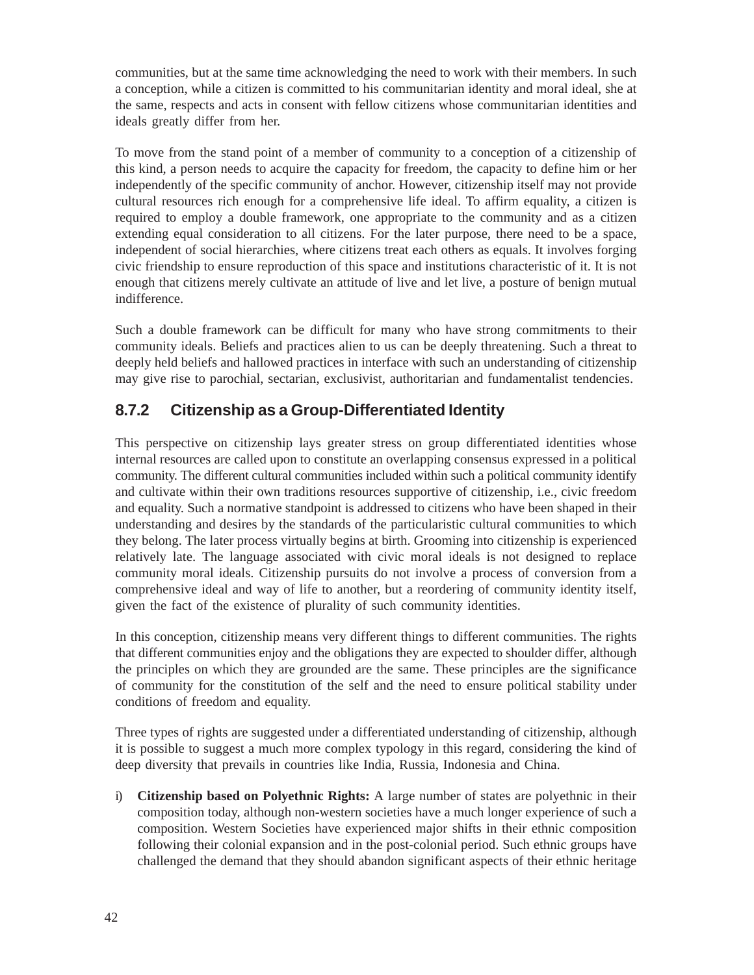communities, but at the same time acknowledging the need to work with their members. In such a conception, while a citizen is committed to his communitarian identity and moral ideal, she at the same, respects and acts in consent with fellow citizens whose communitarian identities and ideals greatly differ from her.

To move from the stand point of a member of community to a conception of a citizenship of this kind, a person needs to acquire the capacity for freedom, the capacity to define him or her independently of the specific community of anchor. However, citizenship itself may not provide cultural resources rich enough for a comprehensive life ideal. To affirm equality, a citizen is required to employ a double framework, one appropriate to the community and as a citizen extending equal consideration to all citizens. For the later purpose, there need to be a space, independent of social hierarchies, where citizens treat each others as equals. It involves forging civic friendship to ensure reproduction of this space and institutions characteristic of it. It is not enough that citizens merely cultivate an attitude of live and let live, a posture of benign mutual indifference.

Such a double framework can be difficult for many who have strong commitments to their community ideals. Beliefs and practices alien to us can be deeply threatening. Such a threat to deeply held beliefs and hallowed practices in interface with such an understanding of citizenship may give rise to parochial, sectarian, exclusivist, authoritarian and fundamentalist tendencies.

### **8.7.2 Citizenship as a Group-Differentiated Identity**

This perspective on citizenship lays greater stress on group differentiated identities whose internal resources are called upon to constitute an overlapping consensus expressed in a political community. The different cultural communities included within such a political community identify and cultivate within their own traditions resources supportive of citizenship, i.e., civic freedom and equality. Such a normative standpoint is addressed to citizens who have been shaped in their understanding and desires by the standards of the particularistic cultural communities to which they belong. The later process virtually begins at birth. Grooming into citizenship is experienced relatively late. The language associated with civic moral ideals is not designed to replace community moral ideals. Citizenship pursuits do not involve a process of conversion from a comprehensive ideal and way of life to another, but a reordering of community identity itself, given the fact of the existence of plurality of such community identities.

In this conception, citizenship means very different things to different communities. The rights that different communities enjoy and the obligations they are expected to shoulder differ, although the principles on which they are grounded are the same. These principles are the significance of community for the constitution of the self and the need to ensure political stability under conditions of freedom and equality.

Three types of rights are suggested under a differentiated understanding of citizenship, although it is possible to suggest a much more complex typology in this regard, considering the kind of deep diversity that prevails in countries like India, Russia, Indonesia and China.

i) **Citizenship based on Polyethnic Rights:** A large number of states are polyethnic in their composition today, although non-western societies have a much longer experience of such a composition. Western Societies have experienced major shifts in their ethnic composition following their colonial expansion and in the post-colonial period. Such ethnic groups have challenged the demand that they should abandon significant aspects of their ethnic heritage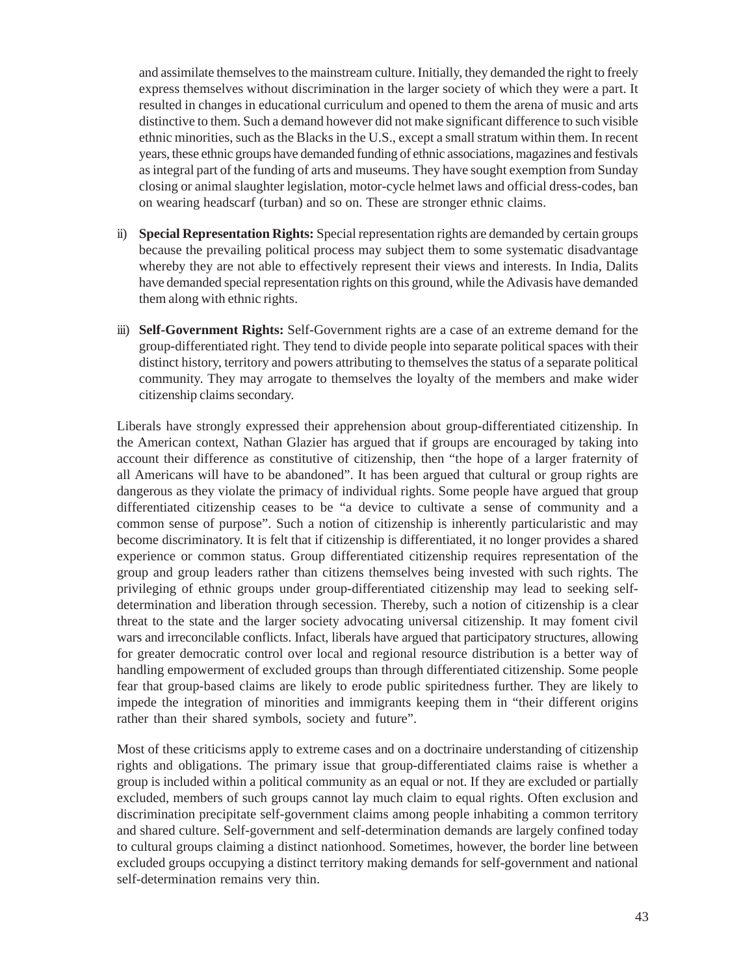and assimilate themselves to the mainstream culture. Initially, they demanded the right to freely express themselves without discrimination in the larger society of which they were a part. It resulted in changes in educational curriculum and opened to them the arena of music and arts distinctive to them. Such a demand however did not make significant difference to such visible ethnic minorities, such as the Blacks in the U.S., except a small stratum within them. In recent years, these ethnic groups have demanded funding of ethnic associations, magazines and festivals as integral part of the funding of arts and museums. They have sought exemption from Sunday closing or animal slaughter legislation, motor-cycle helmet laws and official dress-codes, ban on wearing headscarf (turban) and so on. These are stronger ethnic claims.

- ii) **Special Representation Rights:** Special representation rights are demanded by certain groups because the prevailing political process may subject them to some systematic disadvantage whereby they are not able to effectively represent their views and interests. In India, Dalits have demanded special representation rights on this ground, while the Adivasis have demanded them along with ethnic rights.
- iii) **Self-Government Rights:** Self-Government rights are a case of an extreme demand for the group-differentiated right. They tend to divide people into separate political spaces with their distinct history, territory and powers attributing to themselves the status of a separate political community. They may arrogate to themselves the loyalty of the members and make wider citizenship claims secondary.

Liberals have strongly expressed their apprehension about group-differentiated citizenship. In the American context, Nathan Glazier has argued that if groups are encouraged by taking into account their difference as constitutive of citizenship, then "the hope of a larger fraternity of all Americans will have to be abandoned". It has been argued that cultural or group rights are dangerous as they violate the primacy of individual rights. Some people have argued that group differentiated citizenship ceases to be "a device to cultivate a sense of community and a common sense of purpose". Such a notion of citizenship is inherently particularistic and may become discriminatory. It is felt that if citizenship is differentiated, it no longer provides a shared experience or common status. Group differentiated citizenship requires representation of the group and group leaders rather than citizens themselves being invested with such rights. The privileging of ethnic groups under group-differentiated citizenship may lead to seeking selfdetermination and liberation through secession. Thereby, such a notion of citizenship is a clear threat to the state and the larger society advocating universal citizenship. It may foment civil wars and irreconcilable conflicts. Infact, liberals have argued that participatory structures, allowing for greater democratic control over local and regional resource distribution is a better way of handling empowerment of excluded groups than through differentiated citizenship. Some people fear that group-based claims are likely to erode public spiritedness further. They are likely to impede the integration of minorities and immigrants keeping them in "their different origins rather than their shared symbols, society and future".

Most of these criticisms apply to extreme cases and on a doctrinaire understanding of citizenship rights and obligations. The primary issue that group-differentiated claims raise is whether a group is included within a political community as an equal or not. If they are excluded or partially excluded, members of such groups cannot lay much claim to equal rights. Often exclusion and discrimination precipitate self-government claims among people inhabiting a common territory and shared culture. Self-government and self-determination demands are largely confined today to cultural groups claiming a distinct nationhood. Sometimes, however, the border line between excluded groups occupying a distinct territory making demands for self-government and national self-determination remains very thin.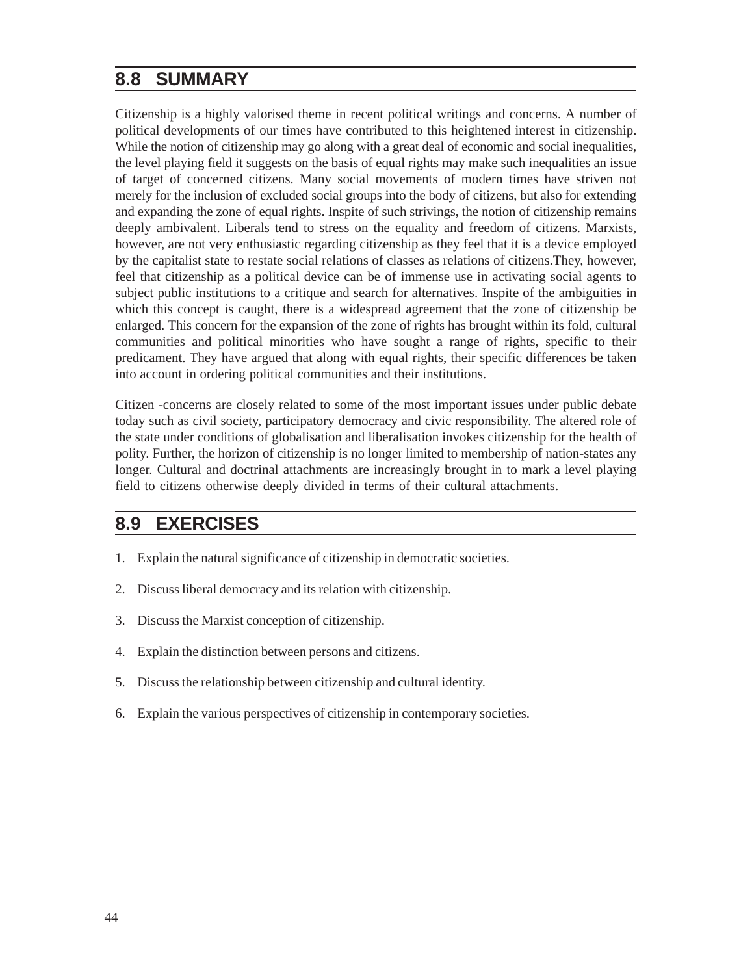### **8.8 SUMMARY**

Citizenship is a highly valorised theme in recent political writings and concerns. A number of political developments of our times have contributed to this heightened interest in citizenship. While the notion of citizenship may go along with a great deal of economic and social inequalities, the level playing field it suggests on the basis of equal rights may make such inequalities an issue of target of concerned citizens. Many social movements of modern times have striven not merely for the inclusion of excluded social groups into the body of citizens, but also for extending and expanding the zone of equal rights. Inspite of such strivings, the notion of citizenship remains deeply ambivalent. Liberals tend to stress on the equality and freedom of citizens. Marxists, however, are not very enthusiastic regarding citizenship as they feel that it is a device employed by the capitalist state to restate social relations of classes as relations of citizens.They, however, feel that citizenship as a political device can be of immense use in activating social agents to subject public institutions to a critique and search for alternatives. Inspite of the ambiguities in which this concept is caught, there is a widespread agreement that the zone of citizenship be enlarged. This concern for the expansion of the zone of rights has brought within its fold, cultural communities and political minorities who have sought a range of rights, specific to their predicament. They have argued that along with equal rights, their specific differences be taken into account in ordering political communities and their institutions.

Citizen -concerns are closely related to some of the most important issues under public debate today such as civil society, participatory democracy and civic responsibility. The altered role of the state under conditions of globalisation and liberalisation invokes citizenship for the health of polity. Further, the horizon of citizenship is no longer limited to membership of nation-states any longer. Cultural and doctrinal attachments are increasingly brought in to mark a level playing field to citizens otherwise deeply divided in terms of their cultural attachments.

## **8.9 EXERCISES**

- 1. Explain the natural significance of citizenship in democratic societies.
- 2. Discuss liberal democracy and its relation with citizenship.
- 3. Discuss the Marxist conception of citizenship.
- 4. Explain the distinction between persons and citizens.
- 5. Discuss the relationship between citizenship and cultural identity.
- 6. Explain the various perspectives of citizenship in contemporary societies.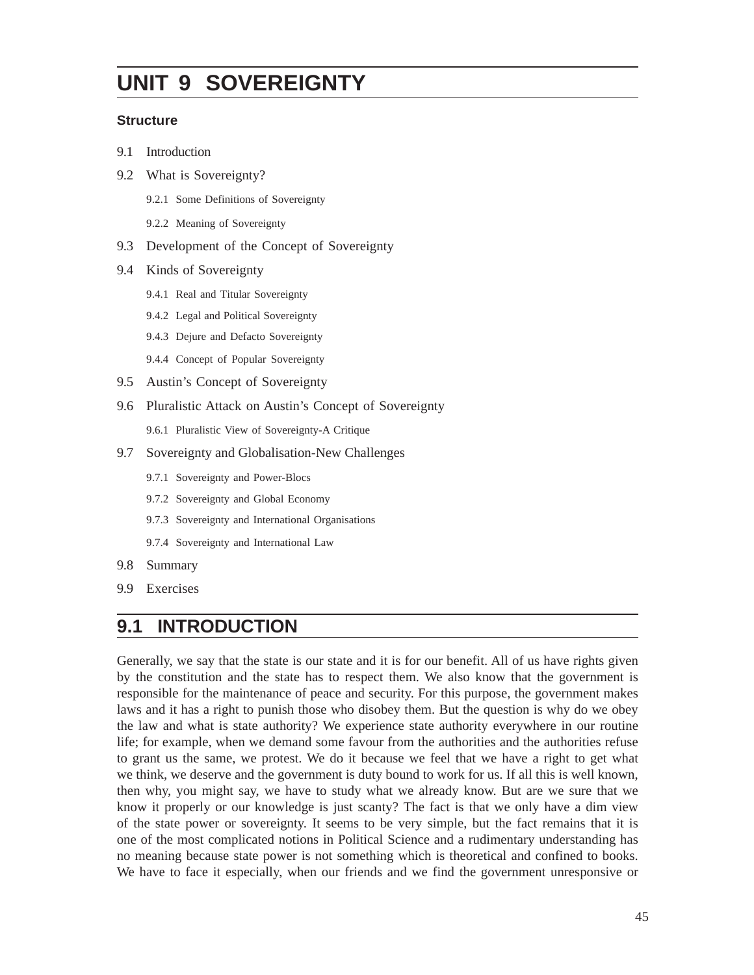# **UNIT 9 SOVEREIGNTY**

#### **Structure**

- 9.1 Introduction
- 9.2 What is Sovereignty?
	- 9.2.1 Some Definitions of Sovereignty
	- 9.2.2 Meaning of Sovereignty
- 9.3 Development of the Concept of Sovereignty
- 9.4 Kinds of Sovereignty
	- 9.4.1 Real and Titular Sovereignty
	- 9.4.2 Legal and Political Sovereignty
	- 9.4.3 Dejure and Defacto Sovereignty
	- 9.4.4 Concept of Popular Sovereignty
- 9.5 Austin's Concept of Sovereignty
- 9.6 Pluralistic Attack on Austin's Concept of Sovereignty
	- 9.6.1 Pluralistic View of Sovereignty-A Critique
- 9.7 Sovereignty and Globalisation-New Challenges
	- 9.7.1 Sovereignty and Power-Blocs
	- 9.7.2 Sovereignty and Global Economy
	- 9.7.3 Sovereignty and International Organisations
	- 9.7.4 Sovereignty and International Law
- 9.8 Summary
- 9.9 Exercises

## **9.1 INTRODUCTION**

Generally, we say that the state is our state and it is for our benefit. All of us have rights given by the constitution and the state has to respect them. We also know that the government is responsible for the maintenance of peace and security. For this purpose, the government makes laws and it has a right to punish those who disobey them. But the question is why do we obey the law and what is state authority? We experience state authority everywhere in our routine life; for example, when we demand some favour from the authorities and the authorities refuse to grant us the same, we protest. We do it because we feel that we have a right to get what we think, we deserve and the government is duty bound to work for us. If all this is well known, then why, you might say, we have to study what we already know. But are we sure that we know it properly or our knowledge is just scanty? The fact is that we only have a dim view of the state power or sovereignty. It seems to be very simple, but the fact remains that it is one of the most complicated notions in Political Science and a rudimentary understanding has no meaning because state power is not something which is theoretical and confined to books. We have to face it especially, when our friends and we find the government unresponsive or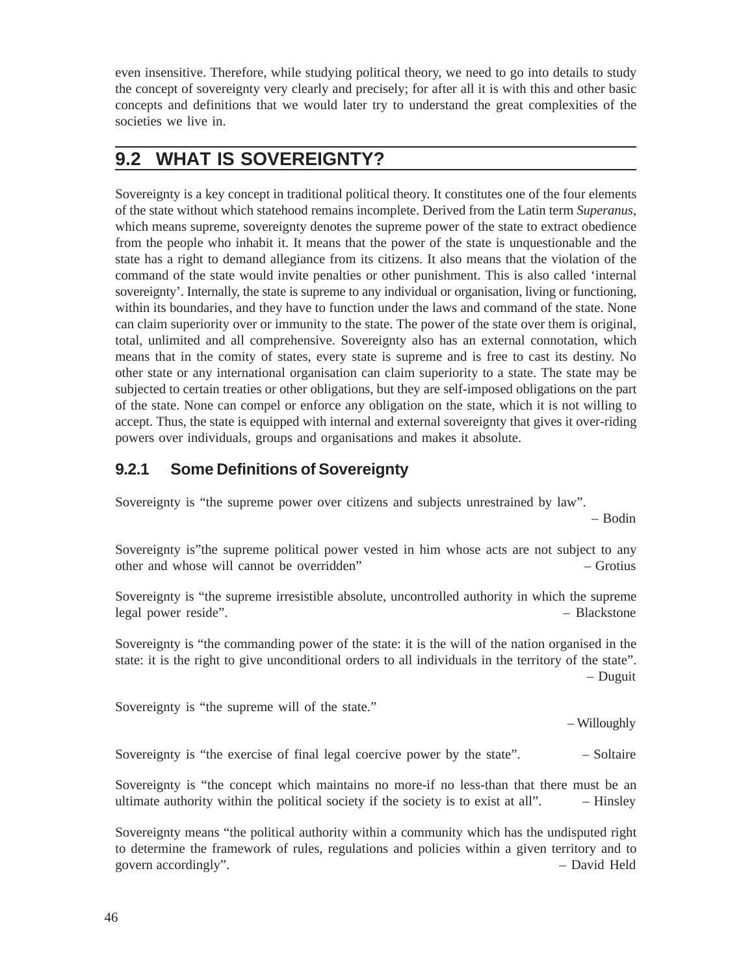even insensitive. Therefore, while studying political theory, we need to go into details to study the concept of sovereignty very clearly and precisely; for after all it is with this and other basic concepts and definitions that we would later try to understand the great complexities of the societies we live in.

## **9.2 WHAT IS SOVEREIGNTY?**

Sovereignty is a key concept in traditional political theory. It constitutes one of the four elements of the state without which statehood remains incomplete. Derived from the Latin term *Superanus*, which means supreme, sovereignty denotes the supreme power of the state to extract obedience from the people who inhabit it. It means that the power of the state is unquestionable and the state has a right to demand allegiance from its citizens. It also means that the violation of the command of the state would invite penalties or other punishment. This is also called 'internal sovereignty'. Internally, the state is supreme to any individual or organisation, living or functioning, within its boundaries, and they have to function under the laws and command of the state. None can claim superiority over or immunity to the state. The power of the state over them is original, total, unlimited and all comprehensive. Sovereignty also has an external connotation, which means that in the comity of states, every state is supreme and is free to cast its destiny. No other state or any international organisation can claim superiority to a state. The state may be subjected to certain treaties or other obligations, but they are self-imposed obligations on the part of the state. None can compel or enforce any obligation on the state, which it is not willing to accept. Thus, the state is equipped with internal and external sovereignty that gives it over-riding powers over individuals, groups and organisations and makes it absolute.

#### **9.2.1 Some Definitions of Sovereignty**

Sovereignty is "the supreme power over citizens and subjects unrestrained by law".

– Bodin

Sovereignty is"the supreme political power vested in him whose acts are not subject to any other and whose will cannot be overridden" – Grotius

Sovereignty is "the supreme irresistible absolute, uncontrolled authority in which the supreme legal power reside". – Blackstone

Sovereignty is "the commanding power of the state: it is the will of the nation organised in the state: it is the right to give unconditional orders to all individuals in the territory of the state". – Duguit

Sovereignty is "the supreme will of the state."

– Willoughly

Sovereignty is "the exercise of final legal coercive power by the state".  $\qquad -$  Soltaire

Sovereignty is "the concept which maintains no more-if no less-than that there must be an ultimate authority within the political society if the society is to exist at all".  $-$  Hinsley

Sovereignty means "the political authority within a community which has the undisputed right to determine the framework of rules, regulations and policies within a given territory and to govern accordingly".  $\qquad$  – David Held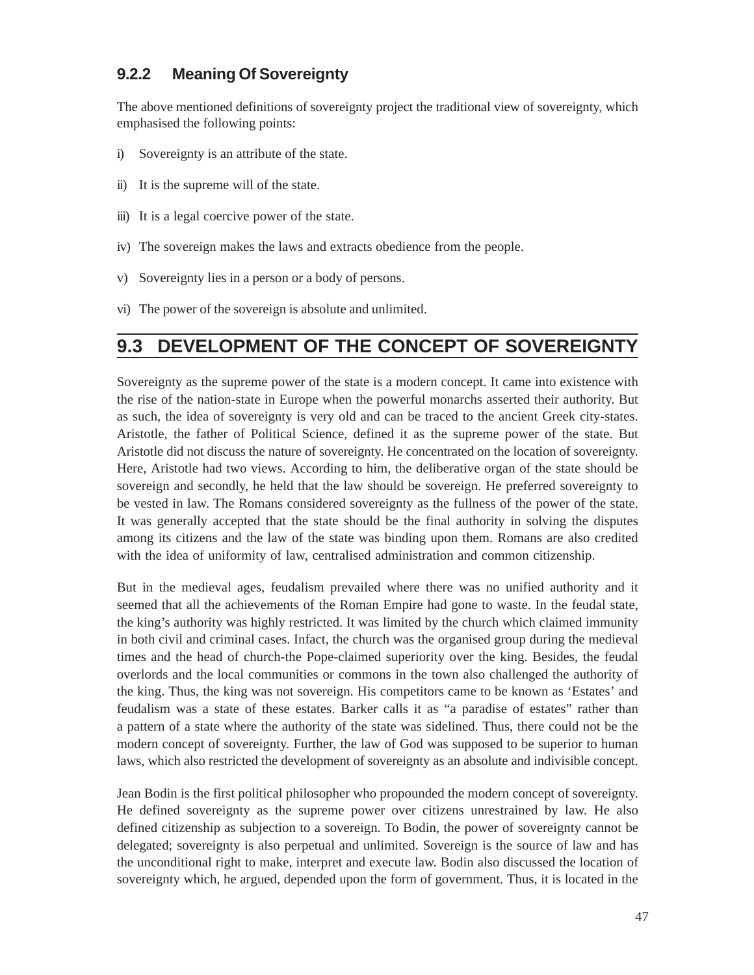#### **9.2.2 Meaning Of Sovereignty**

The above mentioned definitions of sovereignty project the traditional view of sovereignty, which emphasised the following points:

- i) Sovereignty is an attribute of the state.
- ii) It is the supreme will of the state.
- iii) It is a legal coercive power of the state.
- iv) The sovereign makes the laws and extracts obedience from the people.
- v) Sovereignty lies in a person or a body of persons.
- vi) The power of the sovereign is absolute and unlimited.

# **9.3 DEVELOPMENT OF THE CONCEPT OF SOVEREIGNTY**

Sovereignty as the supreme power of the state is a modern concept. It came into existence with the rise of the nation-state in Europe when the powerful monarchs asserted their authority. But as such, the idea of sovereignty is very old and can be traced to the ancient Greek city-states. Aristotle, the father of Political Science, defined it as the supreme power of the state. But Aristotle did not discuss the nature of sovereignty. He concentrated on the location of sovereignty. Here, Aristotle had two views. According to him, the deliberative organ of the state should be sovereign and secondly, he held that the law should be sovereign. He preferred sovereignty to be vested in law. The Romans considered sovereignty as the fullness of the power of the state. It was generally accepted that the state should be the final authority in solving the disputes among its citizens and the law of the state was binding upon them. Romans are also credited with the idea of uniformity of law, centralised administration and common citizenship.

But in the medieval ages, feudalism prevailed where there was no unified authority and it seemed that all the achievements of the Roman Empire had gone to waste. In the feudal state, the king's authority was highly restricted. It was limited by the church which claimed immunity in both civil and criminal cases. Infact, the church was the organised group during the medieval times and the head of church-the Pope-claimed superiority over the king. Besides, the feudal overlords and the local communities or commons in the town also challenged the authority of the king. Thus, the king was not sovereign. His competitors came to be known as 'Estates' and feudalism was a state of these estates. Barker calls it as "a paradise of estates" rather than a pattern of a state where the authority of the state was sidelined. Thus, there could not be the modern concept of sovereignty. Further, the law of God was supposed to be superior to human laws, which also restricted the development of sovereignty as an absolute and indivisible concept.

Jean Bodin is the first political philosopher who propounded the modern concept of sovereignty. He defined sovereignty as the supreme power over citizens unrestrained by law. He also defined citizenship as subjection to a sovereign. To Bodin, the power of sovereignty cannot be delegated; sovereignty is also perpetual and unlimited. Sovereign is the source of law and has the unconditional right to make, interpret and execute law. Bodin also discussed the location of sovereignty which, he argued, depended upon the form of government. Thus, it is located in the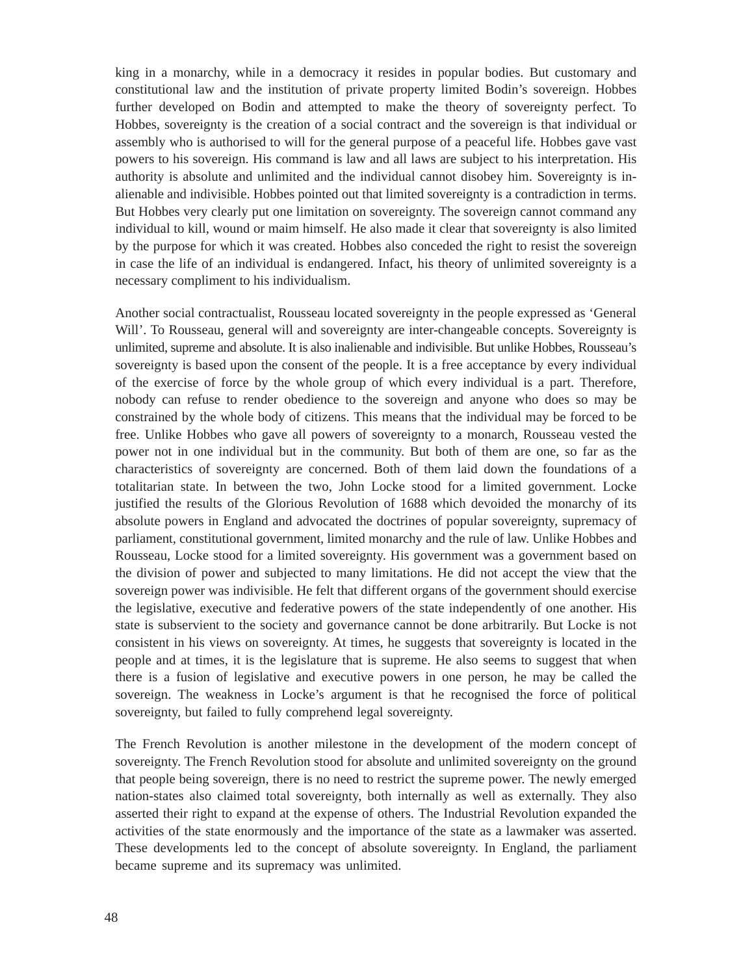king in a monarchy, while in a democracy it resides in popular bodies. But customary and constitutional law and the institution of private property limited Bodin's sovereign. Hobbes further developed on Bodin and attempted to make the theory of sovereignty perfect. To Hobbes, sovereignty is the creation of a social contract and the sovereign is that individual or assembly who is authorised to will for the general purpose of a peaceful life. Hobbes gave vast powers to his sovereign. His command is law and all laws are subject to his interpretation. His authority is absolute and unlimited and the individual cannot disobey him. Sovereignty is inalienable and indivisible. Hobbes pointed out that limited sovereignty is a contradiction in terms. But Hobbes very clearly put one limitation on sovereignty. The sovereign cannot command any individual to kill, wound or maim himself. He also made it clear that sovereignty is also limited by the purpose for which it was created. Hobbes also conceded the right to resist the sovereign in case the life of an individual is endangered. Infact, his theory of unlimited sovereignty is a necessary compliment to his individualism.

Another social contractualist, Rousseau located sovereignty in the people expressed as 'General Will'. To Rousseau, general will and sovereignty are inter-changeable concepts. Sovereignty is unlimited, supreme and absolute. It is also inalienable and indivisible. But unlike Hobbes, Rousseau's sovereignty is based upon the consent of the people. It is a free acceptance by every individual of the exercise of force by the whole group of which every individual is a part. Therefore, nobody can refuse to render obedience to the sovereign and anyone who does so may be constrained by the whole body of citizens. This means that the individual may be forced to be free. Unlike Hobbes who gave all powers of sovereignty to a monarch, Rousseau vested the power not in one individual but in the community. But both of them are one, so far as the characteristics of sovereignty are concerned. Both of them laid down the foundations of a totalitarian state. In between the two, John Locke stood for a limited government. Locke justified the results of the Glorious Revolution of 1688 which devoided the monarchy of its absolute powers in England and advocated the doctrines of popular sovereignty, supremacy of parliament, constitutional government, limited monarchy and the rule of law. Unlike Hobbes and Rousseau, Locke stood for a limited sovereignty. His government was a government based on the division of power and subjected to many limitations. He did not accept the view that the sovereign power was indivisible. He felt that different organs of the government should exercise the legislative, executive and federative powers of the state independently of one another. His state is subservient to the society and governance cannot be done arbitrarily. But Locke is not consistent in his views on sovereignty. At times, he suggests that sovereignty is located in the people and at times, it is the legislature that is supreme. He also seems to suggest that when there is a fusion of legislative and executive powers in one person, he may be called the sovereign. The weakness in Locke's argument is that he recognised the force of political sovereignty, but failed to fully comprehend legal sovereignty.

The French Revolution is another milestone in the development of the modern concept of sovereignty. The French Revolution stood for absolute and unlimited sovereignty on the ground that people being sovereign, there is no need to restrict the supreme power. The newly emerged nation-states also claimed total sovereignty, both internally as well as externally. They also asserted their right to expand at the expense of others. The Industrial Revolution expanded the activities of the state enormously and the importance of the state as a lawmaker was asserted. These developments led to the concept of absolute sovereignty. In England, the parliament became supreme and its supremacy was unlimited.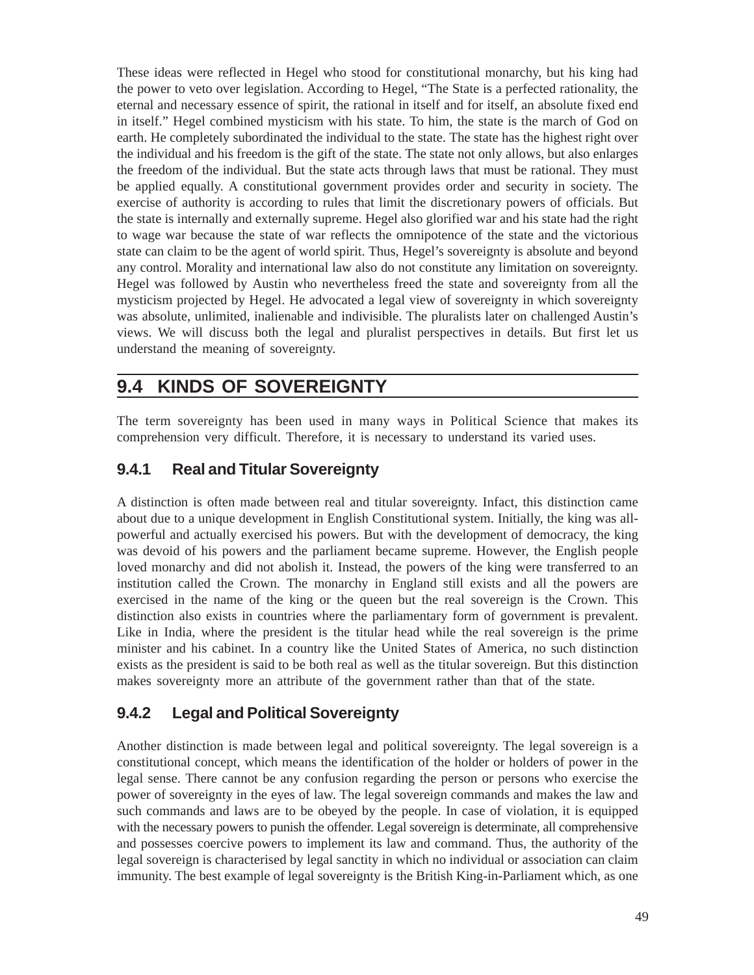These ideas were reflected in Hegel who stood for constitutional monarchy, but his king had the power to veto over legislation. According to Hegel, "The State is a perfected rationality, the eternal and necessary essence of spirit, the rational in itself and for itself, an absolute fixed end in itself." Hegel combined mysticism with his state. To him, the state is the march of God on earth. He completely subordinated the individual to the state. The state has the highest right over the individual and his freedom is the gift of the state. The state not only allows, but also enlarges the freedom of the individual. But the state acts through laws that must be rational. They must be applied equally. A constitutional government provides order and security in society. The exercise of authority is according to rules that limit the discretionary powers of officials. But the state is internally and externally supreme. Hegel also glorified war and his state had the right to wage war because the state of war reflects the omnipotence of the state and the victorious state can claim to be the agent of world spirit. Thus, Hegel's sovereignty is absolute and beyond any control. Morality and international law also do not constitute any limitation on sovereignty. Hegel was followed by Austin who nevertheless freed the state and sovereignty from all the mysticism projected by Hegel. He advocated a legal view of sovereignty in which sovereignty was absolute, unlimited, inalienable and indivisible. The pluralists later on challenged Austin's views. We will discuss both the legal and pluralist perspectives in details. But first let us understand the meaning of sovereignty.

### **9.4 KINDS OF SOVEREIGNTY**

The term sovereignty has been used in many ways in Political Science that makes its comprehension very difficult. Therefore, it is necessary to understand its varied uses.

#### **9.4.1 Real and Titular Sovereignty**

A distinction is often made between real and titular sovereignty. Infact, this distinction came about due to a unique development in English Constitutional system. Initially, the king was allpowerful and actually exercised his powers. But with the development of democracy, the king was devoid of his powers and the parliament became supreme. However, the English people loved monarchy and did not abolish it. Instead, the powers of the king were transferred to an institution called the Crown. The monarchy in England still exists and all the powers are exercised in the name of the king or the queen but the real sovereign is the Crown. This distinction also exists in countries where the parliamentary form of government is prevalent. Like in India, where the president is the titular head while the real sovereign is the prime minister and his cabinet. In a country like the United States of America, no such distinction exists as the president is said to be both real as well as the titular sovereign. But this distinction makes sovereignty more an attribute of the government rather than that of the state.

#### **9.4.2 Legal and Political Sovereignty**

Another distinction is made between legal and political sovereignty. The legal sovereign is a constitutional concept, which means the identification of the holder or holders of power in the legal sense. There cannot be any confusion regarding the person or persons who exercise the power of sovereignty in the eyes of law. The legal sovereign commands and makes the law and such commands and laws are to be obeyed by the people. In case of violation, it is equipped with the necessary powers to punish the offender. Legal sovereign is determinate, all comprehensive and possesses coercive powers to implement its law and command. Thus, the authority of the legal sovereign is characterised by legal sanctity in which no individual or association can claim immunity. The best example of legal sovereignty is the British King-in-Parliament which, as one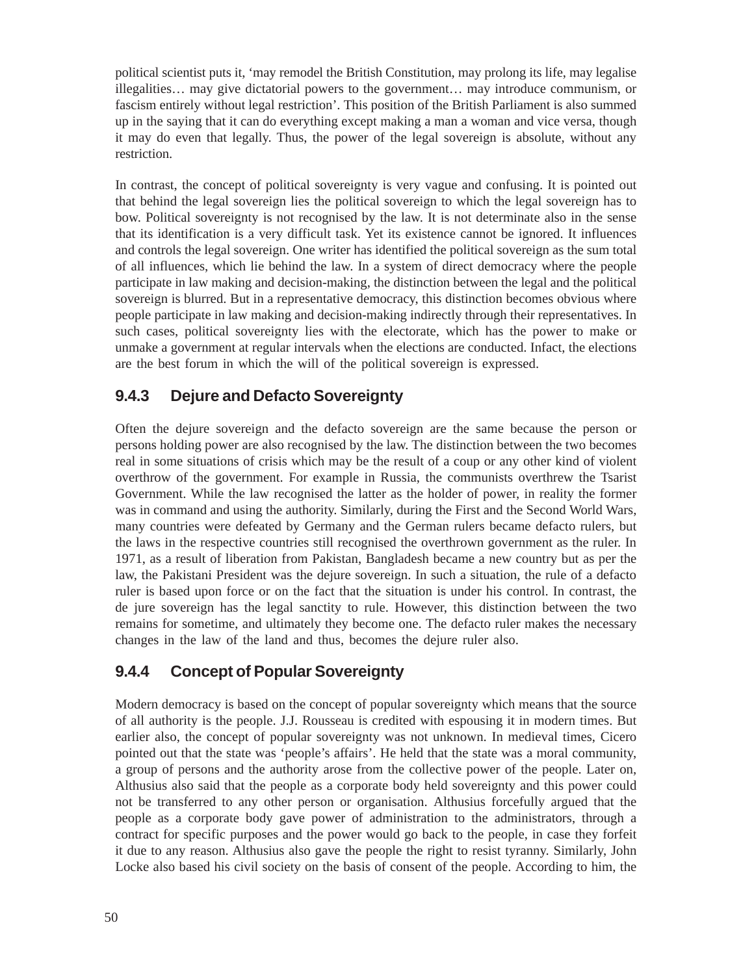political scientist puts it, 'may remodel the British Constitution, may prolong its life, may legalise illegalities… may give dictatorial powers to the government… may introduce communism, or fascism entirely without legal restriction'. This position of the British Parliament is also summed up in the saying that it can do everything except making a man a woman and vice versa, though it may do even that legally. Thus, the power of the legal sovereign is absolute, without any restriction.

In contrast, the concept of political sovereignty is very vague and confusing. It is pointed out that behind the legal sovereign lies the political sovereign to which the legal sovereign has to bow. Political sovereignty is not recognised by the law. It is not determinate also in the sense that its identification is a very difficult task. Yet its existence cannot be ignored. It influences and controls the legal sovereign. One writer has identified the political sovereign as the sum total of all influences, which lie behind the law. In a system of direct democracy where the people participate in law making and decision-making, the distinction between the legal and the political sovereign is blurred. But in a representative democracy, this distinction becomes obvious where people participate in law making and decision-making indirectly through their representatives. In such cases, political sovereignty lies with the electorate, which has the power to make or unmake a government at regular intervals when the elections are conducted. Infact, the elections are the best forum in which the will of the political sovereign is expressed.

#### **9.4.3 Dejure and Defacto Sovereignty**

Often the dejure sovereign and the defacto sovereign are the same because the person or persons holding power are also recognised by the law. The distinction between the two becomes real in some situations of crisis which may be the result of a coup or any other kind of violent overthrow of the government. For example in Russia, the communists overthrew the Tsarist Government. While the law recognised the latter as the holder of power, in reality the former was in command and using the authority. Similarly, during the First and the Second World Wars, many countries were defeated by Germany and the German rulers became defacto rulers, but the laws in the respective countries still recognised the overthrown government as the ruler. In 1971, as a result of liberation from Pakistan, Bangladesh became a new country but as per the law, the Pakistani President was the dejure sovereign. In such a situation, the rule of a defacto ruler is based upon force or on the fact that the situation is under his control. In contrast, the de jure sovereign has the legal sanctity to rule. However, this distinction between the two remains for sometime, and ultimately they become one. The defacto ruler makes the necessary changes in the law of the land and thus, becomes the dejure ruler also.

#### **9.4.4 Concept of Popular Sovereignty**

Modern democracy is based on the concept of popular sovereignty which means that the source of all authority is the people. J.J. Rousseau is credited with espousing it in modern times. But earlier also, the concept of popular sovereignty was not unknown. In medieval times, Cicero pointed out that the state was 'people's affairs'. He held that the state was a moral community, a group of persons and the authority arose from the collective power of the people. Later on, Althusius also said that the people as a corporate body held sovereignty and this power could not be transferred to any other person or organisation. Althusius forcefully argued that the people as a corporate body gave power of administration to the administrators, through a contract for specific purposes and the power would go back to the people, in case they forfeit it due to any reason. Althusius also gave the people the right to resist tyranny. Similarly, John Locke also based his civil society on the basis of consent of the people. According to him, the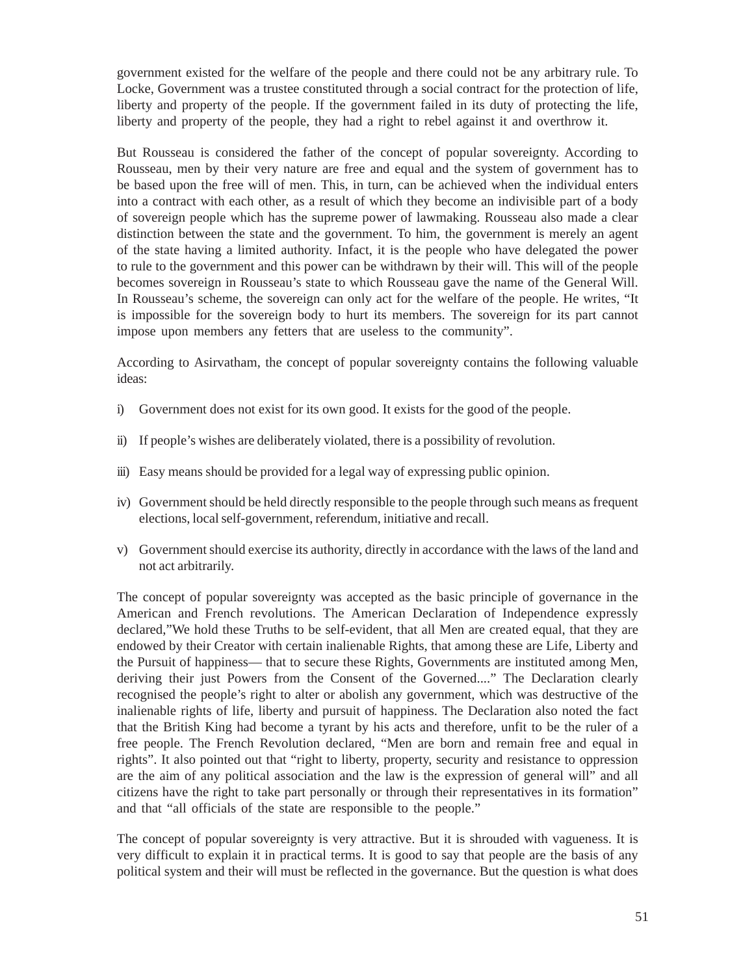government existed for the welfare of the people and there could not be any arbitrary rule. To Locke, Government was a trustee constituted through a social contract for the protection of life, liberty and property of the people. If the government failed in its duty of protecting the life, liberty and property of the people, they had a right to rebel against it and overthrow it.

But Rousseau is considered the father of the concept of popular sovereignty. According to Rousseau, men by their very nature are free and equal and the system of government has to be based upon the free will of men. This, in turn, can be achieved when the individual enters into a contract with each other, as a result of which they become an indivisible part of a body of sovereign people which has the supreme power of lawmaking. Rousseau also made a clear distinction between the state and the government. To him, the government is merely an agent of the state having a limited authority. Infact, it is the people who have delegated the power to rule to the government and this power can be withdrawn by their will. This will of the people becomes sovereign in Rousseau's state to which Rousseau gave the name of the General Will. In Rousseau's scheme, the sovereign can only act for the welfare of the people. He writes, "It is impossible for the sovereign body to hurt its members. The sovereign for its part cannot impose upon members any fetters that are useless to the community".

According to Asirvatham, the concept of popular sovereignty contains the following valuable ideas:

- i) Government does not exist for its own good. It exists for the good of the people.
- ii) If people's wishes are deliberately violated, there is a possibility of revolution.
- iii) Easy means should be provided for a legal way of expressing public opinion.
- iv) Government should be held directly responsible to the people through such means as frequent elections, local self-government, referendum, initiative and recall.
- v) Government should exercise its authority, directly in accordance with the laws of the land and not act arbitrarily.

The concept of popular sovereignty was accepted as the basic principle of governance in the American and French revolutions. The American Declaration of Independence expressly declared,"We hold these Truths to be self-evident, that all Men are created equal, that they are endowed by their Creator with certain inalienable Rights, that among these are Life, Liberty and the Pursuit of happiness— that to secure these Rights, Governments are instituted among Men, deriving their just Powers from the Consent of the Governed...." The Declaration clearly recognised the people's right to alter or abolish any government, which was destructive of the inalienable rights of life, liberty and pursuit of happiness. The Declaration also noted the fact that the British King had become a tyrant by his acts and therefore, unfit to be the ruler of a free people. The French Revolution declared, "Men are born and remain free and equal in rights". It also pointed out that "right to liberty, property, security and resistance to oppression are the aim of any political association and the law is the expression of general will" and all citizens have the right to take part personally or through their representatives in its formation" and that "all officials of the state are responsible to the people."

The concept of popular sovereignty is very attractive. But it is shrouded with vagueness. It is very difficult to explain it in practical terms. It is good to say that people are the basis of any political system and their will must be reflected in the governance. But the question is what does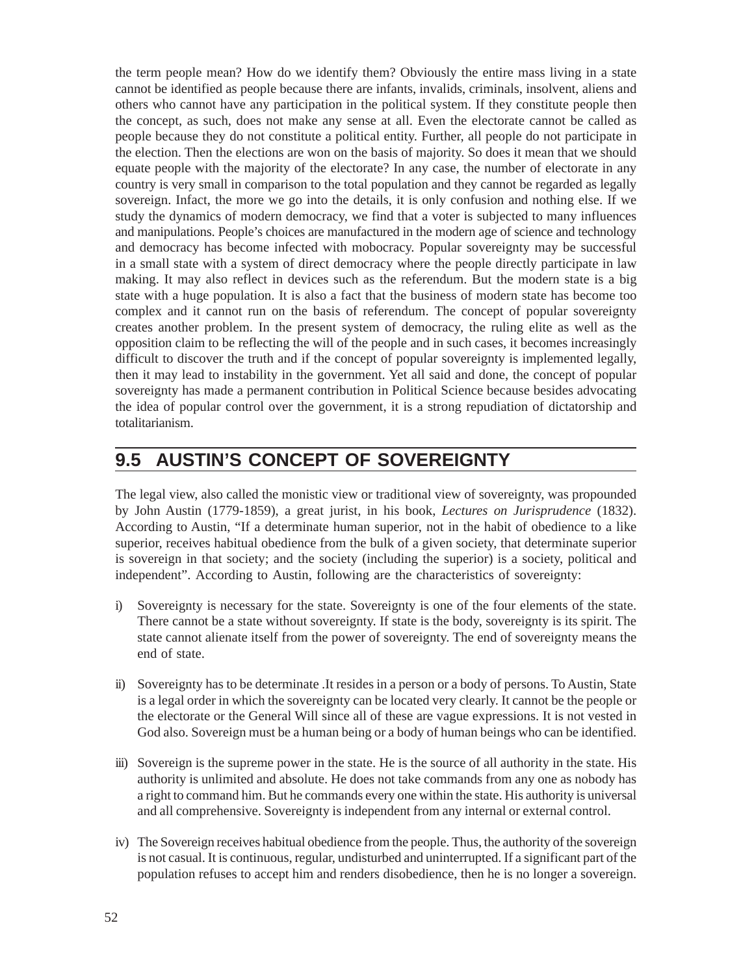the term people mean? How do we identify them? Obviously the entire mass living in a state cannot be identified as people because there are infants, invalids, criminals, insolvent, aliens and others who cannot have any participation in the political system. If they constitute people then the concept, as such, does not make any sense at all. Even the electorate cannot be called as people because they do not constitute a political entity. Further, all people do not participate in the election. Then the elections are won on the basis of majority. So does it mean that we should equate people with the majority of the electorate? In any case, the number of electorate in any country is very small in comparison to the total population and they cannot be regarded as legally sovereign. Infact, the more we go into the details, it is only confusion and nothing else. If we study the dynamics of modern democracy, we find that a voter is subjected to many influences and manipulations. People's choices are manufactured in the modern age of science and technology and democracy has become infected with mobocracy. Popular sovereignty may be successful in a small state with a system of direct democracy where the people directly participate in law making. It may also reflect in devices such as the referendum. But the modern state is a big state with a huge population. It is also a fact that the business of modern state has become too complex and it cannot run on the basis of referendum. The concept of popular sovereignty creates another problem. In the present system of democracy, the ruling elite as well as the opposition claim to be reflecting the will of the people and in such cases, it becomes increasingly difficult to discover the truth and if the concept of popular sovereignty is implemented legally, then it may lead to instability in the government. Yet all said and done, the concept of popular sovereignty has made a permanent contribution in Political Science because besides advocating the idea of popular control over the government, it is a strong repudiation of dictatorship and totalitarianism.

### **9.5 AUSTIN'S CONCEPT OF SOVEREIGNTY**

The legal view, also called the monistic view or traditional view of sovereignty, was propounded by John Austin (1779-1859), a great jurist, in his book, *Lectures on Jurisprudence* (1832). According to Austin, "If a determinate human superior, not in the habit of obedience to a like superior, receives habitual obedience from the bulk of a given society, that determinate superior is sovereign in that society; and the society (including the superior) is a society, political and independent". According to Austin, following are the characteristics of sovereignty:

- i) Sovereignty is necessary for the state. Sovereignty is one of the four elements of the state. There cannot be a state without sovereignty. If state is the body, sovereignty is its spirit. The state cannot alienate itself from the power of sovereignty. The end of sovereignty means the end of state.
- ii) Sovereignty has to be determinate .It resides in a person or a body of persons. To Austin, State is a legal order in which the sovereignty can be located very clearly. It cannot be the people or the electorate or the General Will since all of these are vague expressions. It is not vested in God also. Sovereign must be a human being or a body of human beings who can be identified.
- iii) Sovereign is the supreme power in the state. He is the source of all authority in the state. His authority is unlimited and absolute. He does not take commands from any one as nobody has a right to command him. But he commands every one within the state. His authority is universal and all comprehensive. Sovereignty is independent from any internal or external control.
- iv) The Sovereign receives habitual obedience from the people. Thus, the authority of the sovereign is not casual. It is continuous, regular, undisturbed and uninterrupted. If a significant part of the population refuses to accept him and renders disobedience, then he is no longer a sovereign.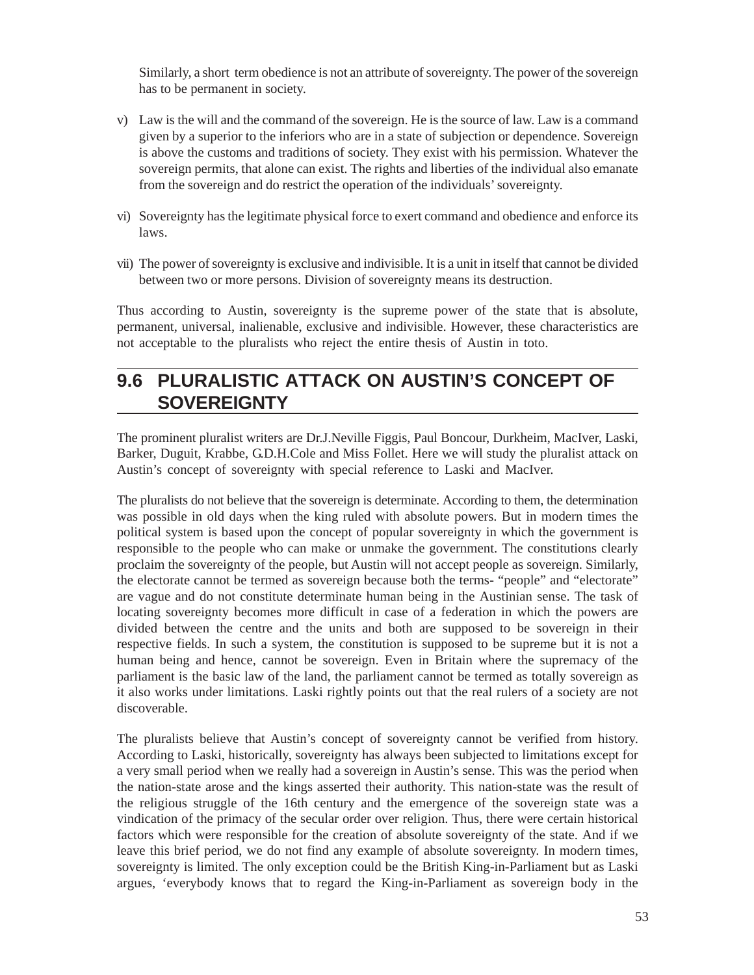Similarly, a short term obedience is not an attribute of sovereignty. The power of the sovereign has to be permanent in society.

- v) Law is the will and the command of the sovereign. He is the source of law. Law is a command given by a superior to the inferiors who are in a state of subjection or dependence. Sovereign is above the customs and traditions of society. They exist with his permission. Whatever the sovereign permits, that alone can exist. The rights and liberties of the individual also emanate from the sovereign and do restrict the operation of the individuals' sovereignty.
- vi) Sovereignty has the legitimate physical force to exert command and obedience and enforce its laws.
- vii) The power of sovereignty is exclusive and indivisible. It is a unit in itself that cannot be divided between two or more persons. Division of sovereignty means its destruction.

Thus according to Austin, sovereignty is the supreme power of the state that is absolute, permanent, universal, inalienable, exclusive and indivisible. However, these characteristics are not acceptable to the pluralists who reject the entire thesis of Austin in toto.

### **9.6 PLURALISTIC ATTACK ON AUSTIN'S CONCEPT OF SOVEREIGNTY**

The prominent pluralist writers are Dr.J.Neville Figgis, Paul Boncour, Durkheim, MacIver, Laski, Barker, Duguit, Krabbe, G.D.H.Cole and Miss Follet. Here we will study the pluralist attack on Austin's concept of sovereignty with special reference to Laski and MacIver.

The pluralists do not believe that the sovereign is determinate. According to them, the determination was possible in old days when the king ruled with absolute powers. But in modern times the political system is based upon the concept of popular sovereignty in which the government is responsible to the people who can make or unmake the government. The constitutions clearly proclaim the sovereignty of the people, but Austin will not accept people as sovereign. Similarly, the electorate cannot be termed as sovereign because both the terms- "people" and "electorate" are vague and do not constitute determinate human being in the Austinian sense. The task of locating sovereignty becomes more difficult in case of a federation in which the powers are divided between the centre and the units and both are supposed to be sovereign in their respective fields. In such a system, the constitution is supposed to be supreme but it is not a human being and hence, cannot be sovereign. Even in Britain where the supremacy of the parliament is the basic law of the land, the parliament cannot be termed as totally sovereign as it also works under limitations. Laski rightly points out that the real rulers of a society are not discoverable.

The pluralists believe that Austin's concept of sovereignty cannot be verified from history. According to Laski, historically, sovereignty has always been subjected to limitations except for a very small period when we really had a sovereign in Austin's sense. This was the period when the nation-state arose and the kings asserted their authority. This nation-state was the result of the religious struggle of the 16th century and the emergence of the sovereign state was a vindication of the primacy of the secular order over religion. Thus, there were certain historical factors which were responsible for the creation of absolute sovereignty of the state. And if we leave this brief period, we do not find any example of absolute sovereignty. In modern times, sovereignty is limited. The only exception could be the British King-in-Parliament but as Laski argues, 'everybody knows that to regard the King-in-Parliament as sovereign body in the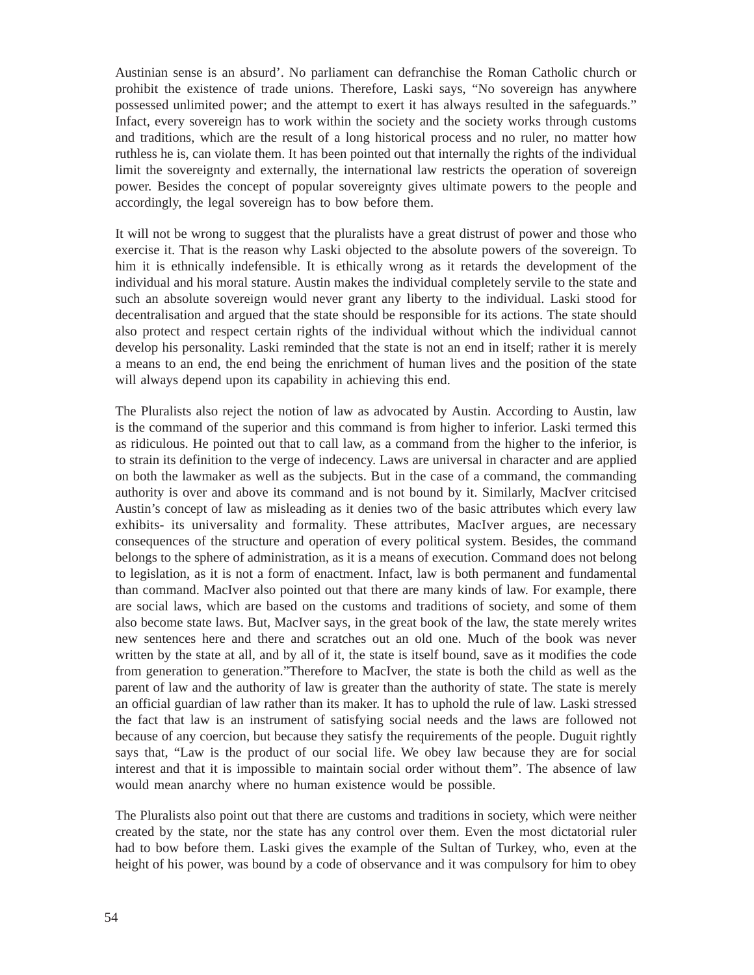Austinian sense is an absurd'. No parliament can defranchise the Roman Catholic church or prohibit the existence of trade unions. Therefore, Laski says, "No sovereign has anywhere possessed unlimited power; and the attempt to exert it has always resulted in the safeguards." Infact, every sovereign has to work within the society and the society works through customs and traditions, which are the result of a long historical process and no ruler, no matter how ruthless he is, can violate them. It has been pointed out that internally the rights of the individual limit the sovereignty and externally, the international law restricts the operation of sovereign power. Besides the concept of popular sovereignty gives ultimate powers to the people and accordingly, the legal sovereign has to bow before them.

It will not be wrong to suggest that the pluralists have a great distrust of power and those who exercise it. That is the reason why Laski objected to the absolute powers of the sovereign. To him it is ethnically indefensible. It is ethically wrong as it retards the development of the individual and his moral stature. Austin makes the individual completely servile to the state and such an absolute sovereign would never grant any liberty to the individual. Laski stood for decentralisation and argued that the state should be responsible for its actions. The state should also protect and respect certain rights of the individual without which the individual cannot develop his personality. Laski reminded that the state is not an end in itself; rather it is merely a means to an end, the end being the enrichment of human lives and the position of the state will always depend upon its capability in achieving this end.

The Pluralists also reject the notion of law as advocated by Austin. According to Austin, law is the command of the superior and this command is from higher to inferior. Laski termed this as ridiculous. He pointed out that to call law, as a command from the higher to the inferior, is to strain its definition to the verge of indecency. Laws are universal in character and are applied on both the lawmaker as well as the subjects. But in the case of a command, the commanding authority is over and above its command and is not bound by it. Similarly, MacIver critcised Austin's concept of law as misleading as it denies two of the basic attributes which every law exhibits- its universality and formality. These attributes, MacIver argues, are necessary consequences of the structure and operation of every political system. Besides, the command belongs to the sphere of administration, as it is a means of execution. Command does not belong to legislation, as it is not a form of enactment. Infact, law is both permanent and fundamental than command. MacIver also pointed out that there are many kinds of law. For example, there are social laws, which are based on the customs and traditions of society, and some of them also become state laws. But, MacIver says, in the great book of the law, the state merely writes new sentences here and there and scratches out an old one. Much of the book was never written by the state at all, and by all of it, the state is itself bound, save as it modifies the code from generation to generation."Therefore to MacIver, the state is both the child as well as the parent of law and the authority of law is greater than the authority of state. The state is merely an official guardian of law rather than its maker. It has to uphold the rule of law. Laski stressed the fact that law is an instrument of satisfying social needs and the laws are followed not because of any coercion, but because they satisfy the requirements of the people. Duguit rightly says that, "Law is the product of our social life. We obey law because they are for social interest and that it is impossible to maintain social order without them". The absence of law would mean anarchy where no human existence would be possible.

The Pluralists also point out that there are customs and traditions in society, which were neither created by the state, nor the state has any control over them. Even the most dictatorial ruler had to bow before them. Laski gives the example of the Sultan of Turkey, who, even at the height of his power, was bound by a code of observance and it was compulsory for him to obey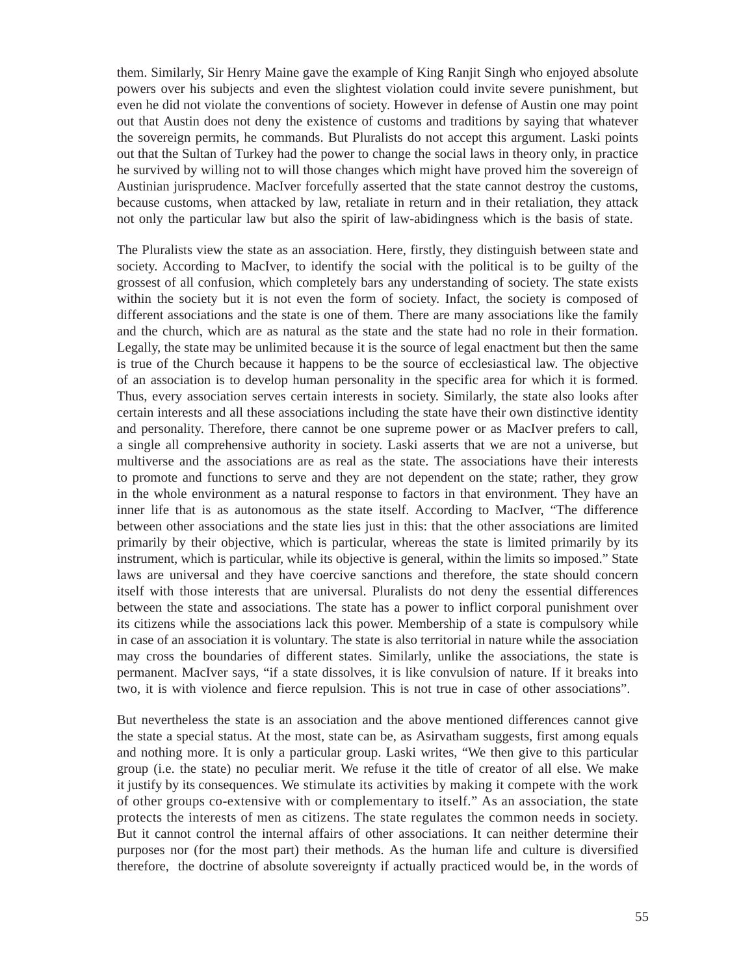them. Similarly, Sir Henry Maine gave the example of King Ranjit Singh who enjoyed absolute powers over his subjects and even the slightest violation could invite severe punishment, but even he did not violate the conventions of society. However in defense of Austin one may point out that Austin does not deny the existence of customs and traditions by saying that whatever the sovereign permits, he commands. But Pluralists do not accept this argument. Laski points out that the Sultan of Turkey had the power to change the social laws in theory only, in practice he survived by willing not to will those changes which might have proved him the sovereign of Austinian jurisprudence. MacIver forcefully asserted that the state cannot destroy the customs, because customs, when attacked by law, retaliate in return and in their retaliation, they attack not only the particular law but also the spirit of law-abidingness which is the basis of state.

The Pluralists view the state as an association. Here, firstly, they distinguish between state and society. According to MacIver, to identify the social with the political is to be guilty of the grossest of all confusion, which completely bars any understanding of society. The state exists within the society but it is not even the form of society. Infact, the society is composed of different associations and the state is one of them. There are many associations like the family and the church, which are as natural as the state and the state had no role in their formation. Legally, the state may be unlimited because it is the source of legal enactment but then the same is true of the Church because it happens to be the source of ecclesiastical law. The objective of an association is to develop human personality in the specific area for which it is formed. Thus, every association serves certain interests in society. Similarly, the state also looks after certain interests and all these associations including the state have their own distinctive identity and personality. Therefore, there cannot be one supreme power or as MacIver prefers to call, a single all comprehensive authority in society. Laski asserts that we are not a universe, but multiverse and the associations are as real as the state. The associations have their interests to promote and functions to serve and they are not dependent on the state; rather, they grow in the whole environment as a natural response to factors in that environment. They have an inner life that is as autonomous as the state itself. According to MacIver, "The difference between other associations and the state lies just in this: that the other associations are limited primarily by their objective, which is particular, whereas the state is limited primarily by its instrument, which is particular, while its objective is general, within the limits so imposed." State laws are universal and they have coercive sanctions and therefore, the state should concern itself with those interests that are universal. Pluralists do not deny the essential differences between the state and associations. The state has a power to inflict corporal punishment over its citizens while the associations lack this power. Membership of a state is compulsory while in case of an association it is voluntary. The state is also territorial in nature while the association may cross the boundaries of different states. Similarly, unlike the associations, the state is permanent. MacIver says, "if a state dissolves, it is like convulsion of nature. If it breaks into two, it is with violence and fierce repulsion. This is not true in case of other associations".

But nevertheless the state is an association and the above mentioned differences cannot give the state a special status. At the most, state can be, as Asirvatham suggests, first among equals and nothing more. It is only a particular group. Laski writes, "We then give to this particular group (i.e. the state) no peculiar merit. We refuse it the title of creator of all else. We make it justify by its consequences. We stimulate its activities by making it compete with the work of other groups co-extensive with or complementary to itself." As an association, the state protects the interests of men as citizens. The state regulates the common needs in society. But it cannot control the internal affairs of other associations. It can neither determine their purposes nor (for the most part) their methods. As the human life and culture is diversified therefore, the doctrine of absolute sovereignty if actually practiced would be, in the words of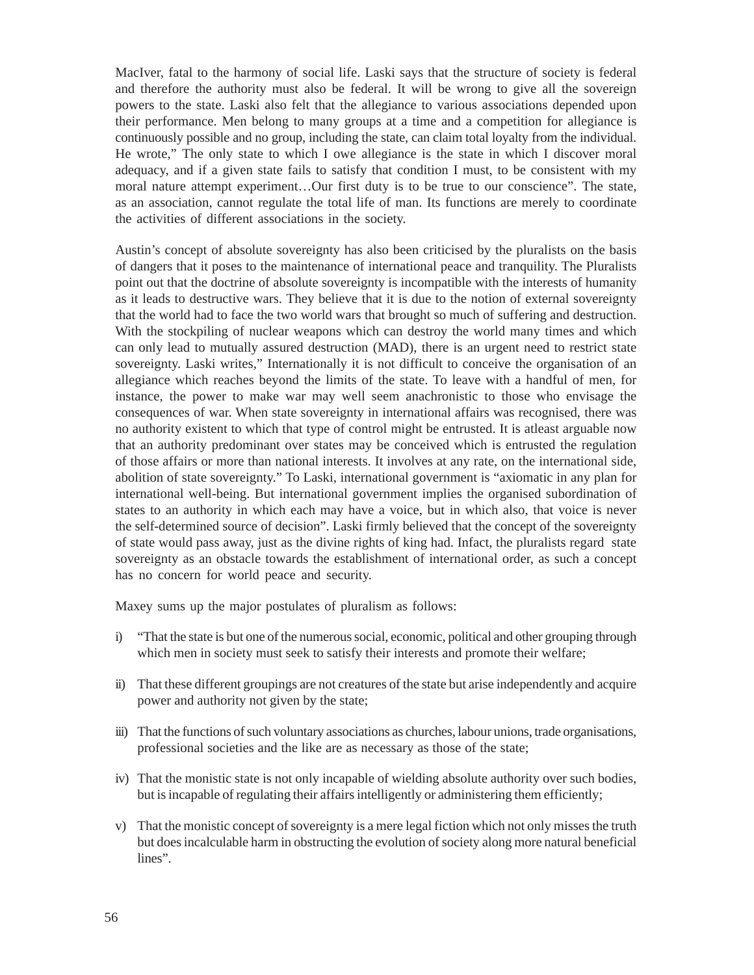MacIver, fatal to the harmony of social life. Laski says that the structure of society is federal and therefore the authority must also be federal. It will be wrong to give all the sovereign powers to the state. Laski also felt that the allegiance to various associations depended upon their performance. Men belong to many groups at a time and a competition for allegiance is continuously possible and no group, including the state, can claim total loyalty from the individual. He wrote," The only state to which I owe allegiance is the state in which I discover moral adequacy, and if a given state fails to satisfy that condition I must, to be consistent with my moral nature attempt experiment…Our first duty is to be true to our conscience". The state, as an association, cannot regulate the total life of man. Its functions are merely to coordinate the activities of different associations in the society.

Austin's concept of absolute sovereignty has also been criticised by the pluralists on the basis of dangers that it poses to the maintenance of international peace and tranquility. The Pluralists point out that the doctrine of absolute sovereignty is incompatible with the interests of humanity as it leads to destructive wars. They believe that it is due to the notion of external sovereignty that the world had to face the two world wars that brought so much of suffering and destruction. With the stockpiling of nuclear weapons which can destroy the world many times and which can only lead to mutually assured destruction (MAD), there is an urgent need to restrict state sovereignty. Laski writes," Internationally it is not difficult to conceive the organisation of an allegiance which reaches beyond the limits of the state. To leave with a handful of men, for instance, the power to make war may well seem anachronistic to those who envisage the consequences of war. When state sovereignty in international affairs was recognised, there was no authority existent to which that type of control might be entrusted. It is atleast arguable now that an authority predominant over states may be conceived which is entrusted the regulation of those affairs or more than national interests. It involves at any rate, on the international side, abolition of state sovereignty." To Laski, international government is "axiomatic in any plan for international well-being. But international government implies the organised subordination of states to an authority in which each may have a voice, but in which also, that voice is never the self-determined source of decision". Laski firmly believed that the concept of the sovereignty of state would pass away, just as the divine rights of king had. Infact, the pluralists regard state sovereignty as an obstacle towards the establishment of international order, as such a concept has no concern for world peace and security.

Maxey sums up the major postulates of pluralism as follows:

- i) "That the state is but one of the numerous social, economic, political and other grouping through which men in society must seek to satisfy their interests and promote their welfare;
- ii) That these different groupings are not creatures of the state but arise independently and acquire power and authority not given by the state;
- iii) That the functions of such voluntary associations as churches, labour unions, trade organisations, professional societies and the like are as necessary as those of the state;
- iv) That the monistic state is not only incapable of wielding absolute authority over such bodies, but is incapable of regulating their affairs intelligently or administering them efficiently;
- v) That the monistic concept of sovereignty is a mere legal fiction which not only misses the truth but does incalculable harm in obstructing the evolution of society along more natural beneficial lines".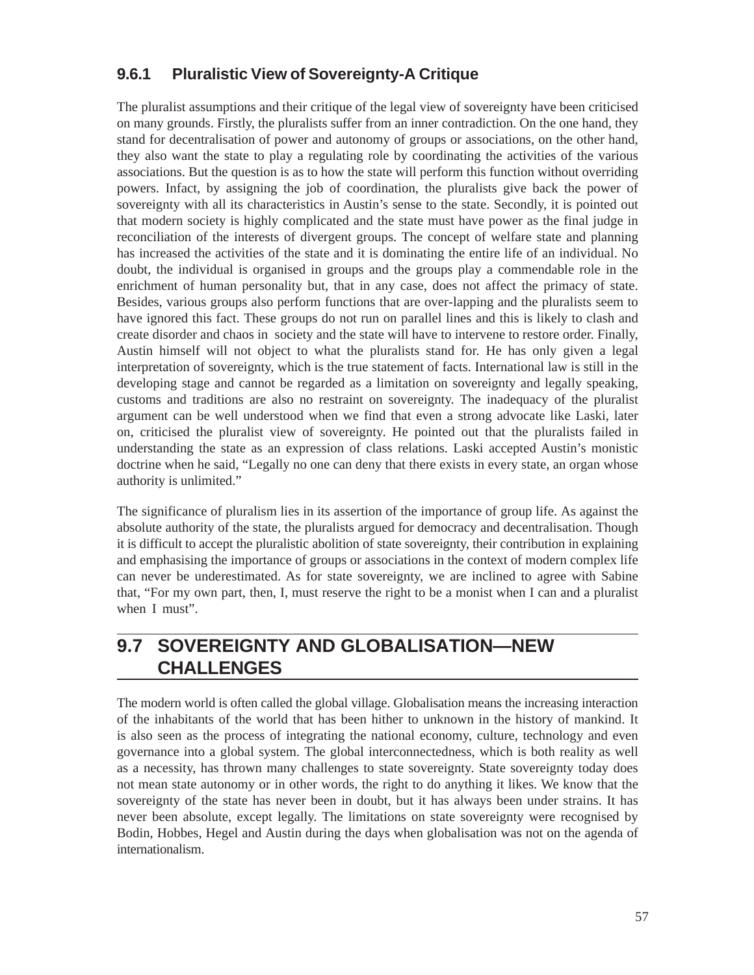#### **9.6.1 Pluralistic View of Sovereignty-A Critique**

The pluralist assumptions and their critique of the legal view of sovereignty have been criticised on many grounds. Firstly, the pluralists suffer from an inner contradiction. On the one hand, they stand for decentralisation of power and autonomy of groups or associations, on the other hand, they also want the state to play a regulating role by coordinating the activities of the various associations. But the question is as to how the state will perform this function without overriding powers. Infact, by assigning the job of coordination, the pluralists give back the power of sovereignty with all its characteristics in Austin's sense to the state. Secondly, it is pointed out that modern society is highly complicated and the state must have power as the final judge in reconciliation of the interests of divergent groups. The concept of welfare state and planning has increased the activities of the state and it is dominating the entire life of an individual. No doubt, the individual is organised in groups and the groups play a commendable role in the enrichment of human personality but, that in any case, does not affect the primacy of state. Besides, various groups also perform functions that are over-lapping and the pluralists seem to have ignored this fact. These groups do not run on parallel lines and this is likely to clash and create disorder and chaos in society and the state will have to intervene to restore order. Finally, Austin himself will not object to what the pluralists stand for. He has only given a legal interpretation of sovereignty, which is the true statement of facts. International law is still in the developing stage and cannot be regarded as a limitation on sovereignty and legally speaking, customs and traditions are also no restraint on sovereignty. The inadequacy of the pluralist argument can be well understood when we find that even a strong advocate like Laski, later on, criticised the pluralist view of sovereignty. He pointed out that the pluralists failed in understanding the state as an expression of class relations. Laski accepted Austin's monistic doctrine when he said, "Legally no one can deny that there exists in every state, an organ whose authority is unlimited."

The significance of pluralism lies in its assertion of the importance of group life. As against the absolute authority of the state, the pluralists argued for democracy and decentralisation. Though it is difficult to accept the pluralistic abolition of state sovereignty, their contribution in explaining and emphasising the importance of groups or associations in the context of modern complex life can never be underestimated. As for state sovereignty, we are inclined to agree with Sabine that, "For my own part, then, I, must reserve the right to be a monist when I can and a pluralist when I must".

### **9.7 SOVEREIGNTY AND GLOBALISATION—NEW CHALLENGES**

The modern world is often called the global village. Globalisation means the increasing interaction of the inhabitants of the world that has been hither to unknown in the history of mankind. It is also seen as the process of integrating the national economy, culture, technology and even governance into a global system. The global interconnectedness, which is both reality as well as a necessity, has thrown many challenges to state sovereignty. State sovereignty today does not mean state autonomy or in other words, the right to do anything it likes. We know that the sovereignty of the state has never been in doubt, but it has always been under strains. It has never been absolute, except legally. The limitations on state sovereignty were recognised by Bodin, Hobbes, Hegel and Austin during the days when globalisation was not on the agenda of internationalism.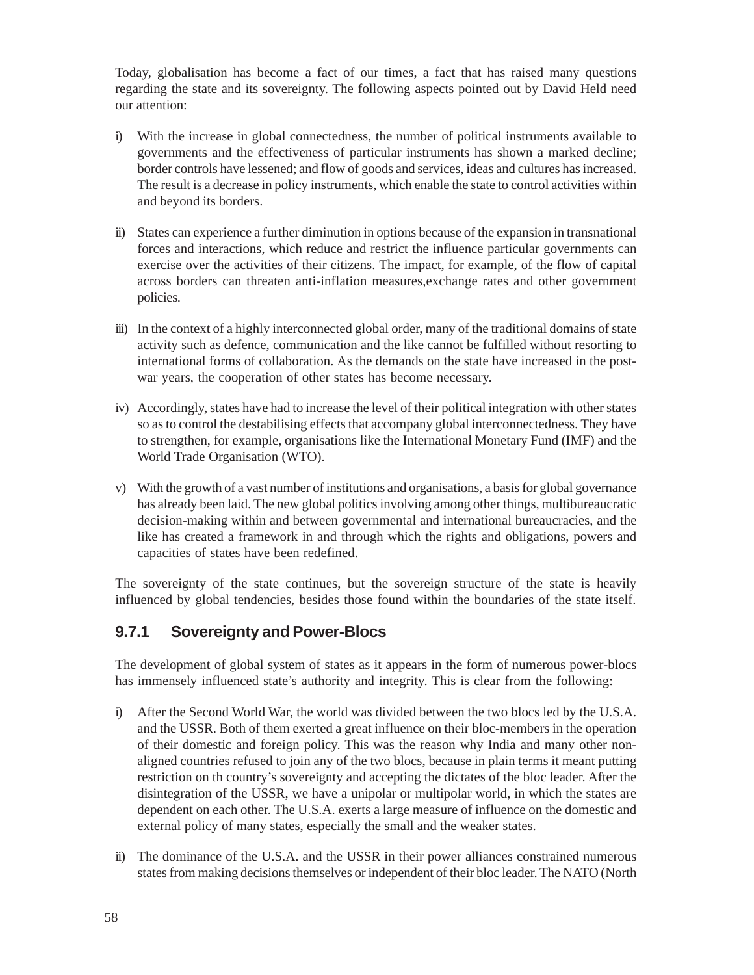Today, globalisation has become a fact of our times, a fact that has raised many questions regarding the state and its sovereignty. The following aspects pointed out by David Held need our attention:

- i) With the increase in global connectedness, the number of political instruments available to governments and the effectiveness of particular instruments has shown a marked decline; border controls have lessened; and flow of goods and services, ideas and cultures has increased. The result is a decrease in policy instruments, which enable the state to control activities within and beyond its borders.
- ii) States can experience a further diminution in options because of the expansion in transnational forces and interactions, which reduce and restrict the influence particular governments can exercise over the activities of their citizens. The impact, for example, of the flow of capital across borders can threaten anti-inflation measures,exchange rates and other government policies.
- iii) In the context of a highly interconnected global order, many of the traditional domains of state activity such as defence, communication and the like cannot be fulfilled without resorting to international forms of collaboration. As the demands on the state have increased in the postwar years, the cooperation of other states has become necessary.
- iv) Accordingly, states have had to increase the level of their political integration with other states so as to control the destabilising effects that accompany global interconnectedness. They have to strengthen, for example, organisations like the International Monetary Fund (IMF) and the World Trade Organisation (WTO).
- v) With the growth of a vast number of institutions and organisations, a basis for global governance has already been laid. The new global politics involving among other things, multibureaucratic decision-making within and between governmental and international bureaucracies, and the like has created a framework in and through which the rights and obligations, powers and capacities of states have been redefined.

The sovereignty of the state continues, but the sovereign structure of the state is heavily influenced by global tendencies, besides those found within the boundaries of the state itself.

#### **9.7.1 Sovereignty and Power-Blocs**

The development of global system of states as it appears in the form of numerous power-blocs has immensely influenced state's authority and integrity. This is clear from the following:

- i) After the Second World War, the world was divided between the two blocs led by the U.S.A. and the USSR. Both of them exerted a great influence on their bloc-members in the operation of their domestic and foreign policy. This was the reason why India and many other nonaligned countries refused to join any of the two blocs, because in plain terms it meant putting restriction on th country's sovereignty and accepting the dictates of the bloc leader. After the disintegration of the USSR, we have a unipolar or multipolar world, in which the states are dependent on each other. The U.S.A. exerts a large measure of influence on the domestic and external policy of many states, especially the small and the weaker states.
- ii) The dominance of the U.S.A. and the USSR in their power alliances constrained numerous states from making decisions themselves or independent of their bloc leader. The NATO (North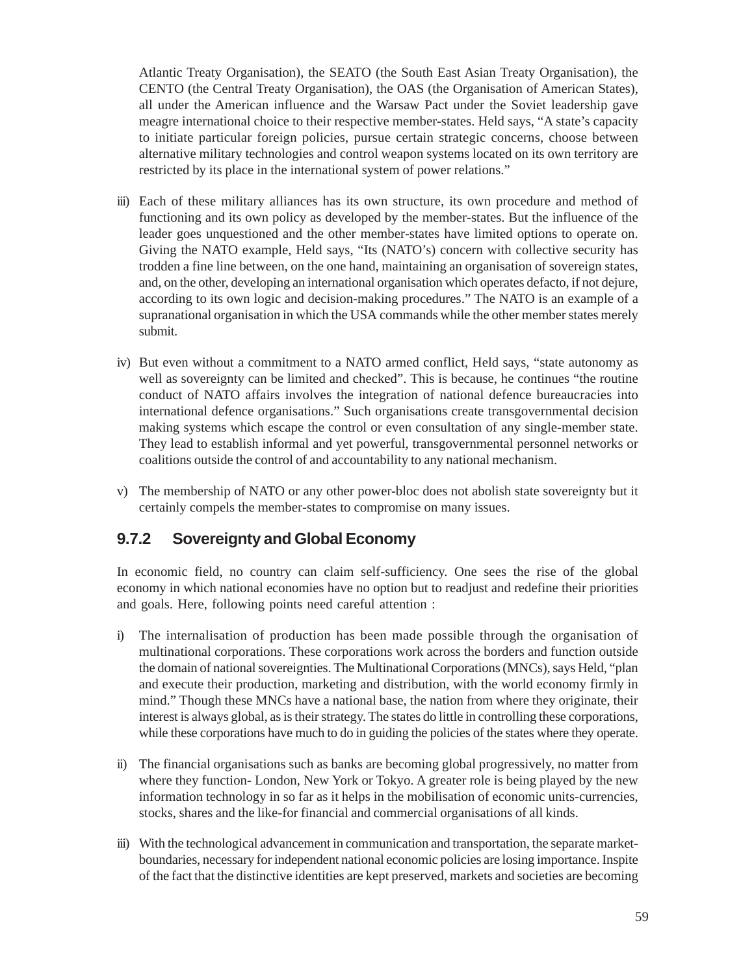Atlantic Treaty Organisation), the SEATO (the South East Asian Treaty Organisation), the CENTO (the Central Treaty Organisation), the OAS (the Organisation of American States), all under the American influence and the Warsaw Pact under the Soviet leadership gave meagre international choice to their respective member-states. Held says, "A state's capacity to initiate particular foreign policies, pursue certain strategic concerns, choose between alternative military technologies and control weapon systems located on its own territory are restricted by its place in the international system of power relations."

- iii) Each of these military alliances has its own structure, its own procedure and method of functioning and its own policy as developed by the member-states. But the influence of the leader goes unquestioned and the other member-states have limited options to operate on. Giving the NATO example, Held says, "Its (NATO's) concern with collective security has trodden a fine line between, on the one hand, maintaining an organisation of sovereign states, and, on the other, developing an international organisation which operates defacto, if not dejure, according to its own logic and decision-making procedures." The NATO is an example of a supranational organisation in which the USA commands while the other member states merely submit.
- iv) But even without a commitment to a NATO armed conflict, Held says, "state autonomy as well as sovereignty can be limited and checked". This is because, he continues "the routine conduct of NATO affairs involves the integration of national defence bureaucracies into international defence organisations." Such organisations create transgovernmental decision making systems which escape the control or even consultation of any single-member state. They lead to establish informal and yet powerful, transgovernmental personnel networks or coalitions outside the control of and accountability to any national mechanism.
- v) The membership of NATO or any other power-bloc does not abolish state sovereignty but it certainly compels the member-states to compromise on many issues.

#### **9.7.2 Sovereignty and Global Economy**

In economic field, no country can claim self-sufficiency. One sees the rise of the global economy in which national economies have no option but to readjust and redefine their priorities and goals. Here, following points need careful attention :

- i) The internalisation of production has been made possible through the organisation of multinational corporations. These corporations work across the borders and function outside the domain of national sovereignties. The Multinational Corporations (MNCs), says Held, "plan and execute their production, marketing and distribution, with the world economy firmly in mind." Though these MNCs have a national base, the nation from where they originate, their interest is always global, as is their strategy. The states do little in controlling these corporations, while these corporations have much to do in guiding the policies of the states where they operate.
- ii) The financial organisations such as banks are becoming global progressively, no matter from where they function- London, New York or Tokyo. A greater role is being played by the new information technology in so far as it helps in the mobilisation of economic units-currencies, stocks, shares and the like-for financial and commercial organisations of all kinds.
- iii) With the technological advancement in communication and transportation, the separate marketboundaries, necessary for independent national economic policies are losing importance. Inspite of the fact that the distinctive identities are kept preserved, markets and societies are becoming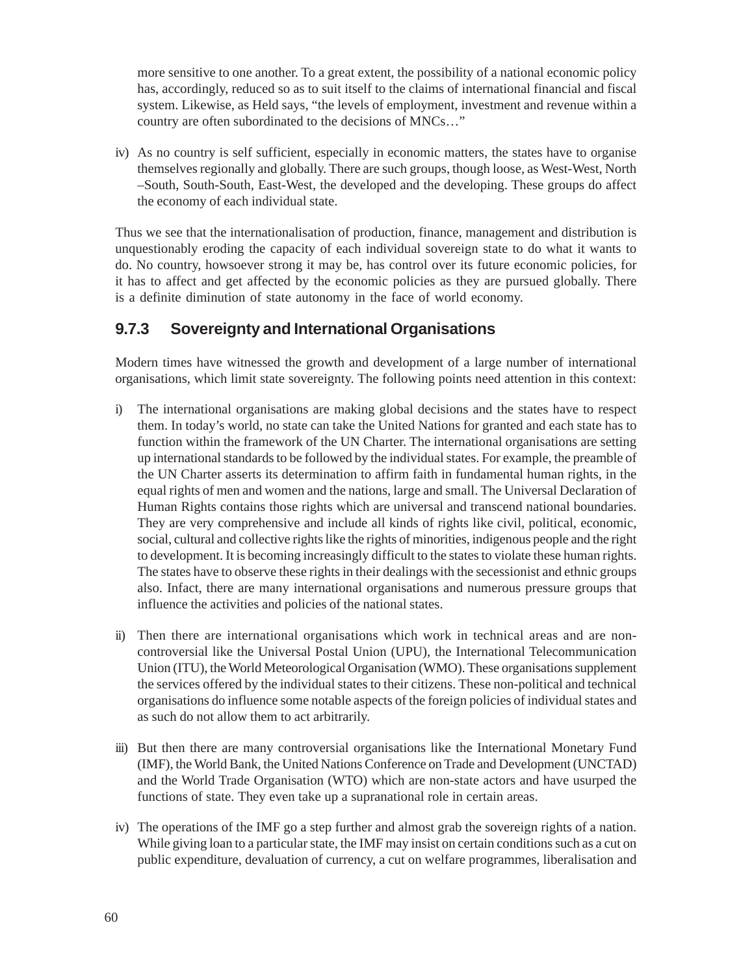more sensitive to one another. To a great extent, the possibility of a national economic policy has, accordingly, reduced so as to suit itself to the claims of international financial and fiscal system. Likewise, as Held says, "the levels of employment, investment and revenue within a country are often subordinated to the decisions of MNCs…"

iv) As no country is self sufficient, especially in economic matters, the states have to organise themselves regionally and globally. There are such groups, though loose, as West-West, North –South, South-South, East-West, the developed and the developing. These groups do affect the economy of each individual state.

Thus we see that the internationalisation of production, finance, management and distribution is unquestionably eroding the capacity of each individual sovereign state to do what it wants to do. No country, howsoever strong it may be, has control over its future economic policies, for it has to affect and get affected by the economic policies as they are pursued globally. There is a definite diminution of state autonomy in the face of world economy.

#### **9.7.3 Sovereignty and International Organisations**

Modern times have witnessed the growth and development of a large number of international organisations, which limit state sovereignty. The following points need attention in this context:

- i) The international organisations are making global decisions and the states have to respect them. In today's world, no state can take the United Nations for granted and each state has to function within the framework of the UN Charter. The international organisations are setting up international standards to be followed by the individual states. For example, the preamble of the UN Charter asserts its determination to affirm faith in fundamental human rights, in the equal rights of men and women and the nations, large and small. The Universal Declaration of Human Rights contains those rights which are universal and transcend national boundaries. They are very comprehensive and include all kinds of rights like civil, political, economic, social, cultural and collective rights like the rights of minorities, indigenous people and the right to development. It is becoming increasingly difficult to the states to violate these human rights. The states have to observe these rights in their dealings with the secessionist and ethnic groups also. Infact, there are many international organisations and numerous pressure groups that influence the activities and policies of the national states.
- ii) Then there are international organisations which work in technical areas and are noncontroversial like the Universal Postal Union (UPU), the International Telecommunication Union (ITU), the World Meteorological Organisation (WMO). These organisations supplement the services offered by the individual states to their citizens. These non-political and technical organisations do influence some notable aspects of the foreign policies of individual states and as such do not allow them to act arbitrarily.
- iii) But then there are many controversial organisations like the International Monetary Fund (IMF), the World Bank, the United Nations Conference on Trade and Development (UNCTAD) and the World Trade Organisation (WTO) which are non-state actors and have usurped the functions of state. They even take up a supranational role in certain areas.
- iv) The operations of the IMF go a step further and almost grab the sovereign rights of a nation. While giving loan to a particular state, the IMF may insist on certain conditions such as a cut on public expenditure, devaluation of currency, a cut on welfare programmes, liberalisation and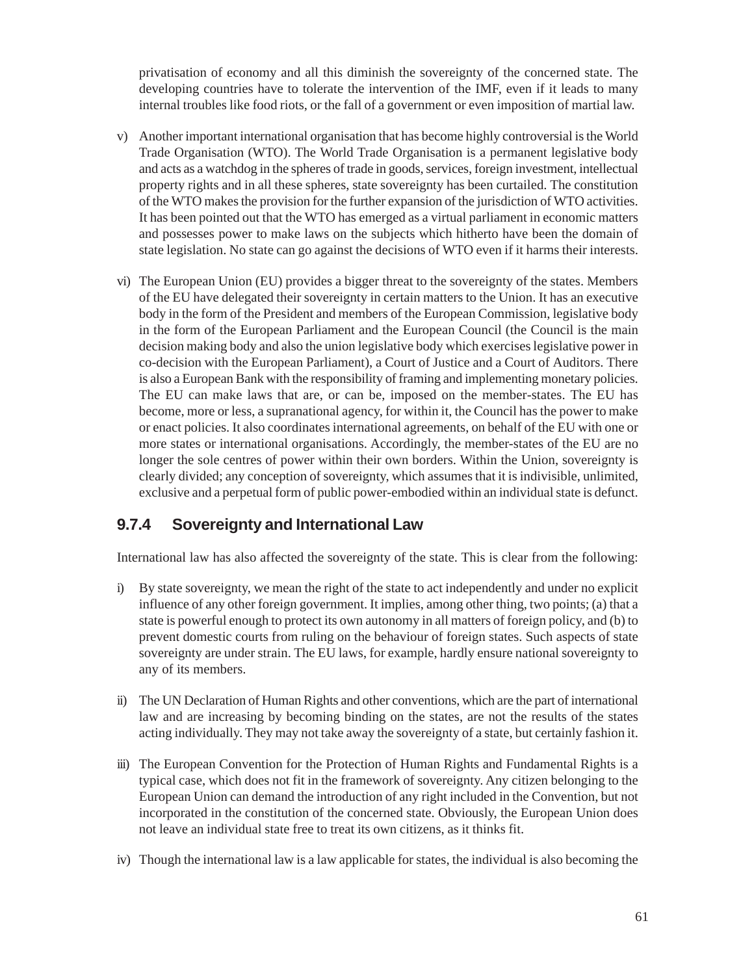privatisation of economy and all this diminish the sovereignty of the concerned state. The developing countries have to tolerate the intervention of the IMF, even if it leads to many internal troubles like food riots, or the fall of a government or even imposition of martial law.

- v) Another important international organisation that has become highly controversial is the World Trade Organisation (WTO). The World Trade Organisation is a permanent legislative body and acts as a watchdog in the spheres of trade in goods, services, foreign investment, intellectual property rights and in all these spheres, state sovereignty has been curtailed. The constitution of the WTO makes the provision for the further expansion of the jurisdiction of WTO activities. It has been pointed out that the WTO has emerged as a virtual parliament in economic matters and possesses power to make laws on the subjects which hitherto have been the domain of state legislation. No state can go against the decisions of WTO even if it harms their interests.
- vi) The European Union (EU) provides a bigger threat to the sovereignty of the states. Members of the EU have delegated their sovereignty in certain matters to the Union. It has an executive body in the form of the President and members of the European Commission, legislative body in the form of the European Parliament and the European Council (the Council is the main decision making body and also the union legislative body which exercises legislative power in co-decision with the European Parliament), a Court of Justice and a Court of Auditors. There is also a European Bank with the responsibility of framing and implementing monetary policies. The EU can make laws that are, or can be, imposed on the member-states. The EU has become, more or less, a supranational agency, for within it, the Council has the power to make or enact policies. It also coordinates international agreements, on behalf of the EU with one or more states or international organisations. Accordingly, the member-states of the EU are no longer the sole centres of power within their own borders. Within the Union, sovereignty is clearly divided; any conception of sovereignty, which assumes that it is indivisible, unlimited, exclusive and a perpetual form of public power-embodied within an individual state is defunct.

#### **9.7.4 Sovereignty and International Law**

International law has also affected the sovereignty of the state. This is clear from the following:

- i) By state sovereignty, we mean the right of the state to act independently and under no explicit influence of any other foreign government. It implies, among other thing, two points; (a) that a state is powerful enough to protect its own autonomy in all matters of foreign policy, and (b) to prevent domestic courts from ruling on the behaviour of foreign states. Such aspects of state sovereignty are under strain. The EU laws, for example, hardly ensure national sovereignty to any of its members.
- ii) The UN Declaration of Human Rights and other conventions, which are the part of international law and are increasing by becoming binding on the states, are not the results of the states acting individually. They may not take away the sovereignty of a state, but certainly fashion it.
- iii) The European Convention for the Protection of Human Rights and Fundamental Rights is a typical case, which does not fit in the framework of sovereignty. Any citizen belonging to the European Union can demand the introduction of any right included in the Convention, but not incorporated in the constitution of the concerned state. Obviously, the European Union does not leave an individual state free to treat its own citizens, as it thinks fit.
- iv) Though the international law is a law applicable for states, the individual is also becoming the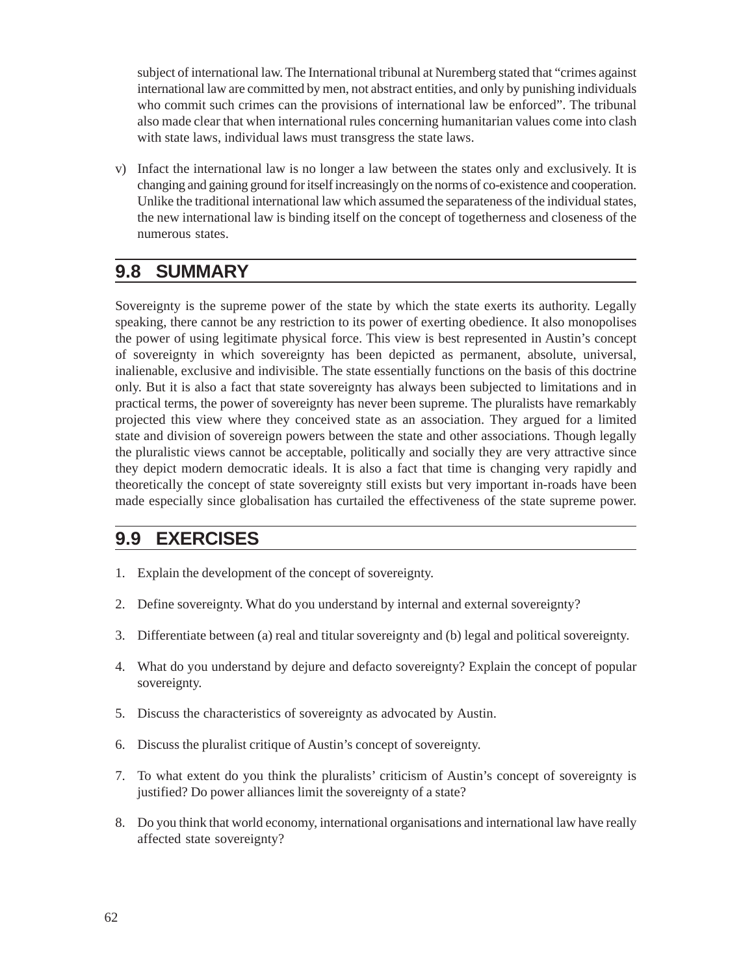subject of international law. The International tribunal at Nuremberg stated that "crimes against international law are committed by men, not abstract entities, and only by punishing individuals who commit such crimes can the provisions of international law be enforced". The tribunal also made clear that when international rules concerning humanitarian values come into clash with state laws, individual laws must transgress the state laws.

v) Infact the international law is no longer a law between the states only and exclusively. It is changing and gaining ground for itself increasingly on the norms of co-existence and cooperation. Unlike the traditional international law which assumed the separateness of the individual states, the new international law is binding itself on the concept of togetherness and closeness of the numerous states.

### **9.8 SUMMARY**

Sovereignty is the supreme power of the state by which the state exerts its authority. Legally speaking, there cannot be any restriction to its power of exerting obedience. It also monopolises the power of using legitimate physical force. This view is best represented in Austin's concept of sovereignty in which sovereignty has been depicted as permanent, absolute, universal, inalienable, exclusive and indivisible. The state essentially functions on the basis of this doctrine only. But it is also a fact that state sovereignty has always been subjected to limitations and in practical terms, the power of sovereignty has never been supreme. The pluralists have remarkably projected this view where they conceived state as an association. They argued for a limited state and division of sovereign powers between the state and other associations. Though legally the pluralistic views cannot be acceptable, politically and socially they are very attractive since they depict modern democratic ideals. It is also a fact that time is changing very rapidly and theoretically the concept of state sovereignty still exists but very important in-roads have been made especially since globalisation has curtailed the effectiveness of the state supreme power.

### **9.9 EXERCISES**

- 1. Explain the development of the concept of sovereignty.
- 2. Define sovereignty. What do you understand by internal and external sovereignty?
- 3. Differentiate between (a) real and titular sovereignty and (b) legal and political sovereignty.
- 4. What do you understand by dejure and defacto sovereignty? Explain the concept of popular sovereignty.
- 5. Discuss the characteristics of sovereignty as advocated by Austin.
- 6. Discuss the pluralist critique of Austin's concept of sovereignty.
- 7. To what extent do you think the pluralists' criticism of Austin's concept of sovereignty is justified? Do power alliances limit the sovereignty of a state?
- 8. Do you think that world economy, international organisations and international law have really affected state sovereignty?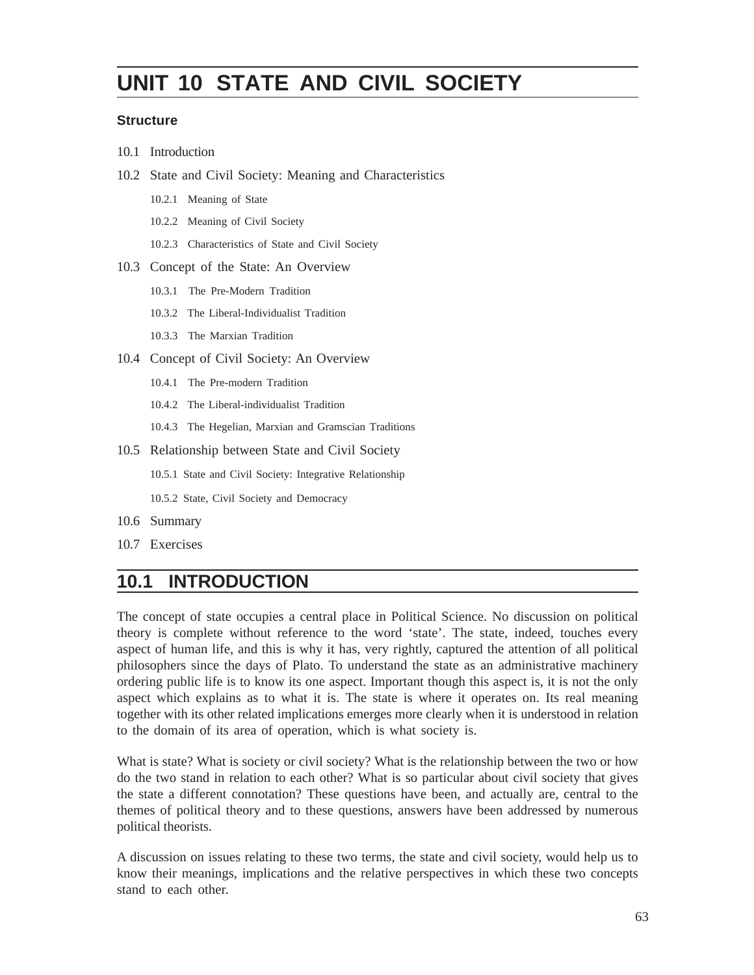# **UNIT 10 STATE AND CIVIL SOCIETY**

#### **Structure**

- 10.1 Introduction
- 10.2 State and Civil Society: Meaning and Characteristics
	- 10.2.1 Meaning of State
	- 10.2.2 Meaning of Civil Society
	- 10.2.3 Characteristics of State and Civil Society
- 10.3 Concept of the State: An Overview
	- 10.3.1 The Pre-Modern Tradition
	- 10.3.2 The Liberal-Individualist Tradition
	- 10.3.3 The Marxian Tradition
- 10.4 Concept of Civil Society: An Overview
	- 10.4.1 The Pre-modern Tradition
	- 10.4.2 The Liberal-individualist Tradition
	- 10.4.3 The Hegelian, Marxian and Gramscian Traditions
- 10.5 Relationship between State and Civil Society

10.5.1 State and Civil Society: Integrative Relationship

10.5.2 State, Civil Society and Democracy

- 10.6 Summary
- 10.7 Exercises

## **10.1 INTRODUCTION**

The concept of state occupies a central place in Political Science. No discussion on political theory is complete without reference to the word 'state'. The state, indeed, touches every aspect of human life, and this is why it has, very rightly, captured the attention of all political philosophers since the days of Plato. To understand the state as an administrative machinery ordering public life is to know its one aspect. Important though this aspect is, it is not the only aspect which explains as to what it is. The state is where it operates on. Its real meaning together with its other related implications emerges more clearly when it is understood in relation to the domain of its area of operation, which is what society is.

What is state? What is society or civil society? What is the relationship between the two or how do the two stand in relation to each other? What is so particular about civil society that gives the state a different connotation? These questions have been, and actually are, central to the themes of political theory and to these questions, answers have been addressed by numerous political theorists.

A discussion on issues relating to these two terms, the state and civil society, would help us to know their meanings, implications and the relative perspectives in which these two concepts stand to each other.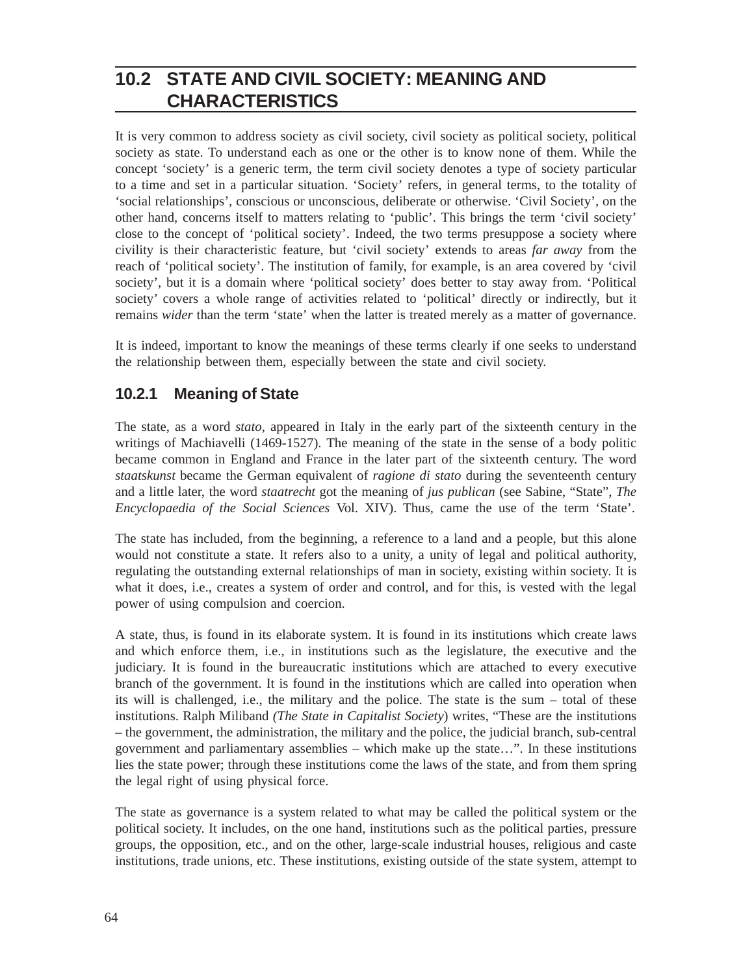## **10.2 STATE AND CIVIL SOCIETY: MEANING AND CHARACTERISTICS**

It is very common to address society as civil society, civil society as political society, political society as state. To understand each as one or the other is to know none of them. While the concept 'society' is a generic term, the term civil society denotes a type of society particular to a time and set in a particular situation. 'Society' refers, in general terms, to the totality of 'social relationships', conscious or unconscious, deliberate or otherwise. 'Civil Society', on the other hand, concerns itself to matters relating to 'public'. This brings the term 'civil society' close to the concept of 'political society'. Indeed, the two terms presuppose a society where civility is their characteristic feature, but 'civil society' extends to areas *far away* from the reach of 'political society'. The institution of family, for example, is an area covered by 'civil society', but it is a domain where 'political society' does better to stay away from. 'Political society' covers a whole range of activities related to 'political' directly or indirectly, but it remains *wider* than the term 'state' when the latter is treated merely as a matter of governance.

It is indeed, important to know the meanings of these terms clearly if one seeks to understand the relationship between them, especially between the state and civil society.

#### **10.2.1 Meaning of State**

The state, as a word *stato*, appeared in Italy in the early part of the sixteenth century in the writings of Machiavelli (1469-1527). The meaning of the state in the sense of a body politic became common in England and France in the later part of the sixteenth century. The word *staatskunst* became the German equivalent of *ragione di stato* during the seventeenth century and a little later, the word *staatrecht* got the meaning of *jus publican* (see Sabine, "State", *The Encyclopaedia of the Social Sciences* Vol. XIV). Thus, came the use of the term 'State'.

The state has included, from the beginning, a reference to a land and a people, but this alone would not constitute a state. It refers also to a unity, a unity of legal and political authority, regulating the outstanding external relationships of man in society, existing within society. It is what it does, i.e., creates a system of order and control, and for this, is vested with the legal power of using compulsion and coercion.

A state, thus, is found in its elaborate system. It is found in its institutions which create laws and which enforce them, i.e., in institutions such as the legislature, the executive and the judiciary. It is found in the bureaucratic institutions which are attached to every executive branch of the government. It is found in the institutions which are called into operation when its will is challenged, i.e., the military and the police. The state is the sum – total of these institutions. Ralph Miliband *(The State in Capitalist Society*) writes, "These are the institutions – the government, the administration, the military and the police, the judicial branch, sub-central government and parliamentary assemblies – which make up the state…". In these institutions lies the state power; through these institutions come the laws of the state, and from them spring the legal right of using physical force.

The state as governance is a system related to what may be called the political system or the political society. It includes, on the one hand, institutions such as the political parties, pressure groups, the opposition, etc., and on the other, large-scale industrial houses, religious and caste institutions, trade unions, etc. These institutions, existing outside of the state system, attempt to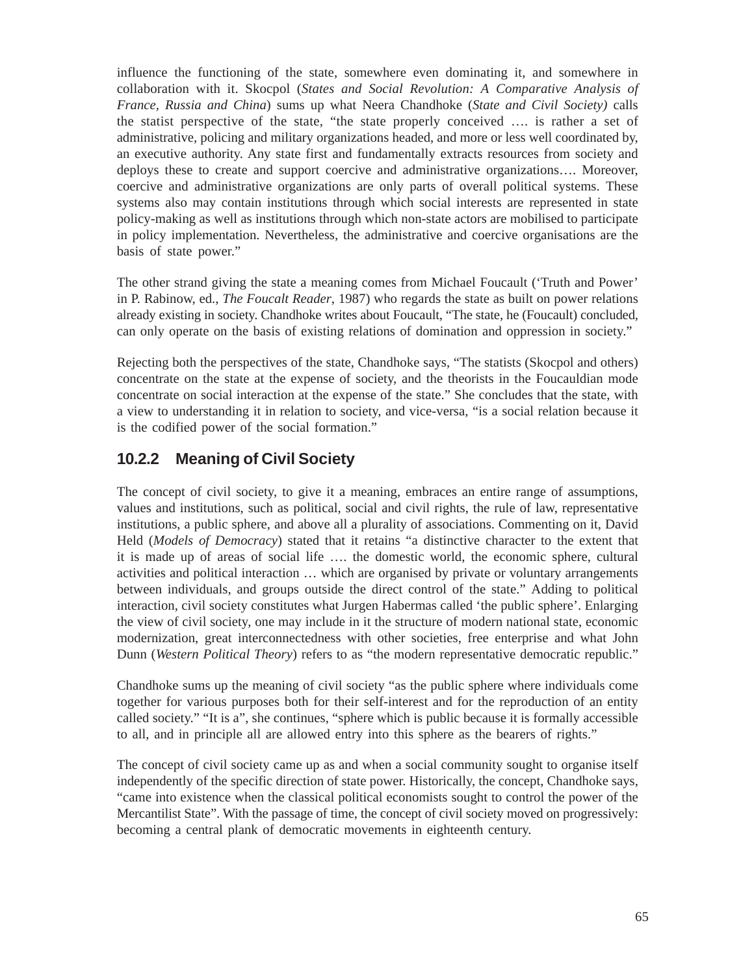influence the functioning of the state, somewhere even dominating it, and somewhere in collaboration with it. Skocpol (*States and Social Revolution: A Comparative Analysis of France, Russia and China*) sums up what Neera Chandhoke (*State and Civil Society)* calls the statist perspective of the state, "the state properly conceived …. is rather a set of administrative, policing and military organizations headed, and more or less well coordinated by, an executive authority. Any state first and fundamentally extracts resources from society and deploys these to create and support coercive and administrative organizations…. Moreover, coercive and administrative organizations are only parts of overall political systems. These systems also may contain institutions through which social interests are represented in state policy-making as well as institutions through which non-state actors are mobilised to participate in policy implementation. Nevertheless, the administrative and coercive organisations are the basis of state power."

The other strand giving the state a meaning comes from Michael Foucault ('Truth and Power' in P. Rabinow, ed., *The Foucalt Reader*, 1987) who regards the state as built on power relations already existing in society. Chandhoke writes about Foucault, "The state, he (Foucault) concluded, can only operate on the basis of existing relations of domination and oppression in society."

Rejecting both the perspectives of the state, Chandhoke says, "The statists (Skocpol and others) concentrate on the state at the expense of society, and the theorists in the Foucauldian mode concentrate on social interaction at the expense of the state." She concludes that the state, with a view to understanding it in relation to society, and vice-versa, "is a social relation because it is the codified power of the social formation."

#### **10.2.2 Meaning of Civil Society**

The concept of civil society, to give it a meaning, embraces an entire range of assumptions, values and institutions, such as political, social and civil rights, the rule of law, representative institutions, a public sphere, and above all a plurality of associations. Commenting on it, David Held (*Models of Democracy*) stated that it retains "a distinctive character to the extent that it is made up of areas of social life …. the domestic world, the economic sphere, cultural activities and political interaction … which are organised by private or voluntary arrangements between individuals, and groups outside the direct control of the state." Adding to political interaction, civil society constitutes what Jurgen Habermas called 'the public sphere'. Enlarging the view of civil society, one may include in it the structure of modern national state, economic modernization, great interconnectedness with other societies, free enterprise and what John Dunn (*Western Political Theory*) refers to as "the modern representative democratic republic."

Chandhoke sums up the meaning of civil society "as the public sphere where individuals come together for various purposes both for their self-interest and for the reproduction of an entity called society." "It is a", she continues, "sphere which is public because it is formally accessible to all, and in principle all are allowed entry into this sphere as the bearers of rights."

The concept of civil society came up as and when a social community sought to organise itself independently of the specific direction of state power. Historically, the concept, Chandhoke says, "came into existence when the classical political economists sought to control the power of the Mercantilist State". With the passage of time, the concept of civil society moved on progressively: becoming a central plank of democratic movements in eighteenth century.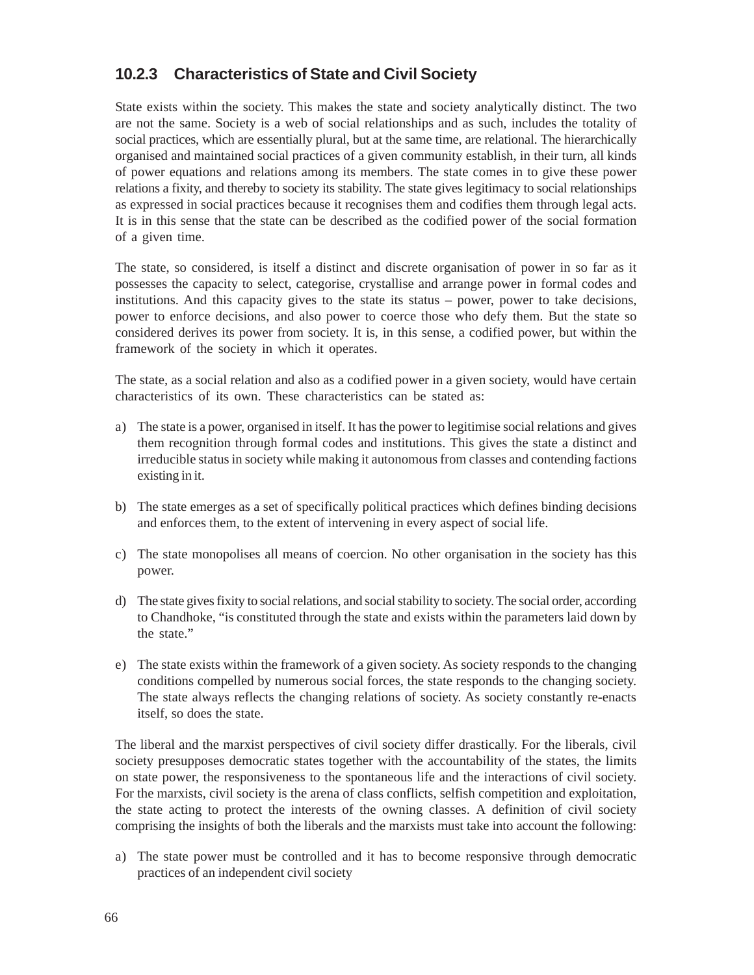#### **10.2.3 Characteristics of State and Civil Society**

State exists within the society. This makes the state and society analytically distinct. The two are not the same. Society is a web of social relationships and as such, includes the totality of social practices, which are essentially plural, but at the same time, are relational. The hierarchically organised and maintained social practices of a given community establish, in their turn, all kinds of power equations and relations among its members. The state comes in to give these power relations a fixity, and thereby to society its stability. The state gives legitimacy to social relationships as expressed in social practices because it recognises them and codifies them through legal acts. It is in this sense that the state can be described as the codified power of the social formation of a given time.

The state, so considered, is itself a distinct and discrete organisation of power in so far as it possesses the capacity to select, categorise, crystallise and arrange power in formal codes and institutions. And this capacity gives to the state its status – power, power to take decisions, power to enforce decisions, and also power to coerce those who defy them. But the state so considered derives its power from society. It is, in this sense, a codified power, but within the framework of the society in which it operates.

The state, as a social relation and also as a codified power in a given society, would have certain characteristics of its own. These characteristics can be stated as:

- a) The state is a power, organised in itself. It has the power to legitimise social relations and gives them recognition through formal codes and institutions. This gives the state a distinct and irreducible status in society while making it autonomous from classes and contending factions existing in it.
- b) The state emerges as a set of specifically political practices which defines binding decisions and enforces them, to the extent of intervening in every aspect of social life.
- c) The state monopolises all means of coercion. No other organisation in the society has this power.
- d) The state gives fixity to social relations, and social stability to society. The social order, according to Chandhoke, "is constituted through the state and exists within the parameters laid down by the state."
- e) The state exists within the framework of a given society. As society responds to the changing conditions compelled by numerous social forces, the state responds to the changing society. The state always reflects the changing relations of society. As society constantly re-enacts itself, so does the state.

The liberal and the marxist perspectives of civil society differ drastically. For the liberals, civil society presupposes democratic states together with the accountability of the states, the limits on state power, the responsiveness to the spontaneous life and the interactions of civil society. For the marxists, civil society is the arena of class conflicts, selfish competition and exploitation, the state acting to protect the interests of the owning classes. A definition of civil society comprising the insights of both the liberals and the marxists must take into account the following:

a) The state power must be controlled and it has to become responsive through democratic practices of an independent civil society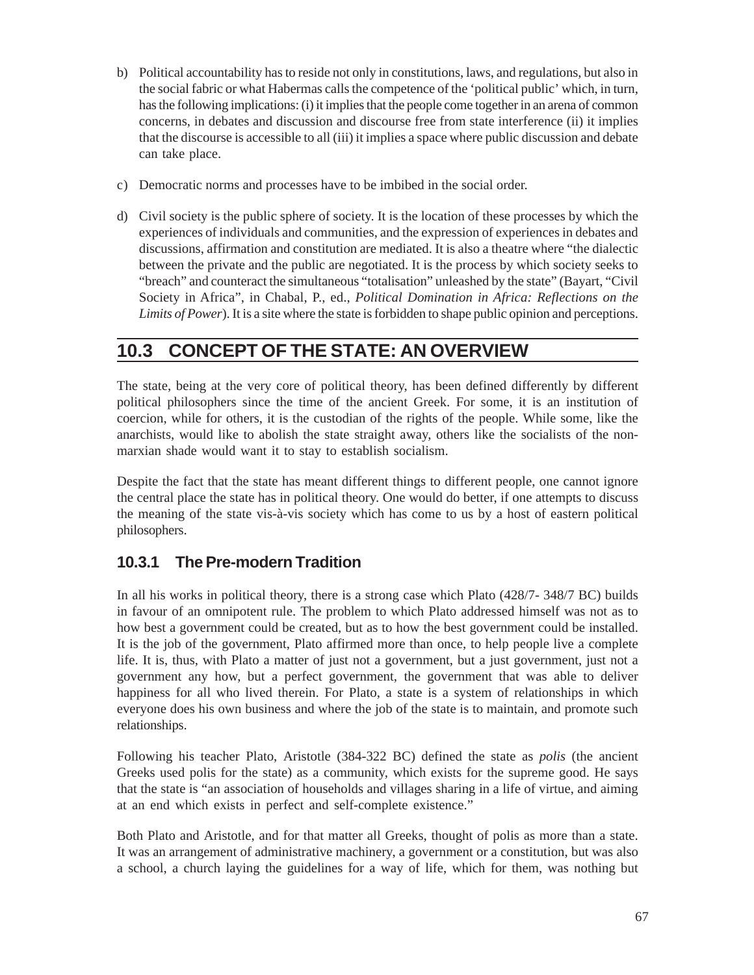- b) Political accountability has to reside not only in constitutions, laws, and regulations, but also in the social fabric or what Habermas calls the competence of the 'political public' which, in turn, has the following implications: (i) it implies that the people come together in an arena of common concerns, in debates and discussion and discourse free from state interference (ii) it implies that the discourse is accessible to all (iii) it implies a space where public discussion and debate can take place.
- c) Democratic norms and processes have to be imbibed in the social order.
- d) Civil society is the public sphere of society. It is the location of these processes by which the experiences of individuals and communities, and the expression of experiences in debates and discussions, affirmation and constitution are mediated. It is also a theatre where "the dialectic between the private and the public are negotiated. It is the process by which society seeks to "breach" and counteract the simultaneous "totalisation" unleashed by the state" (Bayart, "Civil Society in Africa", in Chabal, P., ed., *Political Domination in Africa: Reflections on the Limits of Power*). It is a site where the state is forbidden to shape public opinion and perceptions.

## **10.3 CONCEPT OF THE STATE: AN OVERVIEW**

The state, being at the very core of political theory, has been defined differently by different political philosophers since the time of the ancient Greek. For some, it is an institution of coercion, while for others, it is the custodian of the rights of the people. While some, like the anarchists, would like to abolish the state straight away, others like the socialists of the nonmarxian shade would want it to stay to establish socialism.

Despite the fact that the state has meant different things to different people, one cannot ignore the central place the state has in political theory. One would do better, if one attempts to discuss the meaning of the state vis-à-vis society which has come to us by a host of eastern political philosophers.

### **10.3.1 The Pre-modern Tradition**

In all his works in political theory, there is a strong case which Plato (428/7- 348/7 BC) builds in favour of an omnipotent rule. The problem to which Plato addressed himself was not as to how best a government could be created, but as to how the best government could be installed. It is the job of the government, Plato affirmed more than once, to help people live a complete life. It is, thus, with Plato a matter of just not a government, but a just government, just not a government any how, but a perfect government, the government that was able to deliver happiness for all who lived therein. For Plato, a state is a system of relationships in which everyone does his own business and where the job of the state is to maintain, and promote such relationships.

Following his teacher Plato, Aristotle (384-322 BC) defined the state as *polis* (the ancient Greeks used polis for the state) as a community, which exists for the supreme good. He says that the state is "an association of households and villages sharing in a life of virtue, and aiming at an end which exists in perfect and self-complete existence."

Both Plato and Aristotle, and for that matter all Greeks, thought of polis as more than a state. It was an arrangement of administrative machinery, a government or a constitution, but was also a school, a church laying the guidelines for a way of life, which for them, was nothing but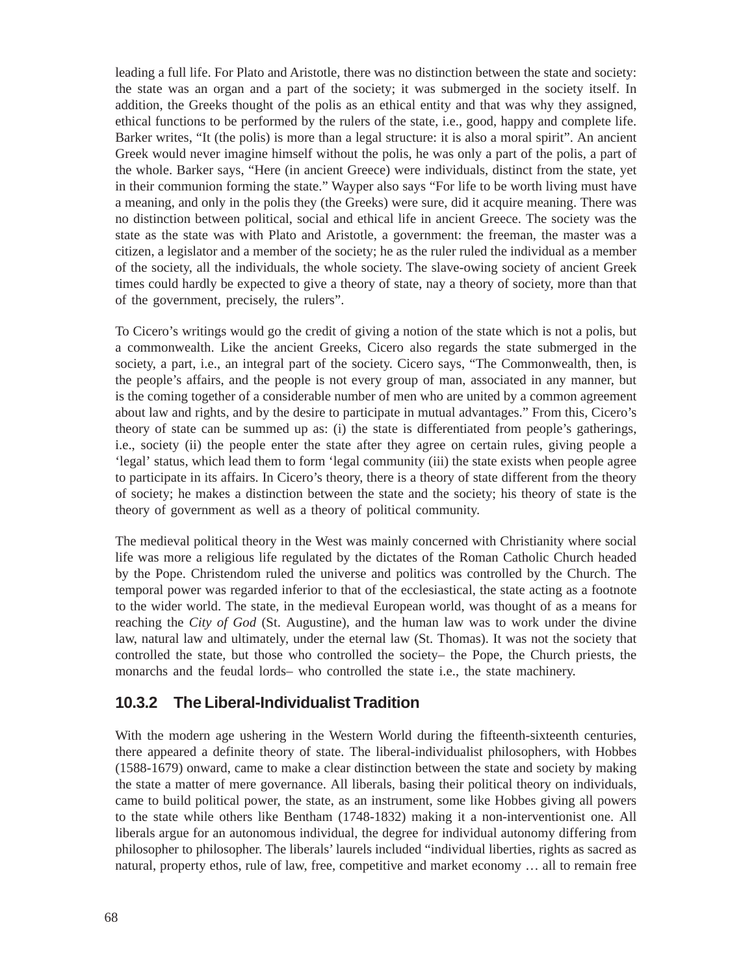leading a full life. For Plato and Aristotle, there was no distinction between the state and society: the state was an organ and a part of the society; it was submerged in the society itself. In addition, the Greeks thought of the polis as an ethical entity and that was why they assigned, ethical functions to be performed by the rulers of the state, i.e., good, happy and complete life. Barker writes, "It (the polis) is more than a legal structure: it is also a moral spirit". An ancient Greek would never imagine himself without the polis, he was only a part of the polis, a part of the whole. Barker says, "Here (in ancient Greece) were individuals, distinct from the state, yet in their communion forming the state." Wayper also says "For life to be worth living must have a meaning, and only in the polis they (the Greeks) were sure, did it acquire meaning. There was no distinction between political, social and ethical life in ancient Greece. The society was the state as the state was with Plato and Aristotle, a government: the freeman, the master was a citizen, a legislator and a member of the society; he as the ruler ruled the individual as a member of the society, all the individuals, the whole society. The slave-owing society of ancient Greek times could hardly be expected to give a theory of state, nay a theory of society, more than that of the government, precisely, the rulers".

To Cicero's writings would go the credit of giving a notion of the state which is not a polis, but a commonwealth. Like the ancient Greeks, Cicero also regards the state submerged in the society, a part, i.e., an integral part of the society. Cicero says, "The Commonwealth, then, is the people's affairs, and the people is not every group of man, associated in any manner, but is the coming together of a considerable number of men who are united by a common agreement about law and rights, and by the desire to participate in mutual advantages." From this, Cicero's theory of state can be summed up as: (i) the state is differentiated from people's gatherings, i.e., society (ii) the people enter the state after they agree on certain rules, giving people a 'legal' status, which lead them to form 'legal community (iii) the state exists when people agree to participate in its affairs. In Cicero's theory, there is a theory of state different from the theory of society; he makes a distinction between the state and the society; his theory of state is the theory of government as well as a theory of political community.

The medieval political theory in the West was mainly concerned with Christianity where social life was more a religious life regulated by the dictates of the Roman Catholic Church headed by the Pope. Christendom ruled the universe and politics was controlled by the Church. The temporal power was regarded inferior to that of the ecclesiastical, the state acting as a footnote to the wider world. The state, in the medieval European world, was thought of as a means for reaching the *City of God* (St. Augustine), and the human law was to work under the divine law, natural law and ultimately, under the eternal law (St. Thomas). It was not the society that controlled the state, but those who controlled the society– the Pope, the Church priests, the monarchs and the feudal lords– who controlled the state i.e., the state machinery.

#### **10.3.2 The Liberal-Individualist Tradition**

With the modern age ushering in the Western World during the fifteenth-sixteenth centuries, there appeared a definite theory of state. The liberal-individualist philosophers, with Hobbes (1588-1679) onward, came to make a clear distinction between the state and society by making the state a matter of mere governance. All liberals, basing their political theory on individuals, came to build political power, the state, as an instrument, some like Hobbes giving all powers to the state while others like Bentham (1748-1832) making it a non-interventionist one. All liberals argue for an autonomous individual, the degree for individual autonomy differing from philosopher to philosopher. The liberals' laurels included "individual liberties, rights as sacred as natural, property ethos, rule of law, free, competitive and market economy … all to remain free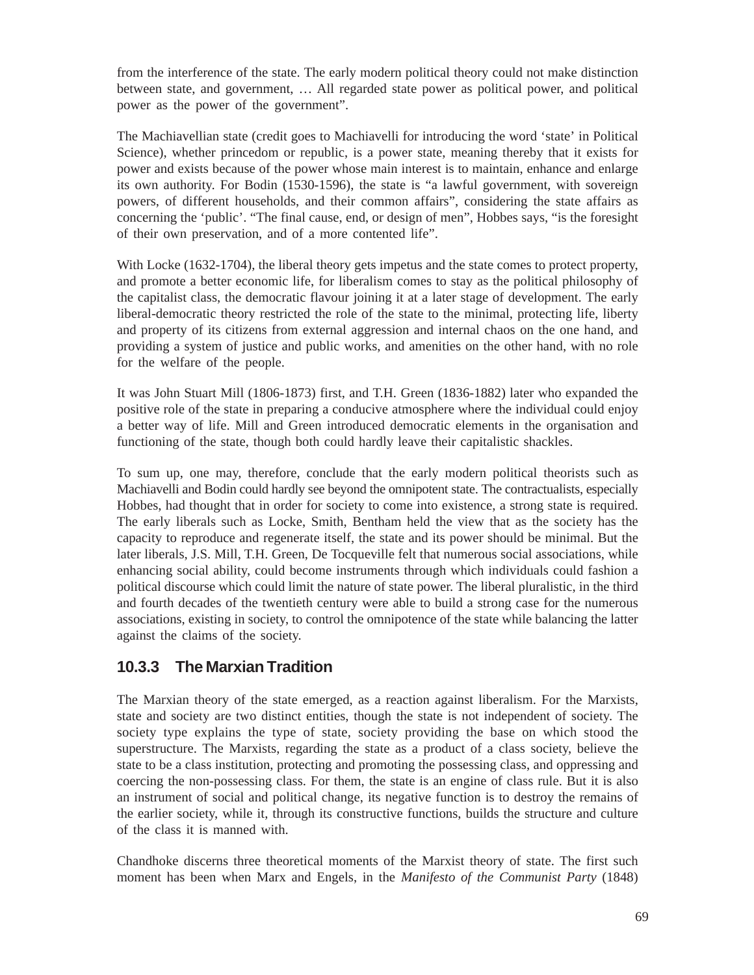from the interference of the state. The early modern political theory could not make distinction between state, and government, … All regarded state power as political power, and political power as the power of the government".

The Machiavellian state (credit goes to Machiavelli for introducing the word 'state' in Political Science), whether princedom or republic, is a power state, meaning thereby that it exists for power and exists because of the power whose main interest is to maintain, enhance and enlarge its own authority. For Bodin (1530-1596), the state is "a lawful government, with sovereign powers, of different households, and their common affairs", considering the state affairs as concerning the 'public'. "The final cause, end, or design of men", Hobbes says, "is the foresight of their own preservation, and of a more contented life".

With Locke (1632-1704), the liberal theory gets impetus and the state comes to protect property, and promote a better economic life, for liberalism comes to stay as the political philosophy of the capitalist class, the democratic flavour joining it at a later stage of development. The early liberal-democratic theory restricted the role of the state to the minimal, protecting life, liberty and property of its citizens from external aggression and internal chaos on the one hand, and providing a system of justice and public works, and amenities on the other hand, with no role for the welfare of the people.

It was John Stuart Mill (1806-1873) first, and T.H. Green (1836-1882) later who expanded the positive role of the state in preparing a conducive atmosphere where the individual could enjoy a better way of life. Mill and Green introduced democratic elements in the organisation and functioning of the state, though both could hardly leave their capitalistic shackles.

To sum up, one may, therefore, conclude that the early modern political theorists such as Machiavelli and Bodin could hardly see beyond the omnipotent state. The contractualists, especially Hobbes, had thought that in order for society to come into existence, a strong state is required. The early liberals such as Locke, Smith, Bentham held the view that as the society has the capacity to reproduce and regenerate itself, the state and its power should be minimal. But the later liberals, J.S. Mill, T.H. Green, De Tocqueville felt that numerous social associations, while enhancing social ability, could become instruments through which individuals could fashion a political discourse which could limit the nature of state power. The liberal pluralistic, in the third and fourth decades of the twentieth century were able to build a strong case for the numerous associations, existing in society, to control the omnipotence of the state while balancing the latter against the claims of the society.

#### **10.3.3 The Marxian Tradition**

The Marxian theory of the state emerged, as a reaction against liberalism. For the Marxists, state and society are two distinct entities, though the state is not independent of society. The society type explains the type of state, society providing the base on which stood the superstructure. The Marxists, regarding the state as a product of a class society, believe the state to be a class institution, protecting and promoting the possessing class, and oppressing and coercing the non-possessing class. For them, the state is an engine of class rule. But it is also an instrument of social and political change, its negative function is to destroy the remains of the earlier society, while it, through its constructive functions, builds the structure and culture of the class it is manned with.

Chandhoke discerns three theoretical moments of the Marxist theory of state. The first such moment has been when Marx and Engels, in the *Manifesto of the Communist Party* (1848)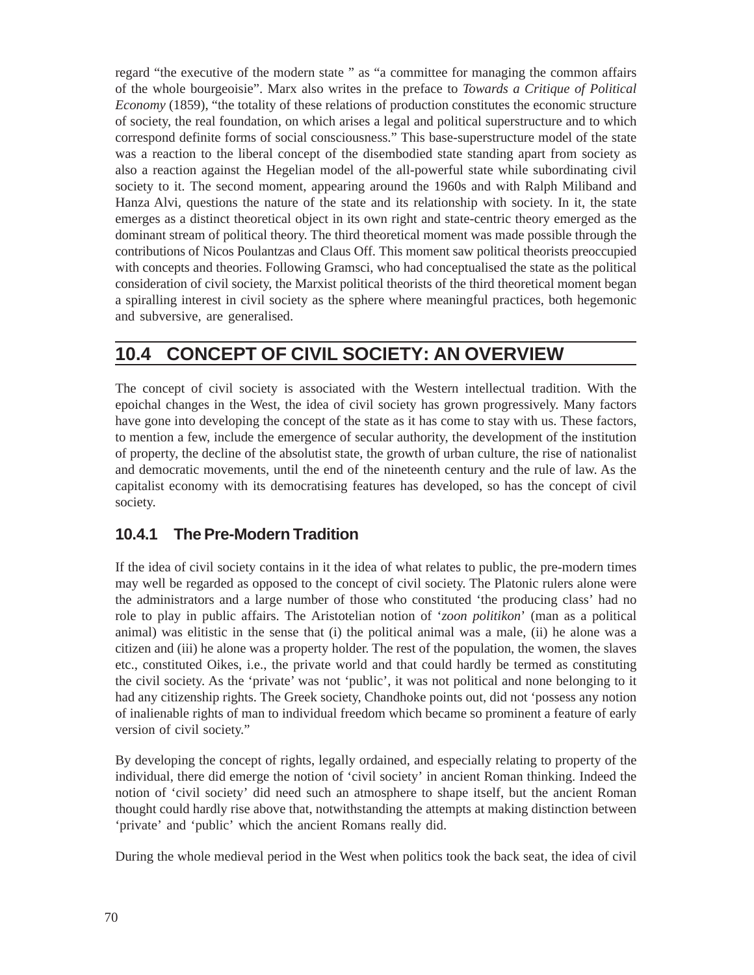regard "the executive of the modern state " as "a committee for managing the common affairs of the whole bourgeoisie". Marx also writes in the preface to *Towards a Critique of Political Economy* (1859), "the totality of these relations of production constitutes the economic structure of society, the real foundation, on which arises a legal and political superstructure and to which correspond definite forms of social consciousness." This base-superstructure model of the state was a reaction to the liberal concept of the disembodied state standing apart from society as also a reaction against the Hegelian model of the all-powerful state while subordinating civil society to it. The second moment, appearing around the 1960s and with Ralph Miliband and Hanza Alvi, questions the nature of the state and its relationship with society. In it, the state emerges as a distinct theoretical object in its own right and state-centric theory emerged as the dominant stream of political theory. The third theoretical moment was made possible through the contributions of Nicos Poulantzas and Claus Off. This moment saw political theorists preoccupied with concepts and theories. Following Gramsci, who had conceptualised the state as the political consideration of civil society, the Marxist political theorists of the third theoretical moment began a spiralling interest in civil society as the sphere where meaningful practices, both hegemonic and subversive, are generalised.

## **10.4 CONCEPT OF CIVIL SOCIETY: AN OVERVIEW**

The concept of civil society is associated with the Western intellectual tradition. With the epoichal changes in the West, the idea of civil society has grown progressively. Many factors have gone into developing the concept of the state as it has come to stay with us. These factors, to mention a few, include the emergence of secular authority, the development of the institution of property, the decline of the absolutist state, the growth of urban culture, the rise of nationalist and democratic movements, until the end of the nineteenth century and the rule of law. As the capitalist economy with its democratising features has developed, so has the concept of civil society.

### **10.4.1 The Pre-Modern Tradition**

If the idea of civil society contains in it the idea of what relates to public, the pre-modern times may well be regarded as opposed to the concept of civil society. The Platonic rulers alone were the administrators and a large number of those who constituted 'the producing class' had no role to play in public affairs. The Aristotelian notion of '*zoon politikon*' (man as a political animal) was elitistic in the sense that (i) the political animal was a male, (ii) he alone was a citizen and (iii) he alone was a property holder. The rest of the population, the women, the slaves etc., constituted Oikes, i.e., the private world and that could hardly be termed as constituting the civil society. As the 'private' was not 'public', it was not political and none belonging to it had any citizenship rights. The Greek society, Chandhoke points out, did not 'possess any notion of inalienable rights of man to individual freedom which became so prominent a feature of early version of civil society."

By developing the concept of rights, legally ordained, and especially relating to property of the individual, there did emerge the notion of 'civil society' in ancient Roman thinking. Indeed the notion of 'civil society' did need such an atmosphere to shape itself, but the ancient Roman thought could hardly rise above that, notwithstanding the attempts at making distinction between 'private' and 'public' which the ancient Romans really did.

During the whole medieval period in the West when politics took the back seat, the idea of civil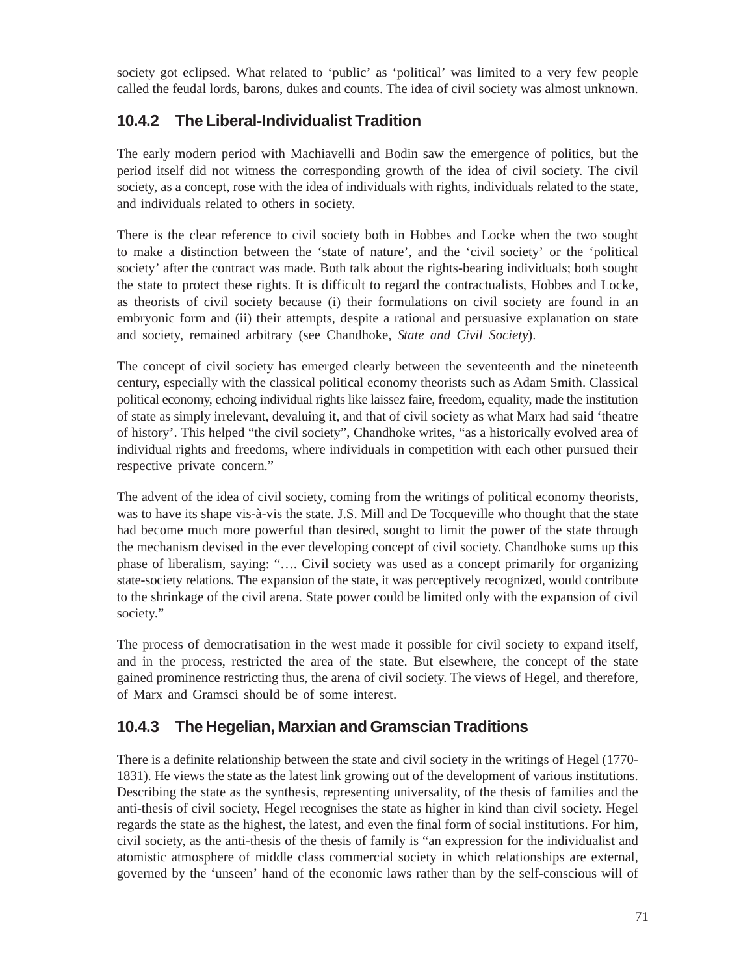society got eclipsed. What related to 'public' as 'political' was limited to a very few people called the feudal lords, barons, dukes and counts. The idea of civil society was almost unknown.

#### **10.4.2 The Liberal-Individualist Tradition**

The early modern period with Machiavelli and Bodin saw the emergence of politics, but the period itself did not witness the corresponding growth of the idea of civil society. The civil society, as a concept, rose with the idea of individuals with rights, individuals related to the state, and individuals related to others in society.

There is the clear reference to civil society both in Hobbes and Locke when the two sought to make a distinction between the 'state of nature', and the 'civil society' or the 'political society' after the contract was made. Both talk about the rights-bearing individuals; both sought the state to protect these rights. It is difficult to regard the contractualists, Hobbes and Locke, as theorists of civil society because (i) their formulations on civil society are found in an embryonic form and (ii) their attempts, despite a rational and persuasive explanation on state and society, remained arbitrary (see Chandhoke, *State and Civil Society*).

The concept of civil society has emerged clearly between the seventeenth and the nineteenth century, especially with the classical political economy theorists such as Adam Smith. Classical political economy, echoing individual rights like laissez faire, freedom, equality, made the institution of state as simply irrelevant, devaluing it, and that of civil society as what Marx had said 'theatre of history'. This helped "the civil society", Chandhoke writes, "as a historically evolved area of individual rights and freedoms, where individuals in competition with each other pursued their respective private concern."

The advent of the idea of civil society, coming from the writings of political economy theorists, was to have its shape vis-à-vis the state. J.S. Mill and De Tocqueville who thought that the state had become much more powerful than desired, sought to limit the power of the state through the mechanism devised in the ever developing concept of civil society. Chandhoke sums up this phase of liberalism, saying: "…. Civil society was used as a concept primarily for organizing state-society relations. The expansion of the state, it was perceptively recognized, would contribute to the shrinkage of the civil arena. State power could be limited only with the expansion of civil society."

The process of democratisation in the west made it possible for civil society to expand itself, and in the process, restricted the area of the state. But elsewhere, the concept of the state gained prominence restricting thus, the arena of civil society. The views of Hegel, and therefore, of Marx and Gramsci should be of some interest.

### **10.4.3 The Hegelian, Marxian and Gramscian Traditions**

There is a definite relationship between the state and civil society in the writings of Hegel (1770- 1831). He views the state as the latest link growing out of the development of various institutions. Describing the state as the synthesis, representing universality, of the thesis of families and the anti-thesis of civil society, Hegel recognises the state as higher in kind than civil society. Hegel regards the state as the highest, the latest, and even the final form of social institutions. For him, civil society, as the anti-thesis of the thesis of family is "an expression for the individualist and atomistic atmosphere of middle class commercial society in which relationships are external, governed by the 'unseen' hand of the economic laws rather than by the self-conscious will of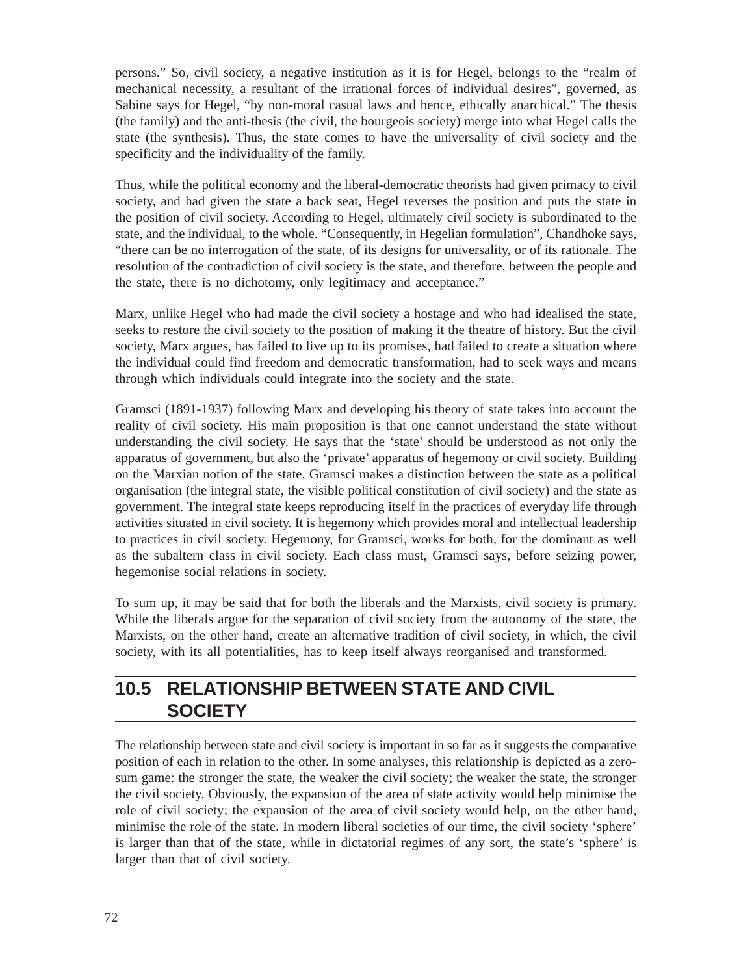persons." So, civil society, a negative institution as it is for Hegel, belongs to the "realm of mechanical necessity, a resultant of the irrational forces of individual desires", governed, as Sabine says for Hegel, "by non-moral casual laws and hence, ethically anarchical." The thesis (the family) and the anti-thesis (the civil, the bourgeois society) merge into what Hegel calls the state (the synthesis). Thus, the state comes to have the universality of civil society and the specificity and the individuality of the family.

Thus, while the political economy and the liberal-democratic theorists had given primacy to civil society, and had given the state a back seat, Hegel reverses the position and puts the state in the position of civil society. According to Hegel, ultimately civil society is subordinated to the state, and the individual, to the whole. "Consequently, in Hegelian formulation", Chandhoke says, "there can be no interrogation of the state, of its designs for universality, or of its rationale. The resolution of the contradiction of civil society is the state, and therefore, between the people and the state, there is no dichotomy, only legitimacy and acceptance."

Marx, unlike Hegel who had made the civil society a hostage and who had idealised the state, seeks to restore the civil society to the position of making it the theatre of history. But the civil society, Marx argues, has failed to live up to its promises, had failed to create a situation where the individual could find freedom and democratic transformation, had to seek ways and means through which individuals could integrate into the society and the state.

Gramsci (1891-1937) following Marx and developing his theory of state takes into account the reality of civil society. His main proposition is that one cannot understand the state without understanding the civil society. He says that the 'state' should be understood as not only the apparatus of government, but also the 'private' apparatus of hegemony or civil society. Building on the Marxian notion of the state, Gramsci makes a distinction between the state as a political organisation (the integral state, the visible political constitution of civil society) and the state as government. The integral state keeps reproducing itself in the practices of everyday life through activities situated in civil society. It is hegemony which provides moral and intellectual leadership to practices in civil society. Hegemony, for Gramsci, works for both, for the dominant as well as the subaltern class in civil society. Each class must, Gramsci says, before seizing power, hegemonise social relations in society.

To sum up, it may be said that for both the liberals and the Marxists, civil society is primary. While the liberals argue for the separation of civil society from the autonomy of the state, the Marxists, on the other hand, create an alternative tradition of civil society, in which, the civil society, with its all potentialities, has to keep itself always reorganised and transformed.

### **10.5 RELATIONSHIP BETWEEN STATE AND CIVIL SOCIETY**

The relationship between state and civil society is important in so far as it suggests the comparative position of each in relation to the other. In some analyses, this relationship is depicted as a zerosum game: the stronger the state, the weaker the civil society; the weaker the state, the stronger the civil society. Obviously, the expansion of the area of state activity would help minimise the role of civil society; the expansion of the area of civil society would help, on the other hand, minimise the role of the state. In modern liberal societies of our time, the civil society 'sphere' is larger than that of the state, while in dictatorial regimes of any sort, the state's 'sphere' is larger than that of civil society.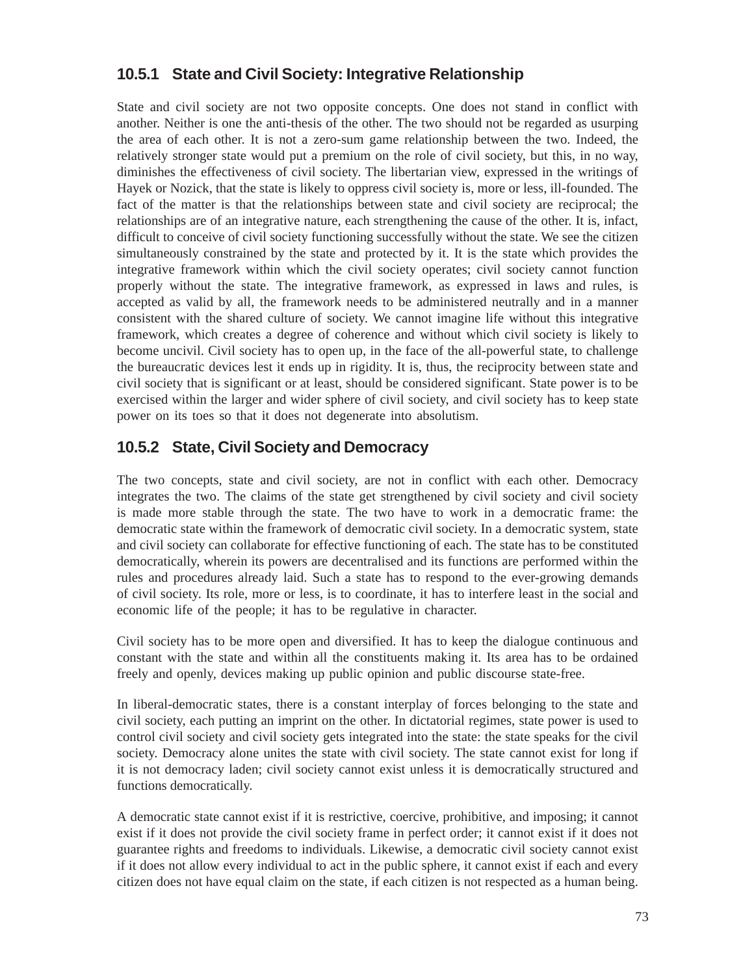#### **10.5.1 State and Civil Society: Integrative Relationship**

State and civil society are not two opposite concepts. One does not stand in conflict with another. Neither is one the anti-thesis of the other. The two should not be regarded as usurping the area of each other. It is not a zero-sum game relationship between the two. Indeed, the relatively stronger state would put a premium on the role of civil society, but this, in no way, diminishes the effectiveness of civil society. The libertarian view, expressed in the writings of Hayek or Nozick, that the state is likely to oppress civil society is, more or less, ill-founded. The fact of the matter is that the relationships between state and civil society are reciprocal; the relationships are of an integrative nature, each strengthening the cause of the other. It is, infact, difficult to conceive of civil society functioning successfully without the state. We see the citizen simultaneously constrained by the state and protected by it. It is the state which provides the integrative framework within which the civil society operates; civil society cannot function properly without the state. The integrative framework, as expressed in laws and rules, is accepted as valid by all, the framework needs to be administered neutrally and in a manner consistent with the shared culture of society. We cannot imagine life without this integrative framework, which creates a degree of coherence and without which civil society is likely to become uncivil. Civil society has to open up, in the face of the all-powerful state, to challenge the bureaucratic devices lest it ends up in rigidity. It is, thus, the reciprocity between state and civil society that is significant or at least, should be considered significant. State power is to be exercised within the larger and wider sphere of civil society, and civil society has to keep state power on its toes so that it does not degenerate into absolutism.

#### **10.5.2 State, Civil Society and Democracy**

The two concepts, state and civil society, are not in conflict with each other. Democracy integrates the two. The claims of the state get strengthened by civil society and civil society is made more stable through the state. The two have to work in a democratic frame: the democratic state within the framework of democratic civil society. In a democratic system, state and civil society can collaborate for effective functioning of each. The state has to be constituted democratically, wherein its powers are decentralised and its functions are performed within the rules and procedures already laid. Such a state has to respond to the ever-growing demands of civil society. Its role, more or less, is to coordinate, it has to interfere least in the social and economic life of the people; it has to be regulative in character.

Civil society has to be more open and diversified. It has to keep the dialogue continuous and constant with the state and within all the constituents making it. Its area has to be ordained freely and openly, devices making up public opinion and public discourse state-free.

In liberal-democratic states, there is a constant interplay of forces belonging to the state and civil society, each putting an imprint on the other. In dictatorial regimes, state power is used to control civil society and civil society gets integrated into the state: the state speaks for the civil society. Democracy alone unites the state with civil society. The state cannot exist for long if it is not democracy laden; civil society cannot exist unless it is democratically structured and functions democratically.

A democratic state cannot exist if it is restrictive, coercive, prohibitive, and imposing; it cannot exist if it does not provide the civil society frame in perfect order; it cannot exist if it does not guarantee rights and freedoms to individuals. Likewise, a democratic civil society cannot exist if it does not allow every individual to act in the public sphere, it cannot exist if each and every citizen does not have equal claim on the state, if each citizen is not respected as a human being.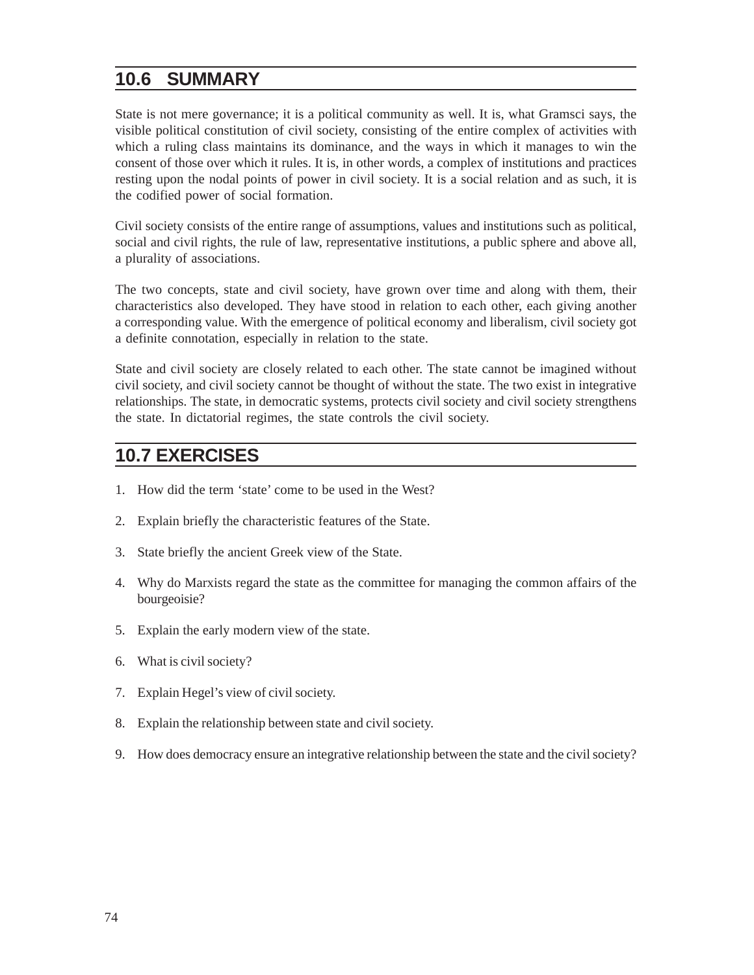### **10.6 SUMMARY**

State is not mere governance; it is a political community as well. It is, what Gramsci says, the visible political constitution of civil society, consisting of the entire complex of activities with which a ruling class maintains its dominance, and the ways in which it manages to win the consent of those over which it rules. It is, in other words, a complex of institutions and practices resting upon the nodal points of power in civil society. It is a social relation and as such, it is the codified power of social formation.

Civil society consists of the entire range of assumptions, values and institutions such as political, social and civil rights, the rule of law, representative institutions, a public sphere and above all, a plurality of associations.

The two concepts, state and civil society, have grown over time and along with them, their characteristics also developed. They have stood in relation to each other, each giving another a corresponding value. With the emergence of political economy and liberalism, civil society got a definite connotation, especially in relation to the state.

State and civil society are closely related to each other. The state cannot be imagined without civil society, and civil society cannot be thought of without the state. The two exist in integrative relationships. The state, in democratic systems, protects civil society and civil society strengthens the state. In dictatorial regimes, the state controls the civil society.

### **10.7 EXERCISES**

- 1. How did the term 'state' come to be used in the West?
- 2. Explain briefly the characteristic features of the State.
- 3. State briefly the ancient Greek view of the State.
- 4. Why do Marxists regard the state as the committee for managing the common affairs of the bourgeoisie?
- 5. Explain the early modern view of the state.
- 6. What is civil society?
- 7. Explain Hegel's view of civil society.
- 8. Explain the relationship between state and civil society.
- 9. How does democracy ensure an integrative relationship between the state and the civil society?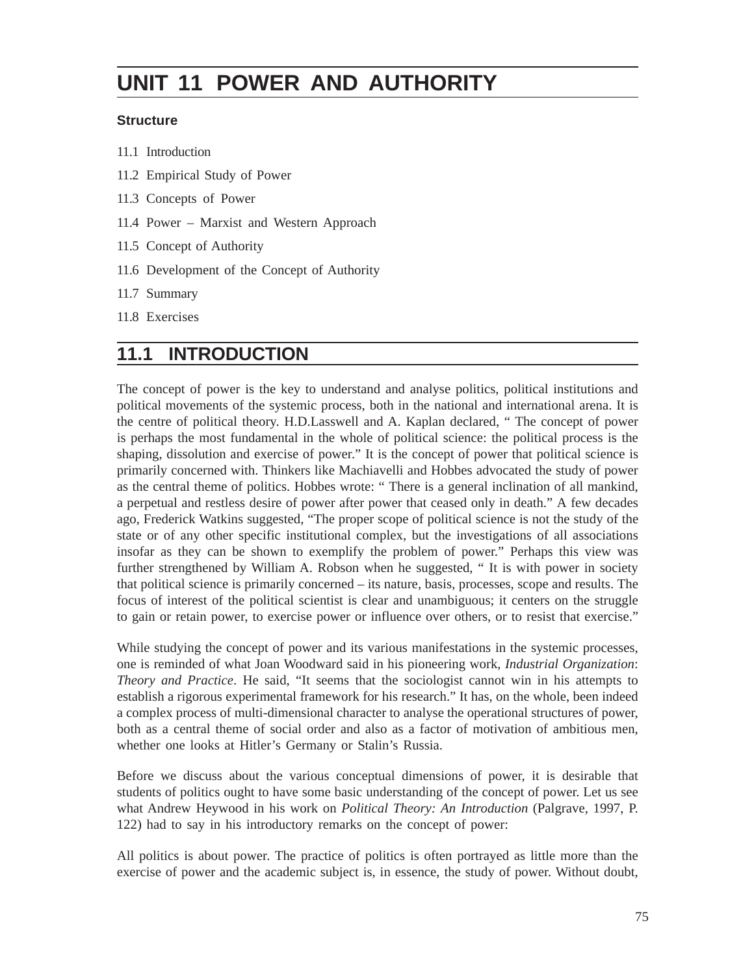# **UNIT 11 POWER AND AUTHORITY**

#### **Structure**

- 11.1 Introduction
- 11.2 Empirical Study of Power
- 11.3 Concepts of Power
- 11.4 Power Marxist and Western Approach
- 11.5 Concept of Authority
- 11.6 Development of the Concept of Authority
- 11.7 Summary
- 11.8 Exercises

### **11.1 INTRODUCTION**

The concept of power is the key to understand and analyse politics, political institutions and political movements of the systemic process, both in the national and international arena. It is the centre of political theory. H.D.Lasswell and A. Kaplan declared, " The concept of power is perhaps the most fundamental in the whole of political science: the political process is the shaping, dissolution and exercise of power." It is the concept of power that political science is primarily concerned with. Thinkers like Machiavelli and Hobbes advocated the study of power as the central theme of politics. Hobbes wrote: " There is a general inclination of all mankind, a perpetual and restless desire of power after power that ceased only in death." A few decades ago, Frederick Watkins suggested, "The proper scope of political science is not the study of the state or of any other specific institutional complex, but the investigations of all associations insofar as they can be shown to exemplify the problem of power." Perhaps this view was further strengthened by William A. Robson when he suggested, " It is with power in society that political science is primarily concerned – its nature, basis, processes, scope and results. The focus of interest of the political scientist is clear and unambiguous; it centers on the struggle to gain or retain power, to exercise power or influence over others, or to resist that exercise."

While studying the concept of power and its various manifestations in the systemic processes, one is reminded of what Joan Woodward said in his pioneering work, *Industrial Organization*: *Theory and Practice*. He said, "It seems that the sociologist cannot win in his attempts to establish a rigorous experimental framework for his research." It has, on the whole, been indeed a complex process of multi-dimensional character to analyse the operational structures of power, both as a central theme of social order and also as a factor of motivation of ambitious men, whether one looks at Hitler's Germany or Stalin's Russia.

Before we discuss about the various conceptual dimensions of power, it is desirable that students of politics ought to have some basic understanding of the concept of power. Let us see what Andrew Heywood in his work on *Political Theory: An Introduction* (Palgrave, 1997, P. 122) had to say in his introductory remarks on the concept of power:

All politics is about power. The practice of politics is often portrayed as little more than the exercise of power and the academic subject is, in essence, the study of power. Without doubt,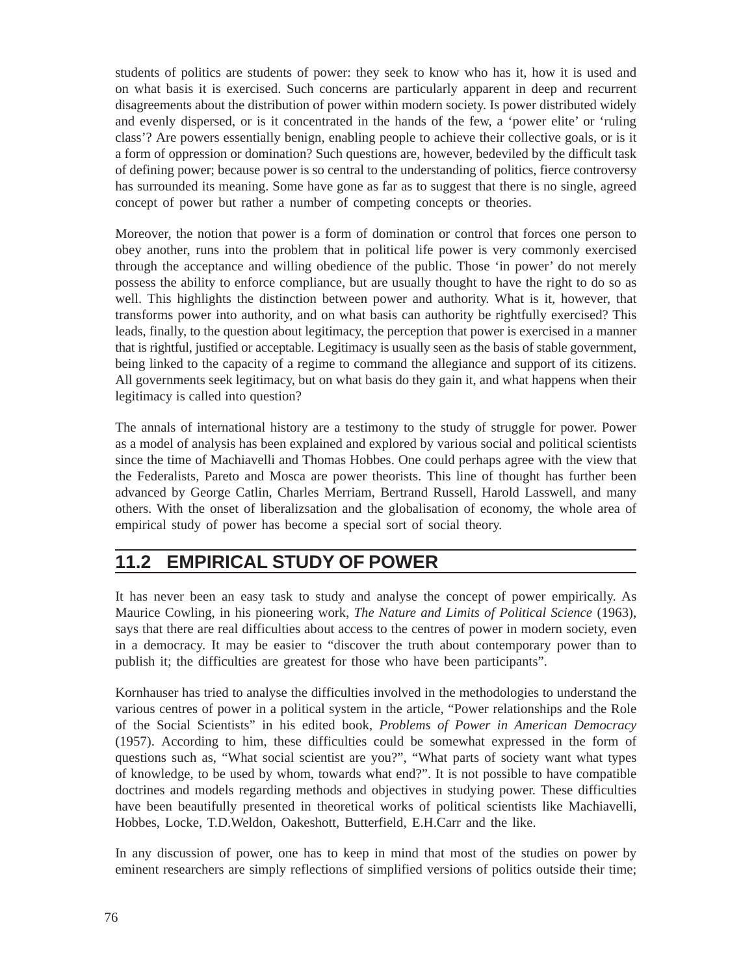students of politics are students of power: they seek to know who has it, how it is used and on what basis it is exercised. Such concerns are particularly apparent in deep and recurrent disagreements about the distribution of power within modern society. Is power distributed widely and evenly dispersed, or is it concentrated in the hands of the few, a 'power elite' or 'ruling class'? Are powers essentially benign, enabling people to achieve their collective goals, or is it a form of oppression or domination? Such questions are, however, bedeviled by the difficult task of defining power; because power is so central to the understanding of politics, fierce controversy has surrounded its meaning. Some have gone as far as to suggest that there is no single, agreed concept of power but rather a number of competing concepts or theories.

Moreover, the notion that power is a form of domination or control that forces one person to obey another, runs into the problem that in political life power is very commonly exercised through the acceptance and willing obedience of the public. Those 'in power' do not merely possess the ability to enforce compliance, but are usually thought to have the right to do so as well. This highlights the distinction between power and authority. What is it, however, that transforms power into authority, and on what basis can authority be rightfully exercised? This leads, finally, to the question about legitimacy, the perception that power is exercised in a manner that is rightful, justified or acceptable. Legitimacy is usually seen as the basis of stable government, being linked to the capacity of a regime to command the allegiance and support of its citizens. All governments seek legitimacy, but on what basis do they gain it, and what happens when their legitimacy is called into question?

The annals of international history are a testimony to the study of struggle for power. Power as a model of analysis has been explained and explored by various social and political scientists since the time of Machiavelli and Thomas Hobbes. One could perhaps agree with the view that the Federalists, Pareto and Mosca are power theorists. This line of thought has further been advanced by George Catlin, Charles Merriam, Bertrand Russell, Harold Lasswell, and many others. With the onset of liberalizsation and the globalisation of economy, the whole area of empirical study of power has become a special sort of social theory.

### **11.2 EMPIRICAL STUDY OF POWER**

It has never been an easy task to study and analyse the concept of power empirically. As Maurice Cowling, in his pioneering work, *The Nature and Limits of Political Science* (1963), says that there are real difficulties about access to the centres of power in modern society, even in a democracy. It may be easier to "discover the truth about contemporary power than to publish it; the difficulties are greatest for those who have been participants".

Kornhauser has tried to analyse the difficulties involved in the methodologies to understand the various centres of power in a political system in the article, "Power relationships and the Role of the Social Scientists" in his edited book, *Problems of Power in American Democracy* (1957). According to him, these difficulties could be somewhat expressed in the form of questions such as, "What social scientist are you?", "What parts of society want what types of knowledge, to be used by whom, towards what end?". It is not possible to have compatible doctrines and models regarding methods and objectives in studying power. These difficulties have been beautifully presented in theoretical works of political scientists like Machiavelli, Hobbes, Locke, T.D.Weldon, Oakeshott, Butterfield, E.H.Carr and the like.

In any discussion of power, one has to keep in mind that most of the studies on power by eminent researchers are simply reflections of simplified versions of politics outside their time;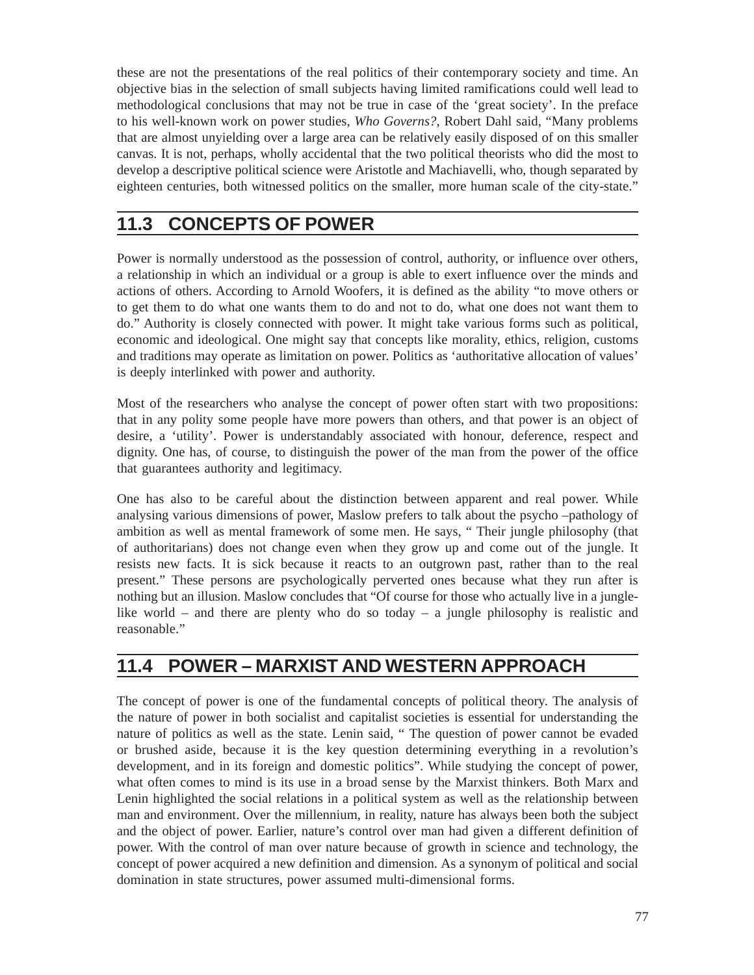these are not the presentations of the real politics of their contemporary society and time. An objective bias in the selection of small subjects having limited ramifications could well lead to methodological conclusions that may not be true in case of the 'great society'. In the preface to his well-known work on power studies, *Who Governs?*, Robert Dahl said, "Many problems that are almost unyielding over a large area can be relatively easily disposed of on this smaller canvas. It is not, perhaps, wholly accidental that the two political theorists who did the most to develop a descriptive political science were Aristotle and Machiavelli, who, though separated by eighteen centuries, both witnessed politics on the smaller, more human scale of the city-state."

## **11.3 CONCEPTS OF POWER**

Power is normally understood as the possession of control, authority, or influence over others, a relationship in which an individual or a group is able to exert influence over the minds and actions of others. According to Arnold Woofers, it is defined as the ability "to move others or to get them to do what one wants them to do and not to do, what one does not want them to do." Authority is closely connected with power. It might take various forms such as political, economic and ideological. One might say that concepts like morality, ethics, religion, customs and traditions may operate as limitation on power. Politics as 'authoritative allocation of values' is deeply interlinked with power and authority.

Most of the researchers who analyse the concept of power often start with two propositions: that in any polity some people have more powers than others, and that power is an object of desire, a 'utility'. Power is understandably associated with honour, deference, respect and dignity. One has, of course, to distinguish the power of the man from the power of the office that guarantees authority and legitimacy.

One has also to be careful about the distinction between apparent and real power. While analysing various dimensions of power, Maslow prefers to talk about the psycho –pathology of ambition as well as mental framework of some men. He says, " Their jungle philosophy (that of authoritarians) does not change even when they grow up and come out of the jungle. It resists new facts. It is sick because it reacts to an outgrown past, rather than to the real present." These persons are psychologically perverted ones because what they run after is nothing but an illusion. Maslow concludes that "Of course for those who actually live in a junglelike world – and there are plenty who do so today – a jungle philosophy is realistic and reasonable."

### **11.4 POWER – MARXIST AND WESTERN APPROACH**

The concept of power is one of the fundamental concepts of political theory. The analysis of the nature of power in both socialist and capitalist societies is essential for understanding the nature of politics as well as the state. Lenin said, " The question of power cannot be evaded or brushed aside, because it is the key question determining everything in a revolution's development, and in its foreign and domestic politics". While studying the concept of power, what often comes to mind is its use in a broad sense by the Marxist thinkers. Both Marx and Lenin highlighted the social relations in a political system as well as the relationship between man and environment. Over the millennium, in reality, nature has always been both the subject and the object of power. Earlier, nature's control over man had given a different definition of power. With the control of man over nature because of growth in science and technology, the concept of power acquired a new definition and dimension. As a synonym of political and social domination in state structures, power assumed multi-dimensional forms.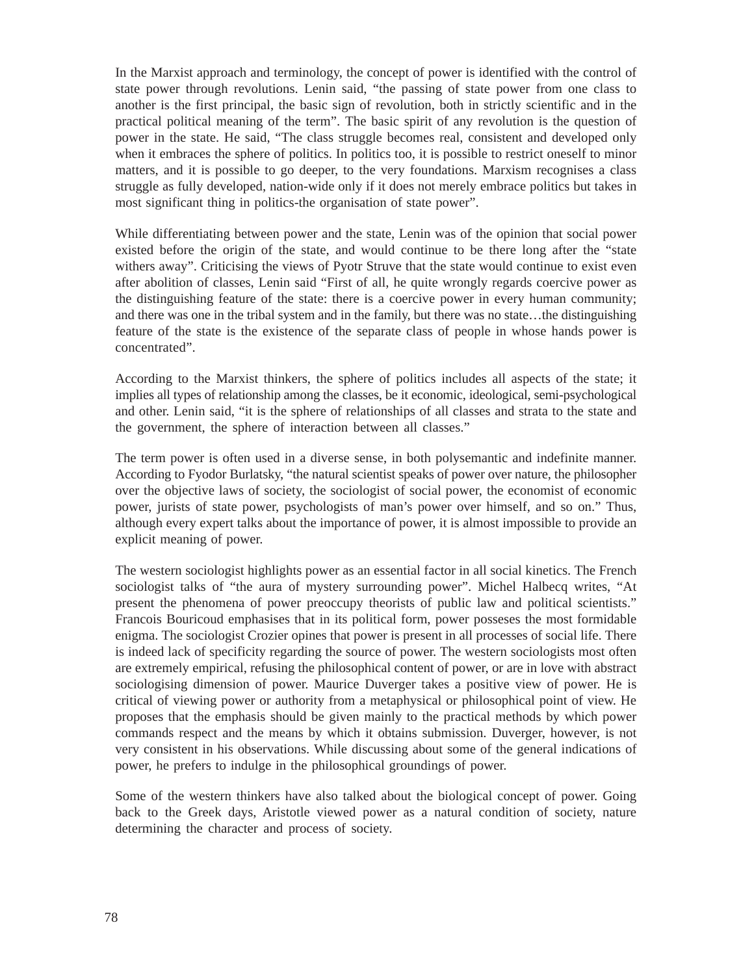In the Marxist approach and terminology, the concept of power is identified with the control of state power through revolutions. Lenin said, "the passing of state power from one class to another is the first principal, the basic sign of revolution, both in strictly scientific and in the practical political meaning of the term". The basic spirit of any revolution is the question of power in the state. He said, "The class struggle becomes real, consistent and developed only when it embraces the sphere of politics. In politics too, it is possible to restrict oneself to minor matters, and it is possible to go deeper, to the very foundations. Marxism recognises a class struggle as fully developed, nation-wide only if it does not merely embrace politics but takes in most significant thing in politics-the organisation of state power".

While differentiating between power and the state, Lenin was of the opinion that social power existed before the origin of the state, and would continue to be there long after the "state withers away". Criticising the views of Pyotr Struve that the state would continue to exist even after abolition of classes, Lenin said "First of all, he quite wrongly regards coercive power as the distinguishing feature of the state: there is a coercive power in every human community; and there was one in the tribal system and in the family, but there was no state…the distinguishing feature of the state is the existence of the separate class of people in whose hands power is concentrated".

According to the Marxist thinkers, the sphere of politics includes all aspects of the state; it implies all types of relationship among the classes, be it economic, ideological, semi-psychological and other. Lenin said, "it is the sphere of relationships of all classes and strata to the state and the government, the sphere of interaction between all classes."

The term power is often used in a diverse sense, in both polysemantic and indefinite manner. According to Fyodor Burlatsky, "the natural scientist speaks of power over nature, the philosopher over the objective laws of society, the sociologist of social power, the economist of economic power, jurists of state power, psychologists of man's power over himself, and so on." Thus, although every expert talks about the importance of power, it is almost impossible to provide an explicit meaning of power.

The western sociologist highlights power as an essential factor in all social kinetics. The French sociologist talks of "the aura of mystery surrounding power". Michel Halbecq writes, "At present the phenomena of power preoccupy theorists of public law and political scientists." Francois Bouricoud emphasises that in its political form, power posseses the most formidable enigma. The sociologist Crozier opines that power is present in all processes of social life. There is indeed lack of specificity regarding the source of power. The western sociologists most often are extremely empirical, refusing the philosophical content of power, or are in love with abstract sociologising dimension of power. Maurice Duverger takes a positive view of power. He is critical of viewing power or authority from a metaphysical or philosophical point of view. He proposes that the emphasis should be given mainly to the practical methods by which power commands respect and the means by which it obtains submission. Duverger, however, is not very consistent in his observations. While discussing about some of the general indications of power, he prefers to indulge in the philosophical groundings of power.

Some of the western thinkers have also talked about the biological concept of power. Going back to the Greek days, Aristotle viewed power as a natural condition of society, nature determining the character and process of society.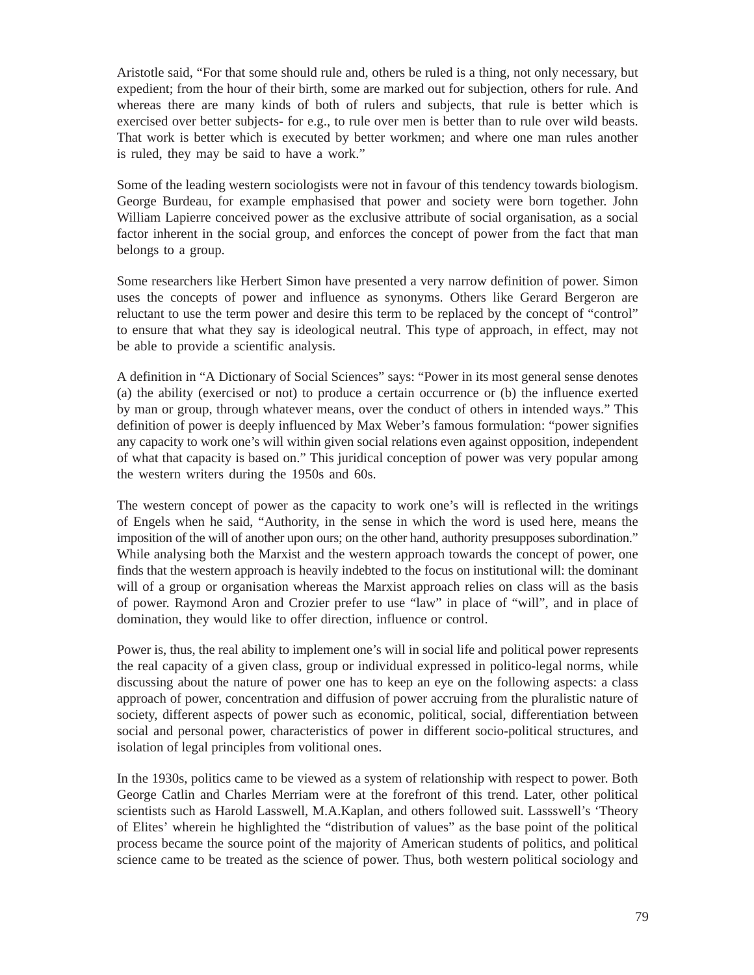Aristotle said, "For that some should rule and, others be ruled is a thing, not only necessary, but expedient; from the hour of their birth, some are marked out for subjection, others for rule. And whereas there are many kinds of both of rulers and subjects, that rule is better which is exercised over better subjects- for e.g., to rule over men is better than to rule over wild beasts. That work is better which is executed by better workmen; and where one man rules another is ruled, they may be said to have a work."

Some of the leading western sociologists were not in favour of this tendency towards biologism. George Burdeau, for example emphasised that power and society were born together. John William Lapierre conceived power as the exclusive attribute of social organisation, as a social factor inherent in the social group, and enforces the concept of power from the fact that man belongs to a group.

Some researchers like Herbert Simon have presented a very narrow definition of power. Simon uses the concepts of power and influence as synonyms. Others like Gerard Bergeron are reluctant to use the term power and desire this term to be replaced by the concept of "control" to ensure that what they say is ideological neutral. This type of approach, in effect, may not be able to provide a scientific analysis.

A definition in "A Dictionary of Social Sciences" says: "Power in its most general sense denotes (a) the ability (exercised or not) to produce a certain occurrence or (b) the influence exerted by man or group, through whatever means, over the conduct of others in intended ways." This definition of power is deeply influenced by Max Weber's famous formulation: "power signifies any capacity to work one's will within given social relations even against opposition, independent of what that capacity is based on." This juridical conception of power was very popular among the western writers during the 1950s and 60s.

The western concept of power as the capacity to work one's will is reflected in the writings of Engels when he said, "Authority, in the sense in which the word is used here, means the imposition of the will of another upon ours; on the other hand, authority presupposes subordination." While analysing both the Marxist and the western approach towards the concept of power, one finds that the western approach is heavily indebted to the focus on institutional will: the dominant will of a group or organisation whereas the Marxist approach relies on class will as the basis of power. Raymond Aron and Crozier prefer to use "law" in place of "will", and in place of domination, they would like to offer direction, influence or control.

Power is, thus, the real ability to implement one's will in social life and political power represents the real capacity of a given class, group or individual expressed in politico-legal norms, while discussing about the nature of power one has to keep an eye on the following aspects: a class approach of power, concentration and diffusion of power accruing from the pluralistic nature of society, different aspects of power such as economic, political, social, differentiation between social and personal power, characteristics of power in different socio-political structures, and isolation of legal principles from volitional ones.

In the 1930s, politics came to be viewed as a system of relationship with respect to power. Both George Catlin and Charles Merriam were at the forefront of this trend. Later, other political scientists such as Harold Lasswell, M.A.Kaplan, and others followed suit. Lassswell's 'Theory of Elites' wherein he highlighted the "distribution of values" as the base point of the political process became the source point of the majority of American students of politics, and political science came to be treated as the science of power. Thus, both western political sociology and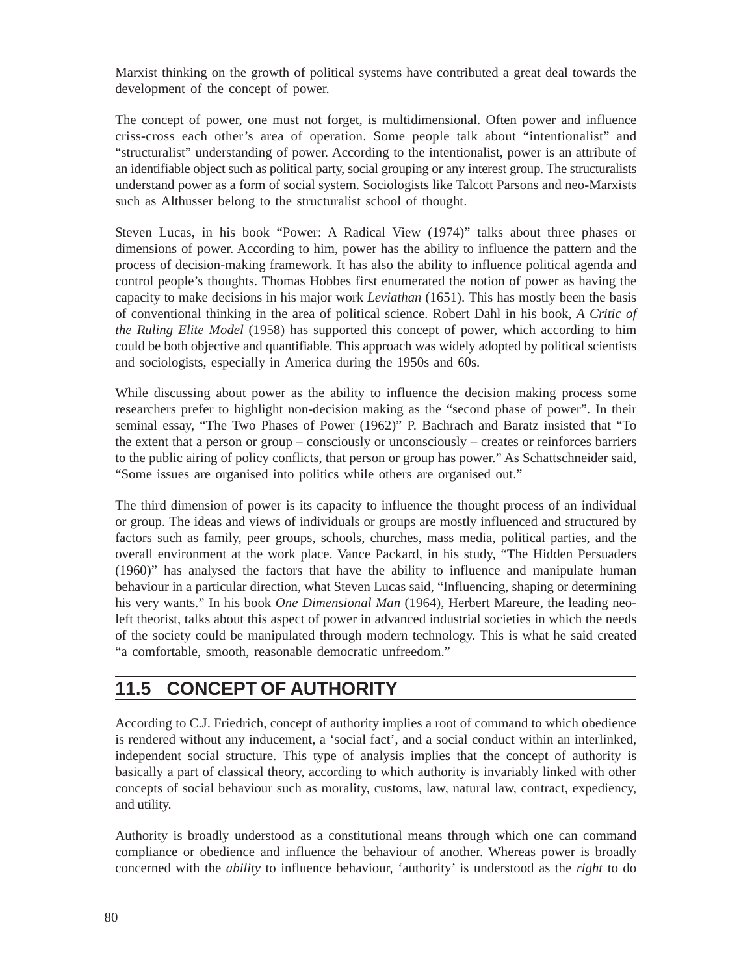Marxist thinking on the growth of political systems have contributed a great deal towards the development of the concept of power.

The concept of power, one must not forget, is multidimensional. Often power and influence criss-cross each other's area of operation. Some people talk about "intentionalist" and "structuralist" understanding of power. According to the intentionalist, power is an attribute of an identifiable object such as political party, social grouping or any interest group. The structuralists understand power as a form of social system. Sociologists like Talcott Parsons and neo-Marxists such as Althusser belong to the structuralist school of thought.

Steven Lucas, in his book "Power: A Radical View (1974)" talks about three phases or dimensions of power. According to him, power has the ability to influence the pattern and the process of decision-making framework. It has also the ability to influence political agenda and control people's thoughts. Thomas Hobbes first enumerated the notion of power as having the capacity to make decisions in his major work *Leviathan* (1651). This has mostly been the basis of conventional thinking in the area of political science. Robert Dahl in his book, *A Critic of the Ruling Elite Model* (1958) has supported this concept of power, which according to him could be both objective and quantifiable. This approach was widely adopted by political scientists and sociologists, especially in America during the 1950s and 60s.

While discussing about power as the ability to influence the decision making process some researchers prefer to highlight non-decision making as the "second phase of power". In their seminal essay, "The Two Phases of Power (1962)" P. Bachrach and Baratz insisted that "To the extent that a person or group – consciously or unconsciously – creates or reinforces barriers to the public airing of policy conflicts, that person or group has power." As Schattschneider said, "Some issues are organised into politics while others are organised out."

The third dimension of power is its capacity to influence the thought process of an individual or group. The ideas and views of individuals or groups are mostly influenced and structured by factors such as family, peer groups, schools, churches, mass media, political parties, and the overall environment at the work place. Vance Packard, in his study, "The Hidden Persuaders (1960)" has analysed the factors that have the ability to influence and manipulate human behaviour in a particular direction, what Steven Lucas said, "Influencing, shaping or determining his very wants." In his book *One Dimensional Man* (1964), Herbert Mareure, the leading neoleft theorist, talks about this aspect of power in advanced industrial societies in which the needs of the society could be manipulated through modern technology. This is what he said created "a comfortable, smooth, reasonable democratic unfreedom."

## **11.5 CONCEPT OF AUTHORITY**

According to C.J. Friedrich, concept of authority implies a root of command to which obedience is rendered without any inducement, a 'social fact', and a social conduct within an interlinked, independent social structure. This type of analysis implies that the concept of authority is basically a part of classical theory, according to which authority is invariably linked with other concepts of social behaviour such as morality, customs, law, natural law, contract, expediency, and utility.

Authority is broadly understood as a constitutional means through which one can command compliance or obedience and influence the behaviour of another. Whereas power is broadly concerned with the *ability* to influence behaviour, 'authority' is understood as the *right* to do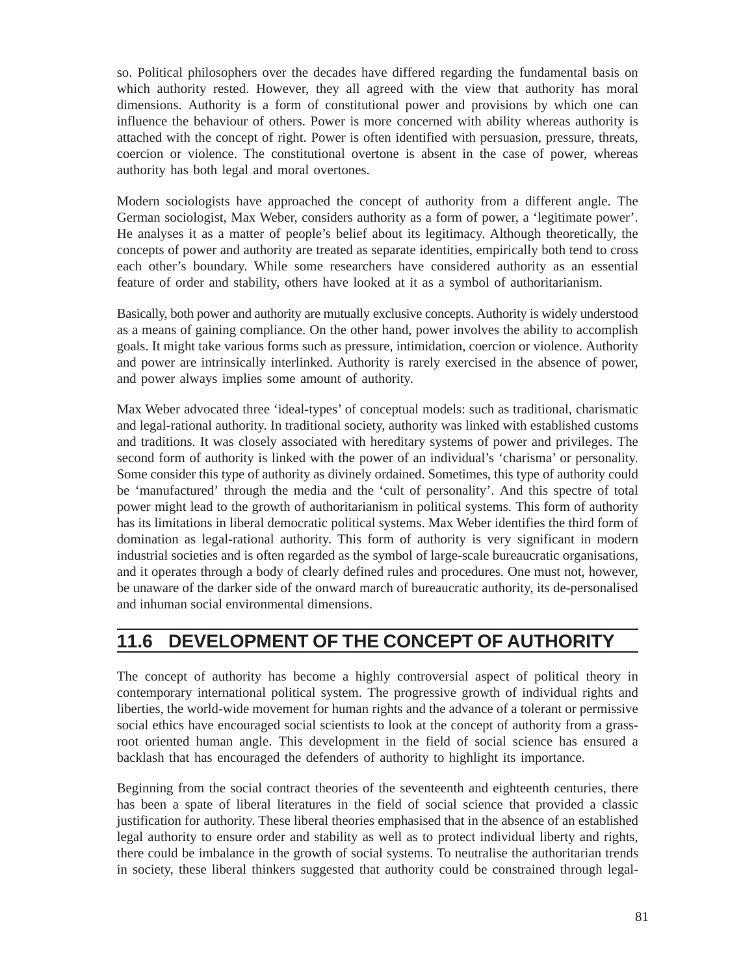so. Political philosophers over the decades have differed regarding the fundamental basis on which authority rested. However, they all agreed with the view that authority has moral dimensions. Authority is a form of constitutional power and provisions by which one can influence the behaviour of others. Power is more concerned with ability whereas authority is attached with the concept of right. Power is often identified with persuasion, pressure, threats, coercion or violence. The constitutional overtone is absent in the case of power, whereas authority has both legal and moral overtones.

Modern sociologists have approached the concept of authority from a different angle. The German sociologist, Max Weber, considers authority as a form of power, a 'legitimate power'. He analyses it as a matter of people's belief about its legitimacy. Although theoretically, the concepts of power and authority are treated as separate identities, empirically both tend to cross each other's boundary. While some researchers have considered authority as an essential feature of order and stability, others have looked at it as a symbol of authoritarianism.

Basically, both power and authority are mutually exclusive concepts. Authority is widely understood as a means of gaining compliance. On the other hand, power involves the ability to accomplish goals. It might take various forms such as pressure, intimidation, coercion or violence. Authority and power are intrinsically interlinked. Authority is rarely exercised in the absence of power, and power always implies some amount of authority.

Max Weber advocated three 'ideal-types' of conceptual models: such as traditional, charismatic and legal-rational authority. In traditional society, authority was linked with established customs and traditions. It was closely associated with hereditary systems of power and privileges. The second form of authority is linked with the power of an individual's 'charisma' or personality. Some consider this type of authority as divinely ordained. Sometimes, this type of authority could be 'manufactured' through the media and the 'cult of personality'. And this spectre of total power might lead to the growth of authoritarianism in political systems. This form of authority has its limitations in liberal democratic political systems. Max Weber identifies the third form of domination as legal-rational authority. This form of authority is very significant in modern industrial societies and is often regarded as the symbol of large-scale bureaucratic organisations, and it operates through a body of clearly defined rules and procedures. One must not, however, be unaware of the darker side of the onward march of bureaucratic authority, its de-personalised and inhuman social environmental dimensions.

## **11.6 DEVELOPMENT OF THE CONCEPT OF AUTHORITY**

The concept of authority has become a highly controversial aspect of political theory in contemporary international political system. The progressive growth of individual rights and liberties, the world-wide movement for human rights and the advance of a tolerant or permissive social ethics have encouraged social scientists to look at the concept of authority from a grassroot oriented human angle. This development in the field of social science has ensured a backlash that has encouraged the defenders of authority to highlight its importance.

Beginning from the social contract theories of the seventeenth and eighteenth centuries, there has been a spate of liberal literatures in the field of social science that provided a classic justification for authority. These liberal theories emphasised that in the absence of an established legal authority to ensure order and stability as well as to protect individual liberty and rights, there could be imbalance in the growth of social systems. To neutralise the authoritarian trends in society, these liberal thinkers suggested that authority could be constrained through legal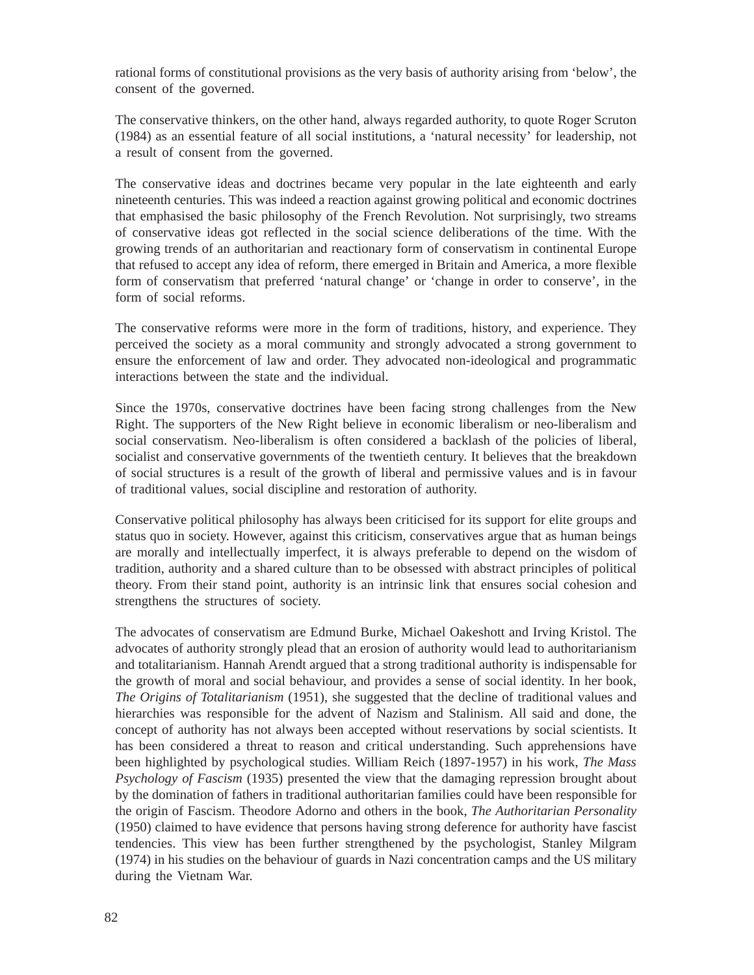rational forms of constitutional provisions as the very basis of authority arising from 'below', the consent of the governed.

The conservative thinkers, on the other hand, always regarded authority, to quote Roger Scruton (1984) as an essential feature of all social institutions, a 'natural necessity' for leadership, not a result of consent from the governed.

The conservative ideas and doctrines became very popular in the late eighteenth and early nineteenth centuries. This was indeed a reaction against growing political and economic doctrines that emphasised the basic philosophy of the French Revolution. Not surprisingly, two streams of conservative ideas got reflected in the social science deliberations of the time. With the growing trends of an authoritarian and reactionary form of conservatism in continental Europe that refused to accept any idea of reform, there emerged in Britain and America, a more flexible form of conservatism that preferred 'natural change' or 'change in order to conserve', in the form of social reforms.

The conservative reforms were more in the form of traditions, history, and experience. They perceived the society as a moral community and strongly advocated a strong government to ensure the enforcement of law and order. They advocated non-ideological and programmatic interactions between the state and the individual.

Since the 1970s, conservative doctrines have been facing strong challenges from the New Right. The supporters of the New Right believe in economic liberalism or neo-liberalism and social conservatism. Neo-liberalism is often considered a backlash of the policies of liberal, socialist and conservative governments of the twentieth century. It believes that the breakdown of social structures is a result of the growth of liberal and permissive values and is in favour of traditional values, social discipline and restoration of authority.

Conservative political philosophy has always been criticised for its support for elite groups and status quo in society. However, against this criticism, conservatives argue that as human beings are morally and intellectually imperfect, it is always preferable to depend on the wisdom of tradition, authority and a shared culture than to be obsessed with abstract principles of political theory. From their stand point, authority is an intrinsic link that ensures social cohesion and strengthens the structures of society.

The advocates of conservatism are Edmund Burke, Michael Oakeshott and Irving Kristol. The advocates of authority strongly plead that an erosion of authority would lead to authoritarianism and totalitarianism. Hannah Arendt argued that a strong traditional authority is indispensable for the growth of moral and social behaviour, and provides a sense of social identity. In her book, *The Origins of Totalitarianism* (1951), she suggested that the decline of traditional values and hierarchies was responsible for the advent of Nazism and Stalinism. All said and done, the concept of authority has not always been accepted without reservations by social scientists. It has been considered a threat to reason and critical understanding. Such apprehensions have been highlighted by psychological studies. William Reich (1897-1957) in his work, *The Mass Psychology of Fascism* (1935) presented the view that the damaging repression brought about by the domination of fathers in traditional authoritarian families could have been responsible for the origin of Fascism. Theodore Adorno and others in the book, *The Authoritarian Personality* (1950) claimed to have evidence that persons having strong deference for authority have fascist tendencies. This view has been further strengthened by the psychologist, Stanley Milgram (1974) in his studies on the behaviour of guards in Nazi concentration camps and the US military during the Vietnam War.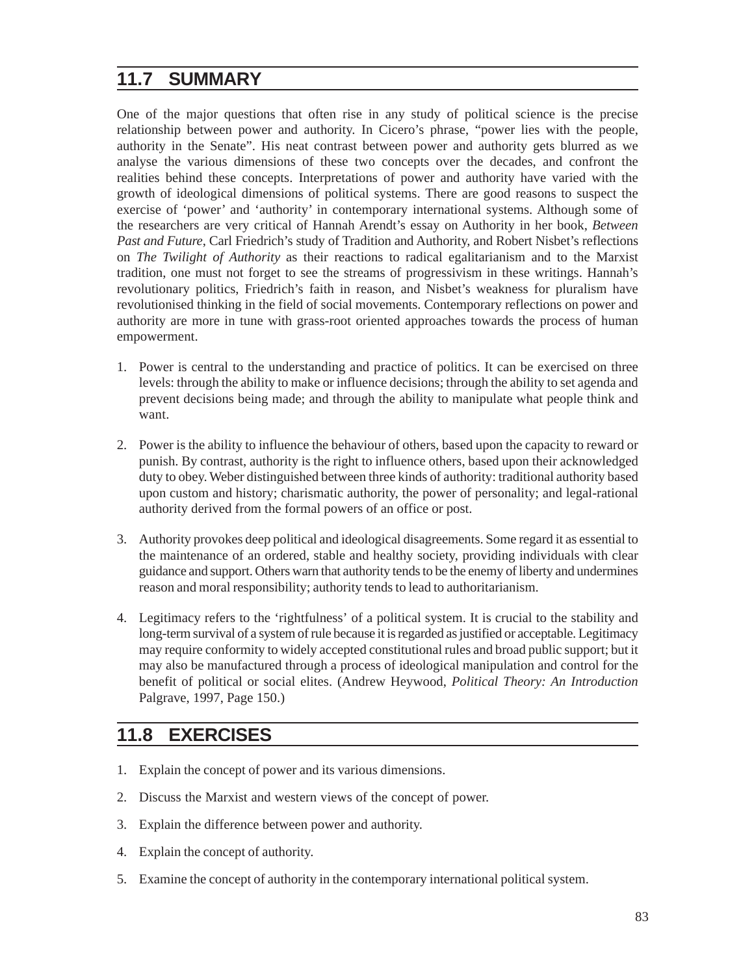### **11.7 SUMMARY**

One of the major questions that often rise in any study of political science is the precise relationship between power and authority. In Cicero's phrase, "power lies with the people, authority in the Senate". His neat contrast between power and authority gets blurred as we analyse the various dimensions of these two concepts over the decades, and confront the realities behind these concepts. Interpretations of power and authority have varied with the growth of ideological dimensions of political systems. There are good reasons to suspect the exercise of 'power' and 'authority' in contemporary international systems. Although some of the researchers are very critical of Hannah Arendt's essay on Authority in her book, *Between Past and Future*, Carl Friedrich's study of Tradition and Authority, and Robert Nisbet's reflections on *The Twilight of Authority* as their reactions to radical egalitarianism and to the Marxist tradition, one must not forget to see the streams of progressivism in these writings. Hannah's revolutionary politics, Friedrich's faith in reason, and Nisbet's weakness for pluralism have revolutionised thinking in the field of social movements. Contemporary reflections on power and authority are more in tune with grass-root oriented approaches towards the process of human empowerment.

- 1. Power is central to the understanding and practice of politics. It can be exercised on three levels: through the ability to make or influence decisions; through the ability to set agenda and prevent decisions being made; and through the ability to manipulate what people think and want.
- 2. Power is the ability to influence the behaviour of others, based upon the capacity to reward or punish. By contrast, authority is the right to influence others, based upon their acknowledged duty to obey. Weber distinguished between three kinds of authority: traditional authority based upon custom and history; charismatic authority, the power of personality; and legal-rational authority derived from the formal powers of an office or post.
- 3. Authority provokes deep political and ideological disagreements. Some regard it as essential to the maintenance of an ordered, stable and healthy society, providing individuals with clear guidance and support. Others warn that authority tends to be the enemy of liberty and undermines reason and moral responsibility; authority tends to lead to authoritarianism.
- 4. Legitimacy refers to the 'rightfulness' of a political system. It is crucial to the stability and long-term survival of a system of rule because it is regarded as justified or acceptable. Legitimacy may require conformity to widely accepted constitutional rules and broad public support; but it may also be manufactured through a process of ideological manipulation and control for the benefit of political or social elites. (Andrew Heywood, *Political Theory: An Introduction* Palgrave, 1997, Page 150.)

### **11.8 EXERCISES**

- 1. Explain the concept of power and its various dimensions.
- 2. Discuss the Marxist and western views of the concept of power.
- 3. Explain the difference between power and authority.
- 4. Explain the concept of authority.
- 5. Examine the concept of authority in the contemporary international political system.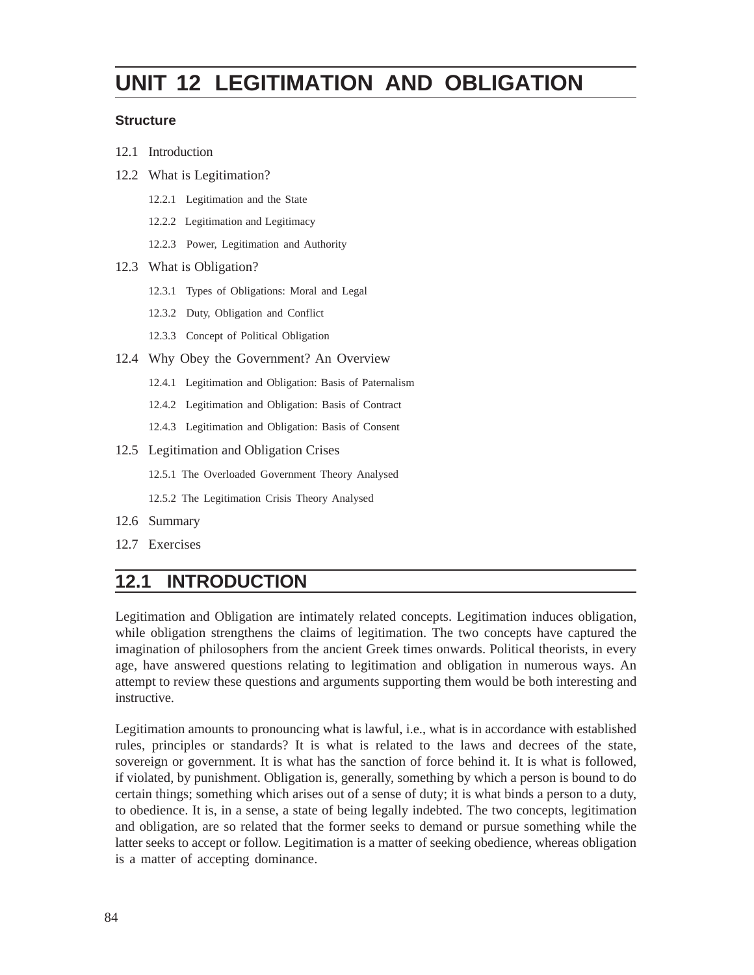# **UNIT 12 LEGITIMATION AND OBLIGATION**

#### **Structure**

- 12.1 Introduction
- 12.2 What is Legitimation?
	- 12.2.1 Legitimation and the State
	- 12.2.2 Legitimation and Legitimacy
	- 12.2.3 Power, Legitimation and Authority
- 12.3 What is Obligation?
	- 12.3.1 Types of Obligations: Moral and Legal
	- 12.3.2 Duty, Obligation and Conflict
	- 12.3.3 Concept of Political Obligation
- 12.4 Why Obey the Government? An Overview
	- 12.4.1 Legitimation and Obligation: Basis of Paternalism
	- 12.4.2 Legitimation and Obligation: Basis of Contract
	- 12.4.3 Legitimation and Obligation: Basis of Consent
- 12.5 Legitimation and Obligation Crises
	- 12.5.1 The Overloaded Government Theory Analysed
	- 12.5.2 The Legitimation Crisis Theory Analysed
- 12.6 Summary
- 12.7 Exercises

## **12.1 INTRODUCTION**

Legitimation and Obligation are intimately related concepts. Legitimation induces obligation, while obligation strengthens the claims of legitimation. The two concepts have captured the imagination of philosophers from the ancient Greek times onwards. Political theorists, in every age, have answered questions relating to legitimation and obligation in numerous ways. An attempt to review these questions and arguments supporting them would be both interesting and instructive.

Legitimation amounts to pronouncing what is lawful, i.e., what is in accordance with established rules, principles or standards? It is what is related to the laws and decrees of the state, sovereign or government. It is what has the sanction of force behind it. It is what is followed, if violated, by punishment. Obligation is, generally, something by which a person is bound to do certain things; something which arises out of a sense of duty; it is what binds a person to a duty, to obedience. It is, in a sense, a state of being legally indebted. The two concepts, legitimation and obligation, are so related that the former seeks to demand or pursue something while the latter seeks to accept or follow. Legitimation is a matter of seeking obedience, whereas obligation is a matter of accepting dominance.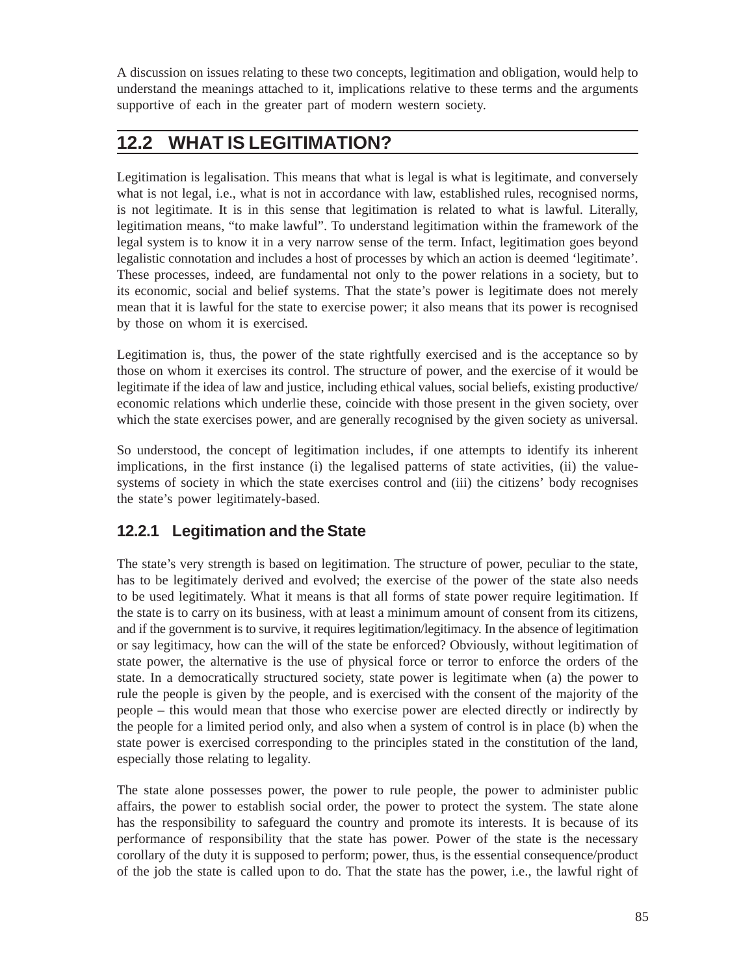A discussion on issues relating to these two concepts, legitimation and obligation, would help to understand the meanings attached to it, implications relative to these terms and the arguments supportive of each in the greater part of modern western society.

# **12.2 WHAT IS LEGITIMATION?**

Legitimation is legalisation. This means that what is legal is what is legitimate, and conversely what is not legal, i.e., what is not in accordance with law, established rules, recognised norms, is not legitimate. It is in this sense that legitimation is related to what is lawful. Literally, legitimation means, "to make lawful". To understand legitimation within the framework of the legal system is to know it in a very narrow sense of the term. Infact, legitimation goes beyond legalistic connotation and includes a host of processes by which an action is deemed 'legitimate'. These processes, indeed, are fundamental not only to the power relations in a society, but to its economic, social and belief systems. That the state's power is legitimate does not merely mean that it is lawful for the state to exercise power; it also means that its power is recognised by those on whom it is exercised.

Legitimation is, thus, the power of the state rightfully exercised and is the acceptance so by those on whom it exercises its control. The structure of power, and the exercise of it would be legitimate if the idea of law and justice, including ethical values, social beliefs, existing productive/ economic relations which underlie these, coincide with those present in the given society, over which the state exercises power, and are generally recognised by the given society as universal.

So understood, the concept of legitimation includes, if one attempts to identify its inherent implications, in the first instance (i) the legalised patterns of state activities, (ii) the valuesystems of society in which the state exercises control and (iii) the citizens' body recognises the state's power legitimately-based.

### **12.2.1 Legitimation and the State**

The state's very strength is based on legitimation. The structure of power, peculiar to the state, has to be legitimately derived and evolved; the exercise of the power of the state also needs to be used legitimately. What it means is that all forms of state power require legitimation. If the state is to carry on its business, with at least a minimum amount of consent from its citizens, and if the government is to survive, it requires legitimation/legitimacy. In the absence of legitimation or say legitimacy, how can the will of the state be enforced? Obviously, without legitimation of state power, the alternative is the use of physical force or terror to enforce the orders of the state. In a democratically structured society, state power is legitimate when (a) the power to rule the people is given by the people, and is exercised with the consent of the majority of the people – this would mean that those who exercise power are elected directly or indirectly by the people for a limited period only, and also when a system of control is in place (b) when the state power is exercised corresponding to the principles stated in the constitution of the land, especially those relating to legality.

The state alone possesses power, the power to rule people, the power to administer public affairs, the power to establish social order, the power to protect the system. The state alone has the responsibility to safeguard the country and promote its interests. It is because of its performance of responsibility that the state has power. Power of the state is the necessary corollary of the duty it is supposed to perform; power, thus, is the essential consequence/product of the job the state is called upon to do. That the state has the power, i.e., the lawful right of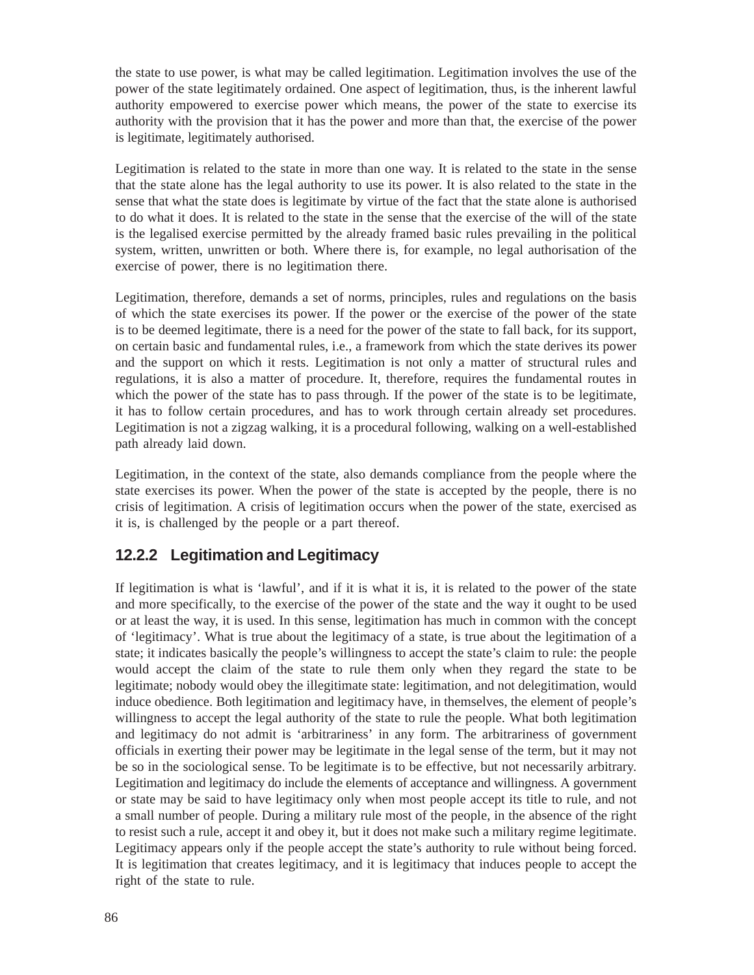the state to use power, is what may be called legitimation. Legitimation involves the use of the power of the state legitimately ordained. One aspect of legitimation, thus, is the inherent lawful authority empowered to exercise power which means, the power of the state to exercise its authority with the provision that it has the power and more than that, the exercise of the power is legitimate, legitimately authorised.

Legitimation is related to the state in more than one way. It is related to the state in the sense that the state alone has the legal authority to use its power. It is also related to the state in the sense that what the state does is legitimate by virtue of the fact that the state alone is authorised to do what it does. It is related to the state in the sense that the exercise of the will of the state is the legalised exercise permitted by the already framed basic rules prevailing in the political system, written, unwritten or both. Where there is, for example, no legal authorisation of the exercise of power, there is no legitimation there.

Legitimation, therefore, demands a set of norms, principles, rules and regulations on the basis of which the state exercises its power. If the power or the exercise of the power of the state is to be deemed legitimate, there is a need for the power of the state to fall back, for its support, on certain basic and fundamental rules, i.e., a framework from which the state derives its power and the support on which it rests. Legitimation is not only a matter of structural rules and regulations, it is also a matter of procedure. It, therefore, requires the fundamental routes in which the power of the state has to pass through. If the power of the state is to be legitimate, it has to follow certain procedures, and has to work through certain already set procedures. Legitimation is not a zigzag walking, it is a procedural following, walking on a well-established path already laid down.

Legitimation, in the context of the state, also demands compliance from the people where the state exercises its power. When the power of the state is accepted by the people, there is no crisis of legitimation. A crisis of legitimation occurs when the power of the state, exercised as it is, is challenged by the people or a part thereof.

#### **12.2.2 Legitimation and Legitimacy**

If legitimation is what is 'lawful', and if it is what it is, it is related to the power of the state and more specifically, to the exercise of the power of the state and the way it ought to be used or at least the way, it is used. In this sense, legitimation has much in common with the concept of 'legitimacy'. What is true about the legitimacy of a state, is true about the legitimation of a state; it indicates basically the people's willingness to accept the state's claim to rule: the people would accept the claim of the state to rule them only when they regard the state to be legitimate; nobody would obey the illegitimate state: legitimation, and not delegitimation, would induce obedience. Both legitimation and legitimacy have, in themselves, the element of people's willingness to accept the legal authority of the state to rule the people. What both legitimation and legitimacy do not admit is 'arbitrariness' in any form. The arbitrariness of government officials in exerting their power may be legitimate in the legal sense of the term, but it may not be so in the sociological sense. To be legitimate is to be effective, but not necessarily arbitrary. Legitimation and legitimacy do include the elements of acceptance and willingness. A government or state may be said to have legitimacy only when most people accept its title to rule, and not a small number of people. During a military rule most of the people, in the absence of the right to resist such a rule, accept it and obey it, but it does not make such a military regime legitimate. Legitimacy appears only if the people accept the state's authority to rule without being forced. It is legitimation that creates legitimacy, and it is legitimacy that induces people to accept the right of the state to rule.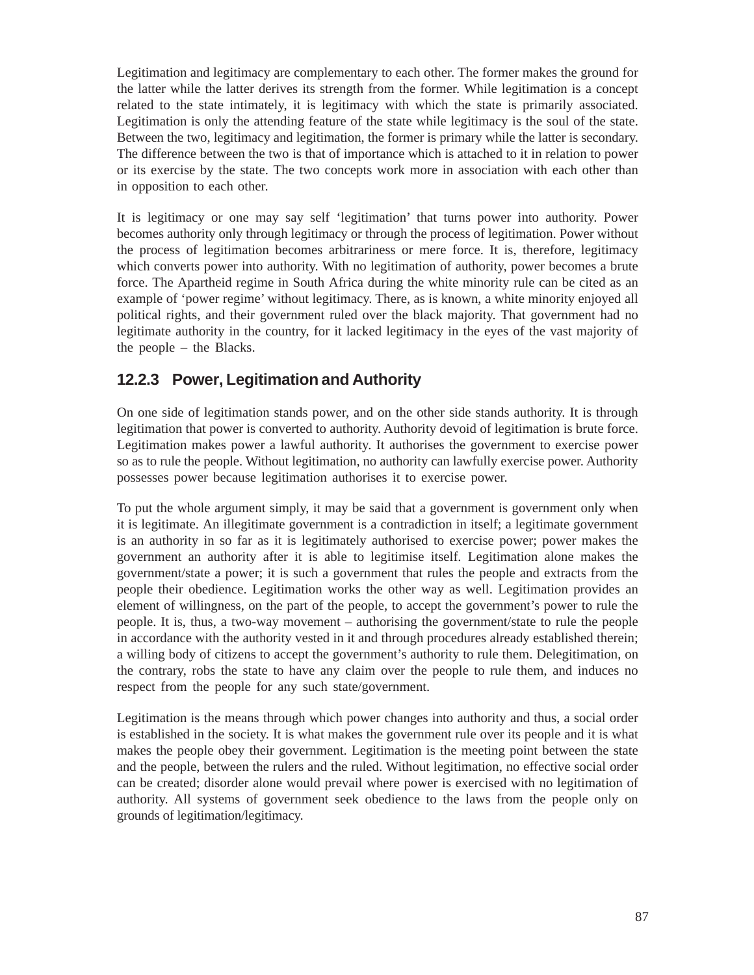Legitimation and legitimacy are complementary to each other. The former makes the ground for the latter while the latter derives its strength from the former. While legitimation is a concept related to the state intimately, it is legitimacy with which the state is primarily associated. Legitimation is only the attending feature of the state while legitimacy is the soul of the state. Between the two, legitimacy and legitimation, the former is primary while the latter is secondary. The difference between the two is that of importance which is attached to it in relation to power or its exercise by the state. The two concepts work more in association with each other than in opposition to each other.

It is legitimacy or one may say self 'legitimation' that turns power into authority. Power becomes authority only through legitimacy or through the process of legitimation. Power without the process of legitimation becomes arbitrariness or mere force. It is, therefore, legitimacy which converts power into authority. With no legitimation of authority, power becomes a brute force. The Apartheid regime in South Africa during the white minority rule can be cited as an example of 'power regime' without legitimacy. There, as is known, a white minority enjoyed all political rights, and their government ruled over the black majority. That government had no legitimate authority in the country, for it lacked legitimacy in the eyes of the vast majority of the people – the Blacks.

### **12.2.3 Power, Legitimation and Authority**

On one side of legitimation stands power, and on the other side stands authority. It is through legitimation that power is converted to authority. Authority devoid of legitimation is brute force. Legitimation makes power a lawful authority. It authorises the government to exercise power so as to rule the people. Without legitimation, no authority can lawfully exercise power. Authority possesses power because legitimation authorises it to exercise power.

To put the whole argument simply, it may be said that a government is government only when it is legitimate. An illegitimate government is a contradiction in itself; a legitimate government is an authority in so far as it is legitimately authorised to exercise power; power makes the government an authority after it is able to legitimise itself. Legitimation alone makes the government/state a power; it is such a government that rules the people and extracts from the people their obedience. Legitimation works the other way as well. Legitimation provides an element of willingness, on the part of the people, to accept the government's power to rule the people. It is, thus, a two-way movement – authorising the government/state to rule the people in accordance with the authority vested in it and through procedures already established therein; a willing body of citizens to accept the government's authority to rule them. Delegitimation, on the contrary, robs the state to have any claim over the people to rule them, and induces no respect from the people for any such state/government.

Legitimation is the means through which power changes into authority and thus, a social order is established in the society. It is what makes the government rule over its people and it is what makes the people obey their government. Legitimation is the meeting point between the state and the people, between the rulers and the ruled. Without legitimation, no effective social order can be created; disorder alone would prevail where power is exercised with no legitimation of authority. All systems of government seek obedience to the laws from the people only on grounds of legitimation/legitimacy.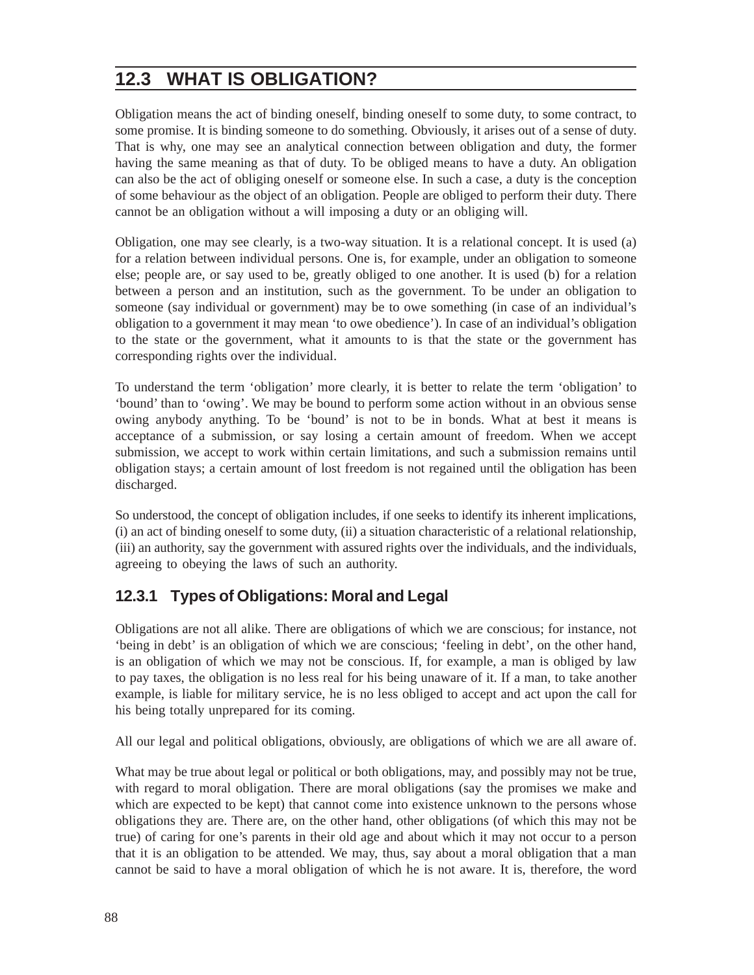# **12.3 WHAT IS OBLIGATION?**

Obligation means the act of binding oneself, binding oneself to some duty, to some contract, to some promise. It is binding someone to do something. Obviously, it arises out of a sense of duty. That is why, one may see an analytical connection between obligation and duty, the former having the same meaning as that of duty. To be obliged means to have a duty. An obligation can also be the act of obliging oneself or someone else. In such a case, a duty is the conception of some behaviour as the object of an obligation. People are obliged to perform their duty. There cannot be an obligation without a will imposing a duty or an obliging will.

Obligation, one may see clearly, is a two-way situation. It is a relational concept. It is used (a) for a relation between individual persons. One is, for example, under an obligation to someone else; people are, or say used to be, greatly obliged to one another. It is used (b) for a relation between a person and an institution, such as the government. To be under an obligation to someone (say individual or government) may be to owe something (in case of an individual's obligation to a government it may mean 'to owe obedience'). In case of an individual's obligation to the state or the government, what it amounts to is that the state or the government has corresponding rights over the individual.

To understand the term 'obligation' more clearly, it is better to relate the term 'obligation' to 'bound' than to 'owing'. We may be bound to perform some action without in an obvious sense owing anybody anything. To be 'bound' is not to be in bonds. What at best it means is acceptance of a submission, or say losing a certain amount of freedom. When we accept submission, we accept to work within certain limitations, and such a submission remains until obligation stays; a certain amount of lost freedom is not regained until the obligation has been discharged.

So understood, the concept of obligation includes, if one seeks to identify its inherent implications, (i) an act of binding oneself to some duty, (ii) a situation characteristic of a relational relationship, (iii) an authority, say the government with assured rights over the individuals, and the individuals, agreeing to obeying the laws of such an authority.

### **12.3.1 Types of Obligations: Moral and Legal**

Obligations are not all alike. There are obligations of which we are conscious; for instance, not 'being in debt' is an obligation of which we are conscious; 'feeling in debt', on the other hand, is an obligation of which we may not be conscious. If, for example, a man is obliged by law to pay taxes, the obligation is no less real for his being unaware of it. If a man, to take another example, is liable for military service, he is no less obliged to accept and act upon the call for his being totally unprepared for its coming.

All our legal and political obligations, obviously, are obligations of which we are all aware of.

What may be true about legal or political or both obligations, may, and possibly may not be true, with regard to moral obligation. There are moral obligations (say the promises we make and which are expected to be kept) that cannot come into existence unknown to the persons whose obligations they are. There are, on the other hand, other obligations (of which this may not be true) of caring for one's parents in their old age and about which it may not occur to a person that it is an obligation to be attended. We may, thus, say about a moral obligation that a man cannot be said to have a moral obligation of which he is not aware. It is, therefore, the word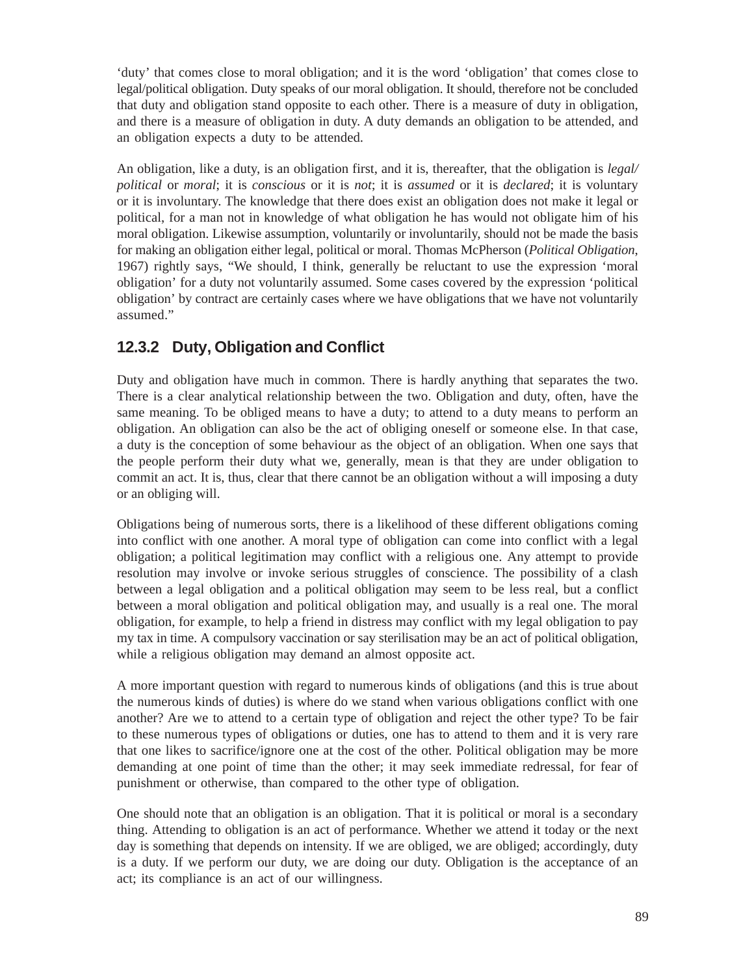'duty' that comes close to moral obligation; and it is the word 'obligation' that comes close to legal/political obligation. Duty speaks of our moral obligation. It should, therefore not be concluded that duty and obligation stand opposite to each other. There is a measure of duty in obligation, and there is a measure of obligation in duty. A duty demands an obligation to be attended, and an obligation expects a duty to be attended.

An obligation, like a duty, is an obligation first, and it is, thereafter, that the obligation is *legal/ political* or *moral*; it is *conscious* or it is *not*; it is *assumed* or it is *declared*; it is voluntary or it is involuntary. The knowledge that there does exist an obligation does not make it legal or political, for a man not in knowledge of what obligation he has would not obligate him of his moral obligation. Likewise assumption, voluntarily or involuntarily, should not be made the basis for making an obligation either legal, political or moral. Thomas McPherson (*Political Obligation*, 1967) rightly says, "We should, I think, generally be reluctant to use the expression 'moral obligation' for a duty not voluntarily assumed. Some cases covered by the expression 'political obligation' by contract are certainly cases where we have obligations that we have not voluntarily assumed."

### **12.3.2 Duty, Obligation and Conflict**

Duty and obligation have much in common. There is hardly anything that separates the two. There is a clear analytical relationship between the two. Obligation and duty, often, have the same meaning. To be obliged means to have a duty; to attend to a duty means to perform an obligation. An obligation can also be the act of obliging oneself or someone else. In that case, a duty is the conception of some behaviour as the object of an obligation. When one says that the people perform their duty what we, generally, mean is that they are under obligation to commit an act. It is, thus, clear that there cannot be an obligation without a will imposing a duty or an obliging will.

Obligations being of numerous sorts, there is a likelihood of these different obligations coming into conflict with one another. A moral type of obligation can come into conflict with a legal obligation; a political legitimation may conflict with a religious one. Any attempt to provide resolution may involve or invoke serious struggles of conscience. The possibility of a clash between a legal obligation and a political obligation may seem to be less real, but a conflict between a moral obligation and political obligation may, and usually is a real one. The moral obligation, for example, to help a friend in distress may conflict with my legal obligation to pay my tax in time. A compulsory vaccination or say sterilisation may be an act of political obligation, while a religious obligation may demand an almost opposite act.

A more important question with regard to numerous kinds of obligations (and this is true about the numerous kinds of duties) is where do we stand when various obligations conflict with one another? Are we to attend to a certain type of obligation and reject the other type? To be fair to these numerous types of obligations or duties, one has to attend to them and it is very rare that one likes to sacrifice/ignore one at the cost of the other. Political obligation may be more demanding at one point of time than the other; it may seek immediate redressal, for fear of punishment or otherwise, than compared to the other type of obligation.

One should note that an obligation is an obligation. That it is political or moral is a secondary thing. Attending to obligation is an act of performance. Whether we attend it today or the next day is something that depends on intensity. If we are obliged, we are obliged; accordingly, duty is a duty. If we perform our duty, we are doing our duty. Obligation is the acceptance of an act; its compliance is an act of our willingness.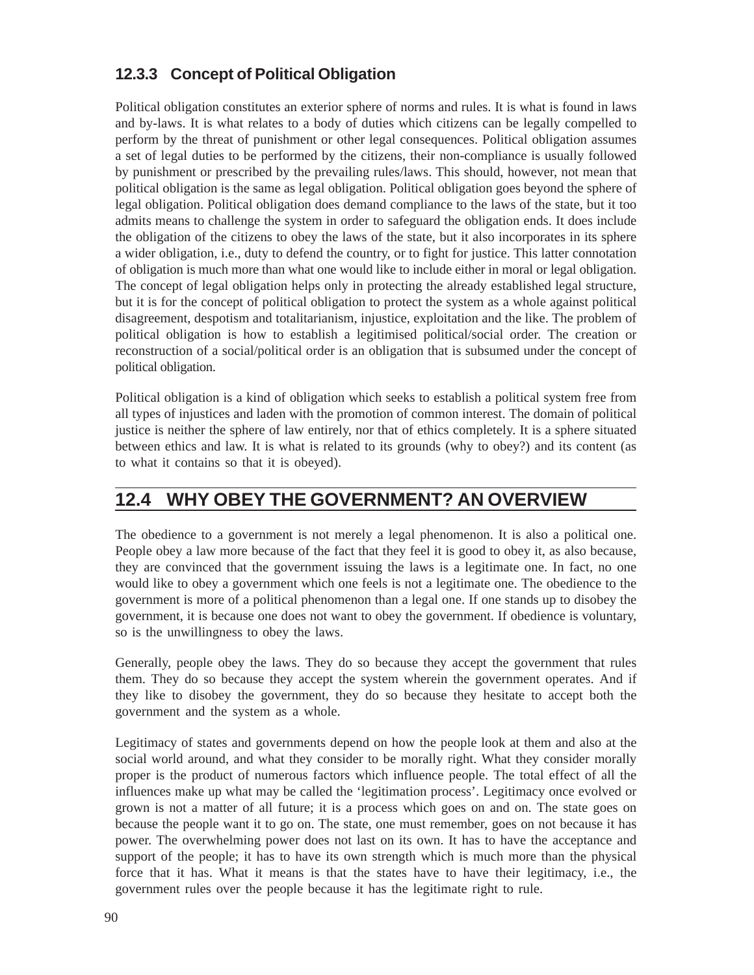### **12.3.3 Concept of Political Obligation**

Political obligation constitutes an exterior sphere of norms and rules. It is what is found in laws and by-laws. It is what relates to a body of duties which citizens can be legally compelled to perform by the threat of punishment or other legal consequences. Political obligation assumes a set of legal duties to be performed by the citizens, their non-compliance is usually followed by punishment or prescribed by the prevailing rules/laws. This should, however, not mean that political obligation is the same as legal obligation. Political obligation goes beyond the sphere of legal obligation. Political obligation does demand compliance to the laws of the state, but it too admits means to challenge the system in order to safeguard the obligation ends. It does include the obligation of the citizens to obey the laws of the state, but it also incorporates in its sphere a wider obligation, i.e., duty to defend the country, or to fight for justice. This latter connotation of obligation is much more than what one would like to include either in moral or legal obligation. The concept of legal obligation helps only in protecting the already established legal structure, but it is for the concept of political obligation to protect the system as a whole against political disagreement, despotism and totalitarianism, injustice, exploitation and the like. The problem of political obligation is how to establish a legitimised political/social order. The creation or reconstruction of a social/political order is an obligation that is subsumed under the concept of political obligation.

Political obligation is a kind of obligation which seeks to establish a political system free from all types of injustices and laden with the promotion of common interest. The domain of political justice is neither the sphere of law entirely, nor that of ethics completely. It is a sphere situated between ethics and law. It is what is related to its grounds (why to obey?) and its content (as to what it contains so that it is obeyed).

# **12.4 WHY OBEY THE GOVERNMENT? AN OVERVIEW**

The obedience to a government is not merely a legal phenomenon. It is also a political one. People obey a law more because of the fact that they feel it is good to obey it, as also because, they are convinced that the government issuing the laws is a legitimate one. In fact, no one would like to obey a government which one feels is not a legitimate one. The obedience to the government is more of a political phenomenon than a legal one. If one stands up to disobey the government, it is because one does not want to obey the government. If obedience is voluntary, so is the unwillingness to obey the laws.

Generally, people obey the laws. They do so because they accept the government that rules them. They do so because they accept the system wherein the government operates. And if they like to disobey the government, they do so because they hesitate to accept both the government and the system as a whole.

Legitimacy of states and governments depend on how the people look at them and also at the social world around, and what they consider to be morally right. What they consider morally proper is the product of numerous factors which influence people. The total effect of all the influences make up what may be called the 'legitimation process'. Legitimacy once evolved or grown is not a matter of all future; it is a process which goes on and on. The state goes on because the people want it to go on. The state, one must remember, goes on not because it has power. The overwhelming power does not last on its own. It has to have the acceptance and support of the people; it has to have its own strength which is much more than the physical force that it has. What it means is that the states have to have their legitimacy, i.e., the government rules over the people because it has the legitimate right to rule.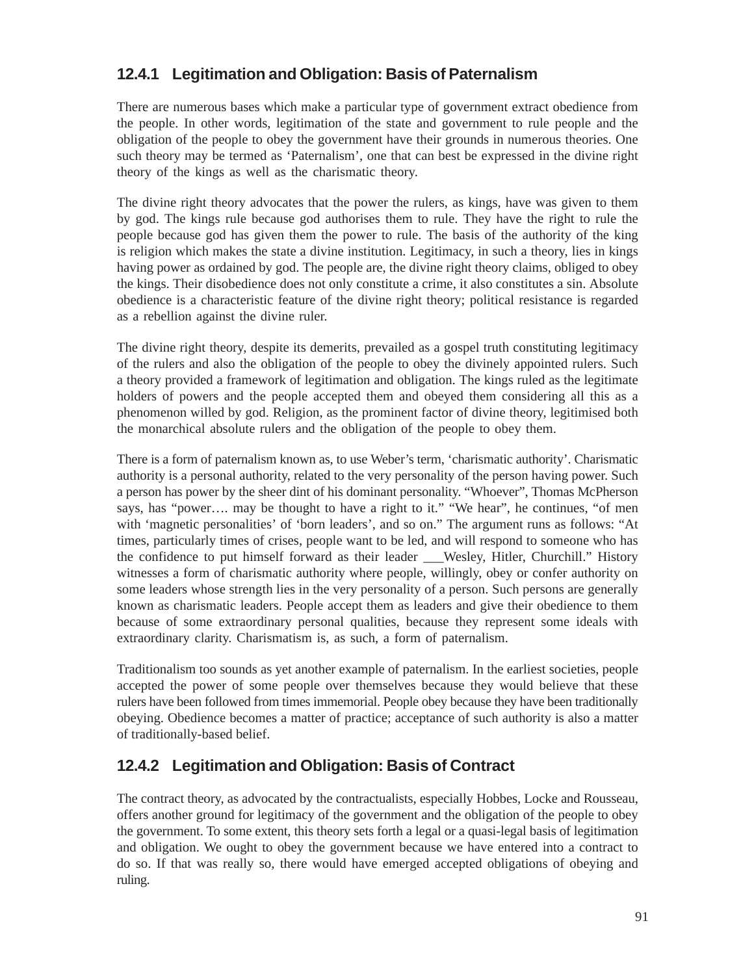### **12.4.1 Legitimation and Obligation: Basis of Paternalism**

There are numerous bases which make a particular type of government extract obedience from the people. In other words, legitimation of the state and government to rule people and the obligation of the people to obey the government have their grounds in numerous theories. One such theory may be termed as 'Paternalism', one that can best be expressed in the divine right theory of the kings as well as the charismatic theory.

The divine right theory advocates that the power the rulers, as kings, have was given to them by god. The kings rule because god authorises them to rule. They have the right to rule the people because god has given them the power to rule. The basis of the authority of the king is religion which makes the state a divine institution. Legitimacy, in such a theory, lies in kings having power as ordained by god. The people are, the divine right theory claims, obliged to obey the kings. Their disobedience does not only constitute a crime, it also constitutes a sin. Absolute obedience is a characteristic feature of the divine right theory; political resistance is regarded as a rebellion against the divine ruler.

The divine right theory, despite its demerits, prevailed as a gospel truth constituting legitimacy of the rulers and also the obligation of the people to obey the divinely appointed rulers. Such a theory provided a framework of legitimation and obligation. The kings ruled as the legitimate holders of powers and the people accepted them and obeyed them considering all this as a phenomenon willed by god. Religion, as the prominent factor of divine theory, legitimised both the monarchical absolute rulers and the obligation of the people to obey them.

There is a form of paternalism known as, to use Weber's term, 'charismatic authority'. Charismatic authority is a personal authority, related to the very personality of the person having power. Such a person has power by the sheer dint of his dominant personality. "Whoever", Thomas McPherson says, has "power…. may be thought to have a right to it." "We hear", he continues, "of men with 'magnetic personalities' of 'born leaders', and so on." The argument runs as follows: "At times, particularly times of crises, people want to be led, and will respond to someone who has the confidence to put himself forward as their leader Wesley, Hitler, Churchill." History witnesses a form of charismatic authority where people, willingly, obey or confer authority on some leaders whose strength lies in the very personality of a person. Such persons are generally known as charismatic leaders. People accept them as leaders and give their obedience to them because of some extraordinary personal qualities, because they represent some ideals with extraordinary clarity. Charismatism is, as such, a form of paternalism.

Traditionalism too sounds as yet another example of paternalism. In the earliest societies, people accepted the power of some people over themselves because they would believe that these rulers have been followed from times immemorial. People obey because they have been traditionally obeying. Obedience becomes a matter of practice; acceptance of such authority is also a matter of traditionally-based belief.

### **12.4.2 Legitimation and Obligation: Basis of Contract**

The contract theory, as advocated by the contractualists, especially Hobbes, Locke and Rousseau, offers another ground for legitimacy of the government and the obligation of the people to obey the government. To some extent, this theory sets forth a legal or a quasi-legal basis of legitimation and obligation. We ought to obey the government because we have entered into a contract to do so. If that was really so, there would have emerged accepted obligations of obeying and ruling.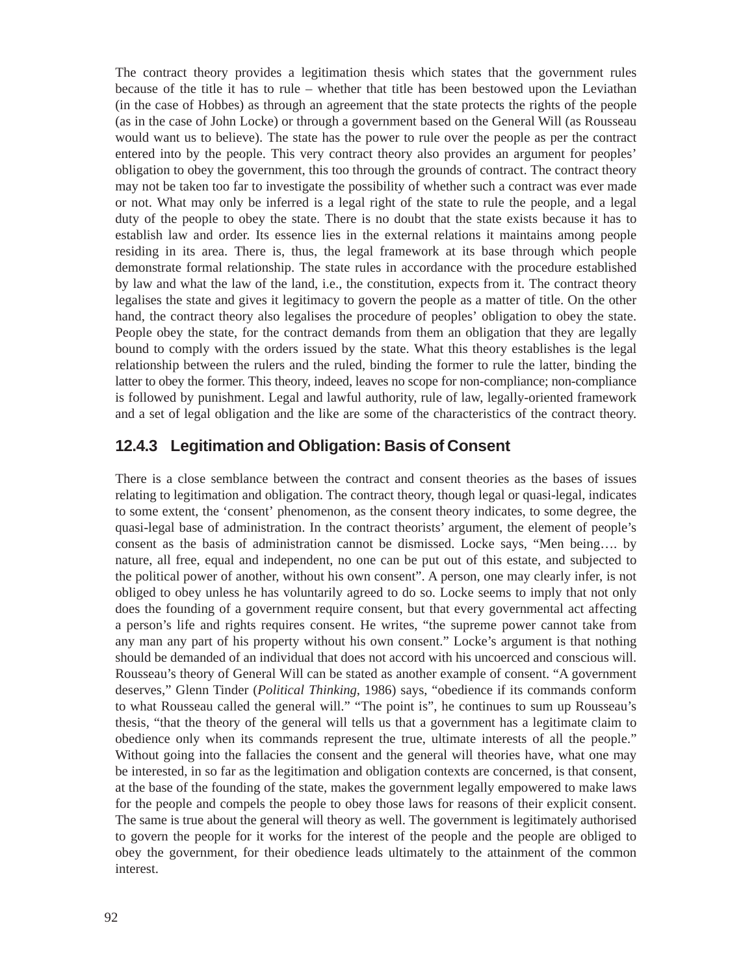The contract theory provides a legitimation thesis which states that the government rules because of the title it has to rule – whether that title has been bestowed upon the Leviathan (in the case of Hobbes) as through an agreement that the state protects the rights of the people (as in the case of John Locke) or through a government based on the General Will (as Rousseau would want us to believe). The state has the power to rule over the people as per the contract entered into by the people. This very contract theory also provides an argument for peoples' obligation to obey the government, this too through the grounds of contract. The contract theory may not be taken too far to investigate the possibility of whether such a contract was ever made or not. What may only be inferred is a legal right of the state to rule the people, and a legal duty of the people to obey the state. There is no doubt that the state exists because it has to establish law and order. Its essence lies in the external relations it maintains among people residing in its area. There is, thus, the legal framework at its base through which people demonstrate formal relationship. The state rules in accordance with the procedure established by law and what the law of the land, i.e., the constitution, expects from it. The contract theory legalises the state and gives it legitimacy to govern the people as a matter of title. On the other hand, the contract theory also legalises the procedure of peoples' obligation to obey the state. People obey the state, for the contract demands from them an obligation that they are legally bound to comply with the orders issued by the state. What this theory establishes is the legal relationship between the rulers and the ruled, binding the former to rule the latter, binding the latter to obey the former. This theory, indeed, leaves no scope for non-compliance; non-compliance is followed by punishment. Legal and lawful authority, rule of law, legally-oriented framework and a set of legal obligation and the like are some of the characteristics of the contract theory.

#### **12.4.3 Legitimation and Obligation: Basis of Consent**

There is a close semblance between the contract and consent theories as the bases of issues relating to legitimation and obligation. The contract theory, though legal or quasi-legal, indicates to some extent, the 'consent' phenomenon, as the consent theory indicates, to some degree, the quasi-legal base of administration. In the contract theorists' argument, the element of people's consent as the basis of administration cannot be dismissed. Locke says, "Men being…. by nature, all free, equal and independent, no one can be put out of this estate, and subjected to the political power of another, without his own consent". A person, one may clearly infer, is not obliged to obey unless he has voluntarily agreed to do so. Locke seems to imply that not only does the founding of a government require consent, but that every governmental act affecting a person's life and rights requires consent. He writes, "the supreme power cannot take from any man any part of his property without his own consent." Locke's argument is that nothing should be demanded of an individual that does not accord with his uncoerced and conscious will. Rousseau's theory of General Will can be stated as another example of consent. "A government deserves," Glenn Tinder (*Political Thinking*, 1986) says, "obedience if its commands conform to what Rousseau called the general will." "The point is", he continues to sum up Rousseau's thesis, "that the theory of the general will tells us that a government has a legitimate claim to obedience only when its commands represent the true, ultimate interests of all the people." Without going into the fallacies the consent and the general will theories have, what one may be interested, in so far as the legitimation and obligation contexts are concerned, is that consent, at the base of the founding of the state, makes the government legally empowered to make laws for the people and compels the people to obey those laws for reasons of their explicit consent. The same is true about the general will theory as well. The government is legitimately authorised to govern the people for it works for the interest of the people and the people are obliged to obey the government, for their obedience leads ultimately to the attainment of the common interest.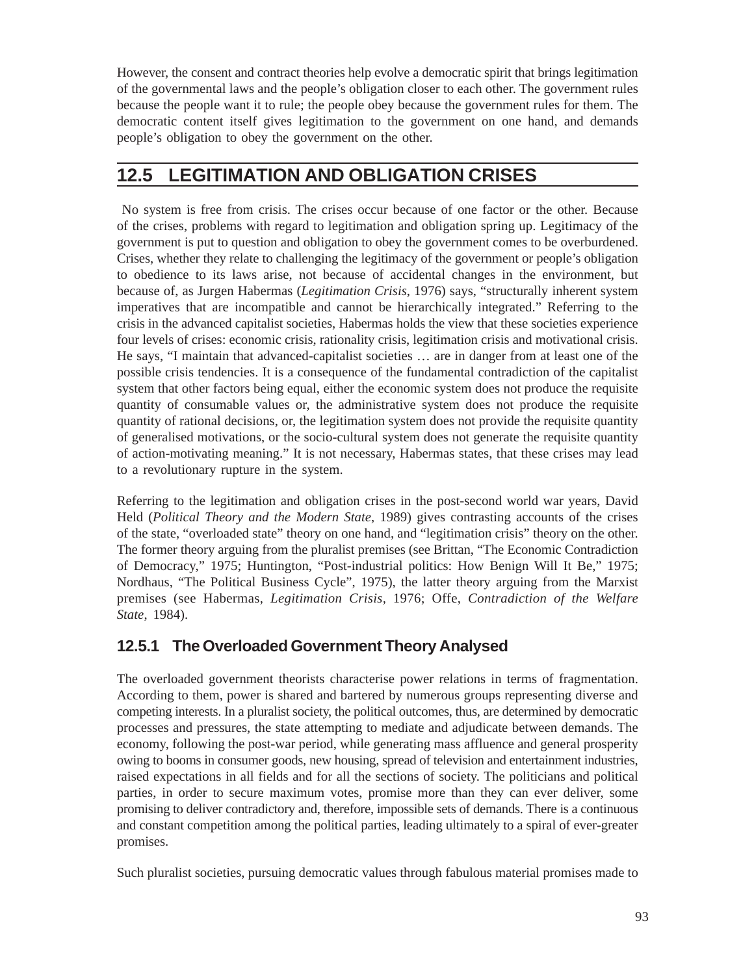However, the consent and contract theories help evolve a democratic spirit that brings legitimation of the governmental laws and the people's obligation closer to each other. The government rules because the people want it to rule; the people obey because the government rules for them. The democratic content itself gives legitimation to the government on one hand, and demands people's obligation to obey the government on the other.

# **12.5 LEGITIMATION AND OBLIGATION CRISES**

 No system is free from crisis. The crises occur because of one factor or the other. Because of the crises, problems with regard to legitimation and obligation spring up. Legitimacy of the government is put to question and obligation to obey the government comes to be overburdened. Crises, whether they relate to challenging the legitimacy of the government or people's obligation to obedience to its laws arise, not because of accidental changes in the environment, but because of, as Jurgen Habermas (*Legitimation Crisis*, 1976) says, "structurally inherent system imperatives that are incompatible and cannot be hierarchically integrated." Referring to the crisis in the advanced capitalist societies, Habermas holds the view that these societies experience four levels of crises: economic crisis, rationality crisis, legitimation crisis and motivational crisis. He says, "I maintain that advanced-capitalist societies … are in danger from at least one of the possible crisis tendencies. It is a consequence of the fundamental contradiction of the capitalist system that other factors being equal, either the economic system does not produce the requisite quantity of consumable values or, the administrative system does not produce the requisite quantity of rational decisions, or, the legitimation system does not provide the requisite quantity of generalised motivations, or the socio-cultural system does not generate the requisite quantity of action-motivating meaning." It is not necessary, Habermas states, that these crises may lead to a revolutionary rupture in the system.

Referring to the legitimation and obligation crises in the post-second world war years, David Held (*Political Theory and the Modern State*, 1989) gives contrasting accounts of the crises of the state, "overloaded state" theory on one hand, and "legitimation crisis" theory on the other. The former theory arguing from the pluralist premises (see Brittan, "The Economic Contradiction of Democracy," 1975; Huntington, "Post-industrial politics: How Benign Will It Be," 1975; Nordhaus, "The Political Business Cycle", 1975), the latter theory arguing from the Marxist premises (see Habermas, *Legitimation Crisis,* 1976; Offe, *Contradiction of the Welfare State*, 1984).

### **12.5.1 The Overloaded Government Theory Analysed**

The overloaded government theorists characterise power relations in terms of fragmentation. According to them, power is shared and bartered by numerous groups representing diverse and competing interests. In a pluralist society, the political outcomes, thus, are determined by democratic processes and pressures, the state attempting to mediate and adjudicate between demands. The economy, following the post-war period, while generating mass affluence and general prosperity owing to booms in consumer goods, new housing, spread of television and entertainment industries, raised expectations in all fields and for all the sections of society. The politicians and political parties, in order to secure maximum votes, promise more than they can ever deliver, some promising to deliver contradictory and, therefore, impossible sets of demands. There is a continuous and constant competition among the political parties, leading ultimately to a spiral of ever-greater promises.

Such pluralist societies, pursuing democratic values through fabulous material promises made to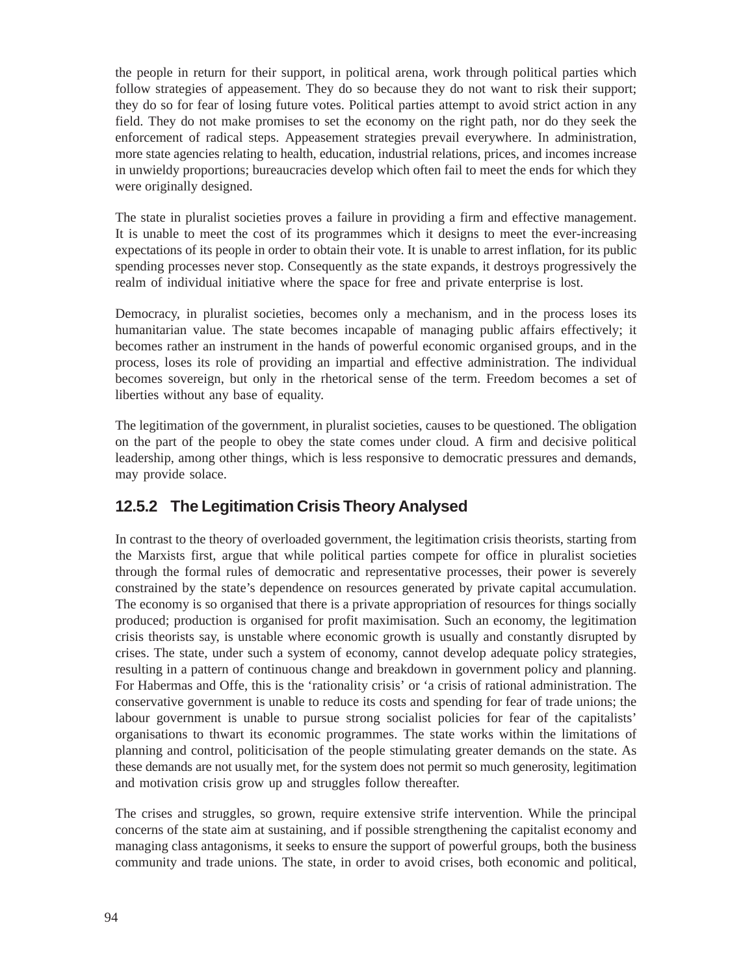the people in return for their support, in political arena, work through political parties which follow strategies of appeasement. They do so because they do not want to risk their support; they do so for fear of losing future votes. Political parties attempt to avoid strict action in any field. They do not make promises to set the economy on the right path, nor do they seek the enforcement of radical steps. Appeasement strategies prevail everywhere. In administration, more state agencies relating to health, education, industrial relations, prices, and incomes increase in unwieldy proportions; bureaucracies develop which often fail to meet the ends for which they were originally designed.

The state in pluralist societies proves a failure in providing a firm and effective management. It is unable to meet the cost of its programmes which it designs to meet the ever-increasing expectations of its people in order to obtain their vote. It is unable to arrest inflation, for its public spending processes never stop. Consequently as the state expands, it destroys progressively the realm of individual initiative where the space for free and private enterprise is lost.

Democracy, in pluralist societies, becomes only a mechanism, and in the process loses its humanitarian value. The state becomes incapable of managing public affairs effectively; it becomes rather an instrument in the hands of powerful economic organised groups, and in the process, loses its role of providing an impartial and effective administration. The individual becomes sovereign, but only in the rhetorical sense of the term. Freedom becomes a set of liberties without any base of equality.

The legitimation of the government, in pluralist societies, causes to be questioned. The obligation on the part of the people to obey the state comes under cloud. A firm and decisive political leadership, among other things, which is less responsive to democratic pressures and demands, may provide solace.

#### **12.5.2 The Legitimation Crisis Theory Analysed**

In contrast to the theory of overloaded government, the legitimation crisis theorists, starting from the Marxists first, argue that while political parties compete for office in pluralist societies through the formal rules of democratic and representative processes, their power is severely constrained by the state's dependence on resources generated by private capital accumulation. The economy is so organised that there is a private appropriation of resources for things socially produced; production is organised for profit maximisation. Such an economy, the legitimation crisis theorists say, is unstable where economic growth is usually and constantly disrupted by crises. The state, under such a system of economy, cannot develop adequate policy strategies, resulting in a pattern of continuous change and breakdown in government policy and planning. For Habermas and Offe, this is the 'rationality crisis' or 'a crisis of rational administration. The conservative government is unable to reduce its costs and spending for fear of trade unions; the labour government is unable to pursue strong socialist policies for fear of the capitalists' organisations to thwart its economic programmes. The state works within the limitations of planning and control, politicisation of the people stimulating greater demands on the state. As these demands are not usually met, for the system does not permit so much generosity, legitimation and motivation crisis grow up and struggles follow thereafter.

The crises and struggles, so grown, require extensive strife intervention. While the principal concerns of the state aim at sustaining, and if possible strengthening the capitalist economy and managing class antagonisms, it seeks to ensure the support of powerful groups, both the business community and trade unions. The state, in order to avoid crises, both economic and political,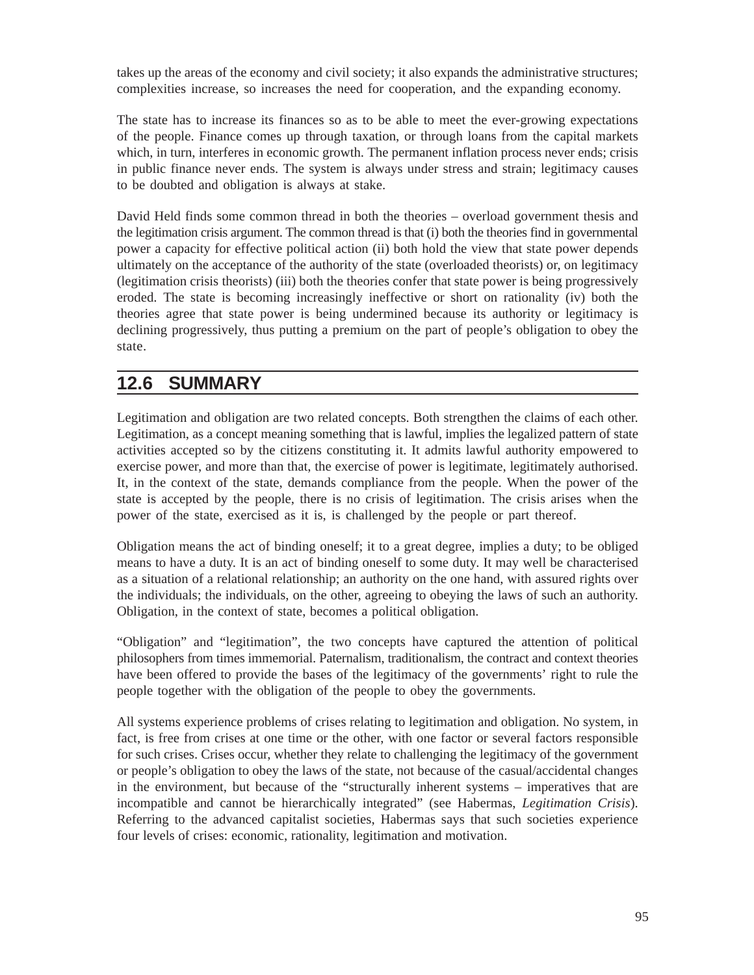takes up the areas of the economy and civil society; it also expands the administrative structures; complexities increase, so increases the need for cooperation, and the expanding economy.

The state has to increase its finances so as to be able to meet the ever-growing expectations of the people. Finance comes up through taxation, or through loans from the capital markets which, in turn, interferes in economic growth. The permanent inflation process never ends; crisis in public finance never ends. The system is always under stress and strain; legitimacy causes to be doubted and obligation is always at stake.

David Held finds some common thread in both the theories – overload government thesis and the legitimation crisis argument. The common thread is that (i) both the theories find in governmental power a capacity for effective political action (ii) both hold the view that state power depends ultimately on the acceptance of the authority of the state (overloaded theorists) or, on legitimacy (legitimation crisis theorists) (iii) both the theories confer that state power is being progressively eroded. The state is becoming increasingly ineffective or short on rationality (iv) both the theories agree that state power is being undermined because its authority or legitimacy is declining progressively, thus putting a premium on the part of people's obligation to obey the state.

# **12.6 SUMMARY**

Legitimation and obligation are two related concepts. Both strengthen the claims of each other. Legitimation, as a concept meaning something that is lawful, implies the legalized pattern of state activities accepted so by the citizens constituting it. It admits lawful authority empowered to exercise power, and more than that, the exercise of power is legitimate, legitimately authorised. It, in the context of the state, demands compliance from the people. When the power of the state is accepted by the people, there is no crisis of legitimation. The crisis arises when the power of the state, exercised as it is, is challenged by the people or part thereof.

Obligation means the act of binding oneself; it to a great degree, implies a duty; to be obliged means to have a duty. It is an act of binding oneself to some duty. It may well be characterised as a situation of a relational relationship; an authority on the one hand, with assured rights over the individuals; the individuals, on the other, agreeing to obeying the laws of such an authority. Obligation, in the context of state, becomes a political obligation.

"Obligation" and "legitimation", the two concepts have captured the attention of political philosophers from times immemorial. Paternalism, traditionalism, the contract and context theories have been offered to provide the bases of the legitimacy of the governments' right to rule the people together with the obligation of the people to obey the governments.

All systems experience problems of crises relating to legitimation and obligation. No system, in fact, is free from crises at one time or the other, with one factor or several factors responsible for such crises. Crises occur, whether they relate to challenging the legitimacy of the government or people's obligation to obey the laws of the state, not because of the casual/accidental changes in the environment, but because of the "structurally inherent systems – imperatives that are incompatible and cannot be hierarchically integrated" (see Habermas, *Legitimation Crisis*). Referring to the advanced capitalist societies, Habermas says that such societies experience four levels of crises: economic, rationality, legitimation and motivation.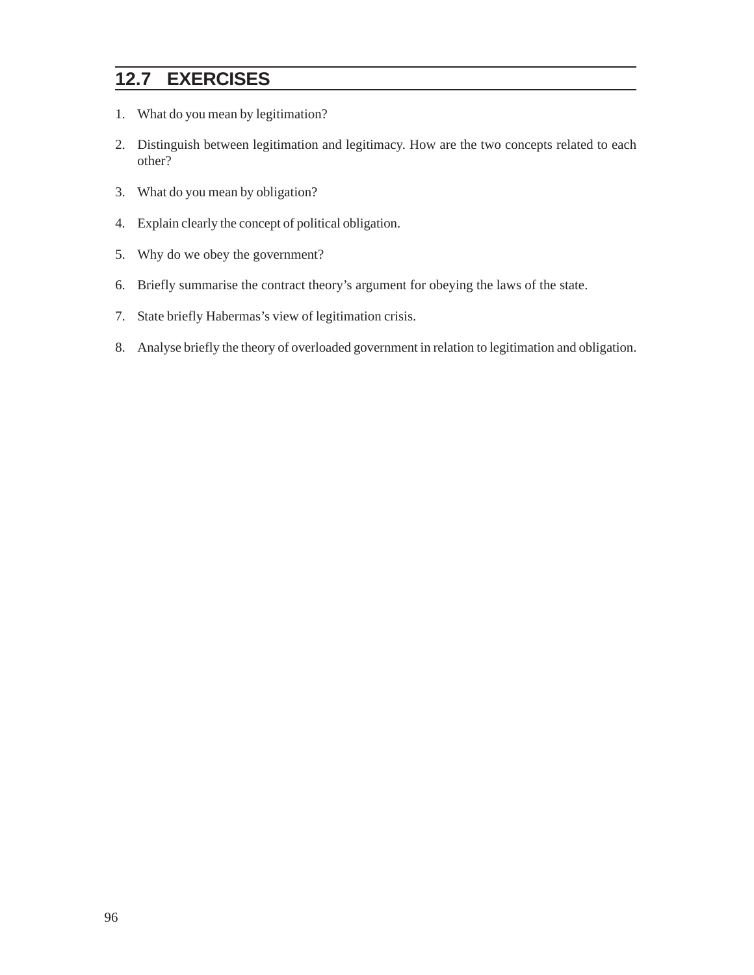# **12.7 EXERCISES**

- 1. What do you mean by legitimation?
- 2. Distinguish between legitimation and legitimacy. How are the two concepts related to each other?
- 3. What do you mean by obligation?
- 4. Explain clearly the concept of political obligation.
- 5. Why do we obey the government?
- 6. Briefly summarise the contract theory's argument for obeying the laws of the state.
- 7. State briefly Habermas's view of legitimation crisis.
- 8. Analyse briefly the theory of overloaded government in relation to legitimation and obligation.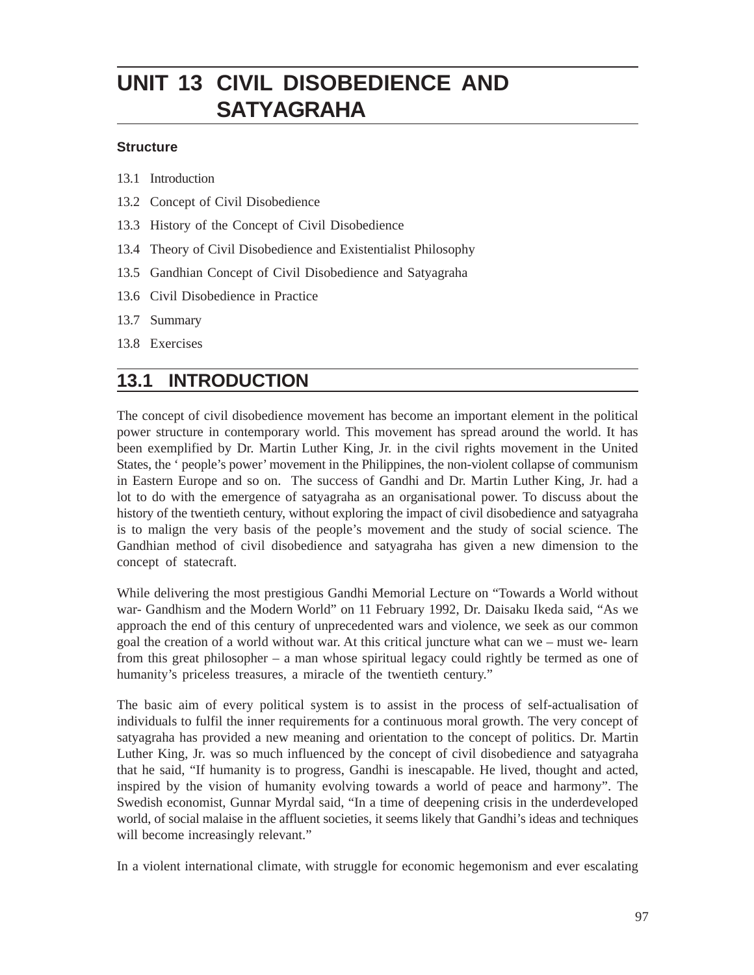# **UNIT 13 CIVIL DISOBEDIENCE AND SATYAGRAHA**

#### **Structure**

13.1 Introduction

- 13.2 Concept of Civil Disobedience
- 13.3 History of the Concept of Civil Disobedience
- 13.4 Theory of Civil Disobedience and Existentialist Philosophy
- 13.5 Gandhian Concept of Civil Disobedience and Satyagraha
- 13.6 Civil Disobedience in Practice
- 13.7 Summary
- 13.8 Exercises

# **13.1 INTRODUCTION**

The concept of civil disobedience movement has become an important element in the political power structure in contemporary world. This movement has spread around the world. It has been exemplified by Dr. Martin Luther King, Jr. in the civil rights movement in the United States, the ' people's power' movement in the Philippines, the non-violent collapse of communism in Eastern Europe and so on. The success of Gandhi and Dr. Martin Luther King, Jr. had a lot to do with the emergence of satyagraha as an organisational power. To discuss about the history of the twentieth century, without exploring the impact of civil disobedience and satyagraha is to malign the very basis of the people's movement and the study of social science. The Gandhian method of civil disobedience and satyagraha has given a new dimension to the concept of statecraft.

While delivering the most prestigious Gandhi Memorial Lecture on "Towards a World without war- Gandhism and the Modern World" on 11 February 1992, Dr. Daisaku Ikeda said, "As we approach the end of this century of unprecedented wars and violence, we seek as our common goal the creation of a world without war. At this critical juncture what can we – must we- learn from this great philosopher – a man whose spiritual legacy could rightly be termed as one of humanity's priceless treasures, a miracle of the twentieth century."

The basic aim of every political system is to assist in the process of self-actualisation of individuals to fulfil the inner requirements for a continuous moral growth. The very concept of satyagraha has provided a new meaning and orientation to the concept of politics. Dr. Martin Luther King, Jr. was so much influenced by the concept of civil disobedience and satyagraha that he said, "If humanity is to progress, Gandhi is inescapable. He lived, thought and acted, inspired by the vision of humanity evolving towards a world of peace and harmony". The Swedish economist, Gunnar Myrdal said, "In a time of deepening crisis in the underdeveloped world, of social malaise in the affluent societies, it seems likely that Gandhi's ideas and techniques will become increasingly relevant."

In a violent international climate, with struggle for economic hegemonism and ever escalating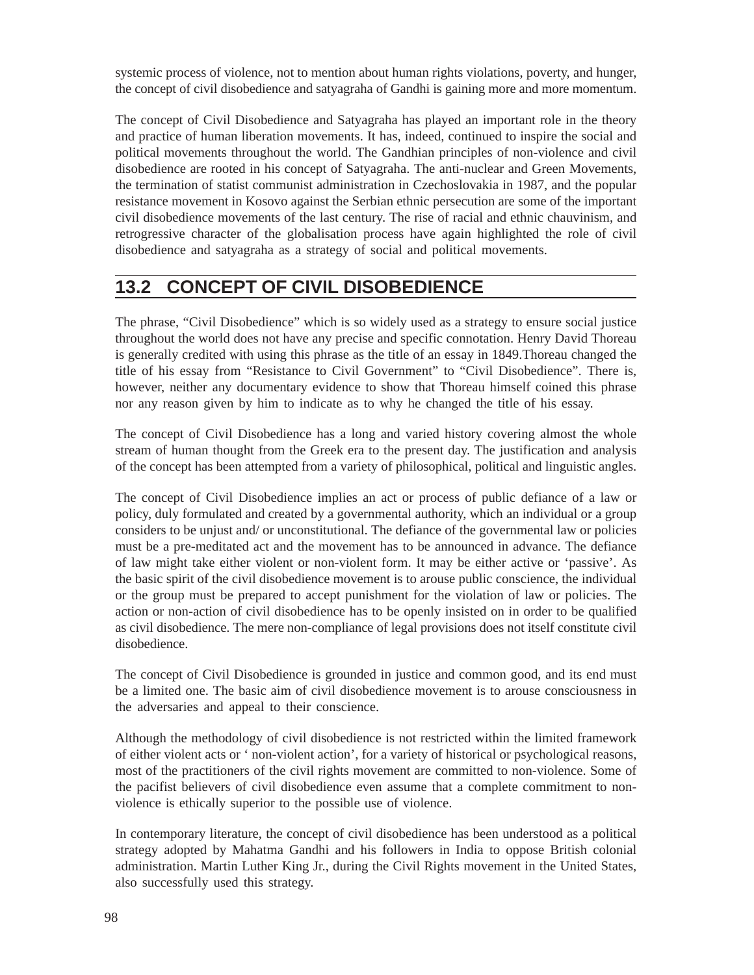systemic process of violence, not to mention about human rights violations, poverty, and hunger, the concept of civil disobedience and satyagraha of Gandhi is gaining more and more momentum.

The concept of Civil Disobedience and Satyagraha has played an important role in the theory and practice of human liberation movements. It has, indeed, continued to inspire the social and political movements throughout the world. The Gandhian principles of non-violence and civil disobedience are rooted in his concept of Satyagraha. The anti-nuclear and Green Movements, the termination of statist communist administration in Czechoslovakia in 1987, and the popular resistance movement in Kosovo against the Serbian ethnic persecution are some of the important civil disobedience movements of the last century. The rise of racial and ethnic chauvinism, and retrogressive character of the globalisation process have again highlighted the role of civil disobedience and satyagraha as a strategy of social and political movements.

# **13.2 CONCEPT OF CIVIL DISOBEDIENCE**

The phrase, "Civil Disobedience" which is so widely used as a strategy to ensure social justice throughout the world does not have any precise and specific connotation. Henry David Thoreau is generally credited with using this phrase as the title of an essay in 1849.Thoreau changed the title of his essay from "Resistance to Civil Government" to "Civil Disobedience". There is, however, neither any documentary evidence to show that Thoreau himself coined this phrase nor any reason given by him to indicate as to why he changed the title of his essay.

The concept of Civil Disobedience has a long and varied history covering almost the whole stream of human thought from the Greek era to the present day. The justification and analysis of the concept has been attempted from a variety of philosophical, political and linguistic angles.

The concept of Civil Disobedience implies an act or process of public defiance of a law or policy, duly formulated and created by a governmental authority, which an individual or a group considers to be unjust and/ or unconstitutional. The defiance of the governmental law or policies must be a pre-meditated act and the movement has to be announced in advance. The defiance of law might take either violent or non-violent form. It may be either active or 'passive'. As the basic spirit of the civil disobedience movement is to arouse public conscience, the individual or the group must be prepared to accept punishment for the violation of law or policies. The action or non-action of civil disobedience has to be openly insisted on in order to be qualified as civil disobedience. The mere non-compliance of legal provisions does not itself constitute civil disobedience.

The concept of Civil Disobedience is grounded in justice and common good, and its end must be a limited one. The basic aim of civil disobedience movement is to arouse consciousness in the adversaries and appeal to their conscience.

Although the methodology of civil disobedience is not restricted within the limited framework of either violent acts or ' non-violent action', for a variety of historical or psychological reasons, most of the practitioners of the civil rights movement are committed to non-violence. Some of the pacifist believers of civil disobedience even assume that a complete commitment to nonviolence is ethically superior to the possible use of violence.

In contemporary literature, the concept of civil disobedience has been understood as a political strategy adopted by Mahatma Gandhi and his followers in India to oppose British colonial administration. Martin Luther King Jr., during the Civil Rights movement in the United States, also successfully used this strategy.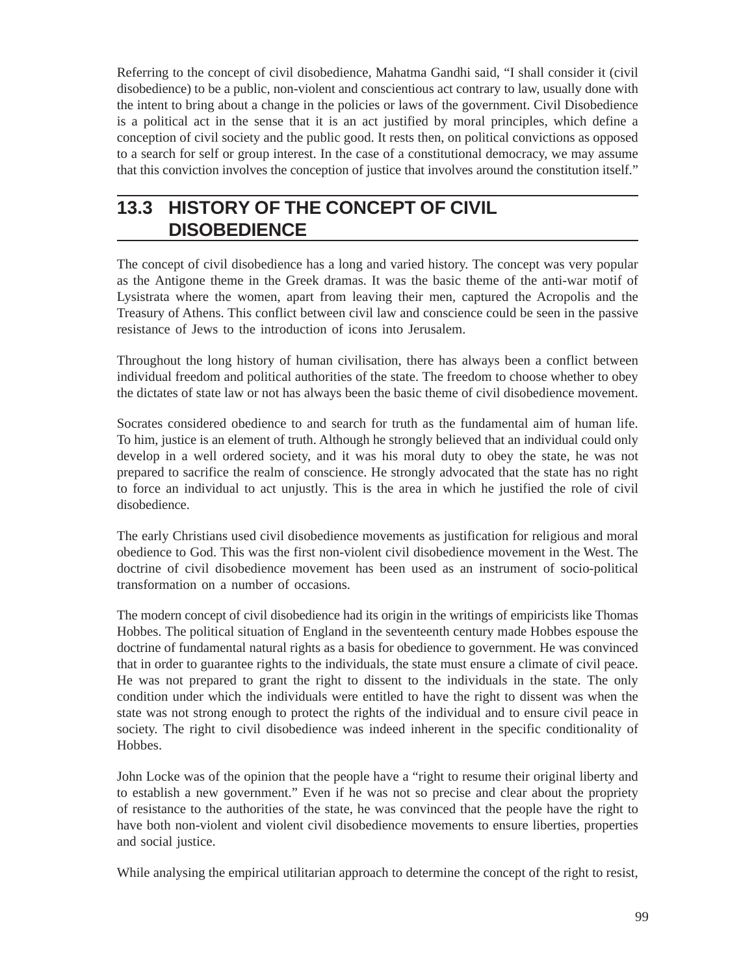Referring to the concept of civil disobedience, Mahatma Gandhi said, "I shall consider it (civil disobedience) to be a public, non-violent and conscientious act contrary to law, usually done with the intent to bring about a change in the policies or laws of the government. Civil Disobedience is a political act in the sense that it is an act justified by moral principles, which define a conception of civil society and the public good. It rests then, on political convictions as opposed to a search for self or group interest. In the case of a constitutional democracy, we may assume that this conviction involves the conception of justice that involves around the constitution itself."

# **13.3 HISTORY OF THE CONCEPT OF CIVIL DISOBEDIENCE**

The concept of civil disobedience has a long and varied history. The concept was very popular as the Antigone theme in the Greek dramas. It was the basic theme of the anti-war motif of Lysistrata where the women, apart from leaving their men, captured the Acropolis and the Treasury of Athens. This conflict between civil law and conscience could be seen in the passive resistance of Jews to the introduction of icons into Jerusalem.

Throughout the long history of human civilisation, there has always been a conflict between individual freedom and political authorities of the state. The freedom to choose whether to obey the dictates of state law or not has always been the basic theme of civil disobedience movement.

Socrates considered obedience to and search for truth as the fundamental aim of human life. To him, justice is an element of truth. Although he strongly believed that an individual could only develop in a well ordered society, and it was his moral duty to obey the state, he was not prepared to sacrifice the realm of conscience. He strongly advocated that the state has no right to force an individual to act unjustly. This is the area in which he justified the role of civil disobedience.

The early Christians used civil disobedience movements as justification for religious and moral obedience to God. This was the first non-violent civil disobedience movement in the West. The doctrine of civil disobedience movement has been used as an instrument of socio-political transformation on a number of occasions.

The modern concept of civil disobedience had its origin in the writings of empiricists like Thomas Hobbes. The political situation of England in the seventeenth century made Hobbes espouse the doctrine of fundamental natural rights as a basis for obedience to government. He was convinced that in order to guarantee rights to the individuals, the state must ensure a climate of civil peace. He was not prepared to grant the right to dissent to the individuals in the state. The only condition under which the individuals were entitled to have the right to dissent was when the state was not strong enough to protect the rights of the individual and to ensure civil peace in society. The right to civil disobedience was indeed inherent in the specific conditionality of Hobbes.

John Locke was of the opinion that the people have a "right to resume their original liberty and to establish a new government." Even if he was not so precise and clear about the propriety of resistance to the authorities of the state, he was convinced that the people have the right to have both non-violent and violent civil disobedience movements to ensure liberties, properties and social justice.

While analysing the empirical utilitarian approach to determine the concept of the right to resist,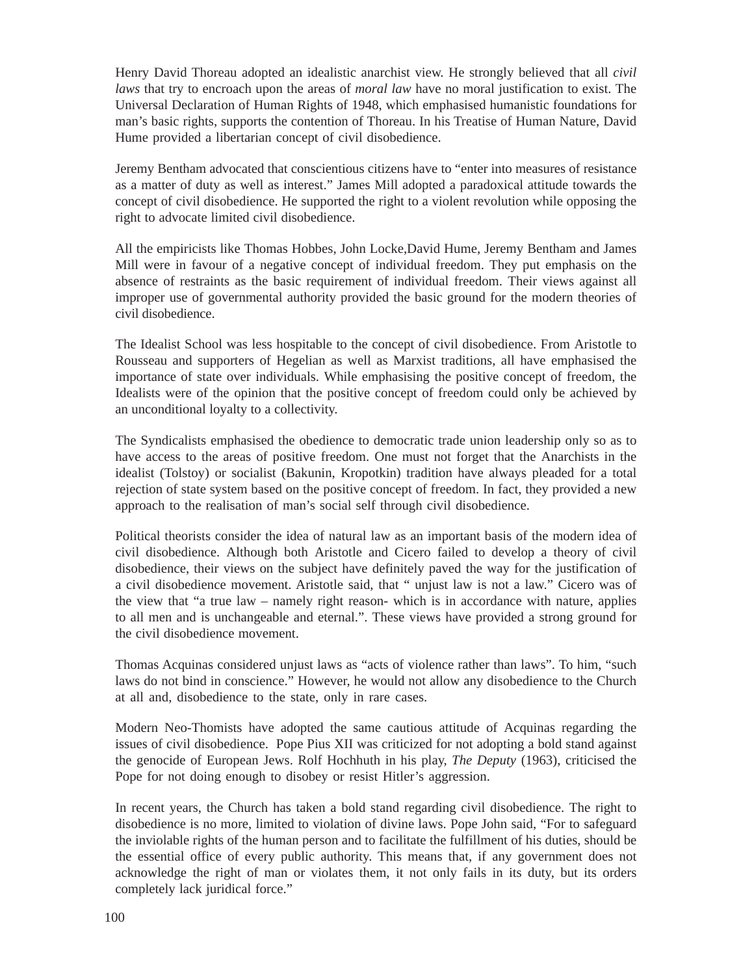Henry David Thoreau adopted an idealistic anarchist view. He strongly believed that all *civil laws* that try to encroach upon the areas of *moral law* have no moral justification to exist. The Universal Declaration of Human Rights of 1948, which emphasised humanistic foundations for man's basic rights, supports the contention of Thoreau. In his Treatise of Human Nature, David Hume provided a libertarian concept of civil disobedience.

Jeremy Bentham advocated that conscientious citizens have to "enter into measures of resistance as a matter of duty as well as interest." James Mill adopted a paradoxical attitude towards the concept of civil disobedience. He supported the right to a violent revolution while opposing the right to advocate limited civil disobedience.

All the empiricists like Thomas Hobbes, John Locke,David Hume, Jeremy Bentham and James Mill were in favour of a negative concept of individual freedom. They put emphasis on the absence of restraints as the basic requirement of individual freedom. Their views against all improper use of governmental authority provided the basic ground for the modern theories of civil disobedience.

The Idealist School was less hospitable to the concept of civil disobedience. From Aristotle to Rousseau and supporters of Hegelian as well as Marxist traditions, all have emphasised the importance of state over individuals. While emphasising the positive concept of freedom, the Idealists were of the opinion that the positive concept of freedom could only be achieved by an unconditional loyalty to a collectivity.

The Syndicalists emphasised the obedience to democratic trade union leadership only so as to have access to the areas of positive freedom. One must not forget that the Anarchists in the idealist (Tolstoy) or socialist (Bakunin, Kropotkin) tradition have always pleaded for a total rejection of state system based on the positive concept of freedom. In fact, they provided a new approach to the realisation of man's social self through civil disobedience.

Political theorists consider the idea of natural law as an important basis of the modern idea of civil disobedience. Although both Aristotle and Cicero failed to develop a theory of civil disobedience, their views on the subject have definitely paved the way for the justification of a civil disobedience movement. Aristotle said, that " unjust law is not a law." Cicero was of the view that "a true law – namely right reason- which is in accordance with nature, applies to all men and is unchangeable and eternal.". These views have provided a strong ground for the civil disobedience movement.

Thomas Acquinas considered unjust laws as "acts of violence rather than laws". To him, "such laws do not bind in conscience." However, he would not allow any disobedience to the Church at all and, disobedience to the state, only in rare cases.

Modern Neo-Thomists have adopted the same cautious attitude of Acquinas regarding the issues of civil disobedience. Pope Pius XII was criticized for not adopting a bold stand against the genocide of European Jews. Rolf Hochhuth in his play, *The Deputy* (1963), criticised the Pope for not doing enough to disobey or resist Hitler's aggression.

In recent years, the Church has taken a bold stand regarding civil disobedience. The right to disobedience is no more, limited to violation of divine laws. Pope John said, "For to safeguard the inviolable rights of the human person and to facilitate the fulfillment of his duties, should be the essential office of every public authority. This means that, if any government does not acknowledge the right of man or violates them, it not only fails in its duty, but its orders completely lack juridical force."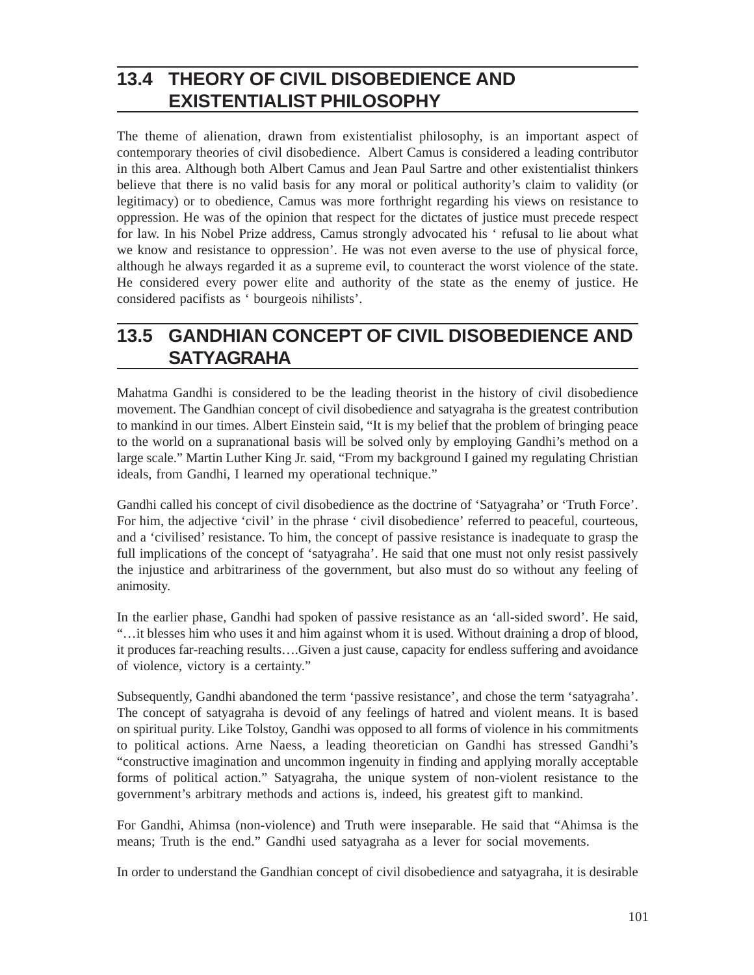# **13.4 THEORY OF CIVIL DISOBEDIENCE AND EXISTENTIALIST PHILOSOPHY**

The theme of alienation, drawn from existentialist philosophy, is an important aspect of contemporary theories of civil disobedience. Albert Camus is considered a leading contributor in this area. Although both Albert Camus and Jean Paul Sartre and other existentialist thinkers believe that there is no valid basis for any moral or political authority's claim to validity (or legitimacy) or to obedience, Camus was more forthright regarding his views on resistance to oppression. He was of the opinion that respect for the dictates of justice must precede respect for law. In his Nobel Prize address, Camus strongly advocated his ' refusal to lie about what we know and resistance to oppression'. He was not even averse to the use of physical force, although he always regarded it as a supreme evil, to counteract the worst violence of the state. He considered every power elite and authority of the state as the enemy of justice. He considered pacifists as ' bourgeois nihilists'.

# **13.5 GANDHIAN CONCEPT OF CIVIL DISOBEDIENCE AND SATYAGRAHA**

Mahatma Gandhi is considered to be the leading theorist in the history of civil disobedience movement. The Gandhian concept of civil disobedience and satyagraha is the greatest contribution to mankind in our times. Albert Einstein said, "It is my belief that the problem of bringing peace to the world on a supranational basis will be solved only by employing Gandhi's method on a large scale." Martin Luther King Jr. said, "From my background I gained my regulating Christian ideals, from Gandhi, I learned my operational technique."

Gandhi called his concept of civil disobedience as the doctrine of 'Satyagraha' or 'Truth Force'. For him, the adjective 'civil' in the phrase ' civil disobedience' referred to peaceful, courteous, and a 'civilised' resistance. To him, the concept of passive resistance is inadequate to grasp the full implications of the concept of 'satyagraha'. He said that one must not only resist passively the injustice and arbitrariness of the government, but also must do so without any feeling of animosity.

In the earlier phase, Gandhi had spoken of passive resistance as an 'all-sided sword'. He said, "…it blesses him who uses it and him against whom it is used. Without draining a drop of blood, it produces far-reaching results….Given a just cause, capacity for endless suffering and avoidance of violence, victory is a certainty."

Subsequently, Gandhi abandoned the term 'passive resistance', and chose the term 'satyagraha'. The concept of satyagraha is devoid of any feelings of hatred and violent means. It is based on spiritual purity. Like Tolstoy, Gandhi was opposed to all forms of violence in his commitments to political actions. Arne Naess, a leading theoretician on Gandhi has stressed Gandhi's "constructive imagination and uncommon ingenuity in finding and applying morally acceptable forms of political action." Satyagraha, the unique system of non-violent resistance to the government's arbitrary methods and actions is, indeed, his greatest gift to mankind.

For Gandhi, Ahimsa (non-violence) and Truth were inseparable. He said that "Ahimsa is the means; Truth is the end." Gandhi used satyagraha as a lever for social movements.

In order to understand the Gandhian concept of civil disobedience and satyagraha, it is desirable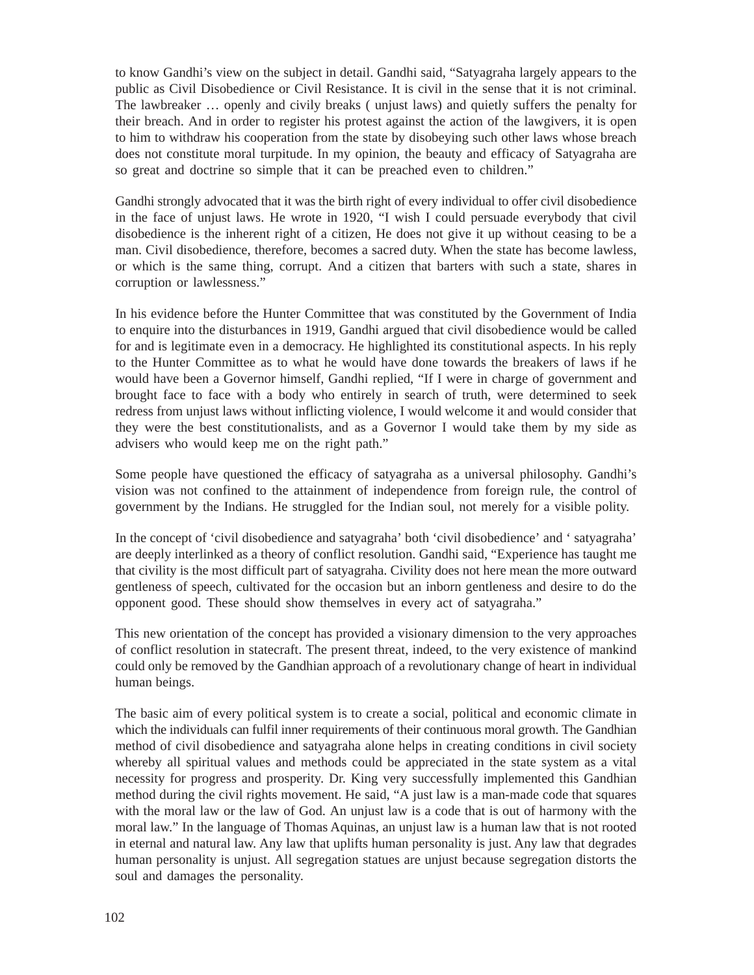to know Gandhi's view on the subject in detail. Gandhi said, "Satyagraha largely appears to the public as Civil Disobedience or Civil Resistance. It is civil in the sense that it is not criminal. The lawbreaker … openly and civily breaks ( unjust laws) and quietly suffers the penalty for their breach. And in order to register his protest against the action of the lawgivers, it is open to him to withdraw his cooperation from the state by disobeying such other laws whose breach does not constitute moral turpitude. In my opinion, the beauty and efficacy of Satyagraha are so great and doctrine so simple that it can be preached even to children."

Gandhi strongly advocated that it was the birth right of every individual to offer civil disobedience in the face of unjust laws. He wrote in 1920, "I wish I could persuade everybody that civil disobedience is the inherent right of a citizen, He does not give it up without ceasing to be a man. Civil disobedience, therefore, becomes a sacred duty. When the state has become lawless, or which is the same thing, corrupt. And a citizen that barters with such a state, shares in corruption or lawlessness."

In his evidence before the Hunter Committee that was constituted by the Government of India to enquire into the disturbances in 1919, Gandhi argued that civil disobedience would be called for and is legitimate even in a democracy. He highlighted its constitutional aspects. In his reply to the Hunter Committee as to what he would have done towards the breakers of laws if he would have been a Governor himself, Gandhi replied, "If I were in charge of government and brought face to face with a body who entirely in search of truth, were determined to seek redress from unjust laws without inflicting violence, I would welcome it and would consider that they were the best constitutionalists, and as a Governor I would take them by my side as advisers who would keep me on the right path."

Some people have questioned the efficacy of satyagraha as a universal philosophy. Gandhi's vision was not confined to the attainment of independence from foreign rule, the control of government by the Indians. He struggled for the Indian soul, not merely for a visible polity.

In the concept of 'civil disobedience and satyagraha' both 'civil disobedience' and ' satyagraha' are deeply interlinked as a theory of conflict resolution. Gandhi said, "Experience has taught me that civility is the most difficult part of satyagraha. Civility does not here mean the more outward gentleness of speech, cultivated for the occasion but an inborn gentleness and desire to do the opponent good. These should show themselves in every act of satyagraha."

This new orientation of the concept has provided a visionary dimension to the very approaches of conflict resolution in statecraft. The present threat, indeed, to the very existence of mankind could only be removed by the Gandhian approach of a revolutionary change of heart in individual human beings.

The basic aim of every political system is to create a social, political and economic climate in which the individuals can fulfil inner requirements of their continuous moral growth. The Gandhian method of civil disobedience and satyagraha alone helps in creating conditions in civil society whereby all spiritual values and methods could be appreciated in the state system as a vital necessity for progress and prosperity. Dr. King very successfully implemented this Gandhian method during the civil rights movement. He said, "A just law is a man-made code that squares with the moral law or the law of God. An unjust law is a code that is out of harmony with the moral law." In the language of Thomas Aquinas, an unjust law is a human law that is not rooted in eternal and natural law. Any law that uplifts human personality is just. Any law that degrades human personality is unjust. All segregation statues are unjust because segregation distorts the soul and damages the personality.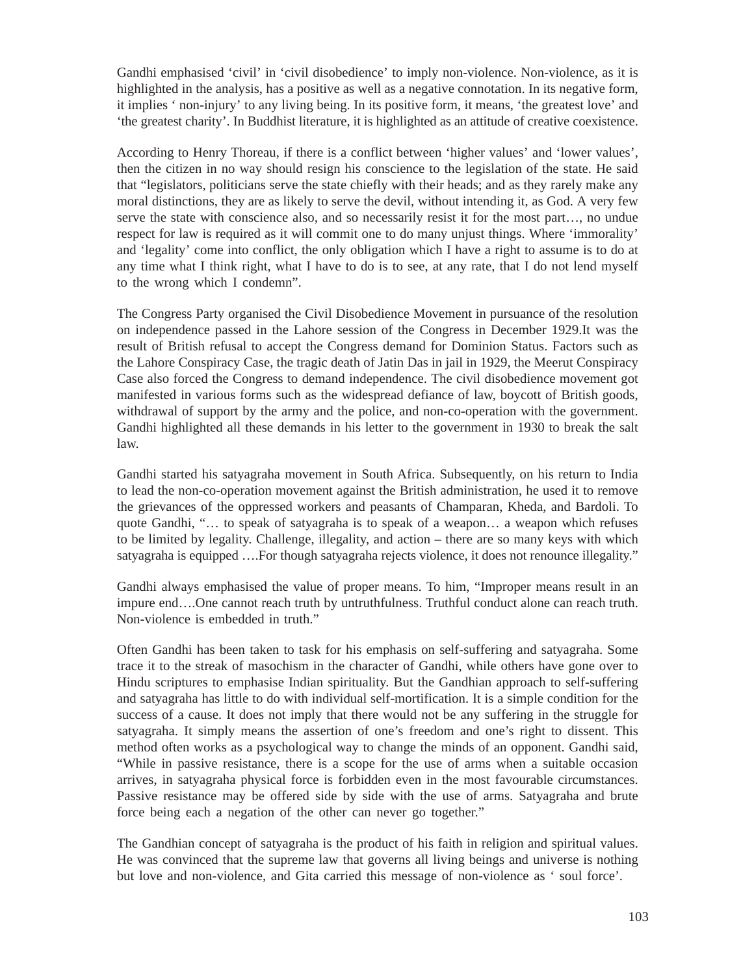Gandhi emphasised 'civil' in 'civil disobedience' to imply non-violence. Non-violence, as it is highlighted in the analysis, has a positive as well as a negative connotation. In its negative form, it implies ' non-injury' to any living being. In its positive form, it means, 'the greatest love' and 'the greatest charity'. In Buddhist literature, it is highlighted as an attitude of creative coexistence.

According to Henry Thoreau, if there is a conflict between 'higher values' and 'lower values', then the citizen in no way should resign his conscience to the legislation of the state. He said that "legislators, politicians serve the state chiefly with their heads; and as they rarely make any moral distinctions, they are as likely to serve the devil, without intending it, as God. A very few serve the state with conscience also, and so necessarily resist it for the most part…, no undue respect for law is required as it will commit one to do many unjust things. Where 'immorality' and 'legality' come into conflict, the only obligation which I have a right to assume is to do at any time what I think right, what I have to do is to see, at any rate, that I do not lend myself to the wrong which I condemn".

The Congress Party organised the Civil Disobedience Movement in pursuance of the resolution on independence passed in the Lahore session of the Congress in December 1929.It was the result of British refusal to accept the Congress demand for Dominion Status. Factors such as the Lahore Conspiracy Case, the tragic death of Jatin Das in jail in 1929, the Meerut Conspiracy Case also forced the Congress to demand independence. The civil disobedience movement got manifested in various forms such as the widespread defiance of law, boycott of British goods, withdrawal of support by the army and the police, and non-co-operation with the government. Gandhi highlighted all these demands in his letter to the government in 1930 to break the salt law.

Gandhi started his satyagraha movement in South Africa. Subsequently, on his return to India to lead the non-co-operation movement against the British administration, he used it to remove the grievances of the oppressed workers and peasants of Champaran, Kheda, and Bardoli. To quote Gandhi, "… to speak of satyagraha is to speak of a weapon… a weapon which refuses to be limited by legality. Challenge, illegality, and action – there are so many keys with which satyagraha is equipped ….For though satyagraha rejects violence, it does not renounce illegality."

Gandhi always emphasised the value of proper means. To him, "Improper means result in an impure end….One cannot reach truth by untruthfulness. Truthful conduct alone can reach truth. Non-violence is embedded in truth."

Often Gandhi has been taken to task for his emphasis on self-suffering and satyagraha. Some trace it to the streak of masochism in the character of Gandhi, while others have gone over to Hindu scriptures to emphasise Indian spirituality. But the Gandhian approach to self-suffering and satyagraha has little to do with individual self-mortification. It is a simple condition for the success of a cause. It does not imply that there would not be any suffering in the struggle for satyagraha. It simply means the assertion of one's freedom and one's right to dissent. This method often works as a psychological way to change the minds of an opponent. Gandhi said, "While in passive resistance, there is a scope for the use of arms when a suitable occasion arrives, in satyagraha physical force is forbidden even in the most favourable circumstances. Passive resistance may be offered side by side with the use of arms. Satyagraha and brute force being each a negation of the other can never go together."

The Gandhian concept of satyagraha is the product of his faith in religion and spiritual values. He was convinced that the supreme law that governs all living beings and universe is nothing but love and non-violence, and Gita carried this message of non-violence as ' soul force'.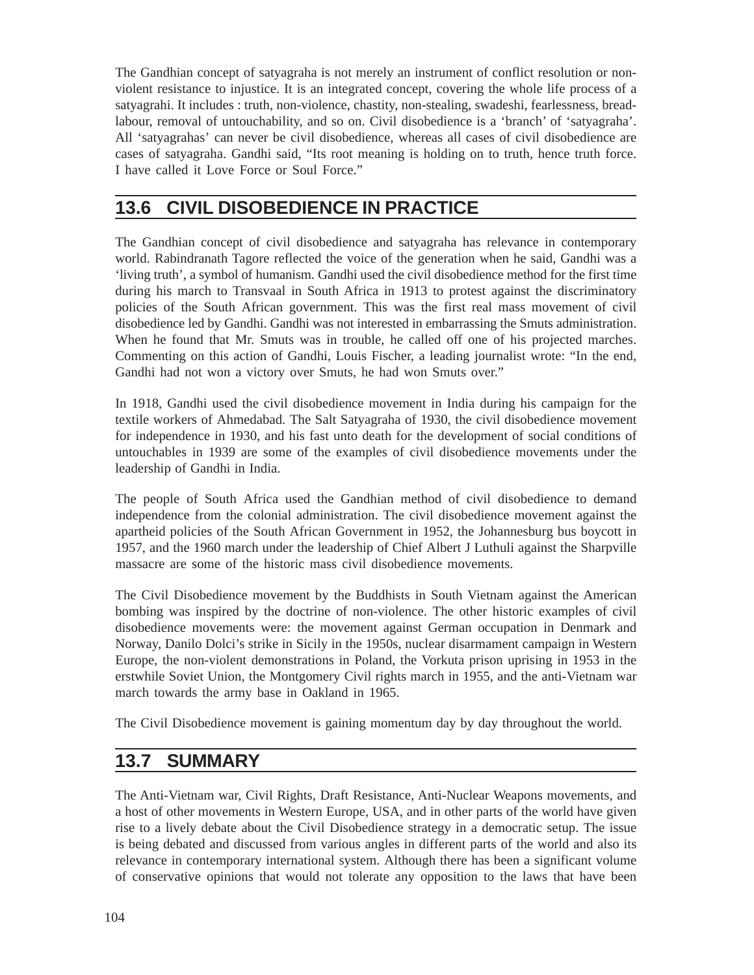The Gandhian concept of satyagraha is not merely an instrument of conflict resolution or nonviolent resistance to injustice. It is an integrated concept, covering the whole life process of a satyagrahi. It includes : truth, non-violence, chastity, non-stealing, swadeshi, fearlessness, breadlabour, removal of untouchability, and so on. Civil disobedience is a 'branch' of 'satyagraha'. All 'satyagrahas' can never be civil disobedience, whereas all cases of civil disobedience are cases of satyagraha. Gandhi said, "Its root meaning is holding on to truth, hence truth force. I have called it Love Force or Soul Force."

# **13.6 CIVIL DISOBEDIENCE IN PRACTICE**

The Gandhian concept of civil disobedience and satyagraha has relevance in contemporary world. Rabindranath Tagore reflected the voice of the generation when he said, Gandhi was a 'living truth', a symbol of humanism. Gandhi used the civil disobedience method for the first time during his march to Transvaal in South Africa in 1913 to protest against the discriminatory policies of the South African government. This was the first real mass movement of civil disobedience led by Gandhi. Gandhi was not interested in embarrassing the Smuts administration. When he found that Mr. Smuts was in trouble, he called off one of his projected marches. Commenting on this action of Gandhi, Louis Fischer, a leading journalist wrote: "In the end, Gandhi had not won a victory over Smuts, he had won Smuts over."

In 1918, Gandhi used the civil disobedience movement in India during his campaign for the textile workers of Ahmedabad. The Salt Satyagraha of 1930, the civil disobedience movement for independence in 1930, and his fast unto death for the development of social conditions of untouchables in 1939 are some of the examples of civil disobedience movements under the leadership of Gandhi in India.

The people of South Africa used the Gandhian method of civil disobedience to demand independence from the colonial administration. The civil disobedience movement against the apartheid policies of the South African Government in 1952, the Johannesburg bus boycott in 1957, and the 1960 march under the leadership of Chief Albert J Luthuli against the Sharpville massacre are some of the historic mass civil disobedience movements.

The Civil Disobedience movement by the Buddhists in South Vietnam against the American bombing was inspired by the doctrine of non-violence. The other historic examples of civil disobedience movements were: the movement against German occupation in Denmark and Norway, Danilo Dolci's strike in Sicily in the 1950s, nuclear disarmament campaign in Western Europe, the non-violent demonstrations in Poland, the Vorkuta prison uprising in 1953 in the erstwhile Soviet Union, the Montgomery Civil rights march in 1955, and the anti-Vietnam war march towards the army base in Oakland in 1965.

The Civil Disobedience movement is gaining momentum day by day throughout the world.

# **13.7 SUMMARY**

The Anti-Vietnam war, Civil Rights, Draft Resistance, Anti-Nuclear Weapons movements, and a host of other movements in Western Europe, USA, and in other parts of the world have given rise to a lively debate about the Civil Disobedience strategy in a democratic setup. The issue is being debated and discussed from various angles in different parts of the world and also its relevance in contemporary international system. Although there has been a significant volume of conservative opinions that would not tolerate any opposition to the laws that have been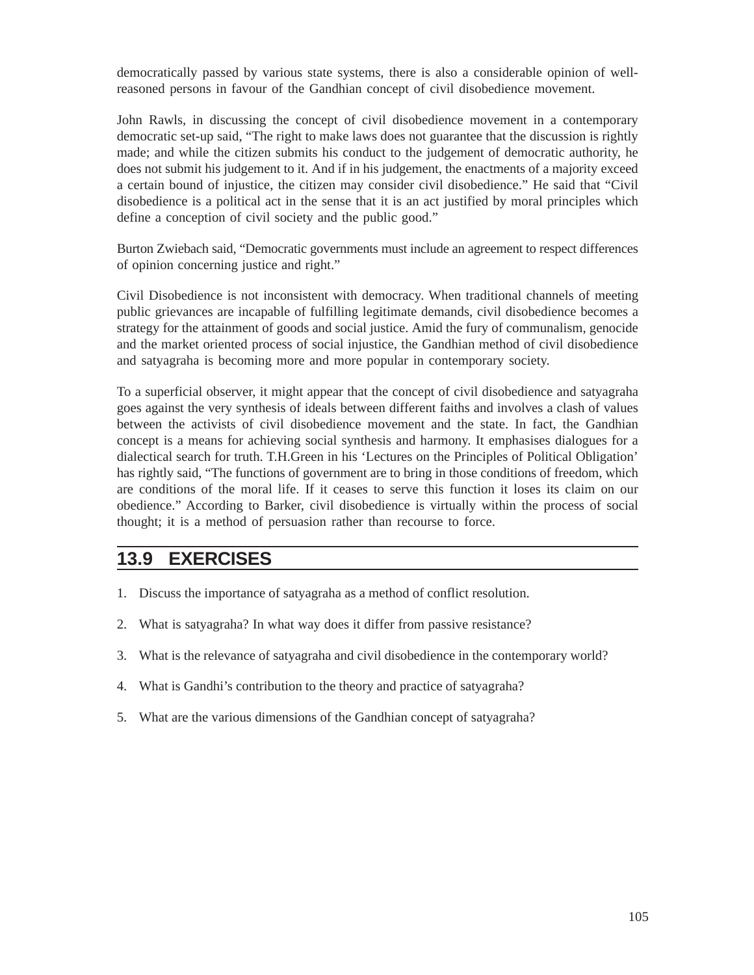democratically passed by various state systems, there is also a considerable opinion of wellreasoned persons in favour of the Gandhian concept of civil disobedience movement.

John Rawls, in discussing the concept of civil disobedience movement in a contemporary democratic set-up said, "The right to make laws does not guarantee that the discussion is rightly made; and while the citizen submits his conduct to the judgement of democratic authority, he does not submit his judgement to it. And if in his judgement, the enactments of a majority exceed a certain bound of injustice, the citizen may consider civil disobedience." He said that "Civil disobedience is a political act in the sense that it is an act justified by moral principles which define a conception of civil society and the public good."

Burton Zwiebach said, "Democratic governments must include an agreement to respect differences of opinion concerning justice and right."

Civil Disobedience is not inconsistent with democracy. When traditional channels of meeting public grievances are incapable of fulfilling legitimate demands, civil disobedience becomes a strategy for the attainment of goods and social justice. Amid the fury of communalism, genocide and the market oriented process of social injustice, the Gandhian method of civil disobedience and satyagraha is becoming more and more popular in contemporary society.

To a superficial observer, it might appear that the concept of civil disobedience and satyagraha goes against the very synthesis of ideals between different faiths and involves a clash of values between the activists of civil disobedience movement and the state. In fact, the Gandhian concept is a means for achieving social synthesis and harmony. It emphasises dialogues for a dialectical search for truth. T.H.Green in his 'Lectures on the Principles of Political Obligation' has rightly said, "The functions of government are to bring in those conditions of freedom, which are conditions of the moral life. If it ceases to serve this function it loses its claim on our obedience." According to Barker, civil disobedience is virtually within the process of social thought; it is a method of persuasion rather than recourse to force.

### **13.9 EXERCISES**

- 1. Discuss the importance of satyagraha as a method of conflict resolution.
- 2. What is satyagraha? In what way does it differ from passive resistance?
- 3. What is the relevance of satyagraha and civil disobedience in the contemporary world?
- 4. What is Gandhi's contribution to the theory and practice of satyagraha?
- 5. What are the various dimensions of the Gandhian concept of satyagraha?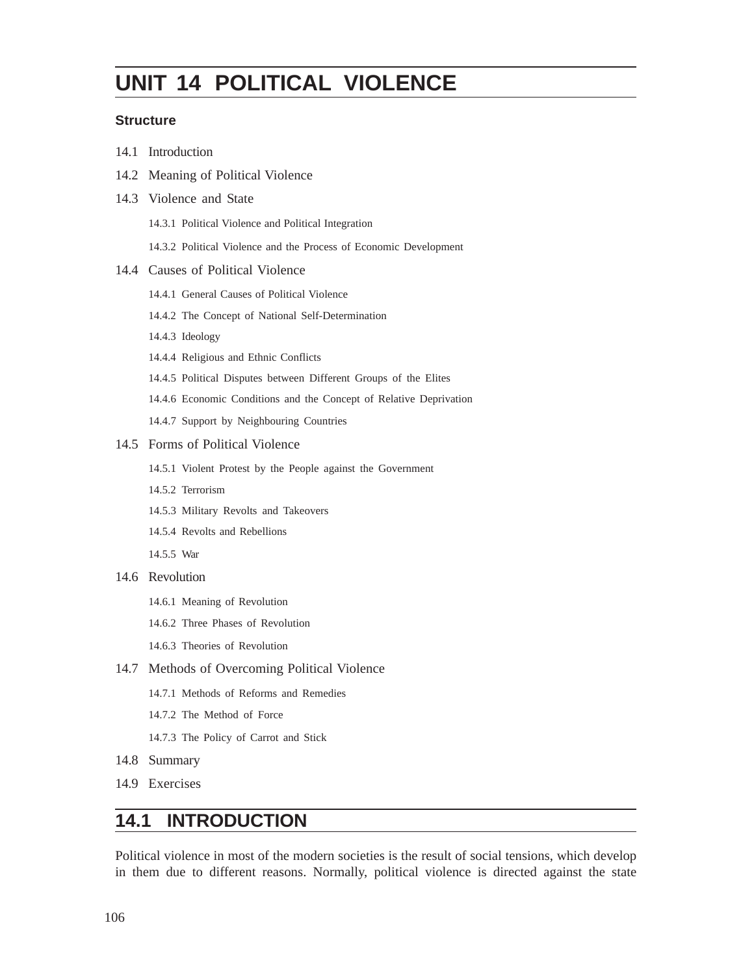# **UNIT 14 POLITICAL VIOLENCE**

#### **Structure**

- 14.1 Introduction
- 14.2 Meaning of Political Violence
- 14.3 Violence and State
	- 14.3.1 Political Violence and Political Integration
	- 14.3.2 Political Violence and the Process of Economic Development

#### 14.4 Causes of Political Violence

- 14.4.1 General Causes of Political Violence
- 14.4.2 The Concept of National Self-Determination
- 14.4.3 Ideology
- 14.4.4 Religious and Ethnic Conflicts
- 14.4.5 Political Disputes between Different Groups of the Elites
- 14.4.6 Economic Conditions and the Concept of Relative Deprivation
- 14.4.7 Support by Neighbouring Countries

#### 14.5 Forms of Political Violence

- 14.5.1 Violent Protest by the People against the Government
- 14.5.2 Terrorism
- 14.5.3 Military Revolts and Takeovers
- 14.5.4 Revolts and Rebellions
- 14.5.5 War
- 14.6 Revolution
	- 14.6.1 Meaning of Revolution
	- 14.6.2 Three Phases of Revolution
	- 14.6.3 Theories of Revolution
- 14.7 Methods of Overcoming Political Violence
	- 14.7.1 Methods of Reforms and Remedies
	- 14.7.2 The Method of Force
	- 14.7.3 The Policy of Carrot and Stick
- 14.8 Summary
- 14.9 Exercises

## **14.1 INTRODUCTION**

Political violence in most of the modern societies is the result of social tensions, which develop in them due to different reasons. Normally, political violence is directed against the state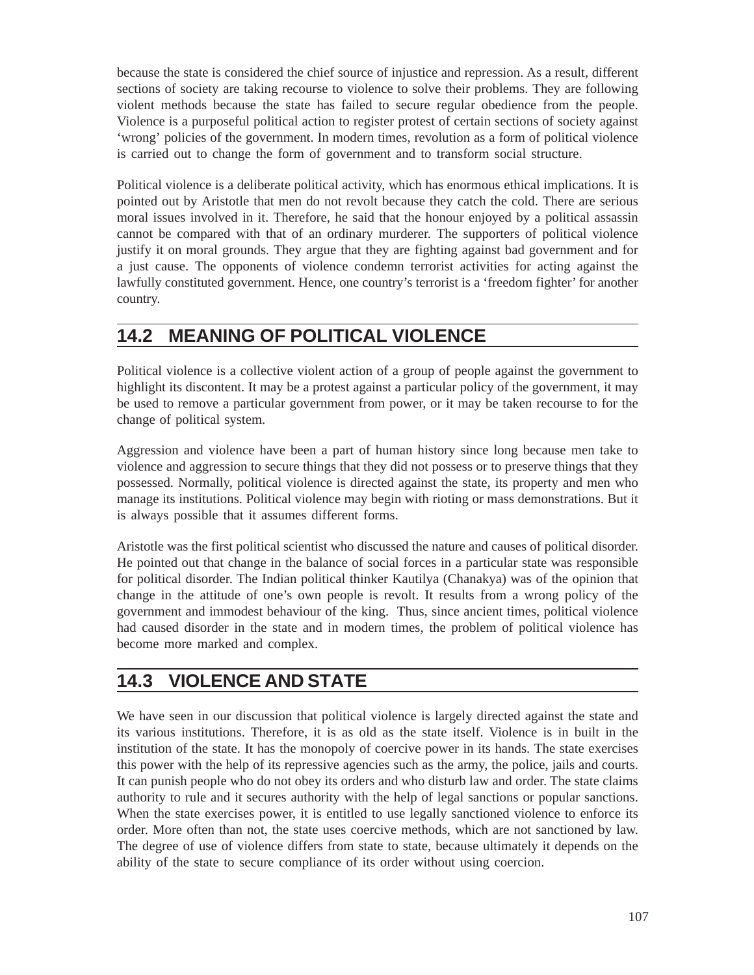because the state is considered the chief source of injustice and repression. As a result, different sections of society are taking recourse to violence to solve their problems. They are following violent methods because the state has failed to secure regular obedience from the people. Violence is a purposeful political action to register protest of certain sections of society against 'wrong' policies of the government. In modern times, revolution as a form of political violence is carried out to change the form of government and to transform social structure.

Political violence is a deliberate political activity, which has enormous ethical implications. It is pointed out by Aristotle that men do not revolt because they catch the cold. There are serious moral issues involved in it. Therefore, he said that the honour enjoyed by a political assassin cannot be compared with that of an ordinary murderer. The supporters of political violence justify it on moral grounds. They argue that they are fighting against bad government and for a just cause. The opponents of violence condemn terrorist activities for acting against the lawfully constituted government. Hence, one country's terrorist is a 'freedom fighter' for another country.

# **14.2 MEANING OF POLITICAL VIOLENCE**

Political violence is a collective violent action of a group of people against the government to highlight its discontent. It may be a protest against a particular policy of the government, it may be used to remove a particular government from power, or it may be taken recourse to for the change of political system.

Aggression and violence have been a part of human history since long because men take to violence and aggression to secure things that they did not possess or to preserve things that they possessed. Normally, political violence is directed against the state, its property and men who manage its institutions. Political violence may begin with rioting or mass demonstrations. But it is always possible that it assumes different forms.

Aristotle was the first political scientist who discussed the nature and causes of political disorder. He pointed out that change in the balance of social forces in a particular state was responsible for political disorder. The Indian political thinker Kautilya (Chanakya) was of the opinion that change in the attitude of one's own people is revolt. It results from a wrong policy of the government and immodest behaviour of the king. Thus, since ancient times, political violence had caused disorder in the state and in modern times, the problem of political violence has become more marked and complex.

# **14.3 VIOLENCE AND STATE**

We have seen in our discussion that political violence is largely directed against the state and its various institutions. Therefore, it is as old as the state itself. Violence is in built in the institution of the state. It has the monopoly of coercive power in its hands. The state exercises this power with the help of its repressive agencies such as the army, the police, jails and courts. It can punish people who do not obey its orders and who disturb law and order. The state claims authority to rule and it secures authority with the help of legal sanctions or popular sanctions. When the state exercises power, it is entitled to use legally sanctioned violence to enforce its order. More often than not, the state uses coercive methods, which are not sanctioned by law. The degree of use of violence differs from state to state, because ultimately it depends on the ability of the state to secure compliance of its order without using coercion.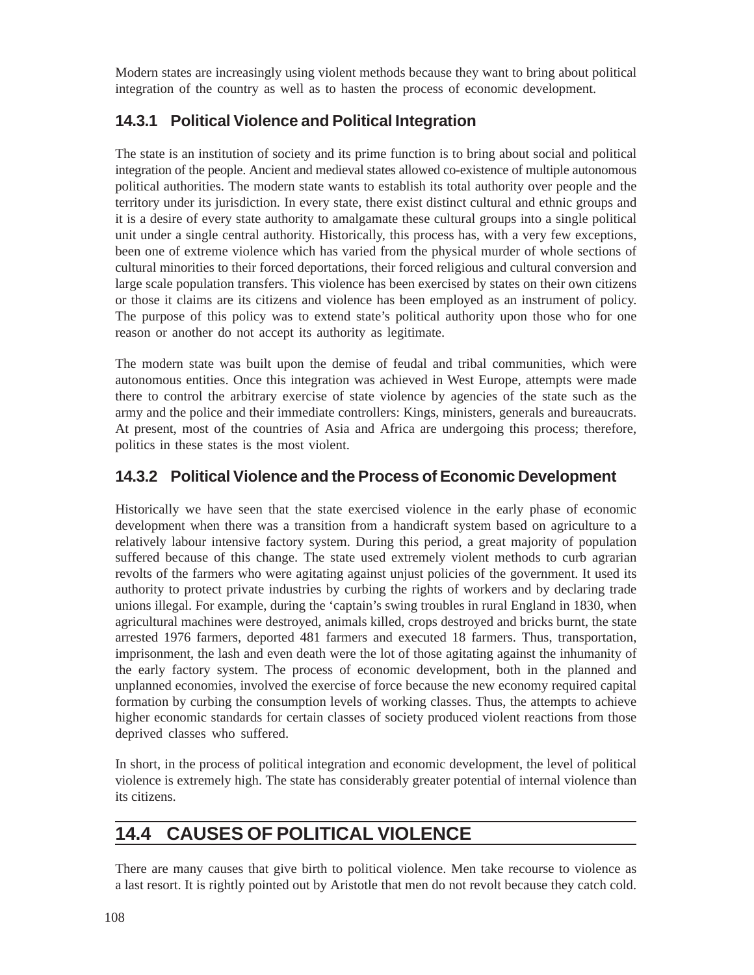Modern states are increasingly using violent methods because they want to bring about political integration of the country as well as to hasten the process of economic development.

### **14.3.1 Political Violence and Political Integration**

The state is an institution of society and its prime function is to bring about social and political integration of the people. Ancient and medieval states allowed co-existence of multiple autonomous political authorities. The modern state wants to establish its total authority over people and the territory under its jurisdiction. In every state, there exist distinct cultural and ethnic groups and it is a desire of every state authority to amalgamate these cultural groups into a single political unit under a single central authority. Historically, this process has, with a very few exceptions, been one of extreme violence which has varied from the physical murder of whole sections of cultural minorities to their forced deportations, their forced religious and cultural conversion and large scale population transfers. This violence has been exercised by states on their own citizens or those it claims are its citizens and violence has been employed as an instrument of policy. The purpose of this policy was to extend state's political authority upon those who for one reason or another do not accept its authority as legitimate.

The modern state was built upon the demise of feudal and tribal communities, which were autonomous entities. Once this integration was achieved in West Europe, attempts were made there to control the arbitrary exercise of state violence by agencies of the state such as the army and the police and their immediate controllers: Kings, ministers, generals and bureaucrats. At present, most of the countries of Asia and Africa are undergoing this process; therefore, politics in these states is the most violent.

### **14.3.2 Political Violence and the Process of Economic Development**

Historically we have seen that the state exercised violence in the early phase of economic development when there was a transition from a handicraft system based on agriculture to a relatively labour intensive factory system. During this period, a great majority of population suffered because of this change. The state used extremely violent methods to curb agrarian revolts of the farmers who were agitating against unjust policies of the government. It used its authority to protect private industries by curbing the rights of workers and by declaring trade unions illegal. For example, during the 'captain's swing troubles in rural England in 1830, when agricultural machines were destroyed, animals killed, crops destroyed and bricks burnt, the state arrested 1976 farmers, deported 481 farmers and executed 18 farmers. Thus, transportation, imprisonment, the lash and even death were the lot of those agitating against the inhumanity of the early factory system. The process of economic development, both in the planned and unplanned economies, involved the exercise of force because the new economy required capital formation by curbing the consumption levels of working classes. Thus, the attempts to achieve higher economic standards for certain classes of society produced violent reactions from those deprived classes who suffered.

In short, in the process of political integration and economic development, the level of political violence is extremely high. The state has considerably greater potential of internal violence than its citizens.

# **14.4 CAUSES OF POLITICAL VIOLENCE**

There are many causes that give birth to political violence. Men take recourse to violence as a last resort. It is rightly pointed out by Aristotle that men do not revolt because they catch cold.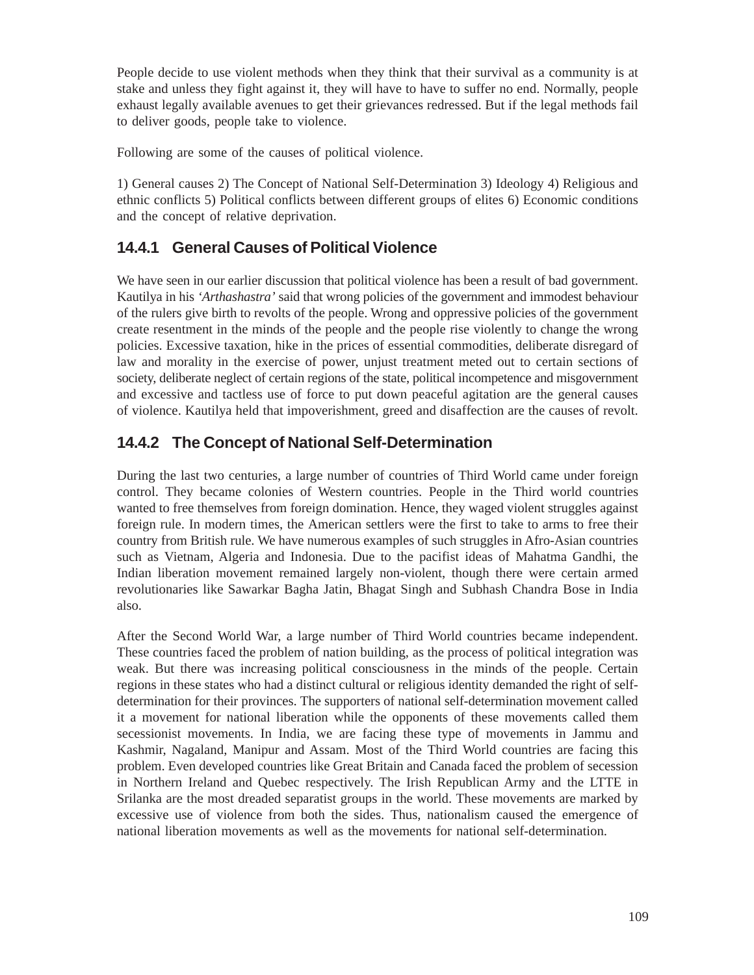People decide to use violent methods when they think that their survival as a community is at stake and unless they fight against it, they will have to have to suffer no end. Normally, people exhaust legally available avenues to get their grievances redressed. But if the legal methods fail to deliver goods, people take to violence.

Following are some of the causes of political violence.

1) General causes 2) The Concept of National Self-Determination 3) Ideology 4) Religious and ethnic conflicts 5) Political conflicts between different groups of elites 6) Economic conditions and the concept of relative deprivation.

#### **14.4.1 General Causes of Political Violence**

We have seen in our earlier discussion that political violence has been a result of bad government. Kautilya in his *'Arthashastra'* said that wrong policies of the government and immodest behaviour of the rulers give birth to revolts of the people. Wrong and oppressive policies of the government create resentment in the minds of the people and the people rise violently to change the wrong policies. Excessive taxation, hike in the prices of essential commodities, deliberate disregard of law and morality in the exercise of power, unjust treatment meted out to certain sections of society, deliberate neglect of certain regions of the state, political incompetence and misgovernment and excessive and tactless use of force to put down peaceful agitation are the general causes of violence. Kautilya held that impoverishment, greed and disaffection are the causes of revolt.

### **14.4.2 The Concept of National Self-Determination**

During the last two centuries, a large number of countries of Third World came under foreign control. They became colonies of Western countries. People in the Third world countries wanted to free themselves from foreign domination. Hence, they waged violent struggles against foreign rule. In modern times, the American settlers were the first to take to arms to free their country from British rule. We have numerous examples of such struggles in Afro-Asian countries such as Vietnam, Algeria and Indonesia. Due to the pacifist ideas of Mahatma Gandhi, the Indian liberation movement remained largely non-violent, though there were certain armed revolutionaries like Sawarkar Bagha Jatin, Bhagat Singh and Subhash Chandra Bose in India also.

After the Second World War, a large number of Third World countries became independent. These countries faced the problem of nation building, as the process of political integration was weak. But there was increasing political consciousness in the minds of the people. Certain regions in these states who had a distinct cultural or religious identity demanded the right of selfdetermination for their provinces. The supporters of national self-determination movement called it a movement for national liberation while the opponents of these movements called them secessionist movements. In India, we are facing these type of movements in Jammu and Kashmir, Nagaland, Manipur and Assam. Most of the Third World countries are facing this problem. Even developed countries like Great Britain and Canada faced the problem of secession in Northern Ireland and Quebec respectively. The Irish Republican Army and the LTTE in Srilanka are the most dreaded separatist groups in the world. These movements are marked by excessive use of violence from both the sides. Thus, nationalism caused the emergence of national liberation movements as well as the movements for national self-determination.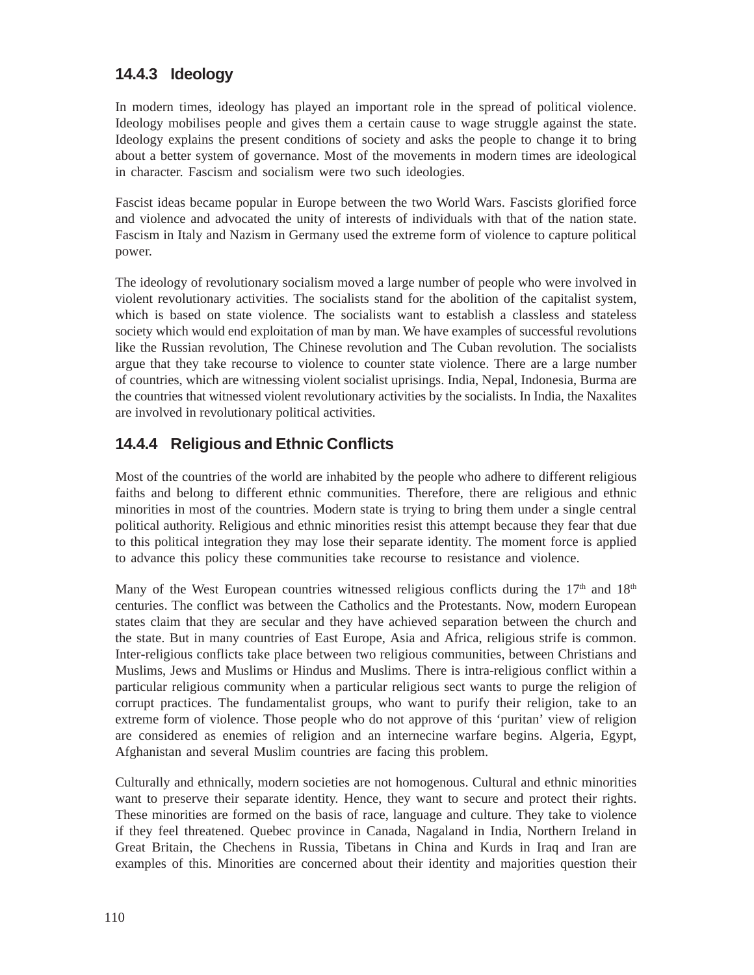#### **14.4.3 Ideology**

In modern times, ideology has played an important role in the spread of political violence. Ideology mobilises people and gives them a certain cause to wage struggle against the state. Ideology explains the present conditions of society and asks the people to change it to bring about a better system of governance. Most of the movements in modern times are ideological in character. Fascism and socialism were two such ideologies.

Fascist ideas became popular in Europe between the two World Wars. Fascists glorified force and violence and advocated the unity of interests of individuals with that of the nation state. Fascism in Italy and Nazism in Germany used the extreme form of violence to capture political power.

The ideology of revolutionary socialism moved a large number of people who were involved in violent revolutionary activities. The socialists stand for the abolition of the capitalist system, which is based on state violence. The socialists want to establish a classless and stateless society which would end exploitation of man by man. We have examples of successful revolutions like the Russian revolution, The Chinese revolution and The Cuban revolution. The socialists argue that they take recourse to violence to counter state violence. There are a large number of countries, which are witnessing violent socialist uprisings. India, Nepal, Indonesia, Burma are the countries that witnessed violent revolutionary activities by the socialists. In India, the Naxalites are involved in revolutionary political activities.

### **14.4.4 Religious and Ethnic Conflicts**

Most of the countries of the world are inhabited by the people who adhere to different religious faiths and belong to different ethnic communities. Therefore, there are religious and ethnic minorities in most of the countries. Modern state is trying to bring them under a single central political authority. Religious and ethnic minorities resist this attempt because they fear that due to this political integration they may lose their separate identity. The moment force is applied to advance this policy these communities take recourse to resistance and violence.

Many of the West European countries witnessed religious conflicts during the  $17<sup>th</sup>$  and  $18<sup>th</sup>$ centuries. The conflict was between the Catholics and the Protestants. Now, modern European states claim that they are secular and they have achieved separation between the church and the state. But in many countries of East Europe, Asia and Africa, religious strife is common. Inter-religious conflicts take place between two religious communities, between Christians and Muslims, Jews and Muslims or Hindus and Muslims. There is intra-religious conflict within a particular religious community when a particular religious sect wants to purge the religion of corrupt practices. The fundamentalist groups, who want to purify their religion, take to an extreme form of violence. Those people who do not approve of this 'puritan' view of religion are considered as enemies of religion and an internecine warfare begins. Algeria, Egypt, Afghanistan and several Muslim countries are facing this problem.

Culturally and ethnically, modern societies are not homogenous. Cultural and ethnic minorities want to preserve their separate identity. Hence, they want to secure and protect their rights. These minorities are formed on the basis of race, language and culture. They take to violence if they feel threatened. Quebec province in Canada, Nagaland in India, Northern Ireland in Great Britain, the Chechens in Russia, Tibetans in China and Kurds in Iraq and Iran are examples of this. Minorities are concerned about their identity and majorities question their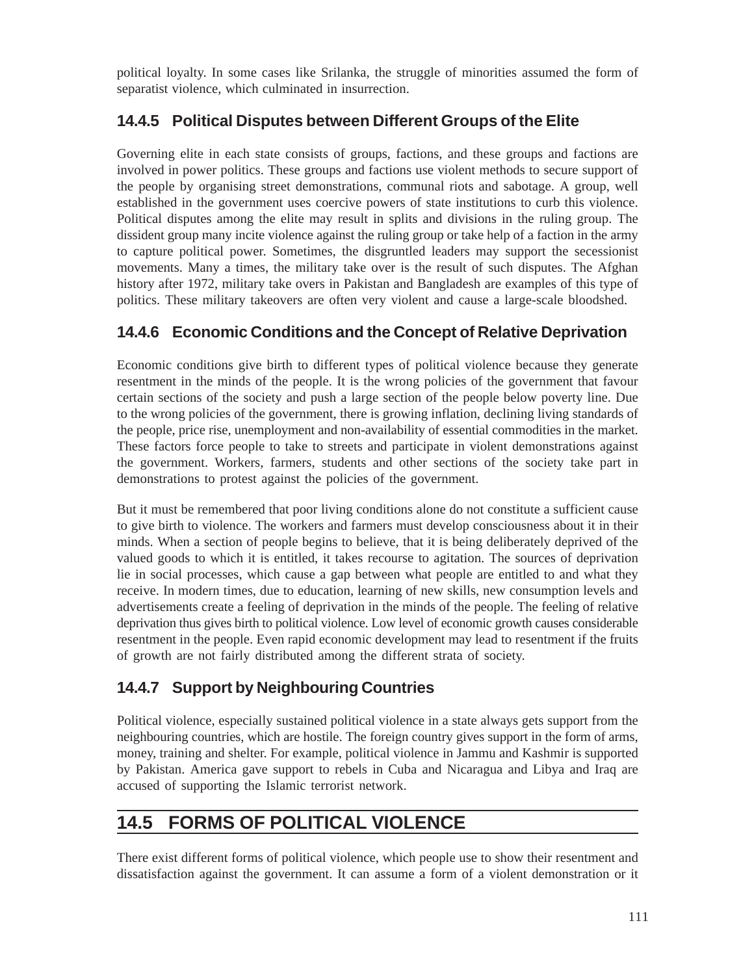political loyalty. In some cases like Srilanka, the struggle of minorities assumed the form of separatist violence, which culminated in insurrection.

### **14.4.5 Political Disputes between Different Groups of the Elite**

Governing elite in each state consists of groups, factions, and these groups and factions are involved in power politics. These groups and factions use violent methods to secure support of the people by organising street demonstrations, communal riots and sabotage. A group, well established in the government uses coercive powers of state institutions to curb this violence. Political disputes among the elite may result in splits and divisions in the ruling group. The dissident group many incite violence against the ruling group or take help of a faction in the army to capture political power. Sometimes, the disgruntled leaders may support the secessionist movements. Many a times, the military take over is the result of such disputes. The Afghan history after 1972, military take overs in Pakistan and Bangladesh are examples of this type of politics. These military takeovers are often very violent and cause a large-scale bloodshed.

### **14.4.6 Economic Conditions and the Concept of Relative Deprivation**

Economic conditions give birth to different types of political violence because they generate resentment in the minds of the people. It is the wrong policies of the government that favour certain sections of the society and push a large section of the people below poverty line. Due to the wrong policies of the government, there is growing inflation, declining living standards of the people, price rise, unemployment and non-availability of essential commodities in the market. These factors force people to take to streets and participate in violent demonstrations against the government. Workers, farmers, students and other sections of the society take part in demonstrations to protest against the policies of the government.

But it must be remembered that poor living conditions alone do not constitute a sufficient cause to give birth to violence. The workers and farmers must develop consciousness about it in their minds. When a section of people begins to believe, that it is being deliberately deprived of the valued goods to which it is entitled, it takes recourse to agitation. The sources of deprivation lie in social processes, which cause a gap between what people are entitled to and what they receive. In modern times, due to education, learning of new skills, new consumption levels and advertisements create a feeling of deprivation in the minds of the people. The feeling of relative deprivation thus gives birth to political violence. Low level of economic growth causes considerable resentment in the people. Even rapid economic development may lead to resentment if the fruits of growth are not fairly distributed among the different strata of society.

### **14.4.7 Support by Neighbouring Countries**

Political violence, especially sustained political violence in a state always gets support from the neighbouring countries, which are hostile. The foreign country gives support in the form of arms, money, training and shelter. For example, political violence in Jammu and Kashmir is supported by Pakistan. America gave support to rebels in Cuba and Nicaragua and Libya and Iraq are accused of supporting the Islamic terrorist network.

# **14.5 FORMS OF POLITICAL VIOLENCE**

There exist different forms of political violence, which people use to show their resentment and dissatisfaction against the government. It can assume a form of a violent demonstration or it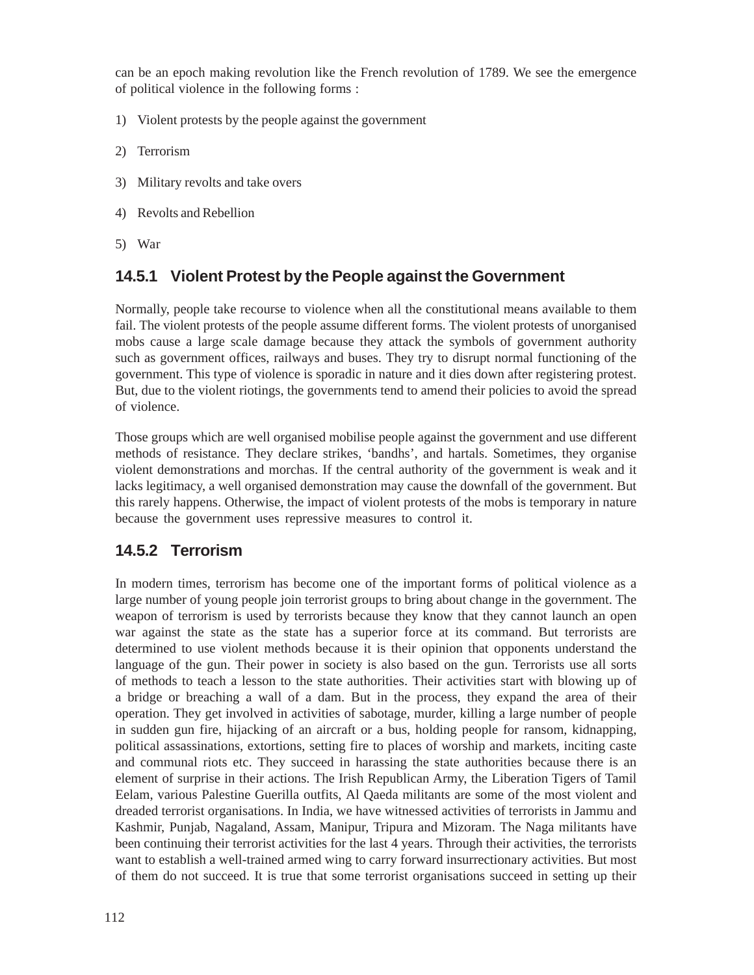can be an epoch making revolution like the French revolution of 1789. We see the emergence of political violence in the following forms :

- 1) Violent protests by the people against the government
- 2) Terrorism
- 3) Military revolts and take overs
- 4) Revolts and Rebellion
- 5) War

### **14.5.1 Violent Protest by the People against the Government**

Normally, people take recourse to violence when all the constitutional means available to them fail. The violent protests of the people assume different forms. The violent protests of unorganised mobs cause a large scale damage because they attack the symbols of government authority such as government offices, railways and buses. They try to disrupt normal functioning of the government. This type of violence is sporadic in nature and it dies down after registering protest. But, due to the violent riotings, the governments tend to amend their policies to avoid the spread of violence.

Those groups which are well organised mobilise people against the government and use different methods of resistance. They declare strikes, 'bandhs', and hartals. Sometimes, they organise violent demonstrations and morchas. If the central authority of the government is weak and it lacks legitimacy, a well organised demonstration may cause the downfall of the government. But this rarely happens. Otherwise, the impact of violent protests of the mobs is temporary in nature because the government uses repressive measures to control it.

### **14.5.2 Terrorism**

In modern times, terrorism has become one of the important forms of political violence as a large number of young people join terrorist groups to bring about change in the government. The weapon of terrorism is used by terrorists because they know that they cannot launch an open war against the state as the state has a superior force at its command. But terrorists are determined to use violent methods because it is their opinion that opponents understand the language of the gun. Their power in society is also based on the gun. Terrorists use all sorts of methods to teach a lesson to the state authorities. Their activities start with blowing up of a bridge or breaching a wall of a dam. But in the process, they expand the area of their operation. They get involved in activities of sabotage, murder, killing a large number of people in sudden gun fire, hijacking of an aircraft or a bus, holding people for ransom, kidnapping, political assassinations, extortions, setting fire to places of worship and markets, inciting caste and communal riots etc. They succeed in harassing the state authorities because there is an element of surprise in their actions. The Irish Republican Army, the Liberation Tigers of Tamil Eelam, various Palestine Guerilla outfits, Al Qaeda militants are some of the most violent and dreaded terrorist organisations. In India, we have witnessed activities of terrorists in Jammu and Kashmir, Punjab, Nagaland, Assam, Manipur, Tripura and Mizoram. The Naga militants have been continuing their terrorist activities for the last 4 years. Through their activities, the terrorists want to establish a well-trained armed wing to carry forward insurrectionary activities. But most of them do not succeed. It is true that some terrorist organisations succeed in setting up their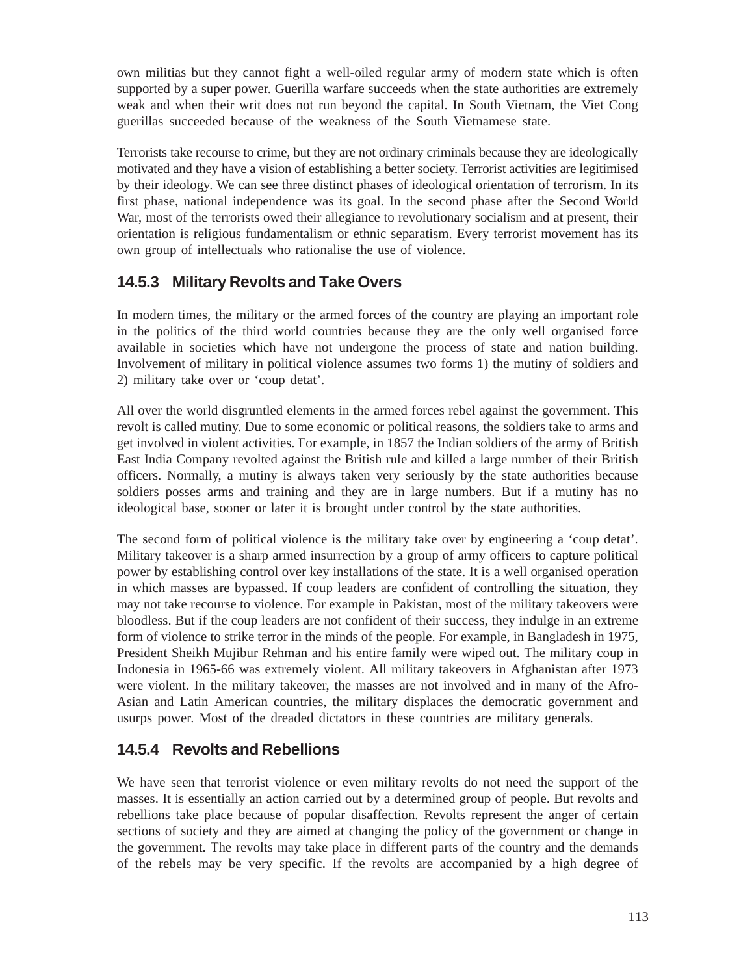own militias but they cannot fight a well-oiled regular army of modern state which is often supported by a super power. Guerilla warfare succeeds when the state authorities are extremely weak and when their writ does not run beyond the capital. In South Vietnam, the Viet Cong guerillas succeeded because of the weakness of the South Vietnamese state.

Terrorists take recourse to crime, but they are not ordinary criminals because they are ideologically motivated and they have a vision of establishing a better society. Terrorist activities are legitimised by their ideology. We can see three distinct phases of ideological orientation of terrorism. In its first phase, national independence was its goal. In the second phase after the Second World War, most of the terrorists owed their allegiance to revolutionary socialism and at present, their orientation is religious fundamentalism or ethnic separatism. Every terrorist movement has its own group of intellectuals who rationalise the use of violence.

### **14.5.3 Military Revolts and Take Overs**

In modern times, the military or the armed forces of the country are playing an important role in the politics of the third world countries because they are the only well organised force available in societies which have not undergone the process of state and nation building. Involvement of military in political violence assumes two forms 1) the mutiny of soldiers and 2) military take over or 'coup detat'.

All over the world disgruntled elements in the armed forces rebel against the government. This revolt is called mutiny. Due to some economic or political reasons, the soldiers take to arms and get involved in violent activities. For example, in 1857 the Indian soldiers of the army of British East India Company revolted against the British rule and killed a large number of their British officers. Normally, a mutiny is always taken very seriously by the state authorities because soldiers posses arms and training and they are in large numbers. But if a mutiny has no ideological base, sooner or later it is brought under control by the state authorities.

The second form of political violence is the military take over by engineering a 'coup detat'. Military takeover is a sharp armed insurrection by a group of army officers to capture political power by establishing control over key installations of the state. It is a well organised operation in which masses are bypassed. If coup leaders are confident of controlling the situation, they may not take recourse to violence. For example in Pakistan, most of the military takeovers were bloodless. But if the coup leaders are not confident of their success, they indulge in an extreme form of violence to strike terror in the minds of the people. For example, in Bangladesh in 1975, President Sheikh Mujibur Rehman and his entire family were wiped out. The military coup in Indonesia in 1965-66 was extremely violent. All military takeovers in Afghanistan after 1973 were violent. In the military takeover, the masses are not involved and in many of the Afro-Asian and Latin American countries, the military displaces the democratic government and usurps power. Most of the dreaded dictators in these countries are military generals.

### **14.5.4 Revolts and Rebellions**

We have seen that terrorist violence or even military revolts do not need the support of the masses. It is essentially an action carried out by a determined group of people. But revolts and rebellions take place because of popular disaffection. Revolts represent the anger of certain sections of society and they are aimed at changing the policy of the government or change in the government. The revolts may take place in different parts of the country and the demands of the rebels may be very specific. If the revolts are accompanied by a high degree of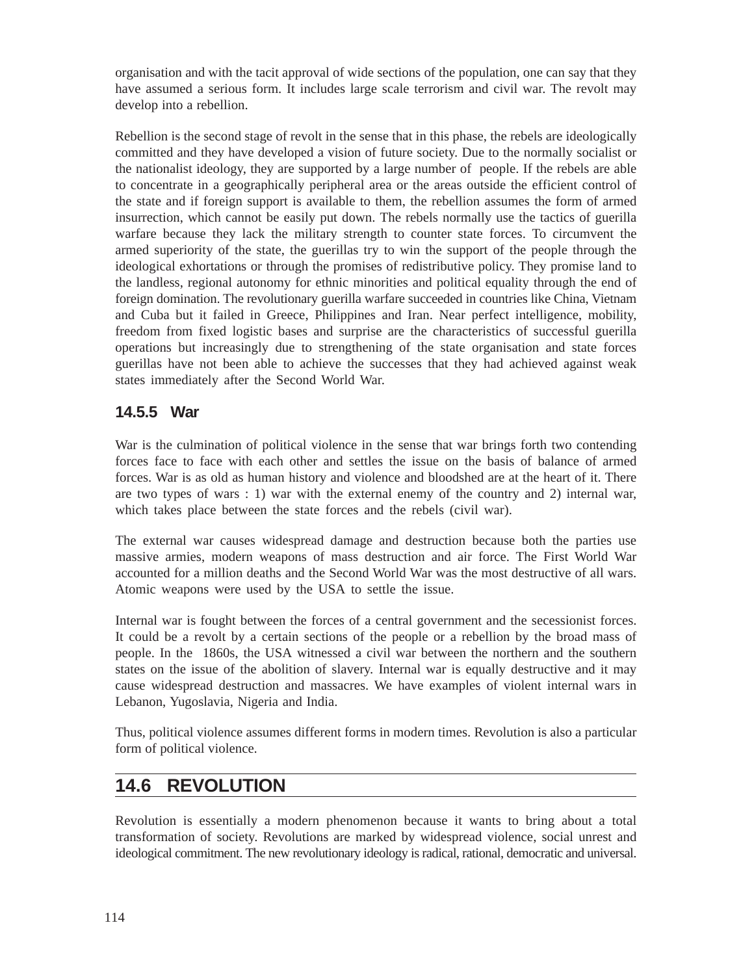organisation and with the tacit approval of wide sections of the population, one can say that they have assumed a serious form. It includes large scale terrorism and civil war. The revolt may develop into a rebellion.

Rebellion is the second stage of revolt in the sense that in this phase, the rebels are ideologically committed and they have developed a vision of future society. Due to the normally socialist or the nationalist ideology, they are supported by a large number of people. If the rebels are able to concentrate in a geographically peripheral area or the areas outside the efficient control of the state and if foreign support is available to them, the rebellion assumes the form of armed insurrection, which cannot be easily put down. The rebels normally use the tactics of guerilla warfare because they lack the military strength to counter state forces. To circumvent the armed superiority of the state, the guerillas try to win the support of the people through the ideological exhortations or through the promises of redistributive policy. They promise land to the landless, regional autonomy for ethnic minorities and political equality through the end of foreign domination. The revolutionary guerilla warfare succeeded in countries like China, Vietnam and Cuba but it failed in Greece, Philippines and Iran. Near perfect intelligence, mobility, freedom from fixed logistic bases and surprise are the characteristics of successful guerilla operations but increasingly due to strengthening of the state organisation and state forces guerillas have not been able to achieve the successes that they had achieved against weak states immediately after the Second World War.

#### **14.5.5 War**

War is the culmination of political violence in the sense that war brings forth two contending forces face to face with each other and settles the issue on the basis of balance of armed forces. War is as old as human history and violence and bloodshed are at the heart of it. There are two types of wars : 1) war with the external enemy of the country and 2) internal war, which takes place between the state forces and the rebels (civil war).

The external war causes widespread damage and destruction because both the parties use massive armies, modern weapons of mass destruction and air force. The First World War accounted for a million deaths and the Second World War was the most destructive of all wars. Atomic weapons were used by the USA to settle the issue.

Internal war is fought between the forces of a central government and the secessionist forces. It could be a revolt by a certain sections of the people or a rebellion by the broad mass of people. In the 1860s, the USA witnessed a civil war between the northern and the southern states on the issue of the abolition of slavery. Internal war is equally destructive and it may cause widespread destruction and massacres. We have examples of violent internal wars in Lebanon, Yugoslavia, Nigeria and India.

Thus, political violence assumes different forms in modern times. Revolution is also a particular form of political violence.

# **14.6 REVOLUTION**

Revolution is essentially a modern phenomenon because it wants to bring about a total transformation of society. Revolutions are marked by widespread violence, social unrest and ideological commitment. The new revolutionary ideology is radical, rational, democratic and universal.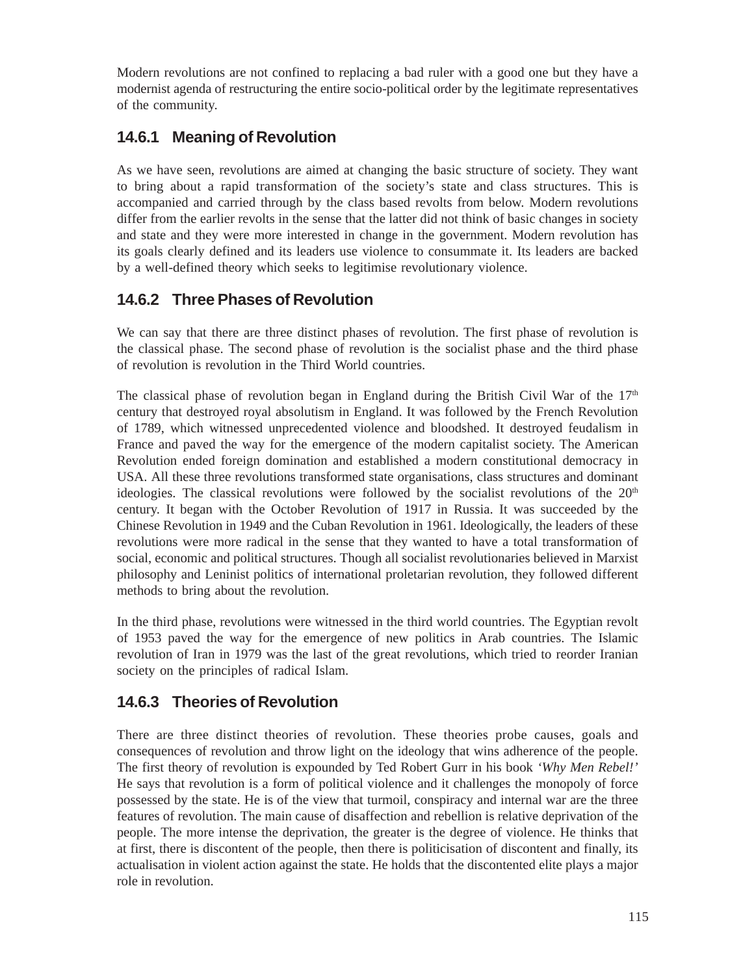Modern revolutions are not confined to replacing a bad ruler with a good one but they have a modernist agenda of restructuring the entire socio-political order by the legitimate representatives of the community.

### **14.6.1 Meaning of Revolution**

As we have seen, revolutions are aimed at changing the basic structure of society. They want to bring about a rapid transformation of the society's state and class structures. This is accompanied and carried through by the class based revolts from below. Modern revolutions differ from the earlier revolts in the sense that the latter did not think of basic changes in society and state and they were more interested in change in the government. Modern revolution has its goals clearly defined and its leaders use violence to consummate it. Its leaders are backed by a well-defined theory which seeks to legitimise revolutionary violence.

### **14.6.2 Three Phases of Revolution**

We can say that there are three distinct phases of revolution. The first phase of revolution is the classical phase. The second phase of revolution is the socialist phase and the third phase of revolution is revolution in the Third World countries.

The classical phase of revolution began in England during the British Civil War of the  $17<sup>th</sup>$ century that destroyed royal absolutism in England. It was followed by the French Revolution of 1789, which witnessed unprecedented violence and bloodshed. It destroyed feudalism in France and paved the way for the emergence of the modern capitalist society. The American Revolution ended foreign domination and established a modern constitutional democracy in USA. All these three revolutions transformed state organisations, class structures and dominant ideologies. The classical revolutions were followed by the socialist revolutions of the  $20<sup>th</sup>$ century. It began with the October Revolution of 1917 in Russia. It was succeeded by the Chinese Revolution in 1949 and the Cuban Revolution in 1961. Ideologically, the leaders of these revolutions were more radical in the sense that they wanted to have a total transformation of social, economic and political structures. Though all socialist revolutionaries believed in Marxist philosophy and Leninist politics of international proletarian revolution, they followed different methods to bring about the revolution.

In the third phase, revolutions were witnessed in the third world countries. The Egyptian revolt of 1953 paved the way for the emergence of new politics in Arab countries. The Islamic revolution of Iran in 1979 was the last of the great revolutions, which tried to reorder Iranian society on the principles of radical Islam.

### **14.6.3 Theories of Revolution**

There are three distinct theories of revolution. These theories probe causes, goals and consequences of revolution and throw light on the ideology that wins adherence of the people. The first theory of revolution is expounded by Ted Robert Gurr in his book *'Why Men Rebel!'* He says that revolution is a form of political violence and it challenges the monopoly of force possessed by the state. He is of the view that turmoil, conspiracy and internal war are the three features of revolution. The main cause of disaffection and rebellion is relative deprivation of the people. The more intense the deprivation, the greater is the degree of violence. He thinks that at first, there is discontent of the people, then there is politicisation of discontent and finally, its actualisation in violent action against the state. He holds that the discontented elite plays a major role in revolution.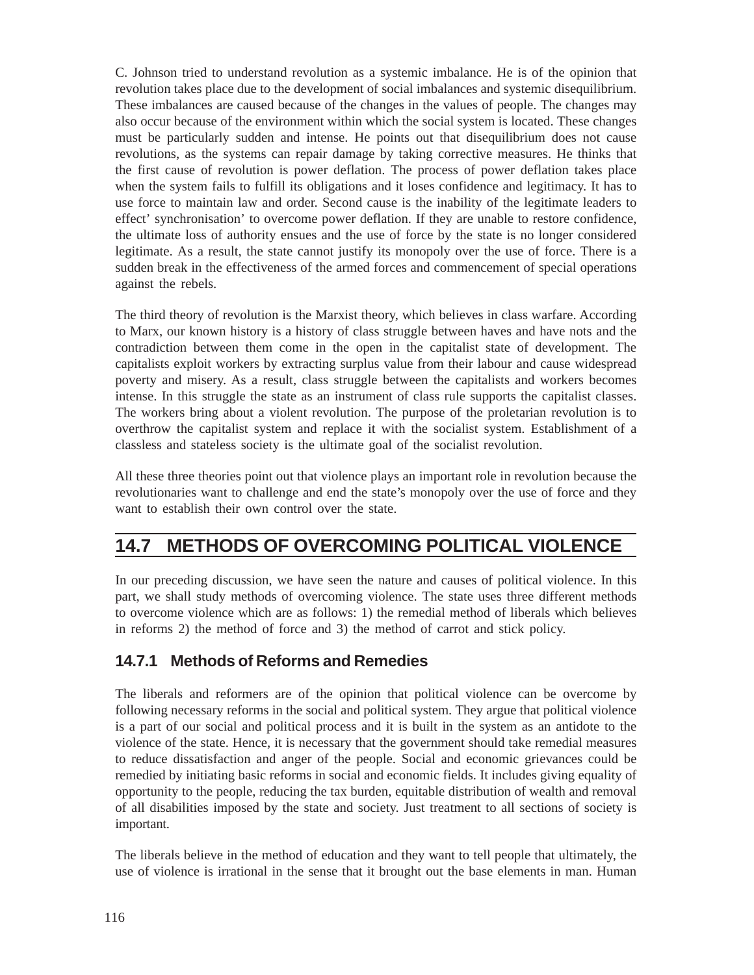C. Johnson tried to understand revolution as a systemic imbalance. He is of the opinion that revolution takes place due to the development of social imbalances and systemic disequilibrium. These imbalances are caused because of the changes in the values of people. The changes may also occur because of the environment within which the social system is located. These changes must be particularly sudden and intense. He points out that disequilibrium does not cause revolutions, as the systems can repair damage by taking corrective measures. He thinks that the first cause of revolution is power deflation. The process of power deflation takes place when the system fails to fulfill its obligations and it loses confidence and legitimacy. It has to use force to maintain law and order. Second cause is the inability of the legitimate leaders to effect' synchronisation' to overcome power deflation. If they are unable to restore confidence, the ultimate loss of authority ensues and the use of force by the state is no longer considered legitimate. As a result, the state cannot justify its monopoly over the use of force. There is a sudden break in the effectiveness of the armed forces and commencement of special operations against the rebels.

The third theory of revolution is the Marxist theory, which believes in class warfare. According to Marx, our known history is a history of class struggle between haves and have nots and the contradiction between them come in the open in the capitalist state of development. The capitalists exploit workers by extracting surplus value from their labour and cause widespread poverty and misery. As a result, class struggle between the capitalists and workers becomes intense. In this struggle the state as an instrument of class rule supports the capitalist classes. The workers bring about a violent revolution. The purpose of the proletarian revolution is to overthrow the capitalist system and replace it with the socialist system. Establishment of a classless and stateless society is the ultimate goal of the socialist revolution.

All these three theories point out that violence plays an important role in revolution because the revolutionaries want to challenge and end the state's monopoly over the use of force and they want to establish their own control over the state.

# **14.7 METHODS OF OVERCOMING POLITICAL VIOLENCE**

In our preceding discussion, we have seen the nature and causes of political violence. In this part, we shall study methods of overcoming violence. The state uses three different methods to overcome violence which are as follows: 1) the remedial method of liberals which believes in reforms 2) the method of force and 3) the method of carrot and stick policy.

### **14.7.1 Methods of Reforms and Remedies**

The liberals and reformers are of the opinion that political violence can be overcome by following necessary reforms in the social and political system. They argue that political violence is a part of our social and political process and it is built in the system as an antidote to the violence of the state. Hence, it is necessary that the government should take remedial measures to reduce dissatisfaction and anger of the people. Social and economic grievances could be remedied by initiating basic reforms in social and economic fields. It includes giving equality of opportunity to the people, reducing the tax burden, equitable distribution of wealth and removal of all disabilities imposed by the state and society. Just treatment to all sections of society is important.

The liberals believe in the method of education and they want to tell people that ultimately, the use of violence is irrational in the sense that it brought out the base elements in man. Human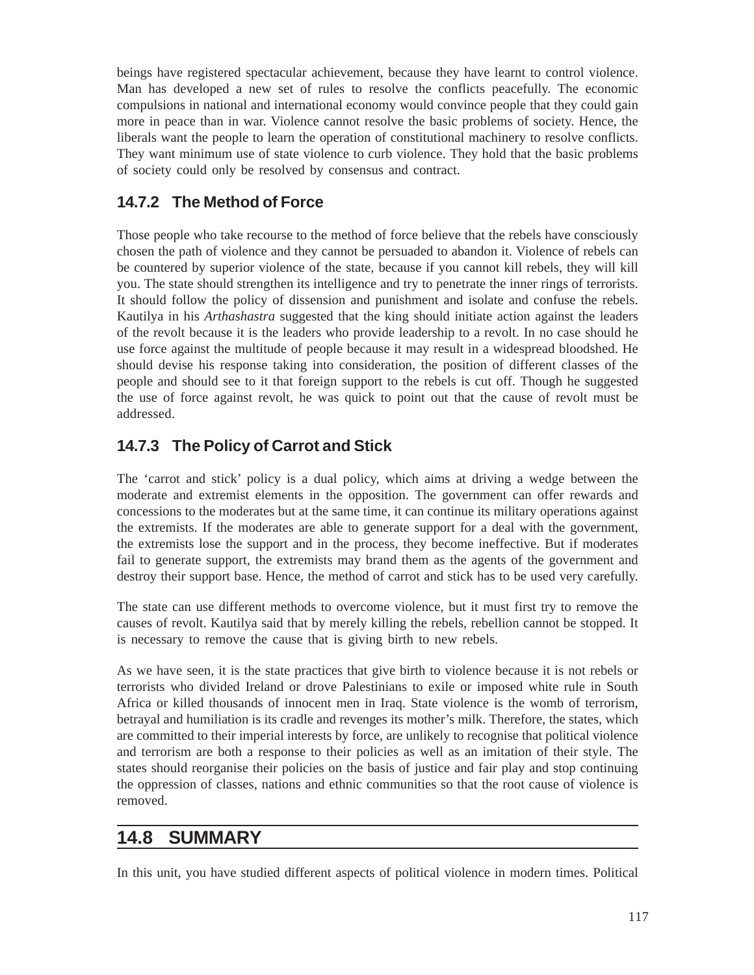beings have registered spectacular achievement, because they have learnt to control violence. Man has developed a new set of rules to resolve the conflicts peacefully. The economic compulsions in national and international economy would convince people that they could gain more in peace than in war. Violence cannot resolve the basic problems of society. Hence, the liberals want the people to learn the operation of constitutional machinery to resolve conflicts. They want minimum use of state violence to curb violence. They hold that the basic problems of society could only be resolved by consensus and contract.

### **14.7.2 The Method of Force**

Those people who take recourse to the method of force believe that the rebels have consciously chosen the path of violence and they cannot be persuaded to abandon it. Violence of rebels can be countered by superior violence of the state, because if you cannot kill rebels, they will kill you. The state should strengthen its intelligence and try to penetrate the inner rings of terrorists. It should follow the policy of dissension and punishment and isolate and confuse the rebels. Kautilya in his *Arthashastra* suggested that the king should initiate action against the leaders of the revolt because it is the leaders who provide leadership to a revolt. In no case should he use force against the multitude of people because it may result in a widespread bloodshed. He should devise his response taking into consideration, the position of different classes of the people and should see to it that foreign support to the rebels is cut off. Though he suggested the use of force against revolt, he was quick to point out that the cause of revolt must be addressed.

### **14.7.3 The Policy of Carrot and Stick**

The 'carrot and stick' policy is a dual policy, which aims at driving a wedge between the moderate and extremist elements in the opposition. The government can offer rewards and concessions to the moderates but at the same time, it can continue its military operations against the extremists. If the moderates are able to generate support for a deal with the government, the extremists lose the support and in the process, they become ineffective. But if moderates fail to generate support, the extremists may brand them as the agents of the government and destroy their support base. Hence, the method of carrot and stick has to be used very carefully.

The state can use different methods to overcome violence, but it must first try to remove the causes of revolt. Kautilya said that by merely killing the rebels, rebellion cannot be stopped. It is necessary to remove the cause that is giving birth to new rebels.

As we have seen, it is the state practices that give birth to violence because it is not rebels or terrorists who divided Ireland or drove Palestinians to exile or imposed white rule in South Africa or killed thousands of innocent men in Iraq. State violence is the womb of terrorism, betrayal and humiliation is its cradle and revenges its mother's milk. Therefore, the states, which are committed to their imperial interests by force, are unlikely to recognise that political violence and terrorism are both a response to their policies as well as an imitation of their style. The states should reorganise their policies on the basis of justice and fair play and stop continuing the oppression of classes, nations and ethnic communities so that the root cause of violence is removed.

# **14.8 SUMMARY**

In this unit, you have studied different aspects of political violence in modern times. Political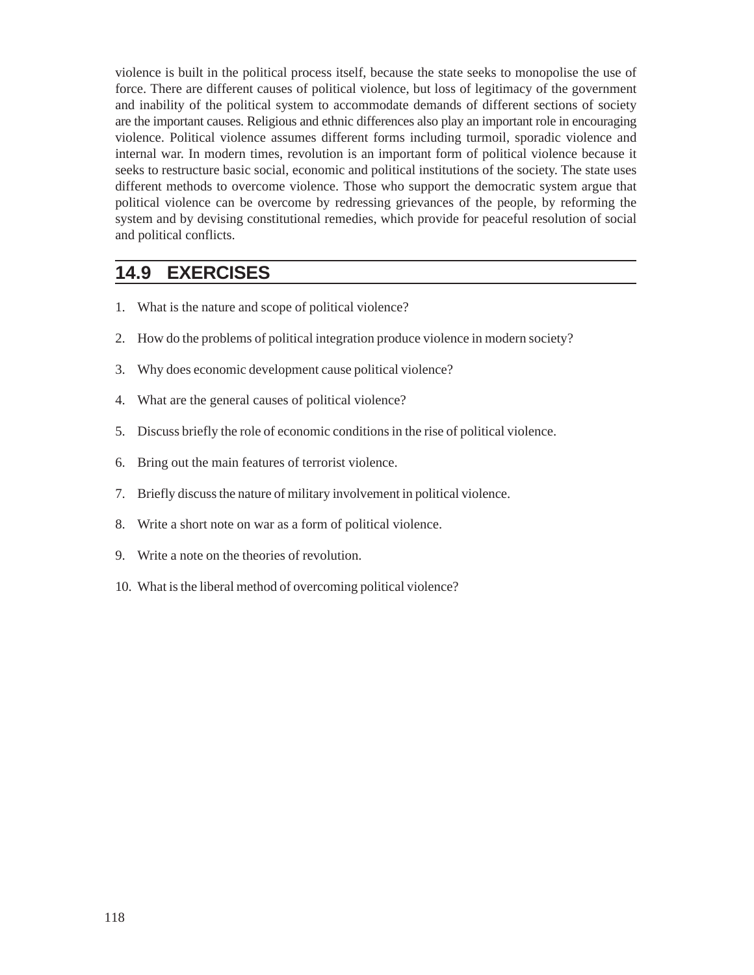violence is built in the political process itself, because the state seeks to monopolise the use of force. There are different causes of political violence, but loss of legitimacy of the government and inability of the political system to accommodate demands of different sections of society are the important causes. Religious and ethnic differences also play an important role in encouraging violence. Political violence assumes different forms including turmoil, sporadic violence and internal war. In modern times, revolution is an important form of political violence because it seeks to restructure basic social, economic and political institutions of the society. The state uses different methods to overcome violence. Those who support the democratic system argue that political violence can be overcome by redressing grievances of the people, by reforming the system and by devising constitutional remedies, which provide for peaceful resolution of social and political conflicts.

### **14.9 EXERCISES**

- 1. What is the nature and scope of political violence?
- 2. How do the problems of political integration produce violence in modern society?
- 3. Why does economic development cause political violence?
- 4. What are the general causes of political violence?
- 5. Discuss briefly the role of economic conditions in the rise of political violence.
- 6. Bring out the main features of terrorist violence.
- 7. Briefly discuss the nature of military involvement in political violence.
- 8. Write a short note on war as a form of political violence.
- 9. Write a note on the theories of revolution.
- 10. What is the liberal method of overcoming political violence?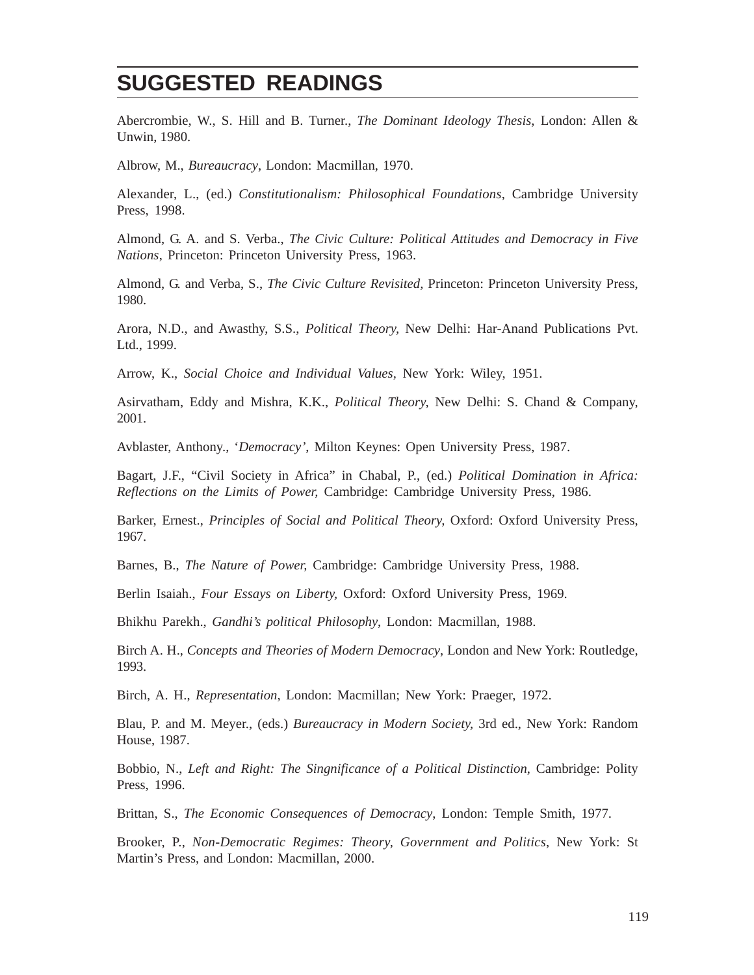# **SUGGESTED READINGS**

Abercrombie, W., S. Hill and B. Turner., *The Dominant Ideology Thesis*, London: Allen & Unwin, 1980.

Albrow, M., *Bureaucracy*, London: Macmillan, 1970.

Alexander, L., (ed.) *Constitutionalism: Philosophical Foundations*, Cambridge University Press, 1998.

Almond, G. A. and S. Verba., *The Civic Culture: Political Attitudes and Democracy in Five Nations*, Princeton: Princeton University Press, 1963.

Almond, G. and Verba, S., *The Civic Culture Revisited,* Princeton: Princeton University Press, 1980.

Arora, N.D., and Awasthy, S.S., *Political Theory,* New Delhi: Har-Anand Publications Pvt. Ltd., 1999.

Arrow, K., *Social Choice and Individual Values,* New York: Wiley, 1951.

Asirvatham, Eddy and Mishra, K.K., *Political Theory,* New Delhi: S. Chand & Company, 2001.

Avblaster, Anthony., '*Democracy'*, Milton Keynes: Open University Press, 1987.

Bagart, J.F., "Civil Society in Africa" in Chabal, P., (ed.) *Political Domination in Africa: Reflections on the Limits of Power,* Cambridge: Cambridge University Press, 1986.

Barker, Ernest., *Principles of Social and Political Theory,* Oxford: Oxford University Press, 1967.

Barnes, B., *The Nature of Power,* Cambridge: Cambridge University Press, 1988.

Berlin Isaiah., *Four Essays on Liberty,* Oxford: Oxford University Press, 1969.

Bhikhu Parekh., *Gandhi's political Philosophy*, London: Macmillan, 1988.

Birch A. H., *Concepts and Theories of Modern Democracy*, London and New York: Routledge, 1993.

Birch, A. H., *Representation*, London: Macmillan; New York: Praeger, 1972.

Blau, P. and M. Meyer., (eds.) *Bureaucracy in Modern Society,* 3rd ed., New York: Random House, 1987.

Bobbio, N., *Left and Right: The Singnificance of a Political Distinction*, Cambridge: Polity Press, 1996.

Brittan, S., *The Economic Consequences of Democracy*, London: Temple Smith, 1977.

Brooker, P., *Non-Democratic Regimes: Theory, Government and Politics*, New York: St Martin's Press, and London: Macmillan, 2000.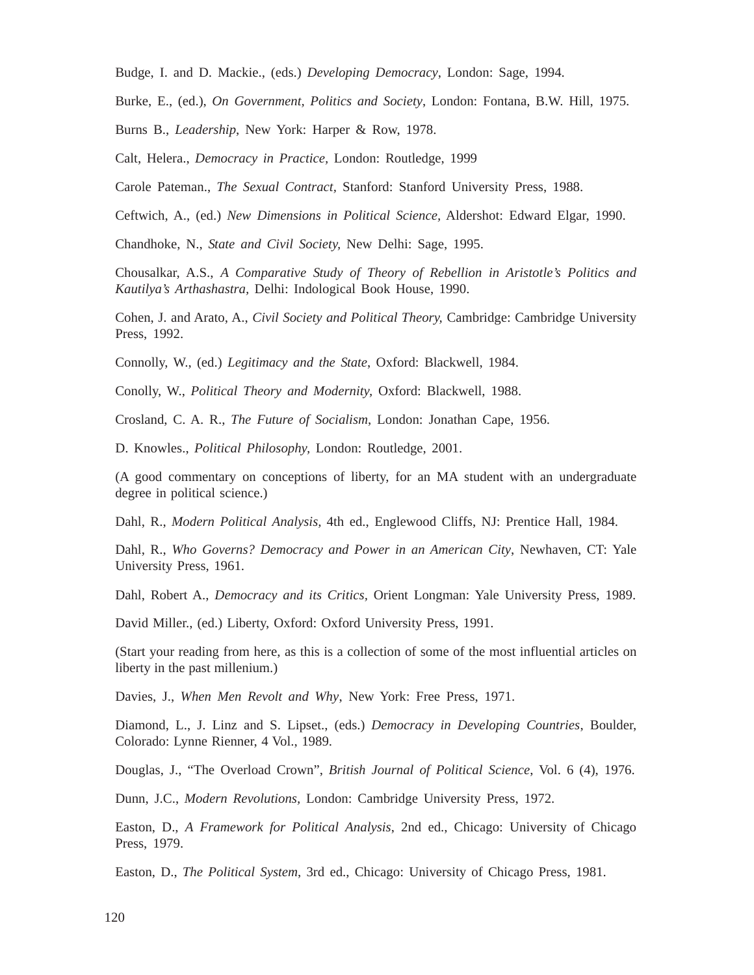Budge, I. and D. Mackie., (eds.) *Developing Democracy*, London: Sage, 1994.

Burke, E., (ed.), *On Government, Politics and Society*, London: Fontana, B.W. Hill, 1975.

Burns B., *Leadership*, New York: Harper & Row, 1978.

Calt, Helera., *Democracy in Practice,* London: Routledge, 1999

Carole Pateman., *The Sexual Contract,* Stanford: Stanford University Press, 1988.

Ceftwich, A., (ed.) *New Dimensions in Political Science,* Aldershot: Edward Elgar, 1990.

Chandhoke, N., *State and Civil Society,* New Delhi: Sage, 1995.

Chousalkar, A.S., *A Comparative Study of Theory of Rebellion in Aristotle's Politics and Kautilya's Arthashastra,* Delhi: Indological Book House, 1990.

Cohen, J. and Arato, A., *Civil Society and Political Theory,* Cambridge: Cambridge University Press, 1992.

Connolly, W., (ed.) *Legitimacy and the State*, Oxford: Blackwell, 1984.

Conolly, W., *Political Theory and Modernity,* Oxford: Blackwell, 1988.

Crosland, C. A. R., *The Future of Socialism*, London: Jonathan Cape, 1956.

D. Knowles., *Political Philosophy,* London: Routledge, 2001.

(A good commentary on conceptions of liberty, for an MA student with an undergraduate degree in political science.)

Dahl, R., *Modern Political Analysis,* 4th ed., Englewood Cliffs, NJ: Prentice Hall, 1984.

Dahl, R., *Who Governs? Democracy and Power in an American City*, Newhaven, CT: Yale University Press, 1961.

Dahl, Robert A., *Democracy and its Critics,* Orient Longman: Yale University Press, 1989.

David Miller., (ed.) Liberty, Oxford: Oxford University Press, 1991.

(Start your reading from here, as this is a collection of some of the most influential articles on liberty in the past millenium.)

Davies, J., *When Men Revolt and Why*, New York: Free Press, 1971.

Diamond, L., J. Linz and S. Lipset., (eds.) *Democracy in Developing Countries*, Boulder, Colorado: Lynne Rienner, 4 Vol., 1989.

Douglas, J., "The Overload Crown", *British Journal of Political Science*, Vol. 6 (4), 1976.

Dunn, J.C., *Modern Revolutions,* London: Cambridge University Press, 1972.

Easton, D., *A Framework for Political Analysis*, 2nd ed., Chicago: University of Chicago Press, 1979.

Easton, D., *The Political System*, 3rd ed., Chicago: University of Chicago Press, 1981.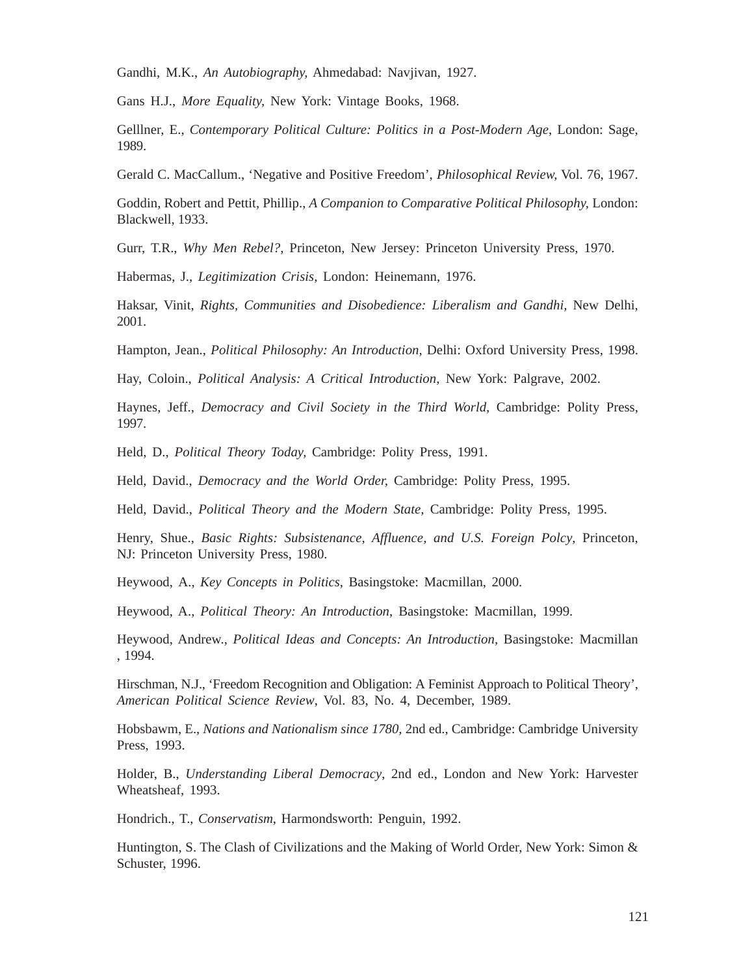Gandhi, M.K., *An Autobiography,* Ahmedabad: Navjivan, 1927.

Gans H.J., *More Equality,* New York: Vintage Books, 1968.

Gelllner, E., *Contemporary Political Culture: Politics in a Post-Modern Age*, London: Sage, 1989.

Gerald C. MacCallum., 'Negative and Positive Freedom', *Philosophical Review,* Vol. 76, 1967.

Goddin, Robert and Pettit, Phillip., *A Companion to Comparative Political Philosophy,* London: Blackwell, 1933.

Gurr, T.R., *Why Men Rebel?,* Princeton, New Jersey: Princeton University Press, 1970.

Habermas, J., *Legitimization Crisis,* London: Heinemann, 1976.

Haksar, Vinit, *Rights, Communities and Disobedience: Liberalism and Gandhi,* New Delhi, 2001.

Hampton, Jean., *Political Philosophy: An Introduction,* Delhi: Oxford University Press, 1998.

Hay, Coloin., *Political Analysis: A Critical Introduction,* New York: Palgrave, 2002.

Haynes, Jeff., *Democracy and Civil Society in the Third World,* Cambridge: Polity Press, 1997.

Held, D., *Political Theory Today,* Cambridge: Polity Press, 1991.

Held, David., *Democracy and the World Order,* Cambridge: Polity Press, 1995.

Held, David., *Political Theory and the Modern State,* Cambridge: Polity Press, 1995.

Henry, Shue., *Basic Rights: Subsistenance, Affluence, and U.S. Foreign Polcy*, Princeton, NJ: Princeton University Press, 1980.

Heywood, A., *Key Concepts in Politics*, Basingstoke: Macmillan, 2000.

Heywood, A., *Political Theory: An Introduction*, Basingstoke: Macmillan, 1999.

Heywood, Andrew., *Political Ideas and Concepts: An Introduction*, Basingstoke: Macmillan , 1994.

Hirschman, N.J., 'Freedom Recognition and Obligation: A Feminist Approach to Political Theory', *American Political Science Review*, Vol. 83, No. 4, December, 1989.

Hobsbawm, E., *Nations and Nationalism since 1780,* 2nd ed., Cambridge: Cambridge University Press, 1993.

Holder, B., *Understanding Liberal Democracy*, 2nd ed., London and New York: Harvester Wheatsheaf, 1993.

Hondrich., T., *Conservatism*, Harmondsworth: Penguin, 1992.

Huntington, S. The Clash of Civilizations and the Making of World Order, New York: Simon & Schuster, 1996.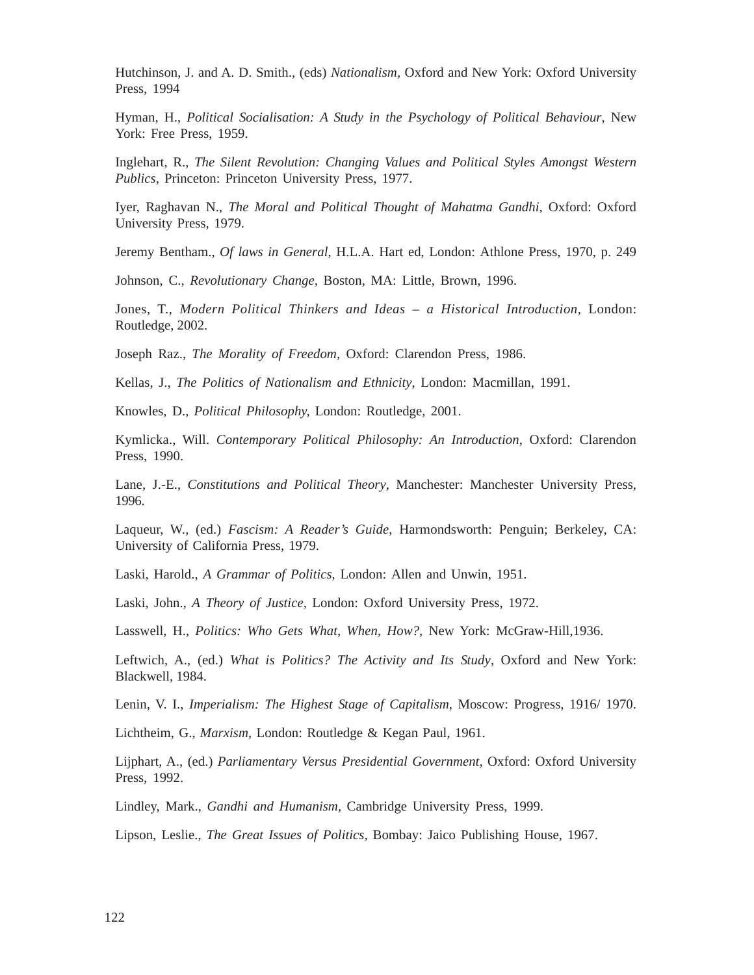Hutchinson, J. and A. D. Smith., (eds) *Nationalism*, Oxford and New York: Oxford University Press, 1994

Hyman, H., *Political Socialisation: A Study in the Psychology of Political Behaviour*, New York: Free Press, 1959.

Inglehart, R., *The Silent Revolution: Changing Values and Political Styles Amongst Western Publics*, Princeton: Princeton University Press, 1977.

Iyer, Raghavan N., *The Moral and Political Thought of Mahatma Gandhi*, Oxford: Oxford University Press, 1979.

Jeremy Bentham., *Of laws in General*, H.L.A. Hart ed, London: Athlone Press, 1970, p. 249

Johnson, C., *Revolutionary Change,* Boston, MA: Little, Brown, 1996.

Jones, T., *Modern Political Thinkers and Ideas – a Historical Introduction,* London: Routledge, 2002.

Joseph Raz., *The Morality of Freedom,* Oxford: Clarendon Press, 1986.

Kellas, J., *The Politics of Nationalism and Ethnicity*, London: Macmillan, 1991.

Knowles, D., *Political Philosophy,* London: Routledge, 2001.

Kymlicka., Will. *Contemporary Political Philosophy: An Introduction*, Oxford: Clarendon Press, 1990.

Lane, J.-E., *Constitutions and Political Theory*, Manchester: Manchester University Press, 1996.

Laqueur, W., (ed.) *Fascism: A Reader's Guide*, Harmondsworth: Penguin; Berkeley, CA: University of California Press, 1979.

Laski, Harold., *A Grammar of Politics,* London: Allen and Unwin, 1951.

Laski, John., *A Theory of Justice,* London: Oxford University Press, 1972.

Lasswell, H., *Politics: Who Gets What, When, How?,* New York: McGraw-Hill,1936.

Leftwich, A., (ed.) *What is Politics? The Activity and Its Study*, Oxford and New York: Blackwell, 1984.

Lenin, V. I., *Imperialism: The Highest Stage of Capitalism*, Moscow: Progress, 1916/ 1970.

Lichtheim, G., *Marxism*, London: Routledge & Kegan Paul, 1961.

Lijphart, A., (ed.) *Parliamentary Versus Presidential Government*, Oxford: Oxford University Press, 1992.

Lindley, Mark., *Gandhi and Humanism,* Cambridge University Press, 1999.

Lipson, Leslie., *The Great Issues of Politics,* Bombay: Jaico Publishing House, 1967.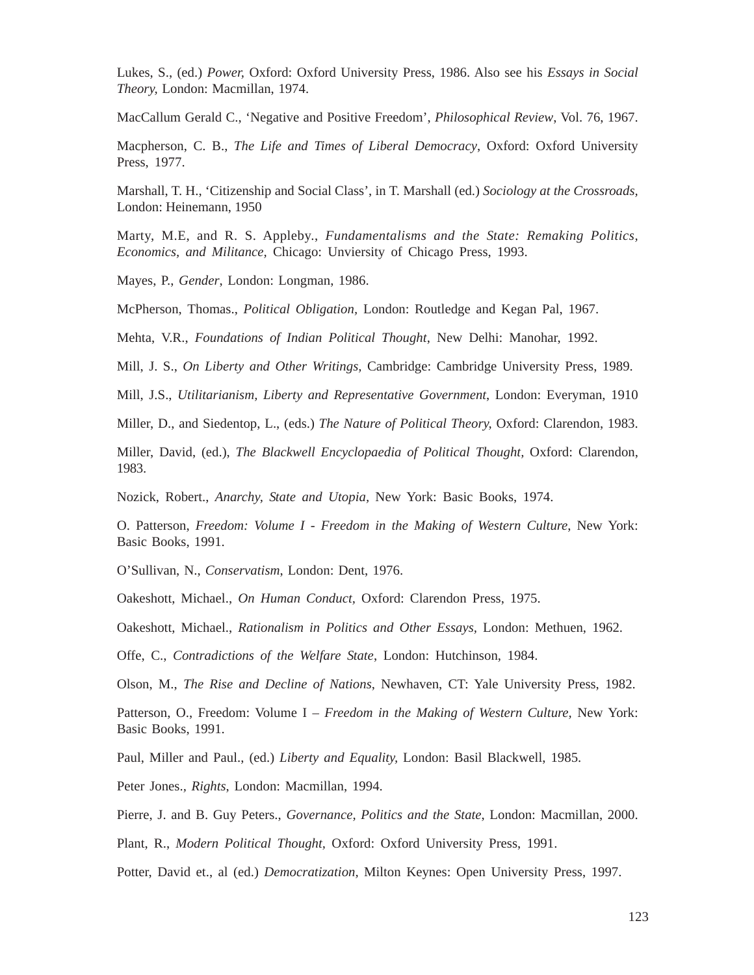Lukes, S., (ed.) *Power,* Oxford: Oxford University Press, 1986. Also see his *Essays in Social Theory,* London: Macmillan, 1974.

MacCallum Gerald C., 'Negative and Positive Freedom', *Philosophical Review*, Vol. 76, 1967.

Macpherson, C. B., *The Life and Times of Liberal Democracy*, Oxford: Oxford University Press, 1977.

Marshall, T. H., 'Citizenship and Social Class', in T. Marshall (ed.) *Sociology at the Crossroads,* London: Heinemann, 1950

Marty, M.E, and R. S. Appleby., *Fundamentalisms and the State: Remaking Politics, Economics, and Militance,* Chicago: Unviersity of Chicago Press, 1993.

Mayes, P., *Gender*, London: Longman, 1986.

McPherson, Thomas., *Political Obligation,* London: Routledge and Kegan Pal, 1967.

Mehta, V.R., *Foundations of Indian Political Thought*, New Delhi: Manohar, 1992.

Mill, J. S., *On Liberty and Other Writings,* Cambridge: Cambridge University Press, 1989.

Mill, J.S., *Utilitarianism, Liberty and Representative Government*, London: Everyman, 1910

Miller, D., and Siedentop, L., (eds.) *The Nature of Political Theory,* Oxford: Clarendon, 1983.

Miller, David, (ed.), *The Blackwell Encyclopaedia of Political Thought,* Oxford: Clarendon, 1983.

Nozick, Robert., *Anarchy, State and Utopia,* New York: Basic Books, 1974.

O. Patterson, *Freedom: Volume I - Freedom in the Making of Western Culture*, New York: Basic Books, 1991.

O'Sullivan, N., *Conservatism*, London: Dent, 1976.

Oakeshott, Michael., *On Human Conduct,* Oxford: Clarendon Press, 1975.

Oakeshott, Michael., *Rationalism in Politics and Other Essays,* London: Methuen, 1962.

Offe, C., *Contradictions of the Welfare State*, London: Hutchinson, 1984.

Olson, M., *The Rise and Decline of Nations*, Newhaven, CT: Yale University Press, 1982.

Patterson, O., Freedom: Volume I – *Freedom in the Making of Western Culture,* New York: Basic Books, 1991.

Paul, Miller and Paul., (ed.) *Liberty and Equality,* London: Basil Blackwell, 1985.

Peter Jones.*, Rights*, London: Macmillan, 1994.

Pierre, J. and B. Guy Peters., *Governance, Politics and the State*, London: Macmillan, 2000.

Plant, R., *Modern Political Thought,* Oxford: Oxford University Press, 1991.

Potter, David et., al (ed.) *Democratization,* Milton Keynes: Open University Press, 1997.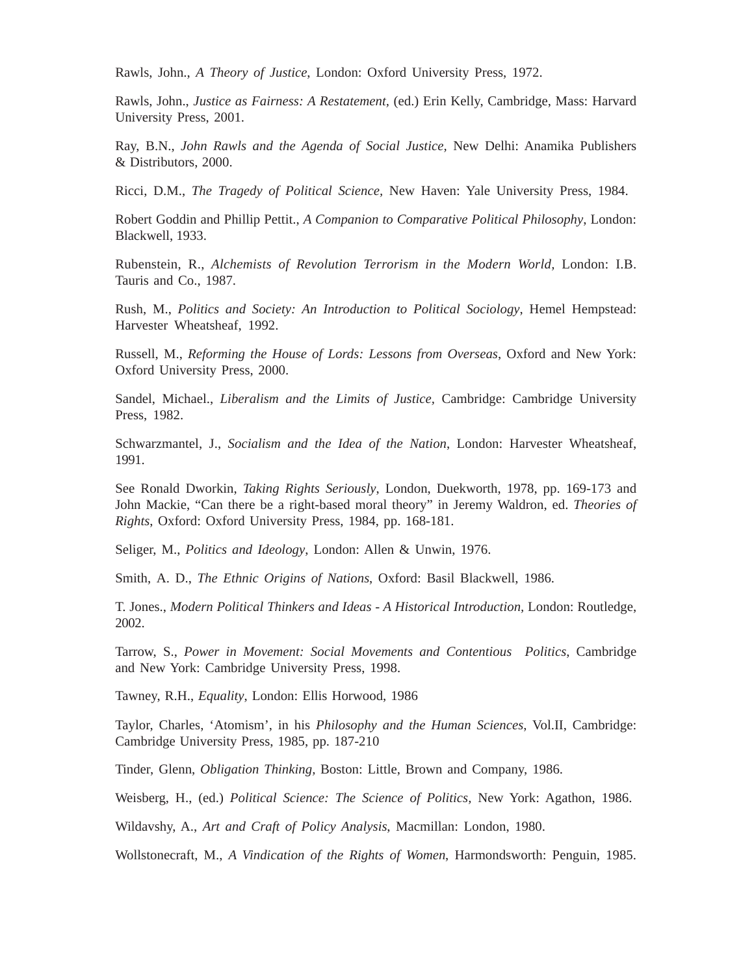Rawls, John., *A Theory of Justice*, London: Oxford University Press, 1972.

Rawls, John., *Justice as Fairness: A Restatement,* (ed.) Erin Kelly, Cambridge, Mass: Harvard University Press, 2001.

Ray, B.N., *John Rawls and the Agenda of Social Justice,* New Delhi: Anamika Publishers & Distributors, 2000.

Ricci, D.M., *The Tragedy of Political Science,* New Haven: Yale University Press, 1984.

Robert Goddin and Phillip Pettit., *A Companion to Comparative Political Philosophy*, London: Blackwell, 1933.

Rubenstein, R., *Alchemists of Revolution Terrorism in the Modern World,* London: I.B. Tauris and Co., 1987.

Rush, M., *Politics and Society: An Introduction to Political Sociology*, Hemel Hempstead: Harvester Wheatsheaf, 1992.

Russell, M., *Reforming the House of Lords: Lessons from Overseas*, Oxford and New York: Oxford University Press, 2000.

Sandel, Michael., *Liberalism and the Limits of Justice,* Cambridge: Cambridge University Press, 1982.

Schwarzmantel, J., *Socialism and the Idea of the Nation*, London: Harvester Wheatsheaf, 1991.

See Ronald Dworkin, *Taking Rights Seriously*, London, Duekworth, 1978, pp. 169-173 and John Mackie, "Can there be a right-based moral theory" in Jeremy Waldron, ed. *Theories of Rights*, Oxford: Oxford University Press, 1984, pp. 168-181.

Seliger, M., *Politics and Ideology*, London: Allen & Unwin, 1976.

Smith, A. D., *The Ethnic Origins of Nations*, Oxford: Basil Blackwell, 1986.

T. Jones., *Modern Political Thinkers and Ideas - A Historical Introduction,* London: Routledge, 2002.

Tarrow, S., *Power in Movement: Social Movements and Contentious Politics*, Cambridge and New York: Cambridge University Press, 1998.

Tawney, R.H., *Equality*, London: Ellis Horwood, 1986

Taylor, Charles, 'Atomism', in his *Philosophy and the Human Sciences*, Vol.II, Cambridge: Cambridge University Press, 1985, pp. 187-210

Tinder, Glenn, *Obligation Thinking,* Boston: Little, Brown and Company, 1986.

Weisberg, H., (ed.) *Political Science: The Science of Politics,* New York: Agathon, 1986.

Wildavshy, A., *Art and Craft of Policy Analysis*, Macmillan: London, 1980.

Wollstonecraft, M., *A Vindication of the Rights of Women*, Harmondsworth: Penguin, 1985.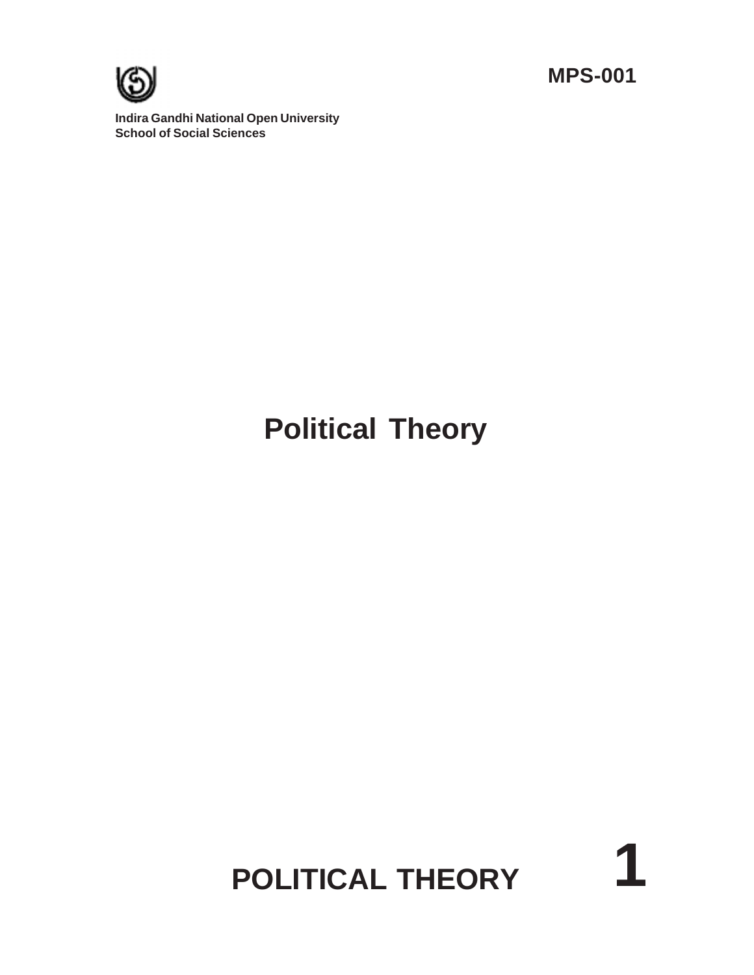**MPS-001**

**1**



**Indira Gandhi National Open University School of Social Sciences**

# **Political Theory**

# **POLITICAL THEORY**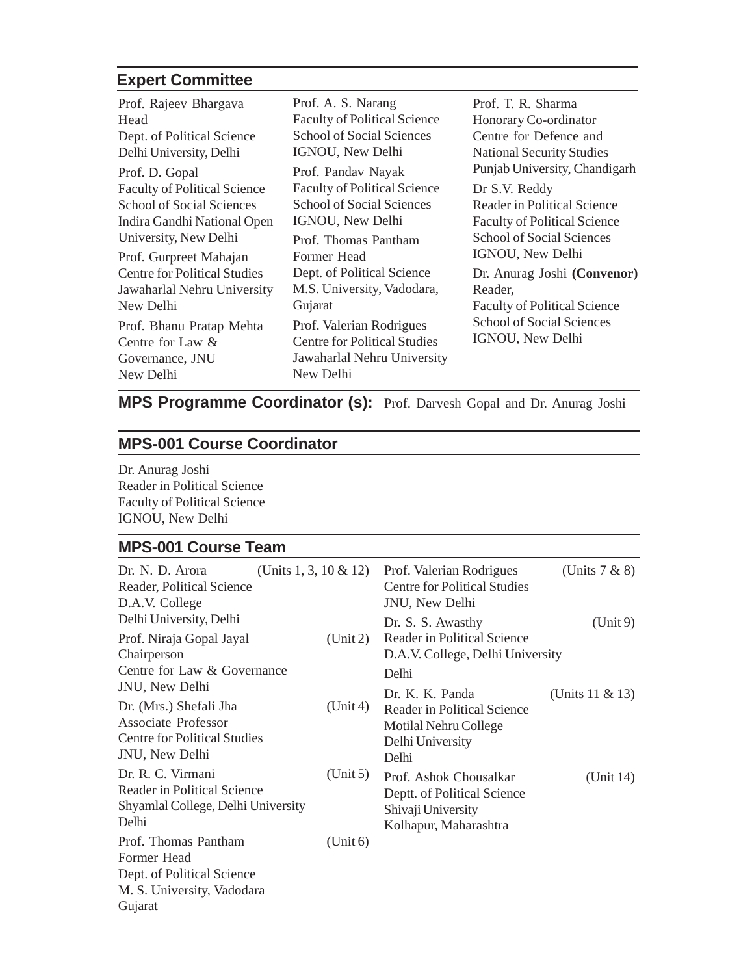#### **Expert Committee**

| Prof. Rajeev Bhargava               | Prof. A. S. Narang                  | Prof. T. R. Sharma                  |
|-------------------------------------|-------------------------------------|-------------------------------------|
| Head                                | <b>Faculty of Political Science</b> | Honorary Co-ordinator               |
| Dept. of Political Science          | <b>School of Social Sciences</b>    | Centre for Defence and              |
| Delhi University, Delhi             | IGNOU, New Delhi                    | <b>National Security Studies</b>    |
| Prof. D. Gopal                      | Prof. Pandav Nayak                  | Punjab University, Chandigarh       |
| <b>Faculty of Political Science</b> | <b>Faculty of Political Science</b> | Dr S.V. Reddy                       |
| <b>School of Social Sciences</b>    | <b>School of Social Sciences</b>    | Reader in Political Science         |
| Indira Gandhi National Open         | IGNOU, New Delhi                    | <b>Faculty of Political Science</b> |
| University, New Delhi               | Prof. Thomas Pantham                | <b>School of Social Sciences</b>    |
| Prof. Gurpreet Mahajan              | Former Head                         | IGNOU, New Delhi                    |
| <b>Centre for Political Studies</b> | Dept. of Political Science          | Dr. Anurag Joshi (Convenor)         |
| Jawaharlal Nehru University         | M.S. University, Vadodara,          | Reader.                             |
| New Delhi                           | Gujarat                             | <b>Faculty of Political Science</b> |
| Prof. Bhanu Pratap Mehta            | Prof. Valerian Rodrigues            | <b>School of Social Sciences</b>    |
| Centre for Law $\&$                 | <b>Centre for Political Studies</b> | IGNOU, New Delhi                    |
| Governance, JNU                     | Jawaharlal Nehru University         |                                     |
| New Delhi                           | New Delhi                           |                                     |

### **MPS Programme Coordinator (s):** Prof. Darvesh Gopal and Dr. Anurag Joshi

#### **MPS-001 Course Coordinator**

Dr. Anurag Joshi Reader in Political Science Faculty of Political Science IGNOU, New Delhi

#### **MPS-001 Course Team**

| Dr. N. D. Arora<br>(Units 1, 3, 10 $\&$ 12)<br>Reader, Political Science<br>D.A.V. College             |          | Prof. Valerian Rodrigues<br><b>Centre for Political Studies</b><br>JNU, New Delhi                    | (Units $7 & 8$ )   |
|--------------------------------------------------------------------------------------------------------|----------|------------------------------------------------------------------------------------------------------|--------------------|
| Delhi University, Delhi                                                                                |          | Dr. S. S. Awasthy                                                                                    | (Unit 9)           |
| Prof. Niraja Gopal Jayal<br>Chairperson<br>Centre for Law & Governance                                 | (Unit 2) | Reader in Political Science<br>D.A.V. College, Delhi University<br>Delhi                             |                    |
| JNU, New Delhi                                                                                         |          | Dr. K. K. Panda                                                                                      |                    |
| Dr. (Mrs.) Shefali Jha<br>Associate Professor<br><b>Centre for Political Studies</b><br>JNU, New Delhi | (Unit 4) | Reader in Political Science<br>Motilal Nehru College<br>Delhi University<br>Delhi                    | (Units $11 & 13$ ) |
| Dr. R. C. Virmani<br>Reader in Political Science<br>Shyamlal College, Delhi University<br>Delhi        | (Unit 5) | Prof. Ashok Chousalkar<br>Deptt. of Political Science<br>Shivaji University<br>Kolhapur, Maharashtra | (Unit 14)          |
| Prof. Thomas Pantham<br>Former Head<br>Dept. of Political Science<br>M. S. University, Vadodara        | (Unit 6) |                                                                                                      |                    |

Gujarat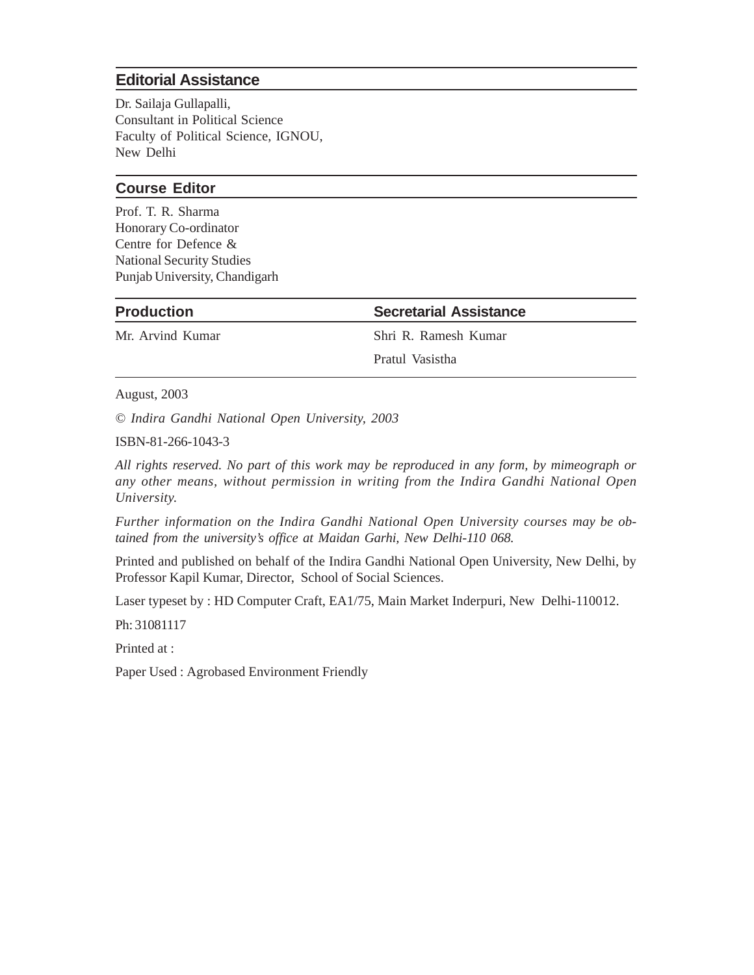#### **Editorial Assistance**

Dr. Sailaja Gullapalli, Consultant in Political Science Faculty of Political Science, IGNOU, New Delhi

#### **Course Editor**

Prof. T. R. Sharma Honorary Co-ordinator Centre for Defence & National Security Studies Punjab University, Chandigarh

**Production Secretarial Assistance**

Mr. Arvind Kumar Shri R. Ramesh Kumar

Pratul Vasistha

August, 2003

*© Indira Gandhi National Open University, 2003*

ISBN-81-266-1043-3

*All rights reserved. No part of this work may be reproduced in any form, by mimeograph or any other means, without permission in writing from the Indira Gandhi National Open University.*

*Further information on the Indira Gandhi National Open University courses may be obtained from the university's office at Maidan Garhi, New Delhi-110 068.*

Printed and published on behalf of the Indira Gandhi National Open University, New Delhi, by Professor Kapil Kumar, Director, School of Social Sciences.

Laser typeset by : HD Computer Craft, EA1/75, Main Market Inderpuri, New Delhi-110012.

Ph: 31081117

Printed at :

Paper Used : Agrobased Environment Friendly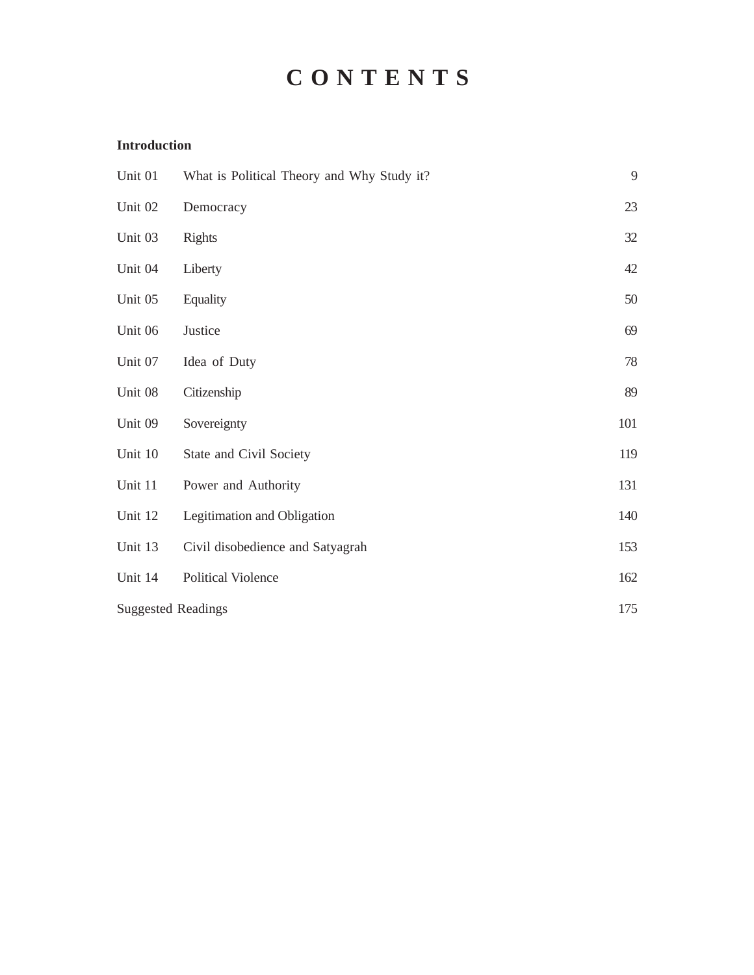## **C O N T E N T S**

#### **Introduction**

| Unit 01                   | What is Political Theory and Why Study it? | 9   |
|---------------------------|--------------------------------------------|-----|
| Unit 02                   | Democracy                                  | 23  |
| Unit 03                   | <b>Rights</b>                              | 32  |
| Unit 04                   | Liberty                                    | 42  |
| Unit 05                   | Equality                                   | 50  |
| Unit 06                   | Justice                                    | 69  |
| Unit 07                   | Idea of Duty                               | 78  |
| Unit 08                   | Citizenship                                | 89  |
| Unit 09                   | Sovereignty                                | 101 |
| Unit 10                   | State and Civil Society                    | 119 |
| Unit 11                   | Power and Authority                        | 131 |
| Unit 12                   | Legitimation and Obligation                | 140 |
| Unit 13                   | Civil disobedience and Satyagrah           | 153 |
| Unit 14                   | <b>Political Violence</b>                  | 162 |
| <b>Suggested Readings</b> |                                            | 175 |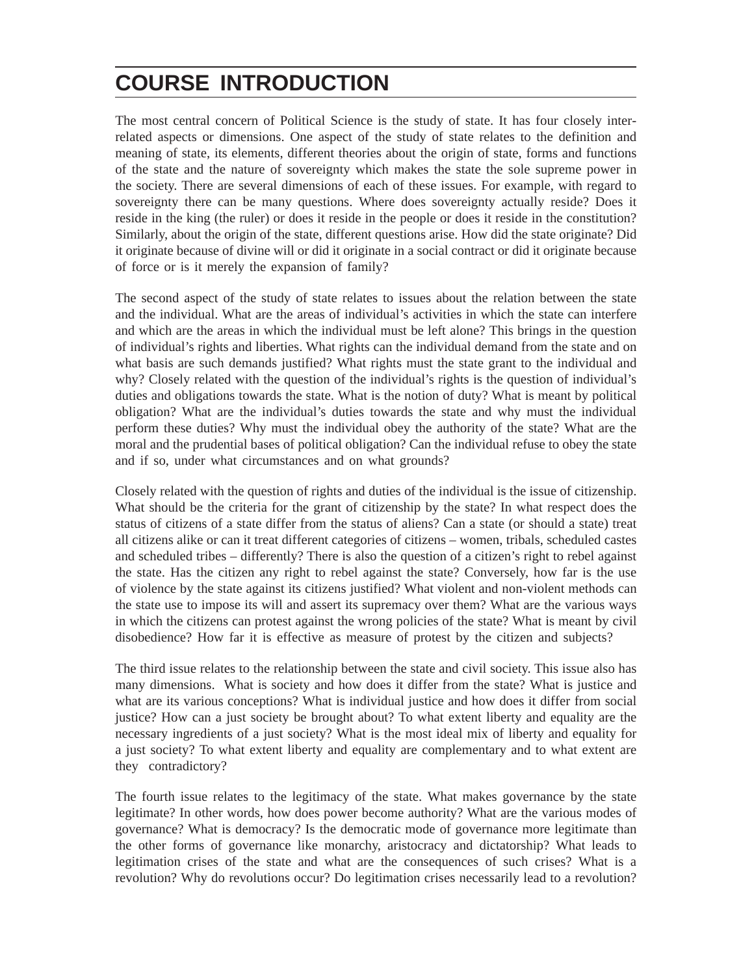### **COURSE INTRODUCTION**

The most central concern of Political Science is the study of state. It has four closely interrelated aspects or dimensions. One aspect of the study of state relates to the definition and meaning of state, its elements, different theories about the origin of state, forms and functions of the state and the nature of sovereignty which makes the state the sole supreme power in the society. There are several dimensions of each of these issues. For example, with regard to sovereignty there can be many questions. Where does sovereignty actually reside? Does it reside in the king (the ruler) or does it reside in the people or does it reside in the constitution? Similarly, about the origin of the state, different questions arise. How did the state originate? Did it originate because of divine will or did it originate in a social contract or did it originate because of force or is it merely the expansion of family?

The second aspect of the study of state relates to issues about the relation between the state and the individual. What are the areas of individual's activities in which the state can interfere and which are the areas in which the individual must be left alone? This brings in the question of individual's rights and liberties. What rights can the individual demand from the state and on what basis are such demands justified? What rights must the state grant to the individual and why? Closely related with the question of the individual's rights is the question of individual's duties and obligations towards the state. What is the notion of duty? What is meant by political obligation? What are the individual's duties towards the state and why must the individual perform these duties? Why must the individual obey the authority of the state? What are the moral and the prudential bases of political obligation? Can the individual refuse to obey the state and if so, under what circumstances and on what grounds?

Closely related with the question of rights and duties of the individual is the issue of citizenship. What should be the criteria for the grant of citizenship by the state? In what respect does the status of citizens of a state differ from the status of aliens? Can a state (or should a state) treat all citizens alike or can it treat different categories of citizens – women, tribals, scheduled castes and scheduled tribes – differently? There is also the question of a citizen's right to rebel against the state. Has the citizen any right to rebel against the state? Conversely, how far is the use of violence by the state against its citizens justified? What violent and non-violent methods can the state use to impose its will and assert its supremacy over them? What are the various ways in which the citizens can protest against the wrong policies of the state? What is meant by civil disobedience? How far it is effective as measure of protest by the citizen and subjects?

The third issue relates to the relationship between the state and civil society. This issue also has many dimensions. What is society and how does it differ from the state? What is justice and what are its various conceptions? What is individual justice and how does it differ from social justice? How can a just society be brought about? To what extent liberty and equality are the necessary ingredients of a just society? What is the most ideal mix of liberty and equality for a just society? To what extent liberty and equality are complementary and to what extent are they contradictory?

The fourth issue relates to the legitimacy of the state. What makes governance by the state legitimate? In other words, how does power become authority? What are the various modes of governance? What is democracy? Is the democratic mode of governance more legitimate than the other forms of governance like monarchy, aristocracy and dictatorship? What leads to legitimation crises of the state and what are the consequences of such crises? What is a revolution? Why do revolutions occur? Do legitimation crises necessarily lead to a revolution?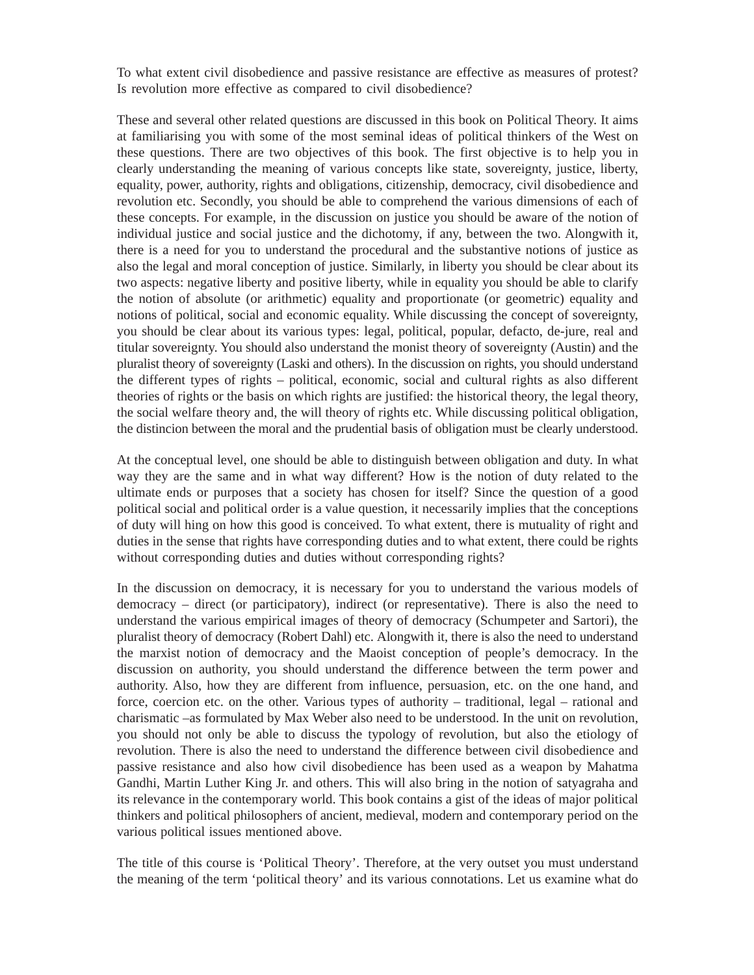To what extent civil disobedience and passive resistance are effective as measures of protest? Is revolution more effective as compared to civil disobedience?

These and several other related questions are discussed in this book on Political Theory. It aims at familiarising you with some of the most seminal ideas of political thinkers of the West on these questions. There are two objectives of this book. The first objective is to help you in clearly understanding the meaning of various concepts like state, sovereignty, justice, liberty, equality, power, authority, rights and obligations, citizenship, democracy, civil disobedience and revolution etc. Secondly, you should be able to comprehend the various dimensions of each of these concepts. For example, in the discussion on justice you should be aware of the notion of individual justice and social justice and the dichotomy, if any, between the two. Alongwith it, there is a need for you to understand the procedural and the substantive notions of justice as also the legal and moral conception of justice. Similarly, in liberty you should be clear about its two aspects: negative liberty and positive liberty, while in equality you should be able to clarify the notion of absolute (or arithmetic) equality and proportionate (or geometric) equality and notions of political, social and economic equality. While discussing the concept of sovereignty, you should be clear about its various types: legal, political, popular, defacto, de-jure, real and titular sovereignty. You should also understand the monist theory of sovereignty (Austin) and the pluralist theory of sovereignty (Laski and others). In the discussion on rights, you should understand the different types of rights – political, economic, social and cultural rights as also different theories of rights or the basis on which rights are justified: the historical theory, the legal theory, the social welfare theory and, the will theory of rights etc. While discussing political obligation, the distincion between the moral and the prudential basis of obligation must be clearly understood.

At the conceptual level, one should be able to distinguish between obligation and duty. In what way they are the same and in what way different? How is the notion of duty related to the ultimate ends or purposes that a society has chosen for itself? Since the question of a good political social and political order is a value question, it necessarily implies that the conceptions of duty will hing on how this good is conceived. To what extent, there is mutuality of right and duties in the sense that rights have corresponding duties and to what extent, there could be rights without corresponding duties and duties without corresponding rights?

In the discussion on democracy, it is necessary for you to understand the various models of democracy – direct (or participatory), indirect (or representative). There is also the need to understand the various empirical images of theory of democracy (Schumpeter and Sartori), the pluralist theory of democracy (Robert Dahl) etc. Alongwith it, there is also the need to understand the marxist notion of democracy and the Maoist conception of people's democracy. In the discussion on authority, you should understand the difference between the term power and authority. Also, how they are different from influence, persuasion, etc. on the one hand, and force, coercion etc. on the other. Various types of authority – traditional, legal – rational and charismatic –as formulated by Max Weber also need to be understood. In the unit on revolution, you should not only be able to discuss the typology of revolution, but also the etiology of revolution. There is also the need to understand the difference between civil disobedience and passive resistance and also how civil disobedience has been used as a weapon by Mahatma Gandhi, Martin Luther King Jr. and others. This will also bring in the notion of satyagraha and its relevance in the contemporary world. This book contains a gist of the ideas of major political thinkers and political philosophers of ancient, medieval, modern and contemporary period on the various political issues mentioned above.

The title of this course is 'Political Theory'. Therefore, at the very outset you must understand the meaning of the term 'political theory' and its various connotations. Let us examine what do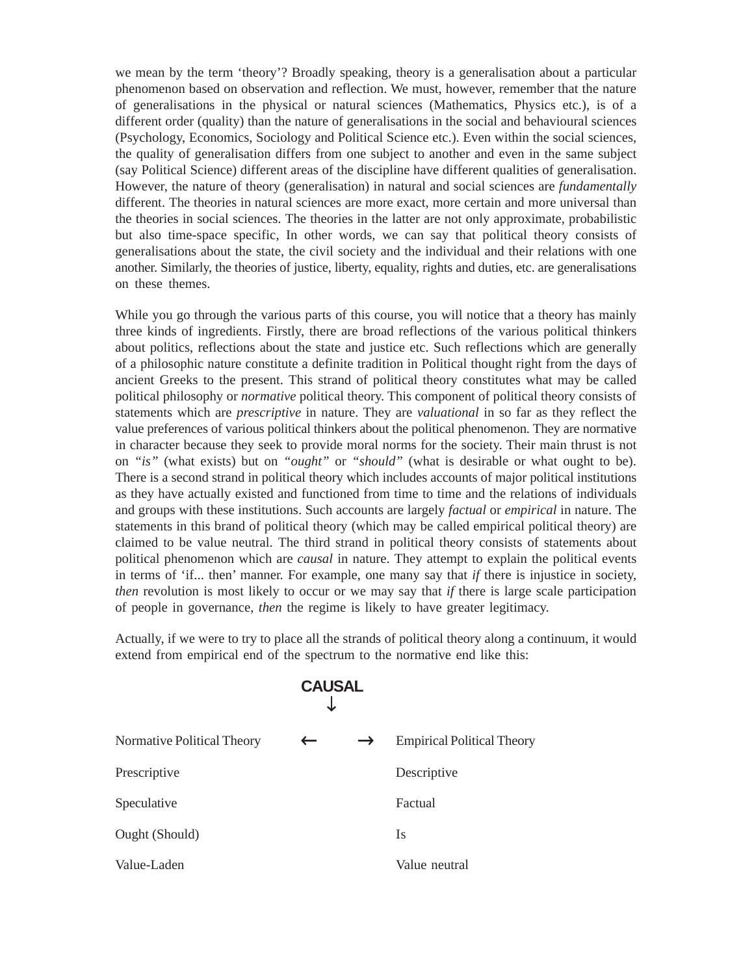we mean by the term 'theory'? Broadly speaking, theory is a generalisation about a particular phenomenon based on observation and reflection. We must, however, remember that the nature of generalisations in the physical or natural sciences (Mathematics, Physics etc.), is of a different order (quality) than the nature of generalisations in the social and behavioural sciences (Psychology, Economics, Sociology and Political Science etc.). Even within the social sciences, the quality of generalisation differs from one subject to another and even in the same subject (say Political Science) different areas of the discipline have different qualities of generalisation. However, the nature of theory (generalisation) in natural and social sciences are *fundamentally* different. The theories in natural sciences are more exact, more certain and more universal than the theories in social sciences. The theories in the latter are not only approximate, probabilistic but also time-space specific, In other words, we can say that political theory consists of generalisations about the state, the civil society and the individual and their relations with one another. Similarly, the theories of justice, liberty, equality, rights and duties, etc. are generalisations on these themes.

While you go through the various parts of this course, you will notice that a theory has mainly three kinds of ingredients. Firstly, there are broad reflections of the various political thinkers about politics, reflections about the state and justice etc. Such reflections which are generally of a philosophic nature constitute a definite tradition in Political thought right from the days of ancient Greeks to the present. This strand of political theory constitutes what may be called political philosophy or *normative* political theory. This component of political theory consists of statements which are *prescriptive* in nature. They are *valuational* in so far as they reflect the value preferences of various political thinkers about the political phenomenon. They are normative in character because they seek to provide moral norms for the society. Their main thrust is not on *"is"* (what exists) but on *"ought"* or *"should"* (what is desirable or what ought to be). There is a second strand in political theory which includes accounts of major political institutions as they have actually existed and functioned from time to time and the relations of individuals and groups with these institutions. Such accounts are largely *factual* or *empirical* in nature. The statements in this brand of political theory (which may be called empirical political theory) are claimed to be value neutral. The third strand in political theory consists of statements about political phenomenon which are *causal* in nature. They attempt to explain the political events in terms of 'if... then' manner. For example, one many say that *if* there is injustice in society, *then* revolution is most likely to occur or we may say that *if* there is large scale participation of people in governance, *then* the regime is likely to have greater legitimacy.

Actually, if we were to try to place all the strands of political theory along a continuum, it would extend from empirical end of the spectrum to the normative end like this:

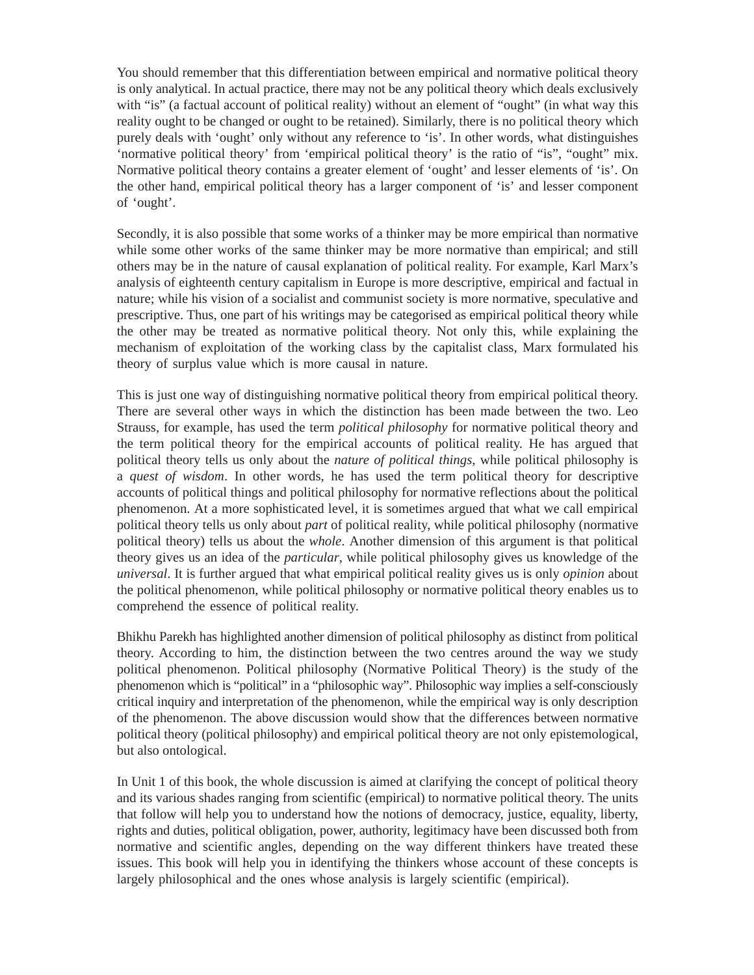You should remember that this differentiation between empirical and normative political theory is only analytical. In actual practice, there may not be any political theory which deals exclusively with "is" (a factual account of political reality) without an element of "ought" (in what way this reality ought to be changed or ought to be retained). Similarly, there is no political theory which purely deals with 'ought' only without any reference to 'is'. In other words, what distinguishes 'normative political theory' from 'empirical political theory' is the ratio of "is", "ought" mix. Normative political theory contains a greater element of 'ought' and lesser elements of 'is'. On the other hand, empirical political theory has a larger component of 'is' and lesser component of 'ought'.

Secondly, it is also possible that some works of a thinker may be more empirical than normative while some other works of the same thinker may be more normative than empirical; and still others may be in the nature of causal explanation of political reality. For example, Karl Marx's analysis of eighteenth century capitalism in Europe is more descriptive, empirical and factual in nature; while his vision of a socialist and communist society is more normative, speculative and prescriptive. Thus, one part of his writings may be categorised as empirical political theory while the other may be treated as normative political theory. Not only this, while explaining the mechanism of exploitation of the working class by the capitalist class, Marx formulated his theory of surplus value which is more causal in nature.

This is just one way of distinguishing normative political theory from empirical political theory. There are several other ways in which the distinction has been made between the two. Leo Strauss, for example, has used the term *political philosophy* for normative political theory and the term political theory for the empirical accounts of political reality. He has argued that political theory tells us only about the *nature of political things*, while political philosophy is a *quest of wisdom*. In other words, he has used the term political theory for descriptive accounts of political things and political philosophy for normative reflections about the political phenomenon. At a more sophisticated level, it is sometimes argued that what we call empirical political theory tells us only about *part* of political reality, while political philosophy (normative political theory) tells us about the *whole*. Another dimension of this argument is that political theory gives us an idea of the *particular*, while political philosophy gives us knowledge of the *universal*. It is further argued that what empirical political reality gives us is only *opinion* about the political phenomenon, while political philosophy or normative political theory enables us to comprehend the essence of political reality.

Bhikhu Parekh has highlighted another dimension of political philosophy as distinct from political theory. According to him, the distinction between the two centres around the way we study political phenomenon. Political philosophy (Normative Political Theory) is the study of the phenomenon which is "political" in a "philosophic way". Philosophic way implies a self-consciously critical inquiry and interpretation of the phenomenon, while the empirical way is only description of the phenomenon. The above discussion would show that the differences between normative political theory (political philosophy) and empirical political theory are not only epistemological, but also ontological.

In Unit 1 of this book, the whole discussion is aimed at clarifying the concept of political theory and its various shades ranging from scientific (empirical) to normative political theory. The units that follow will help you to understand how the notions of democracy, justice, equality, liberty, rights and duties, political obligation, power, authority, legitimacy have been discussed both from normative and scientific angles, depending on the way different thinkers have treated these issues. This book will help you in identifying the thinkers whose account of these concepts is largely philosophical and the ones whose analysis is largely scientific (empirical).